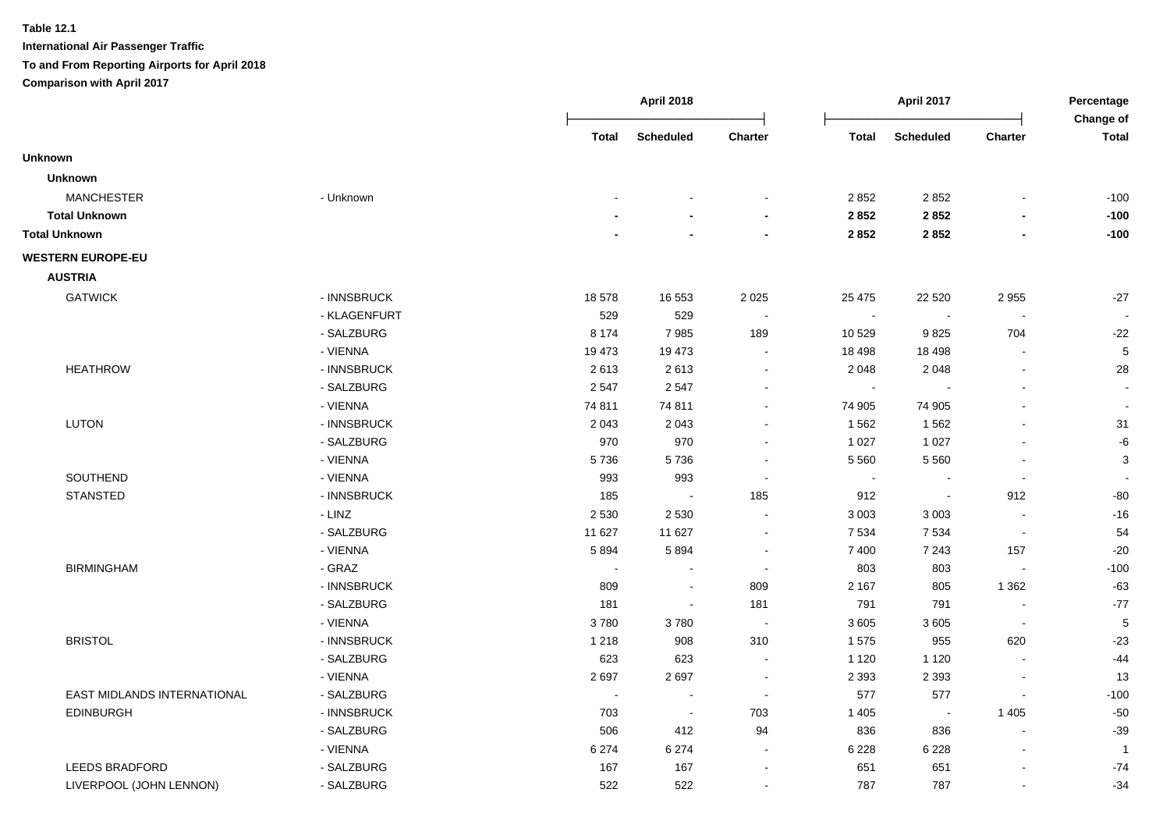|                             |              |                          | <b>April 2018</b>           |                |              | <b>April 2017</b>        |                          | Percentage<br>Change of |
|-----------------------------|--------------|--------------------------|-----------------------------|----------------|--------------|--------------------------|--------------------------|-------------------------|
|                             |              | Total                    | <b>Scheduled</b>            | Charter        | <b>Total</b> | <b>Scheduled</b>         | Charter                  | <b>Total</b>            |
| <b>Unknown</b>              |              |                          |                             |                |              |                          |                          |                         |
| <b>Unknown</b>              |              |                          |                             |                |              |                          |                          |                         |
| <b>MANCHESTER</b>           | - Unknown    |                          |                             |                | 2852         | 2852                     |                          | $-100$                  |
| <b>Total Unknown</b>        |              |                          |                             | $\blacksquare$ | 2 8 5 2      | 2852                     |                          | $-100$                  |
| <b>Total Unknown</b>        |              |                          |                             | $\blacksquare$ | 2852         | 2852                     | $\overline{\phantom{a}}$ | $-100$                  |
| <b>WESTERN EUROPE-EU</b>    |              |                          |                             |                |              |                          |                          |                         |
| <b>AUSTRIA</b>              |              |                          |                             |                |              |                          |                          |                         |
| <b>GATWICK</b>              | - INNSBRUCK  | 18578                    | 16 553                      | 2 0 2 5        | 25 4 7 5     | 22 5 20                  | 2955                     | $-27$                   |
|                             | - KLAGENFURT | 529                      | 529                         |                | $\sim$       |                          |                          |                         |
|                             | - SALZBURG   | 8 1 7 4                  | 7985                        | 189            | 10 529       | 9825                     | 704                      | $-22$                   |
|                             | - VIENNA     | 19 473                   | 19 473                      | $\sim$         | 18 4 98      | 18 4 98                  |                          | 5                       |
| <b>HEATHROW</b>             | - INNSBRUCK  | 2613                     | 2613                        |                | 2 0 4 8      | 2 0 4 8                  |                          | 28                      |
|                             | - SALZBURG   | 2547                     | 2547                        |                |              |                          |                          |                         |
|                             | - VIENNA     | 74 811                   | 74 811                      | $\sim$         | 74 905       | 74 905                   |                          |                         |
| <b>LUTON</b>                | - INNSBRUCK  | 2 0 4 3                  | 2 0 4 3                     |                | 1562         | 1562                     |                          | 31                      |
|                             | - SALZBURG   | 970                      | 970                         | $\sim$         | 1 0 2 7      | 1 0 2 7                  |                          | $-6$                    |
|                             | - VIENNA     | 5736                     | 5736                        | $\blacksquare$ | 5 5 6 0      | 5 5 6 0                  |                          | $\mathbf{3}$            |
| SOUTHEND                    | - VIENNA     | 993                      | 993                         |                | $\sim$       | $\sim$                   | $\sim$                   |                         |
| <b>STANSTED</b>             | - INNSBRUCK  | 185                      | $\mathcal{L}_{\mathcal{A}}$ | 185            | 912          | $\overline{\phantom{a}}$ | 912                      | $-80$                   |
|                             | - LINZ       | 2 5 3 0                  | 2 5 3 0                     | $\blacksquare$ | 3 0 0 3      | 3 0 0 3                  | $\blacksquare$           | $-16$                   |
|                             | - SALZBURG   | 11 627                   | 11 627                      | $\blacksquare$ | 7 5 3 4      | 7 5 3 4                  | $\overline{\phantom{a}}$ | 54                      |
|                             | - VIENNA     | 5894                     | 5894                        | $\sim$         | 7 400        | 7 2 4 3                  | 157                      | $-20$                   |
| <b>BIRMINGHAM</b>           | - GRAZ       | $\blacksquare$           |                             | $\sim$         | 803          | 803                      | $\overline{\phantom{a}}$ | $-100$                  |
|                             | - INNSBRUCK  | 809                      | $\sim$                      | 809            | 2 1 6 7      | 805                      | 1 3 6 2                  | $-63$                   |
|                             | - SALZBURG   | 181                      | $\sim$                      | 181            | 791          | 791                      |                          | $-77$                   |
|                             | - VIENNA     | 3780                     | 3780                        | $\sim$         | 3 6 0 5      | 3605                     | $\overline{\phantom{a}}$ | 5                       |
| <b>BRISTOL</b>              | - INNSBRUCK  | 1 2 1 8                  | 908                         | 310            | 1575         | 955                      | 620                      | $-23$                   |
|                             | - SALZBURG   | 623                      | 623                         | $\sim$         | 1 1 2 0      | 1 1 2 0                  |                          | $-44$                   |
|                             | - VIENNA     | 2697                     | 2697                        | $\sim$         | 2 3 9 3      | 2 3 9 3                  |                          | 13                      |
| EAST MIDLANDS INTERNATIONAL | - SALZBURG   | $\overline{\phantom{a}}$ | $\blacksquare$              | $\sim$         | 577          | 577                      |                          | $-100$                  |
| <b>EDINBURGH</b>            | - INNSBRUCK  | 703                      | $\mathcal{L}_{\mathcal{A}}$ | 703            | 1 4 0 5      | $\sim$                   | 1 4 0 5                  | $-50$                   |
|                             | - SALZBURG   | 506                      | 412                         | 94             | 836          | 836                      | ÷.                       | $-39$                   |
|                             | - VIENNA     | 6 2 7 4                  | 6 2 7 4                     | $\sim$         | 6 2 2 8      | 6 2 2 8                  | $\blacksquare$           | -1                      |
| <b>LEEDS BRADFORD</b>       | - SALZBURG   | 167                      | 167                         | $\blacksquare$ | 651          | 651                      |                          | $-74$                   |
| LIVERPOOL (JOHN LENNON)     | - SALZBURG   | 522                      | 522                         | $\sim$         | 787          | 787                      |                          | $-34$                   |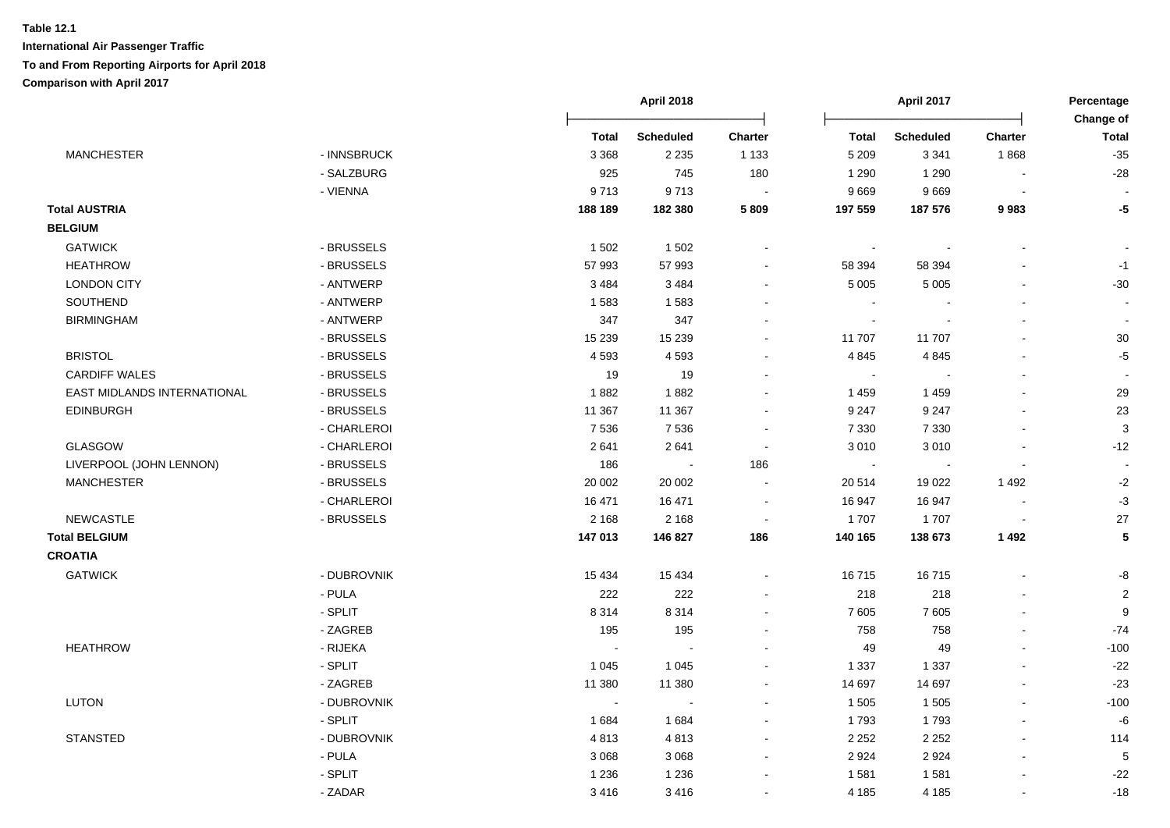|                             |             |              | <b>April 2018</b> |                          | April 2017     |                  | Percentage<br>Change of |                |
|-----------------------------|-------------|--------------|-------------------|--------------------------|----------------|------------------|-------------------------|----------------|
|                             |             | <b>Total</b> | <b>Scheduled</b>  | <b>Charter</b>           | <b>Total</b>   | <b>Scheduled</b> | <b>Charter</b>          | <b>Total</b>   |
| <b>MANCHESTER</b>           | - INNSBRUCK | 3 3 6 8      | 2 2 3 5           | 1 1 3 3                  | 5 2 0 9        | 3 3 4 1          | 1868                    | $-35$          |
|                             | - SALZBURG  | 925          | 745               | 180                      | 1 2 9 0        | 1 2 9 0          |                         | $-28$          |
|                             | - VIENNA    | 9713         | 9713              |                          | 9 6 6 9        | 9669             | $\blacksquare$          |                |
| <b>Total AUSTRIA</b>        |             | 188 189      | 182 380           | 5 8 0 9                  | 197 559        | 187 576          | 9983                    | $-5$           |
| <b>BELGIUM</b>              |             |              |                   |                          |                |                  |                         |                |
| <b>GATWICK</b>              | - BRUSSELS  | 1 502        | 1 502             |                          | $\blacksquare$ |                  |                         |                |
| <b>HEATHROW</b>             | - BRUSSELS  | 57 993       | 57 993            |                          | 58 394         | 58 394           |                         | $-1$           |
| <b>LONDON CITY</b>          | - ANTWERP   | 3 4 8 4      | 3 4 8 4           |                          | 5 0 0 5        | 5 0 0 5          |                         | $-30$          |
| SOUTHEND                    | - ANTWERP   | 1583         | 1583              |                          | $\sim$         |                  | $\blacksquare$          |                |
| <b>BIRMINGHAM</b>           | - ANTWERP   | 347          | 347               |                          | $\sim$         | $\blacksquare$   | $\blacksquare$          | $\blacksquare$ |
|                             | - BRUSSELS  | 15 2 39      | 15 2 39           |                          | 11 707         | 11707            |                         | 30             |
| <b>BRISTOL</b>              | - BRUSSELS  | 4593         | 4 5 9 3           |                          | 4 8 4 5        | 4 8 4 5          | ä,                      | $-5$           |
| <b>CARDIFF WALES</b>        | - BRUSSELS  | 19           | 19                |                          | $\sim$         |                  |                         |                |
| EAST MIDLANDS INTERNATIONAL | - BRUSSELS  | 1882         | 1882              |                          | 1459           | 1 4 5 9          | $\blacksquare$          | 29             |
| <b>EDINBURGH</b>            | - BRUSSELS  | 11 367       | 11 367            |                          | 9 2 4 7        | 9 2 4 7          |                         | 23             |
|                             | - CHARLEROI | 7536         | 7536              | $\sim$                   | 7 3 3 0        | 7 3 3 0          | $\blacksquare$          | 3              |
| GLASGOW                     | - CHARLEROI | 2641         | 2641              | $\overline{\phantom{a}}$ | 3 0 1 0        | 3010             | $\blacksquare$          | $-12$          |
| LIVERPOOL (JOHN LENNON)     | - BRUSSELS  | 186          | $\sim$            | 186                      |                |                  |                         |                |
| <b>MANCHESTER</b>           | - BRUSSELS  | 20 002       | 20 002            |                          | 20 514         | 19 0 22          | 1492                    | $-2$           |
|                             | - CHARLEROI | 16 471       | 16 471            | $\sim$                   | 16 947         | 16 947           | $\overline{a}$          | $-3$           |
| NEWCASTLE                   | - BRUSSELS  | 2 1 6 8      | 2 1 6 8           | $\sim$                   | 1 707          | 1707             | $\sim$                  | 27             |
| <b>Total BELGIUM</b>        |             | 147 013      | 146 827           | 186                      | 140 165        | 138 673          | 1492                    | 5              |
| <b>CROATIA</b>              |             |              |                   |                          |                |                  |                         |                |
| <b>GATWICK</b>              | - DUBROVNIK | 15 4 34      | 15 4 34           |                          | 16715          | 16715            |                         | -8             |
|                             | - PULA      | 222          | 222               |                          | 218            | 218              |                         | $\overline{2}$ |
|                             | - SPLIT     | 8 3 1 4      | 8 3 1 4           |                          | 7 605          | 7605             | L.                      | 9              |
|                             | - ZAGREB    | 195          | 195               |                          | 758            | 758              |                         | $-74$          |
| <b>HEATHROW</b>             | - RIJEKA    | $\sim$       |                   |                          | 49             | 49               |                         | $-100$         |
|                             | - SPLIT     | 1 0 4 5      | 1 0 4 5           |                          | 1 3 3 7        | 1 3 3 7          | $\overline{a}$          | $-22$          |
|                             | - ZAGREB    | 11 380       | 11 380            |                          | 14 697         | 14 697           | $\overline{a}$          | $-23$          |
| <b>LUTON</b>                | - DUBROVNIK | $\sim$       |                   |                          | 1 5 0 5        | 1 5 0 5          | ä,                      | $-100$         |
|                             | - SPLIT     | 1684         | 1684              |                          | 1 7 9 3        | 1793             | ä,                      | $-6\,$         |
| <b>STANSTED</b>             | - DUBROVNIK | 4813         | 4813              |                          | 2 2 5 2        | 2 2 5 2          |                         | 114            |
|                             | - PULA      | 3 0 6 8      | 3 0 6 8           |                          | 2 9 2 4        | 2924             |                         | 5              |
|                             | - SPLIT     | 1 2 3 6      | 1 2 3 6           |                          | 1581           | 1581             |                         | $-22$          |
|                             | - ZADAR     | 3416         | 3416              |                          | 4 185          | 4 1 8 5          | $\blacksquare$          | $-18$          |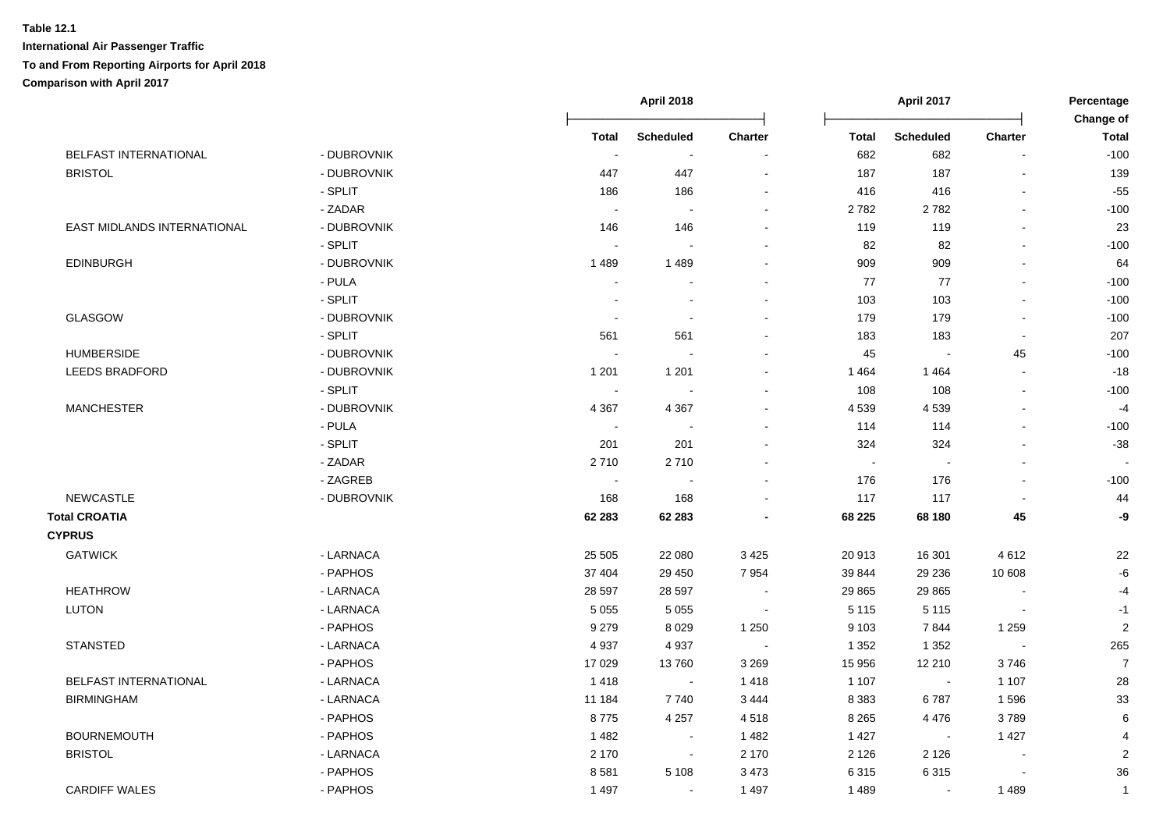|                              |             |                          | <b>April 2018</b>        |         |              | <b>April 2017</b>        |                          | Percentage                |
|------------------------------|-------------|--------------------------|--------------------------|---------|--------------|--------------------------|--------------------------|---------------------------|
|                              |             | <b>Total</b>             | <b>Scheduled</b>         | Charter | <b>Total</b> | <b>Scheduled</b>         | Charter                  | Change of<br><b>Total</b> |
| <b>BELFAST INTERNATIONAL</b> | - DUBROVNIK | $\overline{\phantom{a}}$ | $\overline{\phantom{a}}$ |         | 682          | 682                      |                          | $-100$                    |
| <b>BRISTOL</b>               | - DUBROVNIK | 447                      | 447                      |         | 187          | 187                      |                          | 139                       |
|                              | - SPLIT     | 186                      | 186                      |         | 416          | 416                      | $\blacksquare$           | $-55$                     |
|                              | - ZADAR     | $\sim$                   | $\sim$                   | $\sim$  | 2782         | 2782                     | ÷.                       | $-100$                    |
| EAST MIDLANDS INTERNATIONAL  | - DUBROVNIK | 146                      | 146                      | $\sim$  | 119          | 119                      | L,                       | 23                        |
|                              | - SPLIT     | $\blacksquare$           |                          |         | 82           | 82                       | $\blacksquare$           | $-100$                    |
| <b>EDINBURGH</b>             | - DUBROVNIK | 1489                     | 1489                     |         | 909          | 909                      | $\blacksquare$           | 64                        |
|                              | - PULA      | $\sim$                   |                          |         | 77           | 77                       | $\mathbf{r}$             | $-100$                    |
|                              | - SPLIT     |                          | $\blacksquare$           |         | 103          | 103                      | $\overline{a}$           | $-100$                    |
| <b>GLASGOW</b>               | - DUBROVNIK | $\overline{\phantom{a}}$ | $\overline{\phantom{a}}$ |         | 179          | 179                      | $\blacksquare$           | $-100$                    |
|                              | - SPLIT     | 561                      | 561                      |         | 183          | 183                      | $\blacksquare$           | 207                       |
| <b>HUMBERSIDE</b>            | - DUBROVNIK |                          |                          |         | 45           | $\overline{\phantom{a}}$ | 45                       | $-100$                    |
| <b>LEEDS BRADFORD</b>        | - DUBROVNIK | 1 2 0 1                  | 1 2 0 1                  |         | 1464         | 1464                     | $\overline{a}$           | $-18$                     |
|                              | - SPLIT     |                          |                          |         | 108          | 108                      | L,                       | $-100$                    |
| <b>MANCHESTER</b>            | - DUBROVNIK | 4 3 6 7                  | 4 3 6 7                  |         | 4 5 3 9      | 4539                     |                          | $-4$                      |
|                              | - PULA      | $\sim$                   |                          |         | 114          | 114                      | $\overline{a}$           | $-100$                    |
|                              | - SPLIT     | 201                      | 201                      |         | 324          | 324                      | $\overline{a}$           | $-38$                     |
|                              | - ZADAR     | 2710                     | 2710                     |         | $\sim$       | $\sim$                   |                          |                           |
|                              | - ZAGREB    | $\sim$                   |                          |         | 176          | 176                      | $\overline{a}$           | $-100$                    |
| <b>NEWCASTLE</b>             | - DUBROVNIK | 168                      | 168                      |         | 117          | 117                      | $\sim$                   | 44                        |
| <b>Total CROATIA</b>         |             | 62 283                   | 62 283                   |         | 68 225       | 68 180                   | 45                       | -9                        |
| <b>CYPRUS</b>                |             |                          |                          |         |              |                          |                          |                           |
| <b>GATWICK</b>               | - LARNACA   | 25 505                   | 22 080                   | 3 4 2 5 | 20 913       | 16 301                   | 4612                     | 22                        |
|                              | - PAPHOS    | 37 404                   | 29 450                   | 7954    | 39 844       | 29 236                   | 10 608                   | $\mbox{-}6$               |
| <b>HEATHROW</b>              | - LARNACA   | 28 597                   | 28 5 97                  |         | 29 8 65      | 29 8 65                  |                          | $-4$                      |
| <b>LUTON</b>                 | - LARNACA   | 5 0 5 5                  | 5 0 5 5                  |         | 5 1 1 5      | 5 1 1 5                  |                          | $-1$                      |
|                              | - PAPHOS    | 9 2 7 9                  | 8 0 2 9                  | 1 2 5 0 | 9 1 0 3      | 7844                     | 1 2 5 9                  | $\sqrt{2}$                |
| <b>STANSTED</b>              | - LARNACA   | 4 9 3 7                  | 4 9 3 7                  |         | 1 3 5 2      | 1 3 5 2                  | $\overline{\phantom{a}}$ | 265                       |
|                              | - PAPHOS    | 17 0 29                  | 13760                    | 3 2 6 9 | 15 956       | 12 210                   | 3746                     | $\overline{7}$            |
| <b>BELFAST INTERNATIONAL</b> | - LARNACA   | 1418                     | $\blacksquare$           | 1418    | 1 1 0 7      | $\overline{\phantom{a}}$ | 1 1 0 7                  | 28                        |
| <b>BIRMINGHAM</b>            | - LARNACA   | 11 184                   | 7740                     | 3 4 4 4 | 8 3 8 3      | 6787                     | 1596                     | 33                        |
|                              | - PAPHOS    | 8775                     | 4 2 5 7                  | 4518    | 8 2 6 5      | 4 4 7 6                  | 3789                     | 6                         |
| <b>BOURNEMOUTH</b>           | - PAPHOS    | 1482                     | $\sim$                   | 1 4 8 2 | 1 4 2 7      | $\sim$                   | 1 4 2 7                  |                           |
| <b>BRISTOL</b>               | - LARNACA   | 2 1 7 0                  | $\sim$                   | 2 170   | 2 1 2 6      | 2 1 2 6                  | $\overline{\phantom{a}}$ | $\sqrt{2}$                |
|                              | - PAPHOS    | 8581                     | 5 1 0 8                  | 3 4 7 3 | 6 3 1 5      | 6315                     |                          | 36                        |
| <b>CARDIFF WALES</b>         | - PAPHOS    | 1 4 9 7                  | $\sim$                   | 1 4 9 7 | 1489         | $\blacksquare$           | 1489                     | $\mathbf{1}$              |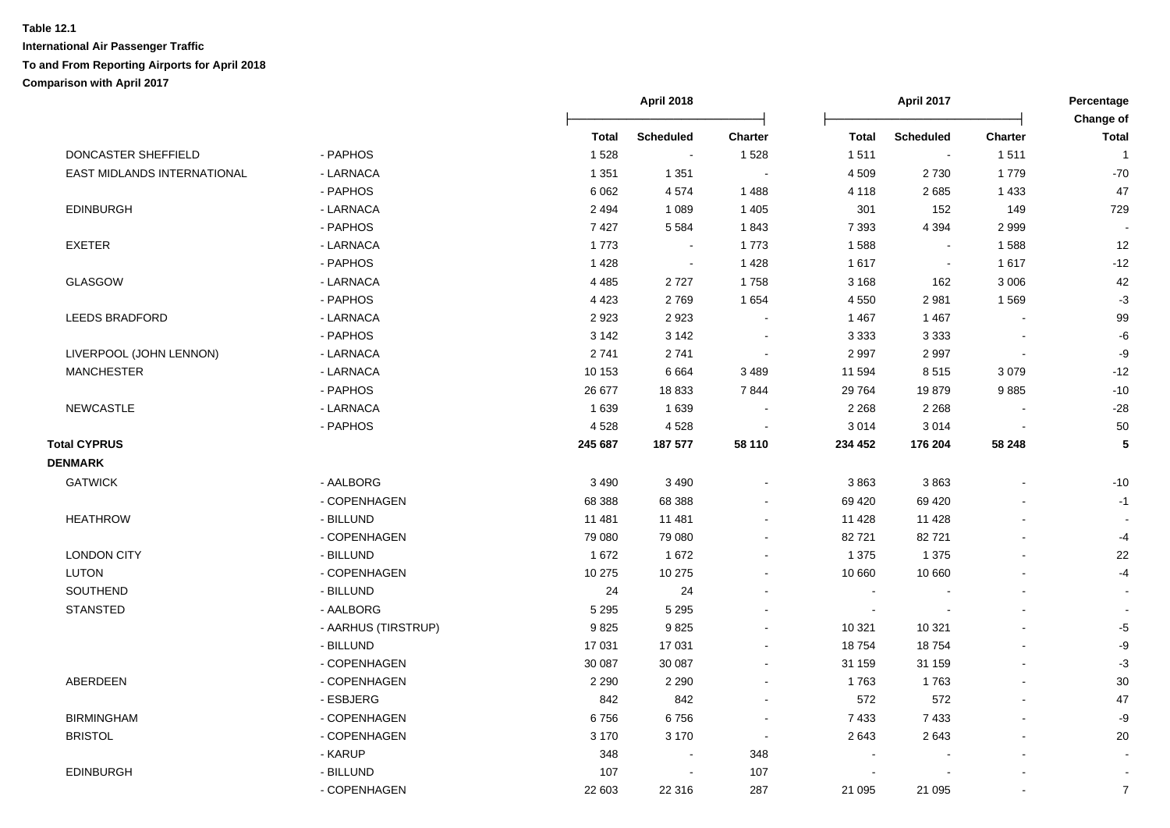|                             |                     |              | <b>April 2018</b> |                |                | April 2017       |                | Percentage<br>Change of |  |
|-----------------------------|---------------------|--------------|-------------------|----------------|----------------|------------------|----------------|-------------------------|--|
|                             |                     | <b>Total</b> | <b>Scheduled</b>  | <b>Charter</b> | <b>Total</b>   | <b>Scheduled</b> | <b>Charter</b> | <b>Total</b>            |  |
| DONCASTER SHEFFIELD         | - PAPHOS            | 1528         | $\sim$            | 1528           | 1511           | $\sim$           | 1511           | $\overline{1}$          |  |
| EAST MIDLANDS INTERNATIONAL | - LARNACA           | 1 3 5 1      | 1 3 5 1           | $\sim$         | 4 5 0 9        | 2 7 3 0          | 1779           | $-70$                   |  |
|                             | - PAPHOS            | 6 0 6 2      | 4574              | 1488           | 4 1 1 8        | 2685             | 1 4 3 3        | 47                      |  |
| <b>EDINBURGH</b>            | - LARNACA           | 2 4 9 4      | 1 0 8 9           | 1 4 0 5        | 301            | 152              | 149            | 729                     |  |
|                             | - PAPHOS            | 7427         | 5 5 8 4           | 1843           | 7 3 9 3        | 4 3 9 4          | 2999           |                         |  |
| <b>EXETER</b>               | - LARNACA           | 1773         | $\sim$            | 1773           | 1588           | $\blacksquare$   | 1588           | 12                      |  |
|                             | - PAPHOS            | 1 4 2 8      | $\sim$            | 1 4 2 8        | 1617           | $\blacksquare$   | 1617           | $-12$                   |  |
| <b>GLASGOW</b>              | - LARNACA           | 4 4 8 5      | 2727              | 1758           | 3 1 6 8        | 162              | 3 0 0 6        | 42                      |  |
|                             | - PAPHOS            | 4 4 2 3      | 2769              | 1654           | 4 5 5 0        | 2981             | 1569           | $-3$                    |  |
| <b>LEEDS BRADFORD</b>       | - LARNACA           | 2923         | 2923              |                | 1 4 6 7        | 1467             |                | 99                      |  |
|                             | - PAPHOS            | 3 1 4 2      | 3 1 4 2           |                | 3 3 3 3        | 3 3 3 3          |                | -6                      |  |
| LIVERPOOL (JOHN LENNON)     | - LARNACA           | 2741         | 2741              |                | 2 9 9 7        | 2997             |                | -9                      |  |
| <b>MANCHESTER</b>           | - LARNACA           | 10 153       | 6664              | 3 4 8 9        | 11 594         | 8515             | 3079           | $-12$                   |  |
|                             | - PAPHOS            | 26 677       | 18833             | 7844           | 29 764         | 19879            | 9885           | $-10$                   |  |
| NEWCASTLE                   | - LARNACA           | 1639         | 1639              |                | 2 2 6 8        | 2 2 6 8          |                | $-28$                   |  |
|                             | - PAPHOS            | 4528         | 4528              |                | 3 0 1 4        | 3014             |                | 50                      |  |
| <b>Total CYPRUS</b>         |                     | 245 687      | 187 577           | 58 110         | 234 452        | 176 204          | 58 248         | 5                       |  |
| <b>DENMARK</b>              |                     |              |                   |                |                |                  |                |                         |  |
| <b>GATWICK</b>              | - AALBORG           | 3 4 9 0      | 3 4 9 0           |                | 3863           | 3863             |                | $-10$                   |  |
|                             | - COPENHAGEN        | 68 388       | 68 388            |                | 69 4 20        | 69 4 20          |                | $-1$                    |  |
| <b>HEATHROW</b>             | - BILLUND           | 11 481       | 11 481            | $\sim$         | 11 4 28        | 11 4 28          |                |                         |  |
|                             | - COPENHAGEN        | 79 080       | 79 080            |                | 82721          | 82721            |                | $-4$                    |  |
| <b>LONDON CITY</b>          | - BILLUND           | 1672         | 1672              |                | 1 3 7 5        | 1 3 7 5          |                | 22                      |  |
| <b>LUTON</b>                | - COPENHAGEN        | 10 275       | 10 275            |                | 10 660         | 10 660           |                | $-4$                    |  |
| SOUTHEND                    | - BILLUND           | 24           | 24                |                | $\blacksquare$ |                  |                |                         |  |
| <b>STANSTED</b>             | - AALBORG           | 5 2 9 5      | 5 2 9 5           |                | $\blacksquare$ |                  |                |                         |  |
|                             | - AARHUS (TIRSTRUP) | 9825         | 9825              |                | 10 321         | 10 321           |                | $-5$                    |  |
|                             | - BILLUND           | 17 031       | 17 031            |                | 18754          | 18754            |                | -9                      |  |
|                             | - COPENHAGEN        | 30 087       | 30 087            | $\sim$         | 31 159         | 31 159           |                | $-3$                    |  |
| ABERDEEN                    | - COPENHAGEN        | 2 2 9 0      | 2 2 9 0           |                | 1763           | 1763             |                | $30\,$                  |  |
|                             | - ESBJERG           | 842          | 842               | $\sim$         | 572            | 572              |                | 47                      |  |
| <b>BIRMINGHAM</b>           | - COPENHAGEN        | 6756         | 6756              | $\blacksquare$ | 7433           | 7433             |                | -9                      |  |
| <b>BRISTOL</b>              | - COPENHAGEN        | 3 1 7 0      | 3 1 7 0           | $\sim$         | 2643           | 2643             |                | 20                      |  |
|                             | - KARUP             | 348          | $\sim$            | 348            |                |                  |                |                         |  |
| <b>EDINBURGH</b>            | - BILLUND           | 107          | $\sim$            | 107            | $\sim$         |                  |                | $\sim$                  |  |
|                             | - COPENHAGEN        | 22 603       | 22 316            | 287            | 21 095         | 21 095           |                | $\overline{7}$          |  |
|                             |                     |              |                   |                |                |                  |                |                         |  |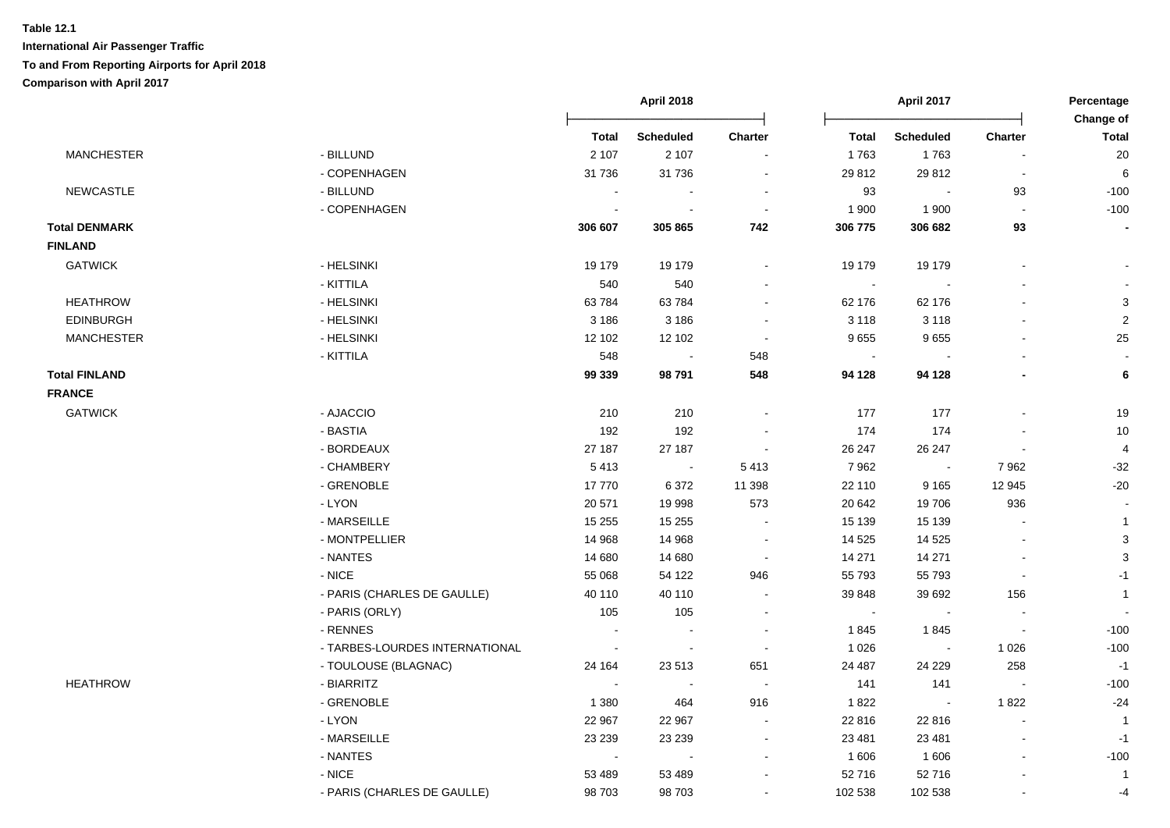|                      |                                |                | <b>April 2018</b>        |                          |                             | April 2017               |                          |                    |
|----------------------|--------------------------------|----------------|--------------------------|--------------------------|-----------------------------|--------------------------|--------------------------|--------------------|
|                      |                                | <b>Total</b>   | <b>Scheduled</b>         | Charter                  | Total                       | <b>Scheduled</b>         | <b>Charter</b>           | Change of<br>Total |
| <b>MANCHESTER</b>    | - BILLUND                      | 2 1 0 7        | 2 1 0 7                  |                          | 1763                        | 1763                     |                          | 20                 |
|                      | - COPENHAGEN                   | 31 736         | 31 736                   | $\ddot{\phantom{a}}$     | 29 812                      | 29 812                   | $\overline{\phantom{a}}$ | 6                  |
| <b>NEWCASTLE</b>     | - BILLUND                      |                |                          | $\sim$                   | 93                          | $\sim$                   | 93                       | $-100$             |
|                      | - COPENHAGEN                   | $\overline{a}$ | $\overline{a}$           | $\blacksquare$           | 1 900                       | 1 900                    | $\sim$                   | $-100$             |
| <b>Total DENMARK</b> |                                | 306 607        | 305 865                  | 742                      | 306 775                     | 306 682                  | 93                       | $\blacksquare$     |
| <b>FINLAND</b>       |                                |                |                          |                          |                             |                          |                          |                    |
| <b>GATWICK</b>       | - HELSINKI                     | 19 179         | 19 179                   | $\overline{\phantom{a}}$ | 19 179                      | 19 179                   |                          |                    |
|                      | - KITTILA                      | 540            | 540                      | $\blacksquare$           | $\blacksquare$              | $\overline{\phantom{a}}$ |                          |                    |
| <b>HEATHROW</b>      | - HELSINKI                     | 63784          | 63784                    | $\blacksquare$           | 62 176                      | 62 176                   |                          | 3                  |
| <b>EDINBURGH</b>     | - HELSINKI                     | 3 1 8 6        | 3 1 8 6                  | $\blacksquare$           | 3 1 1 8                     | 3 1 1 8                  |                          | $\mathbf{2}$       |
| <b>MANCHESTER</b>    | - HELSINKI                     | 12 102         | 12 102                   | $\blacksquare$           | 9655                        | 9655                     | $\blacksquare$           | $25\,$             |
|                      | - KITTILA                      | 548            |                          | 548                      | $\blacksquare$              |                          | $\blacksquare$           | $\blacksquare$     |
| <b>Total FINLAND</b> |                                | 99 339         | 98 791                   | 548                      | 94 128                      | 94 128                   | $\blacksquare$           | $\bf 6$            |
| <b>FRANCE</b>        |                                |                |                          |                          |                             |                          |                          |                    |
| <b>GATWICK</b>       | - AJACCIO                      | 210            | 210                      | $\ddot{\phantom{a}}$     | 177                         | 177                      | $\blacksquare$           | 19                 |
|                      | - BASTIA                       | 192            | 192                      |                          | 174                         | 174                      | $\blacksquare$           | 10                 |
|                      | - BORDEAUX                     | 27 187         | 27 187                   | $\blacksquare$           | 26 247                      | 26 247                   |                          | 4                  |
|                      | - CHAMBERY                     | 5413           | $\sim$                   | 5 4 1 3                  | 7962                        | $\sim$                   | 7962                     | $-32$              |
|                      | - GRENOBLE                     | 17770          | 6372                     | 11 398                   | 22 110                      | 9 1 6 5                  | 12 945                   | $-20$              |
|                      | - LYON                         | 20 571         | 19 998                   | 573                      | 20 642                      | 19706                    | 936                      |                    |
|                      | - MARSEILLE                    | 15 255         | 15 255                   | $\sim$                   | 15 139                      | 15 139                   | $\sim$                   | $\mathbf{1}$       |
|                      | - MONTPELLIER                  | 14 968         | 14 968                   | $\blacksquare$           | 14 5 25                     | 14 5 25                  | $\overline{a}$           | $\sqrt{3}$         |
|                      | - NANTES                       | 14 680         | 14 680                   | $\blacksquare$           | 14 271                      | 14 271                   | $\overline{\phantom{a}}$ | 3                  |
|                      | - NICE                         | 55 068         | 54 122                   | 946                      | 55 793                      | 55 793                   | $\blacksquare$           | $-1$               |
|                      | - PARIS (CHARLES DE GAULLE)    | 40 110         | 40 110                   | $\overline{a}$           | 39 848                      | 39 692                   | 156                      | $\mathbf{1}$       |
|                      | - PARIS (ORLY)                 | 105            | 105                      | $\ddot{\phantom{a}}$     | $\mathcal{L}_{\mathcal{A}}$ | $\sim$                   | $\sim$                   |                    |
|                      | - RENNES                       |                |                          | $\ddot{\phantom{a}}$     | 1845                        | 1845                     | $\overline{\phantom{a}}$ | $-100$             |
|                      | - TARBES-LOURDES INTERNATIONAL | $\blacksquare$ | $\blacksquare$           | $\blacksquare$           | 1 0 2 6                     | $\sim$                   | 1 0 2 6                  | $-100$             |
|                      | - TOULOUSE (BLAGNAC)           | 24 164         | 23 513                   | 651                      | 24 487                      | 24 229                   | 258                      | $-1$               |
| <b>HEATHROW</b>      | - BIARRITZ                     | $\blacksquare$ | $\overline{\phantom{a}}$ | $\overline{\phantom{a}}$ | 141                         | 141                      | $\overline{\phantom{a}}$ | $-100$             |
|                      | - GRENOBLE                     | 1 3 8 0        | 464                      | 916                      | 1822                        | $\overline{\phantom{a}}$ | 1822                     | $-24$              |
|                      | - LYON                         | 22 967         | 22 967                   | $\overline{\phantom{a}}$ | 22 816                      | 22 816                   | $\overline{a}$           | $\overline{1}$     |
|                      | - MARSEILLE                    | 23 239         | 23 239                   | $\blacksquare$           | 23 481                      | 23 4 81                  | $\blacksquare$           | $-1$               |
|                      | - NANTES                       | $\sim$         | $\overline{\phantom{a}}$ | $\blacksquare$           | 1 606                       | 1606                     | $\blacksquare$           | $-100$             |
|                      | $-NICE$                        | 53 489         | 53 489                   | $\overline{\phantom{a}}$ | 52 716                      | 52716                    |                          | $\overline{1}$     |
|                      | - PARIS (CHARLES DE GAULLE)    | 98 703         | 98 703                   | $\blacksquare$           | 102 538                     | 102 538                  |                          | -4                 |
|                      |                                |                |                          |                          |                             |                          |                          |                    |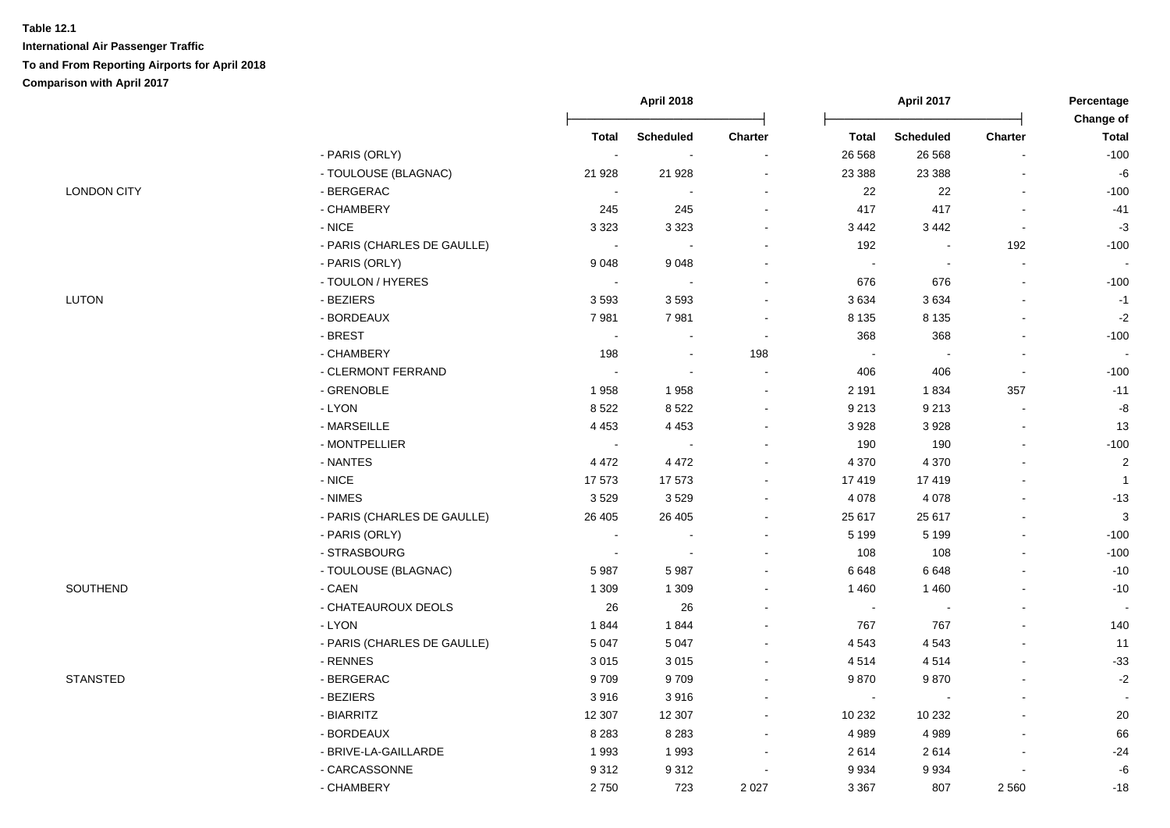|                    |                             |              | April 2018               |                | April 2017     |                  | Percentage |                           |
|--------------------|-----------------------------|--------------|--------------------------|----------------|----------------|------------------|------------|---------------------------|
|                    |                             | <b>Total</b> | <b>Scheduled</b>         | Charter        | <b>Total</b>   | <b>Scheduled</b> | Charter    | Change of<br><b>Total</b> |
|                    | - PARIS (ORLY)              | $\sim$       | $\blacksquare$           |                | 26 568         | 26 5 68          |            | $-100$                    |
|                    | - TOULOUSE (BLAGNAC)        | 21 9 28      | 21 9 28                  |                | 23 3 88        | 23 3 88          |            | -6                        |
| <b>LONDON CITY</b> | - BERGERAC                  |              |                          |                | 22             | 22               |            | $-100$                    |
|                    | - CHAMBERY                  | 245          | 245                      |                | 417            | 417              |            | $-41$                     |
|                    | $-$ NICE                    | 3 3 2 3      | 3 3 2 3                  |                | 3 4 4 2        | 3 4 4 2          |            | $-3$                      |
|                    | - PARIS (CHARLES DE GAULLE) | $\sim$       |                          |                | 192            |                  | 192        | $-100$                    |
|                    | - PARIS (ORLY)              | 9048         | 9048                     |                | $\sim$         | $\sim$           | $\sim$     |                           |
|                    | - TOULON / HYERES           | $\sim$       |                          |                | 676            | 676              |            | $-100$                    |
| <b>LUTON</b>       | - BEZIERS                   | 3593         | 3593                     |                | 3634           | 3634             |            | $-1$                      |
|                    | - BORDEAUX                  | 7981         | 7981                     | $\blacksquare$ | 8 1 3 5        | 8 1 3 5          |            | $-2$                      |
|                    | - BREST                     | $\sim$       | $\blacksquare$           | $\sim$         | 368            | 368              |            | $-100$                    |
|                    | - CHAMBERY                  | 198          | $\overline{\phantom{a}}$ | 198            | $\blacksquare$ | $\blacksquare$   |            |                           |
|                    | - CLERMONT FERRAND          |              | $\blacksquare$           | $\blacksquare$ | 406            | 406              |            | $-100$                    |
|                    | - GRENOBLE                  | 1958         | 1958                     |                | 2 1 9 1        | 1834             | 357        | $-11$                     |
|                    | - LYON                      | 8522         | 8522                     | $\blacksquare$ | 9 2 1 3        | 9 2 1 3          | $\sim$     | -8                        |
|                    | - MARSEILLE                 | 4 4 5 3      | 4 4 5 3                  | $\sim$         | 3928           | 3928             | $\sim$     | 13                        |
|                    | - MONTPELLIER               | $\sim$       |                          |                | 190            | 190              | $\sim$     | $-100$                    |
|                    | - NANTES                    | 4 4 7 2      | 4 4 7 2                  |                | 4 3 7 0        | 4 3 7 0          |            | $\boldsymbol{2}$          |
|                    | - NICE                      | 17573        | 17573                    |                | 17419          | 17419            |            | $\overline{1}$            |
|                    | - NIMES                     | 3529         | 3529                     |                | 4 0 78         | 4 0 78           |            | $-13$                     |
|                    | - PARIS (CHARLES DE GAULLE) | 26 40 5      | 26 40 5                  |                | 25 617         | 25 617           |            | $\mathbf{3}$              |
|                    | - PARIS (ORLY)              |              |                          |                | 5 1 9 9        | 5 1 9 9          |            | $-100$                    |
|                    | - STRASBOURG                | $\sim$       | $\overline{\phantom{a}}$ |                | 108            | 108              |            | $-100$                    |
|                    | - TOULOUSE (BLAGNAC)        | 5987         | 5987                     |                | 6 6 4 8        | 6 6 4 8          |            | $-10$                     |
| SOUTHEND           | - CAEN                      | 1 3 0 9      | 1 3 0 9                  |                | 1 4 6 0        | 1460             |            | $-10$                     |
|                    | - CHATEAUROUX DEOLS         | 26           | 26                       |                | $\sim$         |                  |            |                           |
|                    | - LYON                      | 1844         | 1844                     |                | 767            | 767              |            | 140                       |
|                    | - PARIS (CHARLES DE GAULLE) | 5 0 4 7      | 5 0 4 7                  |                | 4 5 4 3        | 4 5 4 3          |            | 11                        |
|                    | - RENNES                    | 3015         | 3015                     |                | 4514           | 4514             |            | $-33$                     |
| <b>STANSTED</b>    | - BERGERAC                  | 9709         | 9709                     |                | 9870           | 9870             |            | $-2$                      |
|                    | - BEZIERS                   | 3916         | 3916                     |                | $\blacksquare$ |                  |            | $\sim$                    |
|                    | - BIARRITZ                  | 12 307       | 12 307                   |                | 10 232         | 10 232           |            | $20\,$                    |
|                    | - BORDEAUX                  | 8 2 8 3      | 8 2 8 3                  |                | 4 9 8 9        | 4989             |            | 66                        |
|                    | - BRIVE-LA-GAILLARDE        | 1993         | 1993                     |                | 2614           | 2614             |            | $-24$                     |
|                    | - CARCASSONNE               | 9312         | 9312                     |                | 9 9 3 4        | 9934             |            | $\textnormal{-}6$         |
|                    | - CHAMBERY                  | 2750         | 723                      | 2 0 2 7        | 3 3 6 7        | 807              | 2 5 6 0    | $-18$                     |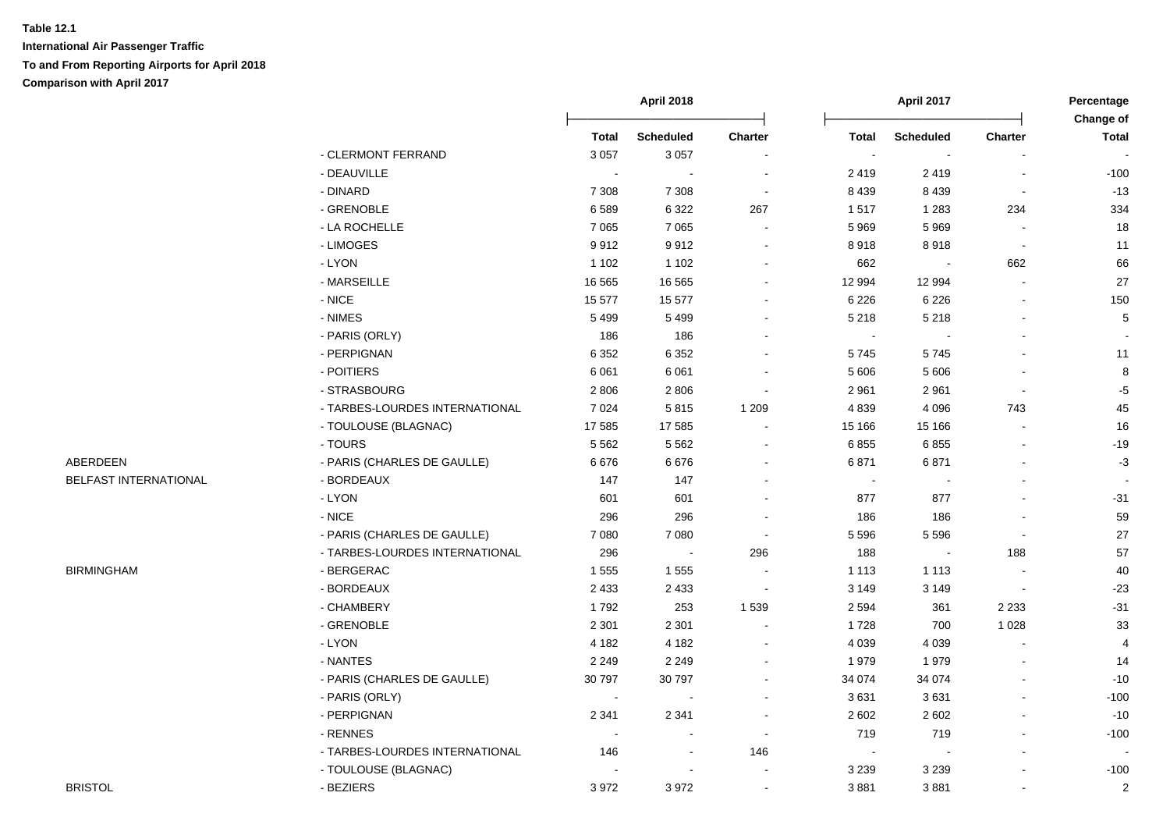|                       |                                | <b>April 2018</b> |                  |                | April 2017     |                  |                          |                    |
|-----------------------|--------------------------------|-------------------|------------------|----------------|----------------|------------------|--------------------------|--------------------|
|                       |                                | <b>Total</b>      | <b>Scheduled</b> | <b>Charter</b> | <b>Total</b>   | <b>Scheduled</b> | <b>Charter</b>           | Change of<br>Total |
|                       | - CLERMONT FERRAND             | 3 0 5 7           | 3 0 5 7          |                | $\blacksquare$ |                  |                          |                    |
|                       | - DEAUVILLE                    |                   |                  |                | 2419           | 2419             | $\overline{\phantom{a}}$ | $-100$             |
|                       | - DINARD                       | 7 3 0 8           | 7 3 0 8          | $\sim$         | 8 4 3 9        | 8 4 3 9          | $\overline{\phantom{a}}$ | $-13$              |
|                       | - GRENOBLE                     | 6589              | 6 3 2 2          | 267            | 1517           | 1 2 8 3          | 234                      | 334                |
|                       | - LA ROCHELLE                  | 7 0 6 5           | 7 0 6 5          | $\sim$         | 5 9 6 9        | 5 9 6 9          | $\sim$                   | 18                 |
|                       | - LIMOGES                      | 9912              | 9912             | $\sim$         | 8918           | 8918             | $\sim$                   | 11                 |
|                       | - LYON                         | 1 1 0 2           | 1 1 0 2          |                | 662            | $\blacksquare$   | 662                      | 66                 |
|                       | - MARSEILLE                    | 16 5 65           | 16 5 65          |                | 12 994         | 12 994           | $\Delta$                 | 27                 |
|                       | $-NICE$                        | 15 577            | 15 577           |                | 6 2 2 6        | 6 2 2 6          | $\blacksquare$           | 150                |
|                       | - NIMES                        | 5 4 9 9           | 5 4 9 9          |                | 5 2 1 8        | 5 2 1 8          | $\blacksquare$           | 5                  |
|                       | - PARIS (ORLY)                 | 186               | 186              |                | $\blacksquare$ |                  | $\blacksquare$           | $\blacksquare$     |
|                       | - PERPIGNAN                    | 6 3 5 2           | 6 3 5 2          |                | 5745           | 5745             | $\blacksquare$           | 11                 |
|                       | - POITIERS                     | 6 0 61            | 6 0 61           |                | 5 606          | 5 606            | $\blacksquare$           | $\bf 8$            |
|                       | - STRASBOURG                   | 2806              | 2806             |                | 2 9 6 1        | 2961             | $\blacksquare$           | $-5$               |
|                       | - TARBES-LOURDES INTERNATIONAL | 7 0 24            | 5815             | 1 2 0 9        | 4839           | 4 0 9 6          | 743                      | 45                 |
|                       | - TOULOUSE (BLAGNAC)           | 17 585            | 17 585           |                | 15 166         | 15 166           | $\overline{a}$           | 16                 |
|                       | - TOURS                        | 5562              | 5562             |                | 6855           | 6855             | $\overline{a}$           | $-19$              |
| ABERDEEN              | - PARIS (CHARLES DE GAULLE)    | 6676              | 6676             |                | 6871           | 6871             | $\blacksquare$           | $-3$               |
| BELFAST INTERNATIONAL | - BORDEAUX                     | 147               | 147              |                | $\sim$         |                  | $\blacksquare$           |                    |
|                       | $-LYON$                        | 601               | 601              |                | 877            | 877              | $\blacksquare$           | $-31$              |
|                       | - NICE                         | 296               | 296              |                | 186            | 186              | $\blacksquare$           | 59                 |
|                       | - PARIS (CHARLES DE GAULLE)    | 7 0 8 0           | 7 0 8 0          |                | 5 5 9 6        | 5 5 9 6          | $\Delta$                 | 27                 |
|                       | - TARBES-LOURDES INTERNATIONAL | 296               |                  | 296            | 188            |                  | 188                      | 57                 |
| <b>BIRMINGHAM</b>     | - BERGERAC                     | 1555              | 1 5 5 5          |                | 1 1 1 3        | 1 1 1 3          | $\overline{\phantom{a}}$ | 40                 |
|                       | - BORDEAUX                     | 2 4 3 3           | 2 4 3 3          | $\blacksquare$ | 3 1 4 9        | 3 1 4 9          | $\bullet$                | $-23$              |
|                       | - CHAMBERY                     | 1792              | 253              | 1 5 3 9        | 2 5 9 4        | 361              | 2 2 3 3                  | $-31$              |
|                       | - GRENOBLE                     | 2 3 0 1           | 2 3 0 1          |                | 1728           | 700              | 1 0 2 8                  | 33                 |
|                       | - LYON                         | 4 1 8 2           | 4 1 8 2          |                | 4 0 3 9        | 4 0 3 9          |                          | 4                  |
|                       | - NANTES                       | 2 2 4 9           | 2 2 4 9          |                | 1979           | 1979             |                          | 14                 |
|                       | - PARIS (CHARLES DE GAULLE)    | 30 797            | 30 797           |                | 34 074         | 34 0 74          | L.                       | $-10$              |
|                       | - PARIS (ORLY)                 | $\sim$            | $\sim$           |                | 3631           | 3631             | $\sim$                   | $-100$             |
|                       | - PERPIGNAN                    | 2 3 4 1           | 2 3 4 1          | $\sim$         | 2 6 0 2        | 2 6 0 2          | $\sim$                   | $-10$              |
|                       | - RENNES                       | $\sim$            | $\sim$           | $\sim$         | 719            | 719              | $\blacksquare$           | $-100$             |
|                       | - TARBES-LOURDES INTERNATIONAL | 146               | $\blacksquare$   | 146            | $\blacksquare$ |                  | $\blacksquare$           |                    |
|                       | - TOULOUSE (BLAGNAC)           |                   |                  |                | 3 2 3 9        | 3 2 3 9          |                          | $-100$             |
| <b>BRISTOL</b>        | - BEZIERS                      | 3972              | 3972             |                | 3881           | 3881             | $\blacksquare$           | $\overline{c}$     |
|                       |                                |                   |                  |                |                |                  |                          |                    |

# BELFAST INTERNATIONAL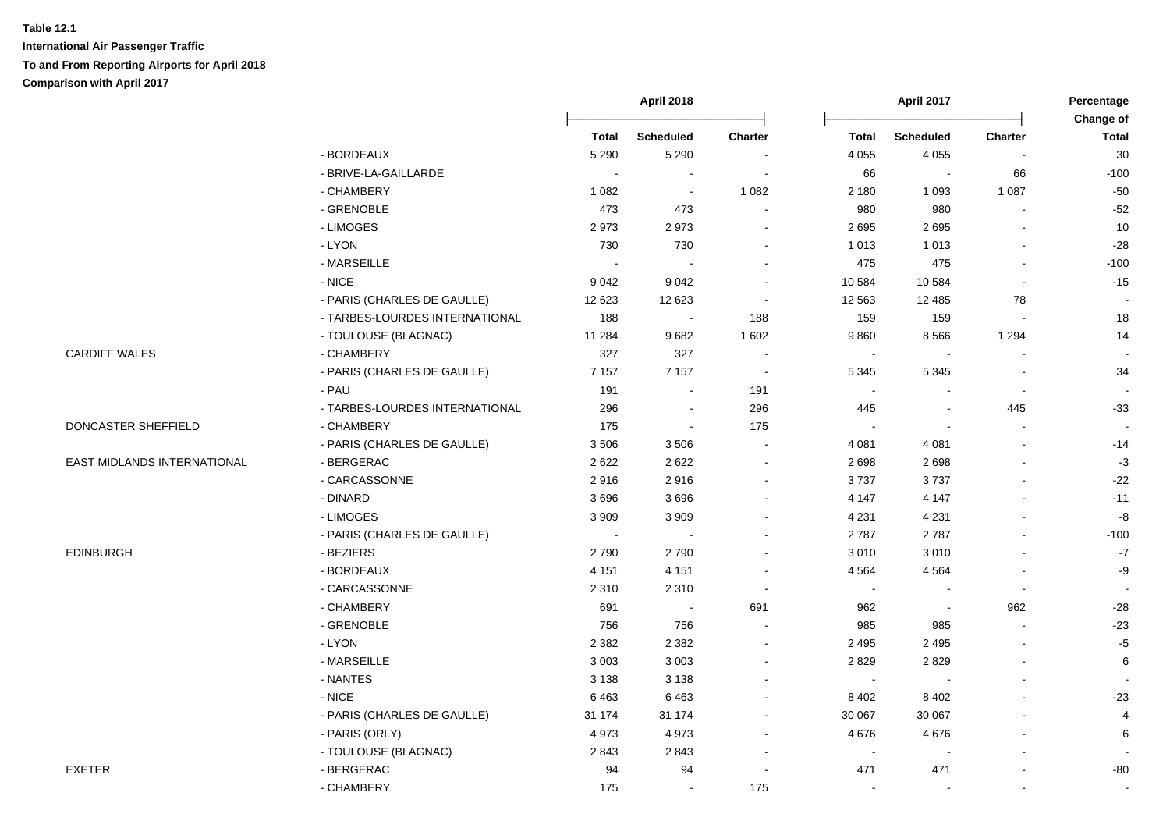|                             |                                | April 2018                 |                  |                          | <b>April 2017</b> |                  |                          |                           |
|-----------------------------|--------------------------------|----------------------------|------------------|--------------------------|-------------------|------------------|--------------------------|---------------------------|
|                             |                                | <b>Total</b>               | <b>Scheduled</b> | <b>Charter</b>           | <b>Total</b>      | <b>Scheduled</b> | <b>Charter</b>           | Change of<br><b>Total</b> |
|                             | - BORDEAUX                     | 5 2 9 0                    | 5 2 9 0          |                          | 4 0 5 5           | 4 0 5 5          |                          | 30                        |
|                             | - BRIVE-LA-GAILLARDE           | $\sim$                     | $\sim$           | $\blacksquare$           | 66                | $\sim$           | 66                       | $-100$                    |
|                             | - CHAMBERY                     | 1 0 8 2                    | $\sim$           | 1 0 8 2                  | 2 180             | 1 0 9 3          | 1 0 8 7                  | $-50$                     |
|                             | - GRENOBLE                     | 473                        | 473              |                          | 980               | 980              |                          | $-52$                     |
|                             | - LIMOGES                      | 2973                       | 2973             | $\overline{\phantom{a}}$ | 2 6 9 5           | 2695             |                          | 10                        |
|                             | - LYON                         | 730                        | 730              | $\sim$                   | 1 0 1 3           | 1 0 1 3          |                          | $-28$                     |
|                             | - MARSEILLE                    | $\mathcal{L}_{\mathbf{r}}$ | $\sim$           | $\sim$                   | 475               | 475              |                          | $-100$                    |
|                             | $-$ NICE                       | 9 0 4 2                    | 9 0 4 2          | $\overline{\phantom{a}}$ | 10 584            | 10 584           | $\sim$                   | $-15$                     |
|                             | - PARIS (CHARLES DE GAULLE)    | 12 623                     | 12 623           | $\sim$                   | 12 5 63           | 12 4 8 5         | 78                       | $\sim$                    |
|                             | - TARBES-LOURDES INTERNATIONAL | 188                        | $\sim$           | 188                      | 159               | 159              | $\sim$                   | 18                        |
|                             | - TOULOUSE (BLAGNAC)           | 11 284                     | 9682             | 1 602                    | 9860              | 8566             | 1 2 9 4                  | 14                        |
| <b>CARDIFF WALES</b>        | - CHAMBERY                     | 327                        | 327              | $\sim$                   | $\sim$            |                  | $\sim$                   |                           |
|                             | - PARIS (CHARLES DE GAULLE)    | 7 1 5 7                    | 7 1 5 7          | $\sim$                   | 5 3 4 5           | 5 3 4 5          | $\overline{\phantom{a}}$ | 34                        |
|                             | - PAU                          | 191                        | $\blacksquare$   | 191                      | $\sim$            |                  | $\overline{\phantom{a}}$ |                           |
|                             | - TARBES-LOURDES INTERNATIONAL | 296                        | $\blacksquare$   | 296                      | 445               | $\blacksquare$   | 445                      | $-33$                     |
| DONCASTER SHEFFIELD         | - CHAMBERY                     | 175                        | $\blacksquare$   | 175                      |                   |                  |                          |                           |
|                             | - PARIS (CHARLES DE GAULLE)    | 3506                       | 3506             |                          | 4 0 8 1           | 4 0 8 1          |                          | $-14$                     |
| EAST MIDLANDS INTERNATIONAL | - BERGERAC                     | 2622                       | 2622             | $\overline{\phantom{a}}$ | 2698              | 2698             |                          | $-3$                      |
|                             | - CARCASSONNE                  | 2916                       | 2916             | $\sim$                   | 3737              | 3737             |                          | $-22$                     |
|                             | - DINARD                       | 3696                       | 3696             | $\sim$                   | 4 1 4 7           | 4 1 4 7          |                          | $-11$                     |
|                             | - LIMOGES                      | 3 9 0 9                    | 3 9 0 9          | $\blacksquare$           | 4 2 3 1           | 4 2 3 1          |                          | $-8$                      |
|                             | - PARIS (CHARLES DE GAULLE)    | $\blacksquare$             | $\sim$           |                          | 2787              | 2787             |                          | $-100$                    |
| <b>EDINBURGH</b>            | - BEZIERS                      | 2790                       | 2790             |                          | 3 0 1 0           | 3010             |                          | $-7$                      |
|                             | - BORDEAUX                     | 4 1 5 1                    | 4 1 5 1          | $\overline{\phantom{a}}$ | 4 5 6 4           | 4 5 6 4          |                          | $-9$                      |
|                             | - CARCASSONNE                  | 2 3 1 0                    | 2 3 1 0          | $\sim$                   | $\blacksquare$    | $\blacksquare$   | $\overline{\phantom{a}}$ | $\sim$                    |
|                             | - CHAMBERY                     | 691                        | $\sim$           | 691                      | 962               | $\blacksquare$   | 962                      | $-28$                     |
|                             | - GRENOBLE                     | 756                        | 756              |                          | 985               | 985              |                          | $-23$                     |
|                             | - LYON                         | 2 3 8 2                    | 2 3 8 2          | $\blacksquare$           | 2 4 9 5           | 2 4 9 5          |                          | $-5$                      |
|                             | - MARSEILLE                    | 3 0 0 3                    | 3 0 0 3          |                          | 2829              | 2829             |                          | 6                         |
|                             | - NANTES                       | 3 1 3 8                    | 3 1 3 8          |                          | $\sim$            |                  |                          | $\blacksquare$            |
|                             | - NICE                         | 6463                       | 6463             | ÷                        | 8 4 0 2           | 8 4 0 2          |                          | $-23$                     |
|                             | - PARIS (CHARLES DE GAULLE)    | 31 174                     | 31 174           | $\blacksquare$           | 30 067            | 30 067           |                          | $\overline{4}$            |
|                             | - PARIS (ORLY)                 | 4973                       | 4973             | $\sim$                   | 4 6 7 6           | 4676             |                          | 6                         |
|                             | - TOULOUSE (BLAGNAC)           | 2843                       | 2843             | $\sim$                   | $\blacksquare$    |                  |                          |                           |
| <b>EXETER</b>               | - BERGERAC                     | 94                         | 94               |                          | 471               | 471              |                          | -80                       |
|                             | - CHAMBERY                     | 175                        | $\sim$           | 175                      | $\sim$            |                  |                          | $\blacksquare$            |
|                             |                                |                            |                  |                          |                   |                  |                          |                           |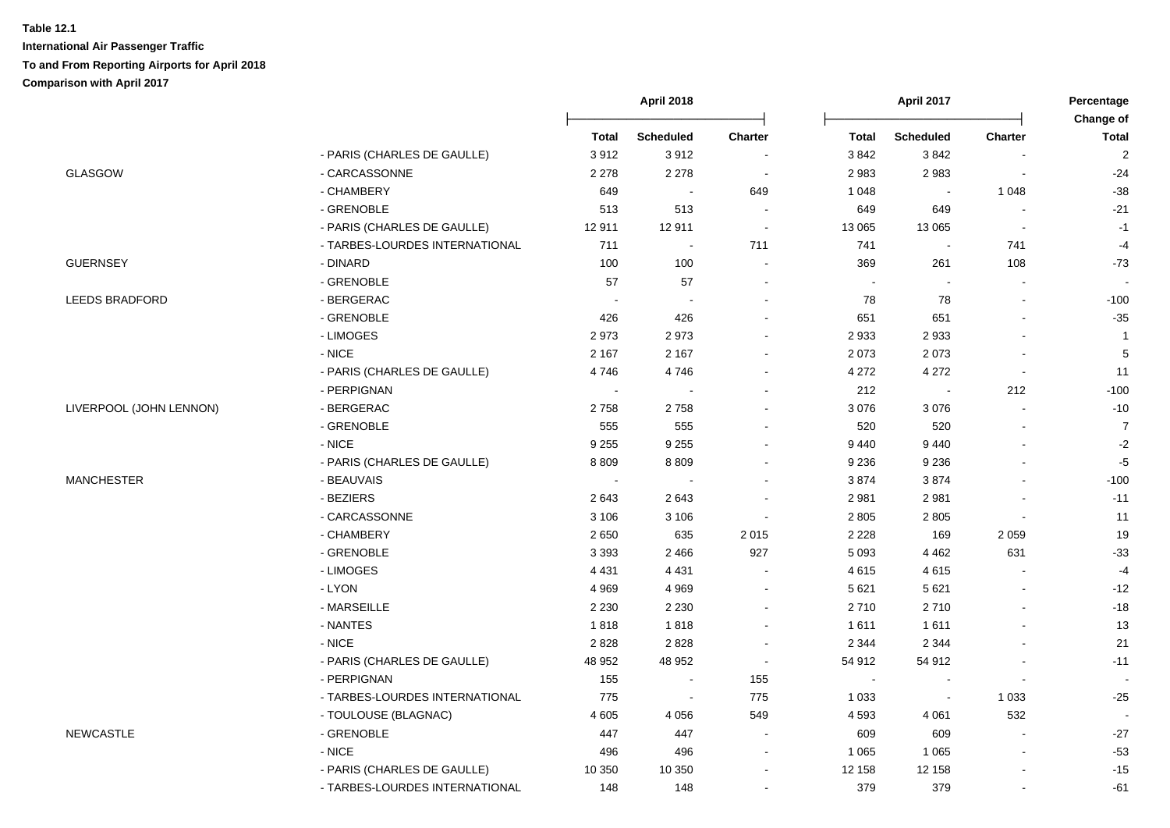|                         |                                | <b>April 2018</b>        |                          |                | April 2017   |                  |                          |                           |
|-------------------------|--------------------------------|--------------------------|--------------------------|----------------|--------------|------------------|--------------------------|---------------------------|
|                         |                                | <b>Total</b>             | <b>Scheduled</b>         | <b>Charter</b> | <b>Total</b> | <b>Scheduled</b> | <b>Charter</b>           | Change of<br><b>Total</b> |
|                         | - PARIS (CHARLES DE GAULLE)    | 3912                     | 3912                     |                | 3842         | 3842             |                          | $\sqrt{2}$                |
| <b>GLASGOW</b>          | - CARCASSONNE                  | 2 2 7 8                  | 2 2 7 8                  | $\sim$         | 2 9 8 3      | 2983             |                          | $-24$                     |
|                         | - CHAMBERY                     | 649                      | $\sim$                   | 649            | 1 0 4 8      |                  | 1 0 4 8                  | $-38$                     |
|                         | - GRENOBLE                     | 513                      | 513                      | $\sim$         | 649          | 649              | $\overline{\phantom{a}}$ | $-21$                     |
|                         | - PARIS (CHARLES DE GAULLE)    | 12911                    | 12911                    | $\sim$         | 13 065       | 13 0 65          | $\overline{\phantom{a}}$ | $-1$                      |
|                         | - TARBES-LOURDES INTERNATIONAL | 711                      | $\sim$                   | 711            | 741          | $\sim$           | 741                      | $-4$                      |
| <b>GUERNSEY</b>         | - DINARD                       | 100                      | 100                      | $\sim$         | 369          | 261              | 108                      | $-73$                     |
|                         | - GRENOBLE                     | 57                       | 57                       |                | $\sim$       |                  |                          |                           |
| <b>LEEDS BRADFORD</b>   | - BERGERAC                     | $\sim$                   | $\overline{\phantom{a}}$ |                | 78           | 78               |                          | $-100$                    |
|                         | - GRENOBLE                     | 426                      | 426                      |                | 651          | 651              |                          | $-35$                     |
|                         | - LIMOGES                      | 2973                     | 2973                     |                | 2933         | 2933             |                          | $\overline{1}$            |
|                         | - NICE                         | 2 1 6 7                  | 2 1 6 7                  |                | 2 0 7 3      | 2073             |                          | $\sqrt{5}$                |
|                         | - PARIS (CHARLES DE GAULLE)    | 4746                     | 4746                     |                | 4 2 7 2      | 4 2 7 2          | $\blacksquare$           | 11                        |
|                         | - PERPIGNAN                    | $\overline{\phantom{a}}$ |                          |                | 212          |                  | 212                      | $-100$                    |
| LIVERPOOL (JOHN LENNON) | - BERGERAC                     | 2758                     | 2758                     |                | 3 0 7 6      | 3 0 7 6          |                          | $-10$                     |
|                         | - GRENOBLE                     | 555                      | 555                      |                | 520          | 520              |                          | $\overline{7}$            |
|                         | $-NICE$                        | 9 2 5 5                  | 9 2 5 5                  |                | 9 4 4 0      | 9 4 4 0          |                          | $-2$                      |
|                         | - PARIS (CHARLES DE GAULLE)    | 8809                     | 8809                     |                | 9 2 3 6      | 9 2 3 6          |                          | $-5$                      |
| <b>MANCHESTER</b>       | - BEAUVAIS                     | $\sim$                   |                          |                | 3874         | 3874             |                          | $-100$                    |
|                         | - BEZIERS                      | 2643                     | 2643                     |                | 2 9 8 1      | 2981             |                          | $-11$                     |
|                         | - CARCASSONNE                  | 3 1 0 6                  | 3 1 0 6                  |                | 2 8 0 5      | 2805             |                          | 11                        |
|                         | - CHAMBERY                     | 2650                     | 635                      | 2015           | 2 2 2 8      | 169              | 2 0 5 9                  | 19                        |
|                         | - GRENOBLE                     | 3 3 9 3                  | 2 4 6 6                  | 927            | 5 0 9 3      | 4 4 6 2          | 631                      | $-33$                     |
|                         | - LIMOGES                      | 4 4 3 1                  | 4 4 3 1                  |                | 4615         | 4615             |                          | $-4$                      |
|                         | - LYON                         | 4 9 6 9                  | 4 9 6 9                  |                | 5 6 21       | 5 6 21           |                          | $-12$                     |
|                         | - MARSEILLE                    | 2 2 3 0                  | 2 2 3 0                  |                | 2710         | 2710             |                          | $-18$                     |
|                         | - NANTES                       | 1818                     | 1818                     |                | 1611         | 1611             |                          | 13                        |
|                         | - NICE                         | 2828                     | 2828                     |                | 2 3 4 4      | 2 3 4 4          |                          | 21                        |
|                         | - PARIS (CHARLES DE GAULLE)    | 48 952                   | 48 952                   | $\sim$         | 54 912       | 54 912           |                          | $-11$                     |
|                         | - PERPIGNAN                    | 155                      | $\sim$                   | 155            | $\sim$       | <b>.</b>         | $\sim$                   | $\overline{\phantom{a}}$  |
|                         | - TARBES-LOURDES INTERNATIONAL | 775                      | $\blacksquare$           | 775            | 1 0 3 3      | $\sim$           | 1 0 3 3                  | $-25$                     |
|                         | - TOULOUSE (BLAGNAC)           | 4605                     | 4 0 5 6                  | 549            | 4 5 9 3      | 4 0 61           | 532                      | $\overline{\phantom{a}}$  |
| <b>NEWCASTLE</b>        | - GRENOBLE                     | 447                      | 447                      | $\blacksquare$ | 609          | 609              |                          | $-27$                     |
|                         | $-NICE$                        | 496                      | 496                      |                | 1 0 6 5      | 1 0 6 5          |                          | $-53$                     |
|                         | - PARIS (CHARLES DE GAULLE)    | 10 350                   | 10 350                   |                | 12 158       | 12 158           |                          | $-15$                     |
|                         | - TARBES-LOURDES INTERNATIONAL | 148                      | 148                      |                | 379          | 379              |                          | -61                       |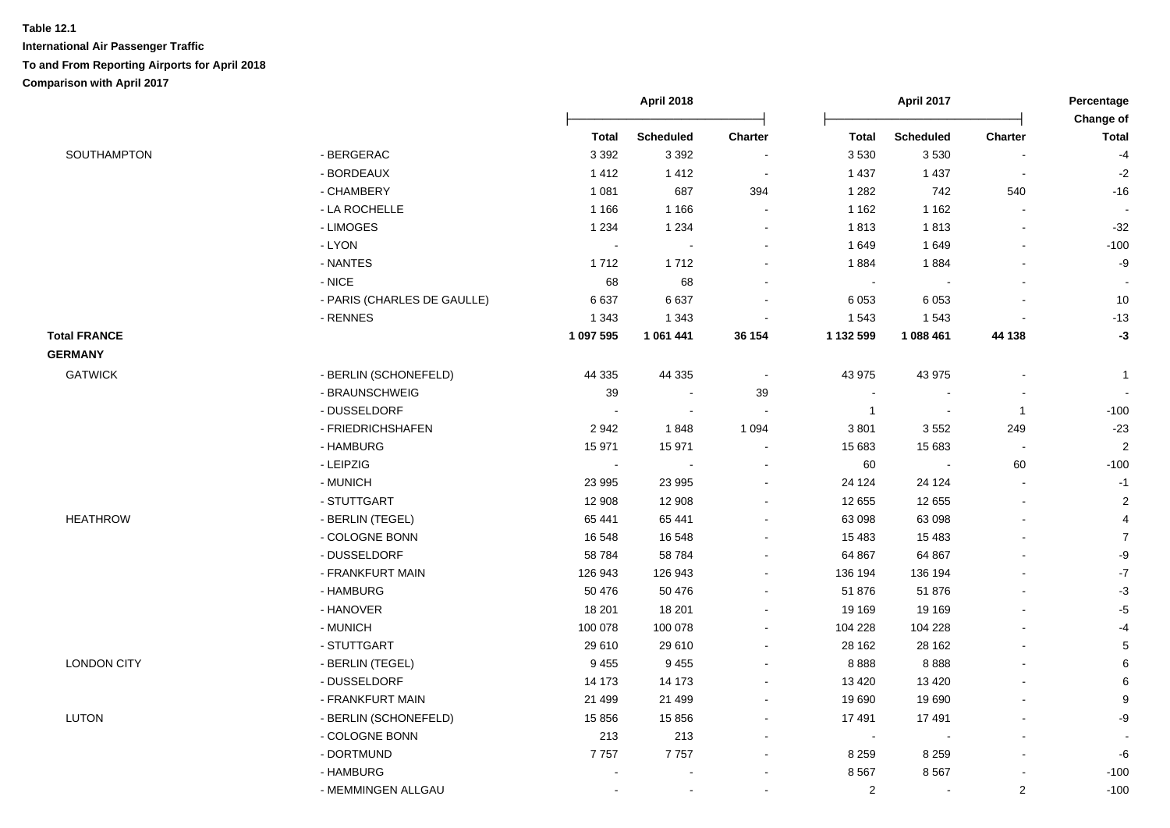|                     |                             |              | <b>April 2018</b>        |                          |                | April 2017               |                          | Percentage<br>Change of |
|---------------------|-----------------------------|--------------|--------------------------|--------------------------|----------------|--------------------------|--------------------------|-------------------------|
|                     |                             | <b>Total</b> | <b>Scheduled</b>         | Charter                  | <b>Total</b>   | <b>Scheduled</b>         | Charter                  | <b>Total</b>            |
| SOUTHAMPTON         | - BERGERAC                  | 3 3 9 2      | 3 3 9 2                  | $\sim$                   | 3 5 3 0        | 3530                     |                          | $-4$                    |
|                     | - BORDEAUX                  | 1412         | 1412                     | $\sim$                   | 1 4 3 7        | 1 4 3 7                  | $\overline{\phantom{a}}$ | $-2$                    |
|                     | - CHAMBERY                  | 1 0 8 1      | 687                      | 394                      | 1 2 8 2        | 742                      | 540                      | $-16$                   |
|                     | - LA ROCHELLE               | 1 1 6 6      | 1 1 6 6                  | $\blacksquare$           | 1 1 6 2        | 1 1 6 2                  | $\blacksquare$           |                         |
|                     | - LIMOGES                   | 1 2 3 4      | 1 2 3 4                  | $\ddot{\phantom{0}}$     | 1813           | 1813                     | $\blacksquare$           | $-32$                   |
|                     | - LYON                      | $\sim$       | $\sim$                   | $\overline{\phantom{a}}$ | 1649           | 1649                     | $\blacksquare$           | $-100$                  |
|                     | - NANTES                    | 1712         | 1712                     | $\sim$                   | 1884           | 1884                     | $\blacksquare$           | $-9$                    |
|                     | $-$ NICE                    | 68           | 68                       | $\overline{\phantom{a}}$ |                |                          |                          |                         |
|                     | - PARIS (CHARLES DE GAULLE) | 6637         | 6637                     | $\blacksquare$           | 6 0 53         | 6 0 5 3                  | $\overline{\phantom{a}}$ | 10                      |
|                     | - RENNES                    | 1 3 4 3      | 1 3 4 3                  |                          | 1 5 4 3        | 1543                     |                          | $-13$                   |
| <b>Total FRANCE</b> |                             | 1 097 595    | 1 061 441                | 36 154                   | 1 132 599      | 1 088 461                | 44 138                   | $-3$                    |
| <b>GERMANY</b>      |                             |              |                          |                          |                |                          |                          |                         |
| <b>GATWICK</b>      | - BERLIN (SCHONEFELD)       | 44 3 35      | 44 3 35                  | $\overline{\phantom{a}}$ | 43 975         | 43 975                   |                          | $\overline{1}$          |
|                     | - BRAUNSCHWEIG              | 39           | $\overline{\phantom{a}}$ | 39                       |                |                          |                          |                         |
|                     | - DUSSELDORF                |              |                          |                          | $\overline{1}$ |                          | $\overline{1}$           | $-100$                  |
|                     | - FRIEDRICHSHAFEN           | 2942         | 1848                     | 1 0 9 4                  | 3801           | 3552                     | 249                      | $-23$                   |
|                     | - HAMBURG                   | 15 971       | 15 971                   | $\overline{\phantom{a}}$ | 15 683         | 15 683                   | $\overline{\phantom{a}}$ | $\overline{2}$          |
|                     | - LEIPZIG                   | $\omega$     |                          | $\overline{\phantom{a}}$ | 60             |                          | 60                       | $-100$                  |
|                     | - MUNICH                    | 23 995       | 23 995                   | $\blacksquare$           | 24 1 24        | 24 1 24                  | $\blacksquare$           | $-1$                    |
|                     | - STUTTGART                 | 12 908       | 12 908                   | $\overline{\phantom{a}}$ | 12 655         | 12 655                   | $\blacksquare$           | $\sqrt{2}$              |
| <b>HEATHROW</b>     | - BERLIN (TEGEL)            | 65 441       | 65 441                   |                          | 63 098         | 63 098                   | $\blacksquare$           | 4                       |
|                     | - COLOGNE BONN              | 16 548       | 16 548                   | $\overline{\phantom{a}}$ | 15 4 83        | 15 4 83                  | $\blacksquare$           | $\overline{7}$          |
|                     | - DUSSELDORF                | 58 784       | 58 784                   | $\overline{\phantom{a}}$ | 64 867         | 64 867                   |                          | $-9$                    |
|                     | - FRANKFURT MAIN            | 126 943      | 126 943                  | $\blacksquare$           | 136 194        | 136 194                  |                          | $\textnormal{-}7$       |
|                     | - HAMBURG                   | 50 476       | 50 476                   | $\overline{\phantom{a}}$ | 51 876         | 51 876                   | $\blacksquare$           | $-3$                    |
|                     | - HANOVER                   | 18 201       | 18 201                   | $\sim$                   | 19 169         | 19 169                   |                          | $-5$                    |
|                     | - MUNICH                    | 100 078      | 100 078                  | $\overline{\phantom{a}}$ | 104 228        | 104 228                  |                          | $-4$                    |
|                     | - STUTTGART                 | 29 610       | 29 610                   | $\overline{\phantom{a}}$ | 28 162         | 28 162                   |                          | $\sqrt{5}$              |
| <b>LONDON CITY</b>  | - BERLIN (TEGEL)            | 9 4 5 5      | 9 4 5 5                  | $\sim$                   | 8888           | 8888                     |                          | 6                       |
|                     | - DUSSELDORF                | 14 173       | 14 173                   | $\blacksquare$           | 13 4 20        | 13 4 20                  |                          | $\,6$                   |
|                     | - FRANKFURT MAIN            | 21 499       | 21 4 9 9                 | $\blacksquare$           | 19 690         | 19690                    | $\blacksquare$           | $\boldsymbol{9}$        |
| LUTON               | - BERLIN (SCHONEFELD)       | 15 856       | 15 856                   | $\blacksquare$           | 17 491         | 17 491                   |                          | -9                      |
|                     | - COLOGNE BONN              | 213          | 213                      | $\overline{\phantom{a}}$ | $\sim$         |                          | $\blacksquare$           |                         |
|                     | - DORTMUND                  | 7757         | 7757                     | $\overline{\phantom{a}}$ | 8 2 5 9        | 8 2 5 9                  | $\blacksquare$           | -6                      |
|                     | - HAMBURG                   |              | $\sim$                   | $\sim$                   | 8567           | 8567                     |                          | $-100$                  |
|                     | - MEMMINGEN ALLGAU          |              | $\sim$                   | $\blacksquare$           | $\overline{c}$ | $\overline{\phantom{a}}$ | $\overline{\mathbf{c}}$  | $-100$                  |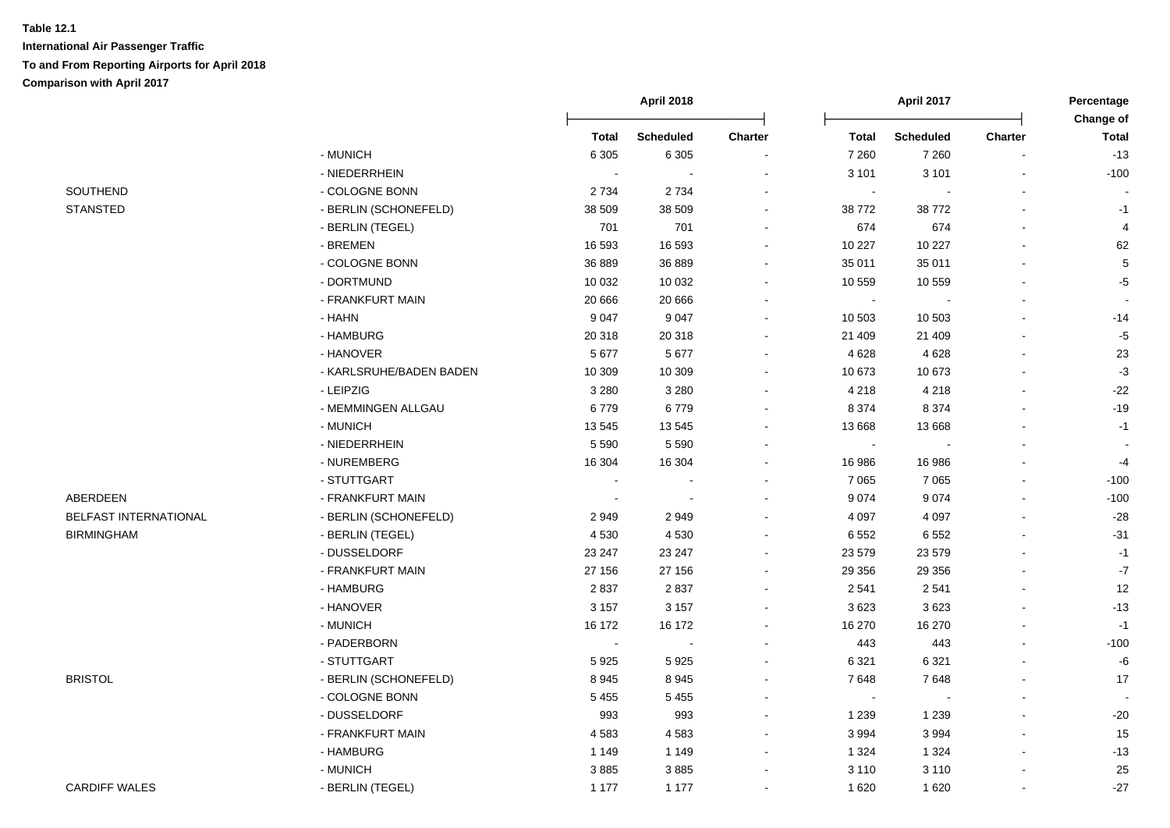| SOUTHEND |
|----------|
| STANSTED |

|                       |                         |         | April 2018       |                | April 2017     |                  | Percentage<br>Change of  |              |
|-----------------------|-------------------------|---------|------------------|----------------|----------------|------------------|--------------------------|--------------|
|                       |                         | Total   | <b>Scheduled</b> | <b>Charter</b> | Total          | <b>Scheduled</b> | <b>Charter</b>           | <b>Total</b> |
|                       | - MUNICH                | 6 3 0 5 | 6 3 0 5          |                | 7 2 6 0        | 7 2 6 0          |                          | $-13$        |
|                       | - NIEDERRHEIN           |         |                  |                | 3 1 0 1        | 3 1 0 1          |                          | $-100$       |
| SOUTHEND              | - COLOGNE BONN          | 2 7 3 4 | 2 7 3 4          |                | $\blacksquare$ |                  |                          |              |
| <b>STANSTED</b>       | - BERLIN (SCHONEFELD)   | 38 509  | 38 509           |                | 38772          | 38772            |                          | $-1$         |
|                       | - BERLIN (TEGEL)        | 701     | 701              |                | 674            | 674              |                          |              |
|                       | - BREMEN                | 16 593  | 16 593           |                | 10 227         | 10 227           | $\blacksquare$           | 62           |
|                       | - COLOGNE BONN          | 36 889  | 36 889           | $\sim$         | 35 011         | 35 011           | $\blacksquare$           | 5            |
|                       | - DORTMUND              | 10 0 32 | 10 0 32          | $\sim$         | 10 559         | 10 559           | $\mathbf{r}$             | $-5$         |
|                       | - FRANKFURT MAIN        | 20 666  | 20 666           | $\blacksquare$ | $\sim$         |                  | $\overline{\phantom{a}}$ |              |
|                       | - HAHN                  | 9 0 4 7 | 9 0 4 7          | $\sim$         | 10 503         | 10 503           |                          | $-14$        |
|                       | - HAMBURG               | 20 318  | 20 318           | $\blacksquare$ | 21 409         | 21 409           |                          | $-5$         |
|                       | - HANOVER               | 5 6 7 7 | 5 6 7 7          | $\blacksquare$ | 4 6 28         | 4 6 28           |                          | 23           |
|                       | - KARLSRUHE/BADEN BADEN | 10 309  | 10 309           | $\sim$         | 10 673         | 10 673           | $\overline{\phantom{a}}$ | $-3$         |
|                       | - LEIPZIG               | 3 2 8 0 | 3 2 8 0          | $\sim$         | 4 2 1 8        | 4 2 1 8          | $\blacksquare$           | $-22$        |
|                       | - MEMMINGEN ALLGAU      | 6779    | 6779             |                | 8 3 7 4        | 8 3 7 4          | $\blacksquare$           | $-19$        |
|                       | - MUNICH                | 13 545  | 13 545           |                | 13 668         | 13 6 68          | $\overline{a}$           | $-1$         |
|                       | - NIEDERRHEIN           | 5 5 9 0 | 5 5 9 0          |                | $\sim$         |                  |                          |              |
|                       | - NUREMBERG             | 16 304  | 16 304           |                | 16 986         | 16 986           |                          | $-4$         |
|                       | - STUTTGART             |         |                  |                | 7 0 6 5        | 7 0 6 5          |                          | $-100$       |
| ABERDEEN              | - FRANKFURT MAIN        |         |                  |                | 9 0 7 4        | 9074             |                          | $-100$       |
| BELFAST INTERNATIONAL | - BERLIN (SCHONEFELD)   | 2949    | 2949             |                | 4 0 9 7        | 4 0 9 7          |                          | $-28$        |
| <b>BIRMINGHAM</b>     | - BERLIN (TEGEL)        | 4 5 3 0 | 4530             | $\sim$         | 6 5 5 2        | 6552             |                          | $-31$        |
|                       | - DUSSELDORF            | 23 247  | 23 247           | $\blacksquare$ | 23 579         | 23 579           |                          | $-1$         |
|                       | - FRANKFURT MAIN        | 27 156  | 27 156           | $\sim$         | 29 35 6        | 29 35 6          |                          | $-7$         |
|                       | - HAMBURG               | 2837    | 2837             |                | 2 5 4 1        | 2541             |                          | 12           |
|                       | - HANOVER               | 3 1 5 7 | 3 1 5 7          |                | 3623           | 3623             |                          | $-13$        |
|                       | - MUNICH                | 16 172  | 16 172           |                | 16 270         | 16 270           |                          | $-1$         |
|                       | - PADERBORN             |         |                  |                | 443            | 443              |                          | $-100$       |
|                       | - STUTTGART             | 5925    | 5925             |                | 6 3 21         | 6 3 21           | $\blacksquare$           | $-6$         |
| <b>BRISTOL</b>        | - BERLIN (SCHONEFELD)   | 8945    | 8945             |                | 7648           | 7648             |                          | 17           |
|                       | - COLOGNE BONN          | 5 4 5 5 | 5 4 5 5          |                | $\sim$         |                  |                          |              |
|                       | - DUSSELDORF            | 993     | 993              |                | 1 2 3 9        | 1 2 3 9          |                          | $-20$        |
|                       | - FRANKFURT MAIN        | 4583    | 4583             |                | 3 9 9 4        | 3994             |                          | 15           |
|                       | - HAMBURG               | 1 1 4 9 | 1 1 4 9          | $\sim$         | 1 3 2 4        | 1 3 2 4          |                          | $-13$        |
|                       | - MUNICH                | 3885    | 3885             | $\sim$         | 3 1 1 0        | 3 1 1 0          |                          | 25           |
| <b>CARDIFF WALES</b>  | - BERLIN (TEGEL)        | 1 1 7 7 | 1 1 7 7          | $\blacksquare$ | 1 6 2 0        | 1620             | $\blacksquare$           | $-27$        |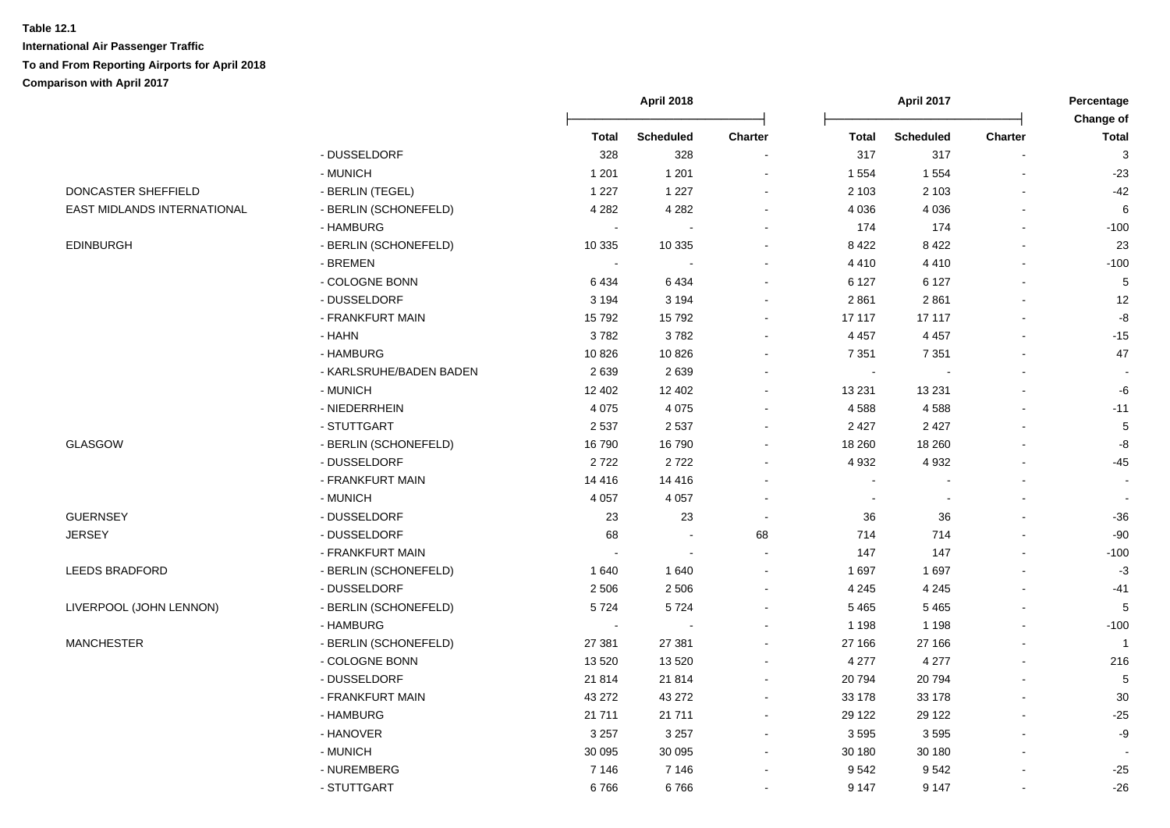|                             |                         |              | <b>April 2018</b> |                          |              | April 2017 |                | Percentage<br>Change of |
|-----------------------------|-------------------------|--------------|-------------------|--------------------------|--------------|------------|----------------|-------------------------|
|                             |                         | <b>Total</b> | <b>Scheduled</b>  | Charter                  | <b>Total</b> | Scheduled  | Charter        | <b>Total</b>            |
|                             | - DUSSELDORF            | 328          | 328               | $\blacksquare$           | 317          | 317        |                | 3                       |
|                             | - MUNICH                | 1 2 0 1      | 1 2 0 1           | $\sim$                   | 1 5 5 4      | 1 5 5 4    |                | $-23$                   |
| DONCASTER SHEFFIELD         | - BERLIN (TEGEL)        | 1 2 2 7      | 1 2 2 7           | $\sim$                   | 2 1 0 3      | 2 1 0 3    | $\blacksquare$ | $-42$                   |
| EAST MIDLANDS INTERNATIONAL | - BERLIN (SCHONEFELD)   | 4 2 8 2      | 4 2 8 2           | $\blacksquare$           | 4 0 36       | 4 0 3 6    | $\blacksquare$ | 6                       |
|                             | - HAMBURG               |              |                   | $\sim$                   | 174          | 174        | $\mathbf{r}$   | $-100$                  |
| <b>EDINBURGH</b>            | - BERLIN (SCHONEFELD)   | 10 335       | 10 335            | $\blacksquare$           | 8 4 2 2      | 8422       | $\mathbf{r}$   | 23                      |
|                             | - BREMEN                |              |                   |                          | 4 4 1 0      | 4410       |                | $-100$                  |
|                             | - COLOGNE BONN          | 6434         | 6434              | $\blacksquare$           | 6 1 2 7      | 6 1 2 7    |                | $5\phantom{.0}$         |
|                             | - DUSSELDORF            | 3 1 9 4      | 3 1 9 4           | $\overline{\phantom{a}}$ | 2861         | 2861       | $\blacksquare$ | 12                      |
|                             | - FRANKFURT MAIN        | 15792        | 15792             | $\blacksquare$           | 17 117       | 17 117     |                | -8                      |
|                             | - HAHN                  | 3782         | 3782              | $\blacksquare$           | 4 4 5 7      | 4 4 5 7    |                | $-15$                   |
|                             | - HAMBURG               | 10826        | 10826             | $\overline{\phantom{a}}$ | 7 3 5 1      | 7 3 5 1    |                | 47                      |
|                             | - KARLSRUHE/BADEN BADEN | 2639         | 2639              |                          |              |            |                |                         |
|                             | - MUNICH                | 12 402       | 12 402            | $\blacksquare$           | 13 2 31      | 13 2 31    |                | -6                      |
|                             | - NIEDERRHEIN           | 4 0 7 5      | 4 0 7 5           | $\sim$                   | 4588         | 4588       |                | $-11$                   |
|                             | - STUTTGART             | 2537         | 2 5 3 7           | $\sim$                   | 2 4 2 7      | 2 4 2 7    |                | $5\phantom{.0}$         |
| <b>GLASGOW</b>              | - BERLIN (SCHONEFELD)   | 16790        | 16790             | $\blacksquare$           | 18 260       | 18 260     |                | -8                      |
|                             | - DUSSELDORF            | 2722         | 2722              | $\sim$                   | 4 9 3 2      | 4 9 3 2    | $\overline{a}$ | $-45$                   |
|                             | - FRANKFURT MAIN        | 14 4 16      | 14 4 16           |                          |              |            |                |                         |
|                             | - MUNICH                | 4 0 5 7      | 4 0 5 7           |                          |              |            |                |                         |
| <b>GUERNSEY</b>             | - DUSSELDORF            | 23           | 23                | $\sim$                   | 36           | 36         |                | $-36$                   |
| <b>JERSEY</b>               | - DUSSELDORF            | 68           | $\sim$            | 68                       | 714          | 714        |                | $-90$                   |
|                             | - FRANKFURT MAIN        |              |                   | $\sim$                   | 147          | 147        |                | $-100$                  |
| <b>LEEDS BRADFORD</b>       | - BERLIN (SCHONEFELD)   | 1 640        | 1640              | $\blacksquare$           | 1 6 9 7      | 1697       |                | $-3$                    |
|                             | - DUSSELDORF            | 2 5 0 6      | 2 5 0 6           | $\overline{\phantom{a}}$ | 4 2 4 5      | 4 2 4 5    |                | $-41$                   |
| LIVERPOOL (JOHN LENNON)     | - BERLIN (SCHONEFELD)   | 5724         | 5724              |                          | 5465         | 5 4 6 5    |                | $5\phantom{.0}$         |
|                             | - HAMBURG               | $\sim$       |                   | $\overline{\phantom{a}}$ | 1 1 9 8      | 1 1 9 8    |                | $-100$                  |
| <b>MANCHESTER</b>           | - BERLIN (SCHONEFELD)   | 27 381       | 27 381            | $\blacksquare$           | 27 166       | 27 166     |                | $\overline{\mathbf{1}}$ |
|                             | - COLOGNE BONN          | 13 5 20      | 13 5 20           | $\blacksquare$           | 4 2 7 7      | 4 2 7 7    | $\blacksquare$ | 216                     |
|                             | - DUSSELDORF            | 21 8 14      | 21 8 14           | $\sim$                   | 20794        | 20794      | $\blacksquare$ | $5\phantom{.0}$         |
|                             | - FRANKFURT MAIN        | 43 272       | 43 27 2           | $\sim$                   | 33 178       | 33 178     | $\blacksquare$ | $30\,$                  |
|                             | - HAMBURG               | 21 7 11      | 21 7 11           | $\sim$                   | 29 122       | 29 122     | $\blacksquare$ | $-25$                   |
|                             | - HANOVER               | 3 2 5 7      | 3 2 5 7           | $\blacksquare$           | 3595         | 3595       |                | -9                      |
|                             | - MUNICH                | 30 095       | 30 095            | $\blacksquare$           | 30 180       | 30 180     |                |                         |
|                             | - NUREMBERG             | 7 1 4 6      | 7 1 4 6           | $\blacksquare$           | 9542         | 9542       |                | $-25$                   |
|                             | - STUTTGART             | 6766         | 6766              |                          | 9 1 4 7      | 9 1 4 7    |                | $-26$                   |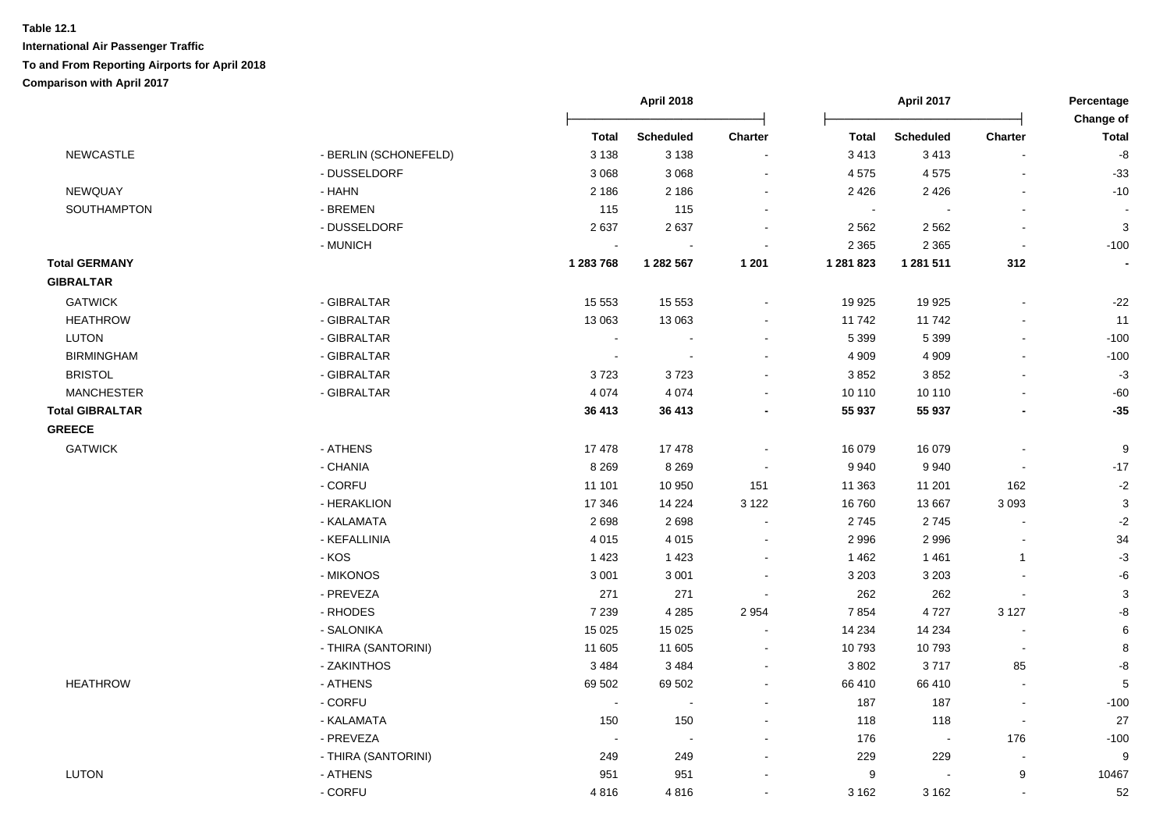|                        |                       |                | <b>April 2018</b>        |                          |              | <b>April 2017</b> |                          | Percentage<br>Change of |  |
|------------------------|-----------------------|----------------|--------------------------|--------------------------|--------------|-------------------|--------------------------|-------------------------|--|
|                        |                       | <b>Total</b>   | <b>Scheduled</b>         | Charter                  | <b>Total</b> | <b>Scheduled</b>  | Charter                  | <b>Total</b>            |  |
| <b>NEWCASTLE</b>       | - BERLIN (SCHONEFELD) | 3 1 3 8        | 3 1 3 8                  | $\overline{a}$           | 3 4 1 3      | 3413              | L,                       | -8                      |  |
|                        | - DUSSELDORF          | 3 0 6 8        | 3 0 6 8                  | $\sim$                   | 4575         | 4575              | $\blacksquare$           | $-33$                   |  |
| <b>NEWQUAY</b>         | $- HAHN$              | 2 1 8 6        | 2 1 8 6                  | $\blacksquare$           | 2 4 2 6      | 2 4 2 6           | ä,                       | $-10$                   |  |
| SOUTHAMPTON            | - BREMEN              | 115            | 115                      | $\blacksquare$           | $\sim$       | $\blacksquare$    | ä,                       |                         |  |
|                        | - DUSSELDORF          | 2637           | 2637                     | $\sim$                   | 2 5 6 2      | 2 5 6 2           | $\blacksquare$           | $\mathbf{3}$            |  |
|                        | - MUNICH              |                | $\overline{\phantom{a}}$ |                          | 2 3 6 5      | 2 3 6 5           | $\sim$                   | $-100$                  |  |
| <b>Total GERMANY</b>   |                       | 1 283 768      | 1 282 567                | 1 201                    | 1 281 823    | 1 281 511         | 312                      |                         |  |
| <b>GIBRALTAR</b>       |                       |                |                          |                          |              |                   |                          |                         |  |
| <b>GATWICK</b>         | - GIBRALTAR           | 15 5 5 3       | 15 5 5 3                 | ä,                       | 19 9 25      | 19 9 25           | ä,                       | $-22$                   |  |
| <b>HEATHROW</b>        | - GIBRALTAR           | 13 063         | 13 063                   | $\sim$                   | 11742        | 11742             | $\blacksquare$           | 11                      |  |
| <b>LUTON</b>           | - GIBRALTAR           | $\blacksquare$ | $\sim$                   | $\blacksquare$           | 5 3 9 9      | 5 3 9 9           | $\blacksquare$           | $-100$                  |  |
| <b>BIRMINGHAM</b>      | - GIBRALTAR           | $\blacksquare$ | $\sim$                   | $\blacksquare$           | 4 9 0 9      | 4 9 0 9           | $\blacksquare$           | $-100$                  |  |
| <b>BRISTOL</b>         | - GIBRALTAR           | 3723           | 3723                     |                          | 3852         | 3852              |                          | $-3$                    |  |
| <b>MANCHESTER</b>      | - GIBRALTAR           | 4 0 7 4        | 4 0 7 4                  |                          | 10 110       | 10 110            |                          | $-60$                   |  |
| <b>Total GIBRALTAR</b> |                       | 36 413         | 36 413                   |                          | 55 937       | 55 937            |                          | $-35$                   |  |
| <b>GREECE</b>          |                       |                |                          |                          |              |                   |                          |                         |  |
| <b>GATWICK</b>         | - ATHENS              | 17478          | 17478                    | $\blacksquare$           | 16 079       | 16 079            | ä,                       | $9\,$                   |  |
|                        | - CHANIA              | 8 2 6 9        | 8 2 6 9                  | $\sim$                   | 9 9 4 0      | 9940              | $\blacksquare$           | $-17$                   |  |
|                        | - CORFU               | 11 101         | 10 950                   | 151                      | 11 363       | 11 201            | 162                      | $-2$                    |  |
|                        | - HERAKLION           | 17 346         | 14 2 24                  | 3 1 2 2                  | 16760        | 13 667            | 3 0 9 3                  | $\mathbf{3}$            |  |
|                        | - KALAMATA            | 2698           | 2698                     | $\overline{\phantom{a}}$ | 2745         | 2745              | $\overline{a}$           | $-2$                    |  |
|                        | - KEFALLINIA          | 4 0 1 5        | 4 0 1 5                  | $\blacksquare$           | 2 9 9 6      | 2996              | $\overline{a}$           | 34                      |  |
|                        | $-KOS$                | 1 4 2 3        | 1 4 2 3                  | $\blacksquare$           | 1 4 6 2      | 1 4 6 1           | $\mathbf{1}$             | $-3$                    |  |
|                        | - MIKONOS             | 3 0 0 1        | 3 0 0 1                  | $\sim$                   | 3 2 0 3      | 3 2 0 3           | $\sim$                   | $\textnormal{-}6$       |  |
|                        | - PREVEZA             | 271            | 271                      | $\sim$                   | 262          | 262               | $\blacksquare$           | $\mathbf{3}$            |  |
|                        | - RHODES              | 7 2 3 9        | 4 2 8 5                  | 2 9 5 4                  | 7854         | 4727              | 3 1 2 7                  | -8                      |  |
|                        | - SALONIKA            | 15 0 25        | 15 0 25                  |                          | 14 2 34      | 14 2 34           |                          | 6                       |  |
|                        | - THIRA (SANTORINI)   | 11 605         | 11 605                   | $\ddot{\phantom{a}}$     | 10793        | 10793             | $\overline{\phantom{a}}$ | 8                       |  |
|                        | - ZAKINTHOS           | 3484           | 3 4 8 4                  | $\sim$                   | 3 8 0 2      | 3717              | 85                       | -8                      |  |
| <b>HEATHROW</b>        | - ATHENS              | 69 502         | 69 502                   | $\blacksquare$           | 66 410       | 66 410            | L.                       | $5\phantom{.0}$         |  |
|                        | - CORFU               | $\sim$         | $\sim$                   | $\blacksquare$           | 187          | 187               | $\blacksquare$           | $-100$                  |  |
|                        | - KALAMATA            | 150            | 150                      | $\sim$                   | 118          | 118               | $\sim$                   | 27                      |  |
|                        | - PREVEZA             | $\sim$         | $\sim$                   | $\sim$                   | 176          | $\sim$            | 176                      | $-100$                  |  |
|                        | - THIRA (SANTORINI)   | 249            | 249                      | $\overline{\phantom{a}}$ | 229          | 229               | $\blacksquare$           | 9                       |  |
| <b>LUTON</b>           | - ATHENS              | 951            | 951                      | $\blacksquare$           | 9            |                   | 9                        | 10467                   |  |
|                        | - CORFU               | 4816           | 4816                     |                          | 3 1 6 2      | 3 1 6 2           | L,                       | 52                      |  |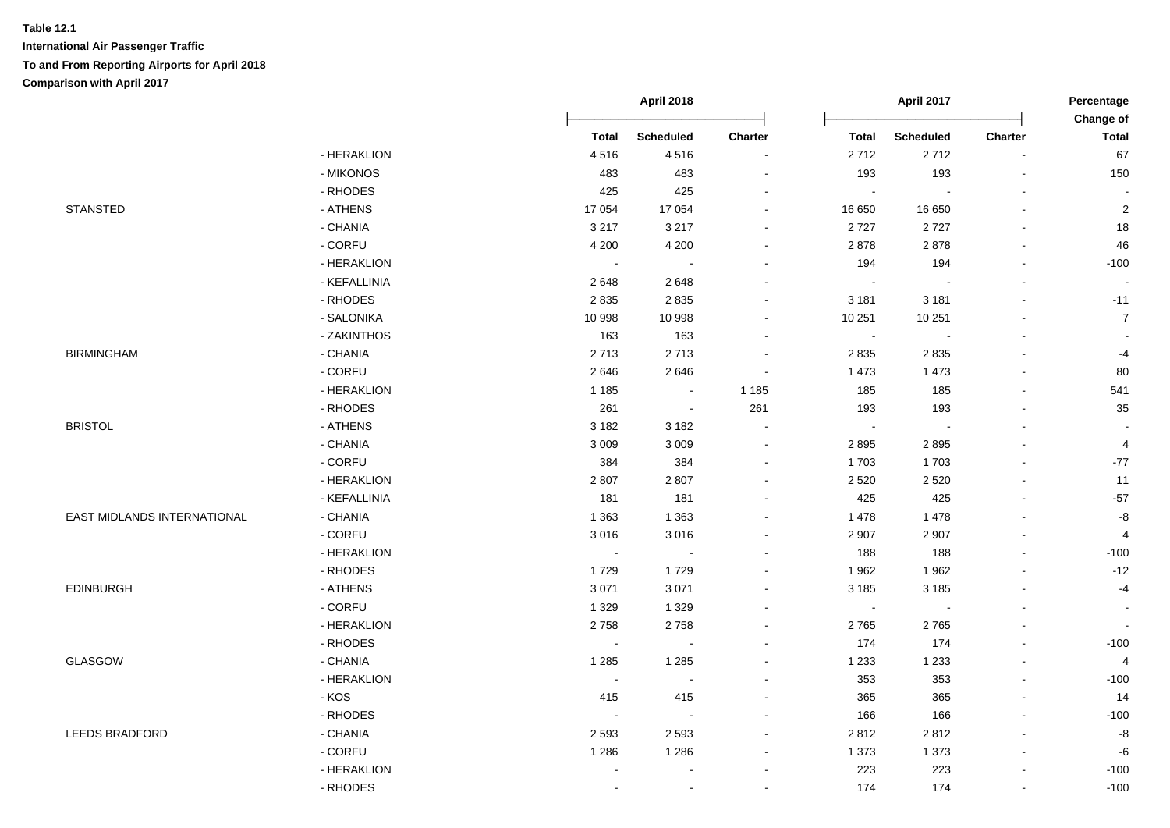|                             |              |                | <b>April 2018</b> |                          |              | <b>April 2017</b> |                          | Percentage<br><b>Change of</b> |
|-----------------------------|--------------|----------------|-------------------|--------------------------|--------------|-------------------|--------------------------|--------------------------------|
|                             |              | <b>Total</b>   | <b>Scheduled</b>  | Charter                  | <b>Total</b> | <b>Scheduled</b>  | <b>Charter</b>           | <b>Total</b>                   |
|                             | - HERAKLION  | 4516           | 4516              | $\overline{\phantom{a}}$ | 2712         | 2712              | $\sim$                   | 67                             |
|                             | - MIKONOS    | 483            | 483               | $\sim$                   | 193          | 193               | $\sim$                   | 150                            |
|                             | - RHODES     | 425            | 425               |                          | $\sim$       | $\sim$            | $\blacksquare$           |                                |
| <b>STANSTED</b>             | - ATHENS     | 17 054         | 17 054            | $\sim$                   | 16 650       | 16 650            | $\blacksquare$           | $\sqrt{2}$                     |
|                             | - CHANIA     | 3 2 1 7        | 3 2 1 7           | $\overline{\phantom{a}}$ | 2727         | 2727              | $\overline{\phantom{a}}$ | 18                             |
|                             | - CORFU      | 4 200          | 4 2 0 0           | $\sim$                   | 2878         | 2878              | $\blacksquare$           | 46                             |
|                             | - HERAKLION  | $\sim$         | $\sim$            |                          | 194          | 194               | $\blacksquare$           | $-100$                         |
|                             | - KEFALLINIA | 2648           | 2648              | $\sim$                   | $\sim$       |                   | $\blacksquare$           |                                |
|                             | - RHODES     | 2835           | 2835              | $\sim$                   | 3 1 8 1      | 3 1 8 1           | ä,                       | $-11$                          |
|                             | - SALONIKA   | 10 998         | 10 998            | $\sim$                   | 10 251       | 10 251            | $\blacksquare$           | $\overline{7}$                 |
|                             | - ZAKINTHOS  | 163            | 163               | $\sim$                   | $\sim$       |                   | $\blacksquare$           |                                |
| <b>BIRMINGHAM</b>           | - CHANIA     | 2713           | 2713              | $\blacksquare$           | 2835         | 2835              | $\blacksquare$           | $-4$                           |
|                             | - CORFU      | 2646           | 2646              |                          | 1 4 7 3      | 1 4 7 3           | $\sim$                   | 80                             |
|                             | - HERAKLION  | 1 1 8 5        | $\sim$            | 1 1 8 5                  | 185          | 185               | $\sim$                   | 541                            |
|                             | - RHODES     | 261            | $\sim$            | 261                      | 193          | 193               | ä,                       | 35                             |
| <b>BRISTOL</b>              | - ATHENS     | 3 1 8 2        | 3 1 8 2           | $\blacksquare$           | $\sim$       | $\sim$            | $\blacksquare$           |                                |
|                             | - CHANIA     | 3 0 0 9        | 3 0 0 9           | $\sim$                   | 2895         | 2895              | $\overline{a}$           | $\overline{4}$                 |
|                             | - CORFU      | 384            | 384               |                          | 1703         | 1703              | L.                       | $-77$                          |
|                             | - HERAKLION  | 2807           | 2807              | $\sim$                   | 2 5 2 0      | 2 5 2 0           | L.                       | 11                             |
|                             | - KEFALLINIA | 181            | 181               | $\sim$                   | 425          | 425               | $\mathbf{r}$             | $-57$                          |
| EAST MIDLANDS INTERNATIONAL | - CHANIA     | 1 3 6 3        | 1 3 6 3           | $\sim$                   | 1 4 7 8      | 1 4 7 8           | ä,                       | $\mbox{-}8$                    |
|                             | - CORFU      | 3016           | 3016              | $\blacksquare$           | 2 9 0 7      | 2 9 0 7           | ä,                       | $\overline{4}$                 |
|                             | - HERAKLION  | $\sim$         | $\blacksquare$    | $\sim$                   | 188          | 188               | $\blacksquare$           | $-100$                         |
|                             | - RHODES     | 1729           | 1729              | $\sim$                   | 1962         | 1962              | $\sim$                   | $-12$                          |
| <b>EDINBURGH</b>            | - ATHENS     | 3 0 7 1        | 3 0 7 1           | $\sim$                   | 3 1 8 5      | 3 1 8 5           | $\blacksquare$           | $-4$                           |
|                             | - CORFU      | 1 3 2 9        | 1 3 2 9           | $\overline{\phantom{a}}$ | $\sim$       | $\sim$            | $\blacksquare$           | $\overline{\phantom{a}}$       |
|                             | - HERAKLION  | 2758           | 2758              | $\sim$                   | 2765         | 2765              | ä,                       |                                |
|                             | - RHODES     | $\blacksquare$ | $\sim$            |                          | 174          | 174               | $\blacksquare$           | $-100$                         |
| <b>GLASGOW</b>              | - CHANIA     | 1 2 8 5        | 1 2 8 5           |                          | 1 2 3 3      | 1 2 3 3           | $\overline{a}$           | $\overline{4}$                 |
|                             | - HERAKLION  | $\sim$         | $\sim$            | $\sim$                   | 353          | 353               | $\sim$                   | $-100$                         |
|                             | - KOS        | 415            | 415               | $\sim$                   | 365          | 365               | $\mathbf{r}$             | 14                             |
|                             | - RHODES     | $\sim$         | $\sim$            | $\blacksquare$           | 166          | 166               | ä,                       | $-100$                         |
| <b>LEEDS BRADFORD</b>       | - CHANIA     | 2 5 9 3        | 2 5 9 3           | $\sim$                   | 2812         | 2812              | $\blacksquare$           | $\mbox{-}8$                    |
|                             | - CORFU      | 1 2 8 6        | 1 2 8 6           | $\overline{\phantom{a}}$ | 1 3 7 3      | 1 3 7 3           | $\blacksquare$           | $-6$                           |
|                             | - HERAKLION  |                | $\blacksquare$    | $\overline{\phantom{a}}$ | 223          | 223               | $\overline{\phantom{a}}$ | $-100$                         |
|                             | - RHODES     |                | $\sim$            | $\sim$                   | 174          | 174               | L.                       | $-100$                         |
|                             |              |                |                   |                          |              |                   |                          |                                |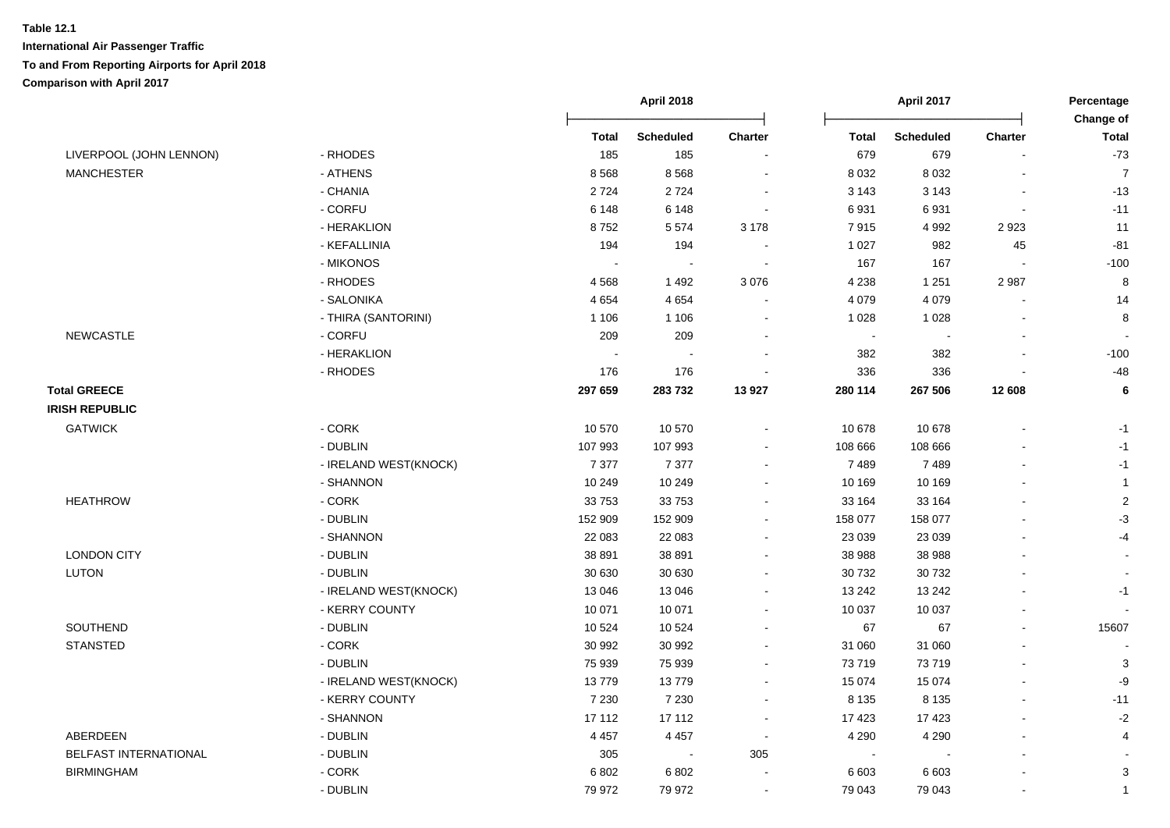|                         |                       |              | <b>April 2018</b> |                |              | April 2017       |                          | Percentage<br>Change of |
|-------------------------|-----------------------|--------------|-------------------|----------------|--------------|------------------|--------------------------|-------------------------|
|                         |                       | <b>Total</b> | <b>Scheduled</b>  | Charter        | <b>Total</b> | <b>Scheduled</b> | Charter                  | <b>Total</b>            |
| LIVERPOOL (JOHN LENNON) | - RHODES              | 185          | 185               |                | 679          | 679              |                          | $-73$                   |
| <b>MANCHESTER</b>       | - ATHENS              | 8568         | 8568              | $\blacksquare$ | 8 0 3 2      | 8 0 3 2          | $\blacksquare$           | $\overline{7}$          |
|                         | - CHANIA              | 2724         | 2724              | $\blacksquare$ | 3 1 4 3      | 3 1 4 3          | $\overline{\phantom{a}}$ | $-13$                   |
|                         | - CORFU               | 6 1 4 8      | 6 1 4 8           | $\sim$         | 6931         | 6931             | $\blacksquare$           | $-11$                   |
|                         | - HERAKLION           | 8752         | 5574              | 3 1 7 8        | 7915         | 4 9 9 2          | 2923                     | 11                      |
|                         | - KEFALLINIA          | 194          | 194               | $\sim$         | 1 0 2 7      | 982              | 45                       | $-81$                   |
|                         | - MIKONOS             |              |                   | $\sim$         | 167          | 167              |                          | $-100$                  |
|                         | - RHODES              | 4568         | 1492              | 3 0 7 6        | 4 2 3 8      | 1 2 5 1          | 2987                     | $\,8\,$                 |
|                         | - SALONIKA            | 4654         | 4 6 5 4           |                | 4 0 7 9      | 4 0 7 9          |                          | 14                      |
|                         | - THIRA (SANTORINI)   | 1 1 0 6      | 1 1 0 6           |                | 1 0 28       | 1 0 2 8          |                          | $\,8\,$                 |
| NEWCASTLE               | - CORFU               | 209          | 209               | $\blacksquare$ | $\sim$       |                  |                          |                         |
|                         | - HERAKLION           |              |                   |                | 382          | 382              |                          | $-100$                  |
|                         | - RHODES              | 176          | 176               |                | 336          | 336              |                          | $-48$                   |
| <b>Total GREECE</b>     |                       | 297 659      | 283732            | 13 9 27        | 280 114      | 267 506          | 12 608                   | 6                       |
| <b>IRISH REPUBLIC</b>   |                       |              |                   |                |              |                  |                          |                         |
| <b>GATWICK</b>          | - CORK                | 10 570       | 10 570            | $\overline{a}$ | 10 678       | 10 678           |                          | $-1$                    |
|                         | - DUBLIN              | 107 993      | 107 993           |                | 108 666      | 108 666          |                          | $-1$                    |
|                         | - IRELAND WEST(KNOCK) | 7 3 7 7      | 7 3 7 7           | ÷              | 7489         | 7489             |                          | $-1$                    |
|                         | - SHANNON             | 10 249       | 10 249            |                | 10 169       | 10 169           |                          | $\mathbf{1}$            |
| <b>HEATHROW</b>         | $-CORK$               | 33753        | 33753             | $\blacksquare$ | 33 164       | 33 164           |                          | $\sqrt{2}$              |
|                         | - DUBLIN              | 152 909      | 152 909           | $\blacksquare$ | 158 077      | 158 077          |                          | $-3$                    |
|                         | - SHANNON             | 22 083       | 22 083            | $\blacksquare$ | 23 0 39      | 23 039           |                          | $-4$                    |
| <b>LONDON CITY</b>      | - DUBLIN              | 38 891       | 38 891            | $\blacksquare$ | 38 988       | 38 988           |                          |                         |
| <b>LUTON</b>            | - DUBLIN              | 30 630       | 30 630            | $\blacksquare$ | 30 732       | 30 732           |                          | $\blacksquare$          |
|                         | - IRELAND WEST(KNOCK) | 13 046       | 13 046            | $\blacksquare$ | 13 24 2      | 13 24 2          |                          | -1                      |
|                         | - KERRY COUNTY        | 10 071       | 10 071            | $\blacksquare$ | 10 037       | 10 037           |                          | $\blacksquare$          |
| SOUTHEND                | - DUBLIN              | 10 5 24      | 10 5 24           | $\blacksquare$ | 67           | 67               | $\blacksquare$           | 15607                   |
| <b>STANSTED</b>         | - CORK                | 30 992       | 30 992            |                | 31 060       | 31 060           |                          |                         |
|                         | - DUBLIN              | 75 939       | 75 939            |                | 73 719       | 73719            |                          | $\mathbf{3}$            |
|                         | - IRELAND WEST(KNOCK) | 13779        | 13779             | $\blacksquare$ | 15 0 74      | 15 0 74          |                          | -9                      |
|                         | - KERRY COUNTY        | 7 2 3 0      | 7 2 3 0           | $\blacksquare$ | 8 1 3 5      | 8 1 3 5          | $\sim$                   | $-11$                   |
|                         | - SHANNON             | 17 112       | 17 112            | $\sim$         | 17 423       | 17 4 23          |                          | $-2$                    |
| ABERDEEN                | - DUBLIN              | 4 4 5 7      | 4 4 5 7           | $\sim$         | 4 2 9 0      | 4 2 9 0          |                          | 4                       |
| BELFAST INTERNATIONAL   | - DUBLIN              | 305          | $\sim$            | 305            | $\sim$       |                  |                          |                         |
| <b>BIRMINGHAM</b>       | - CORK                | 6802         | 6 8 0 2           |                | 6 6 0 3      | 6 6 0 3          |                          | $\sqrt{3}$              |
|                         | - DUBLIN              | 79 972       | 79 972            | $\sim$         | 79 043       | 79 043           |                          | $\mathbf{1}$            |
|                         |                       |              |                   |                |              |                  |                          |                         |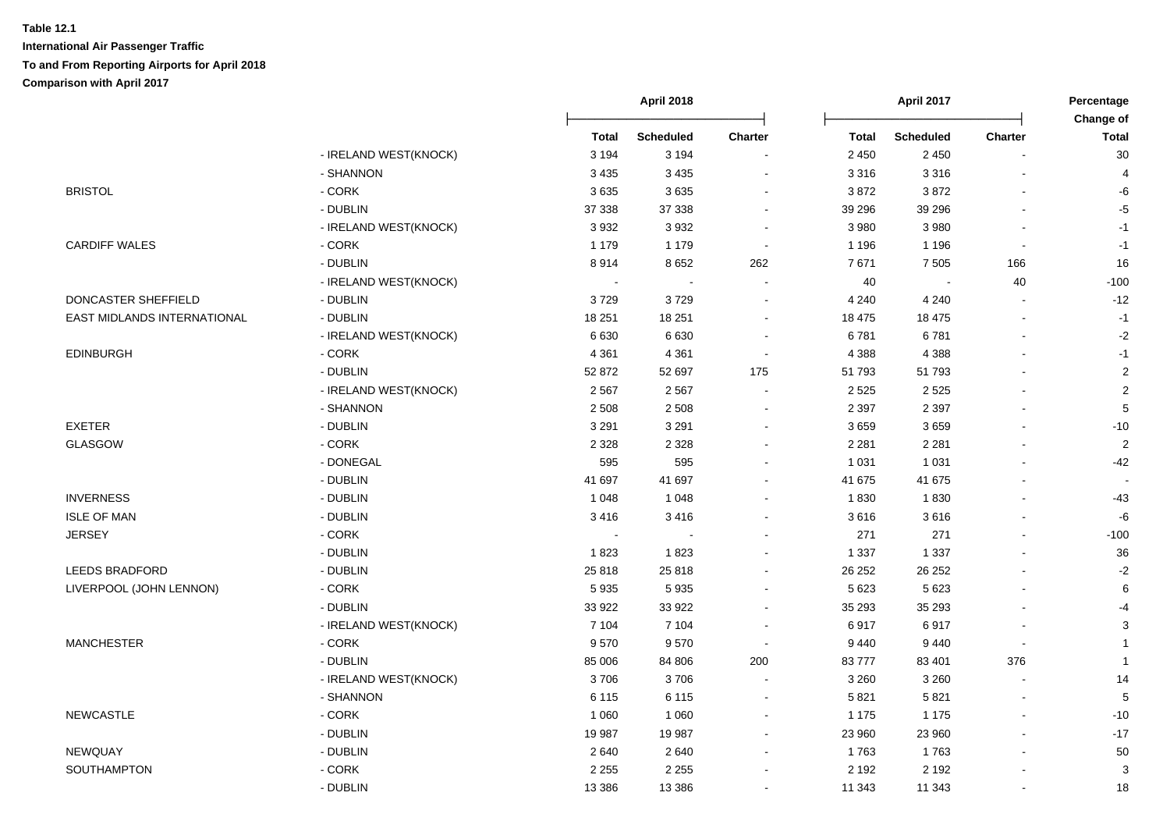|                             |                       |              | <b>April 2018</b> |                | <b>April 2017</b> |                  |                          | Percentage<br>Change of |  |
|-----------------------------|-----------------------|--------------|-------------------|----------------|-------------------|------------------|--------------------------|-------------------------|--|
|                             |                       | <b>Total</b> | <b>Scheduled</b>  | <b>Charter</b> | <b>Total</b>      | <b>Scheduled</b> | <b>Charter</b>           | <b>Total</b>            |  |
|                             | - IRELAND WEST(KNOCK) | 3 1 9 4      | 3 1 9 4           |                | 2 4 5 0           | 2 4 5 0          |                          | 30                      |  |
|                             | - SHANNON             | 3 4 3 5      | 3 4 3 5           | L,             | 3 3 1 6           | 3 3 1 6          |                          | $\overline{4}$          |  |
| <b>BRISTOL</b>              | - CORK                | 3635         | 3635              | ÷              | 3872              | 3872             |                          | -6                      |  |
|                             | - DUBLIN              | 37 338       | 37 338            | $\blacksquare$ | 39 29 6           | 39 29 6          |                          | $-5$                    |  |
|                             | - IRELAND WEST(KNOCK) | 3932         | 3 9 3 2           | $\blacksquare$ | 3 9 8 0           | 3 9 8 0          | $\blacksquare$           | $-1$                    |  |
| <b>CARDIFF WALES</b>        | - CORK                | 1 1 7 9      | 1 1 7 9           | $\sim$         | 1 1 9 6           | 1 1 9 6          | $\blacksquare$           | $-1$                    |  |
|                             | - DUBLIN              | 8914         | 8652              | 262            | 7671              | 7 5 0 5          | 166                      | 16                      |  |
|                             | - IRELAND WEST(KNOCK) |              | $\sim$            |                | 40                |                  | 40                       | $-100$                  |  |
| DONCASTER SHEFFIELD         | - DUBLIN              | 3729         | 3729              | $\blacksquare$ | 4 2 4 0           | 4 2 4 0          |                          | $-12$                   |  |
| EAST MIDLANDS INTERNATIONAL | - DUBLIN              | 18 251       | 18 251            | $\blacksquare$ | 18 475            | 18 475           | $\overline{\phantom{a}}$ | $-1$                    |  |
|                             | - IRELAND WEST(KNOCK) | 6630         | 6630              | $\blacksquare$ | 6781              | 6781             | $\blacksquare$           | $-2$                    |  |
| <b>EDINBURGH</b>            | - CORK                | 4 3 6 1      | 4 3 6 1           | $\blacksquare$ | 4 3 8 8           | 4 3 8 8          |                          | $-1$                    |  |
|                             | - DUBLIN              | 52 872       | 52 697            | 175            | 51 793            | 51793            |                          | $\overline{2}$          |  |
|                             | - IRELAND WEST(KNOCK) | 2567         | 2567              |                | 2 5 2 5           | 2 5 2 5          |                          | $\overline{c}$          |  |
|                             | - SHANNON             | 2 5 0 8      | 2 5 0 8           |                | 2 3 9 7           | 2 3 9 7          |                          | 5                       |  |
| <b>EXETER</b>               | - DUBLIN              | 3 2 9 1      | 3 2 9 1           | ÷              | 3659              | 3659             |                          | $-10$                   |  |
| GLASGOW                     | $-CORK$               | 2 3 2 8      | 2 3 2 8           | ÷              | 2 2 8 1           | 2 2 8 1          |                          | $\overline{2}$          |  |
|                             | - DONEGAL             | 595          | 595               | $\blacksquare$ | 1 0 3 1           | 1 0 3 1          |                          | $-42$                   |  |
|                             | - DUBLIN              | 41 697       | 41 697            | $\blacksquare$ | 41 675            | 41 675           |                          |                         |  |
| <b>INVERNESS</b>            | - DUBLIN              | 1 0 4 8      | 1 0 4 8           | $\blacksquare$ | 1830              | 1830             |                          | $-43$                   |  |
| <b>ISLE OF MAN</b>          | - DUBLIN              | 3416         | 3416              | $\blacksquare$ | 3616              | 3616             |                          | $-6$                    |  |
| <b>JERSEY</b>               | - CORK                |              |                   |                | 271               | 271              |                          | $-100$                  |  |
|                             | - DUBLIN              | 1823         | 1823              | $\sim$         | 1 3 3 7           | 1 3 3 7          |                          | 36                      |  |
| <b>LEEDS BRADFORD</b>       | - DUBLIN              | 25 818       | 25 818            | $\blacksquare$ | 26 25 2           | 26 25 2          |                          | $-2$                    |  |
| LIVERPOOL (JOHN LENNON)     | $-CORK$               | 5935         | 5935              | $\blacksquare$ | 5 6 23            | 5 6 2 3          | $\overline{\phantom{a}}$ | $\,6\,$                 |  |
|                             | - DUBLIN              | 33 922       | 33 922            | $\blacksquare$ | 35 293            | 35 293           |                          | $-4$                    |  |
|                             | - IRELAND WEST(KNOCK) | 7 104        | 7 104             | $\blacksquare$ | 6917              | 6917             |                          | 3                       |  |
| <b>MANCHESTER</b>           | - CORK                | 9570         | 9570              | $\sim$         | 9 4 4 0           | 9 4 4 0          | $\blacksquare$           | $\overline{1}$          |  |
|                             | - DUBLIN              | 85 006       | 84 806            | 200            | 83777             | 83 401           | 376                      | $\mathbf{1}$            |  |
|                             | - IRELAND WEST(KNOCK) | 3706         | 3706              | ÷,             | 3 2 6 0           | 3 2 6 0          |                          | 14                      |  |
|                             | - SHANNON             | 6 1 1 5      | 6 1 1 5           | $\sim$         | 5821              | 5821             | $\overline{\phantom{0}}$ | 5                       |  |
| <b>NEWCASTLE</b>            | $-CORK$               | 1 0 6 0      | 1 0 6 0           | $\blacksquare$ | 1 1 7 5           | 1 1 7 5          |                          | $-10$                   |  |
|                             | - DUBLIN              | 19 987       | 19 987            | $\sim$         | 23 960            | 23 960           |                          | $-17$                   |  |
| NEWQUAY                     | - DUBLIN              | 2640         | 2640              | $\blacksquare$ | 1763              | 1763             |                          | 50                      |  |
| SOUTHAMPTON                 | - CORK                | 2 2 5 5      | 2 2 5 5           | $\blacksquare$ | 2 1 9 2           | 2 1 9 2          |                          | 3                       |  |
|                             | - DUBLIN              | 13 3 8 6     | 13 3 8 6          | $\blacksquare$ | 11 343            | 11 343           |                          | 18                      |  |
|                             |                       |              |                   |                |                   |                  |                          |                         |  |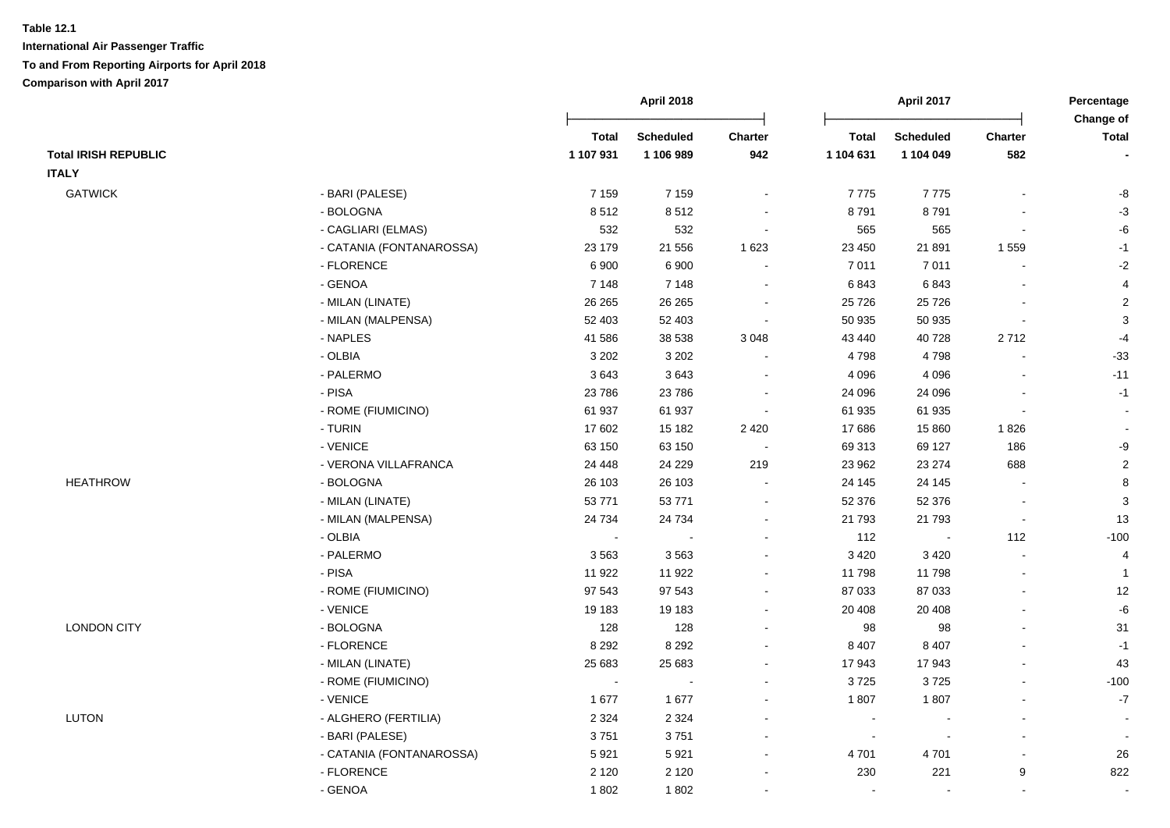|                             |                          |                | April 2018       |                          |                | April 2017               |                          | Percentage                |
|-----------------------------|--------------------------|----------------|------------------|--------------------------|----------------|--------------------------|--------------------------|---------------------------|
|                             |                          | <b>Total</b>   | <b>Scheduled</b> | <b>Charter</b>           | <b>Total</b>   | <b>Scheduled</b>         | <b>Charter</b>           | Change of<br><b>Total</b> |
| <b>Total IRISH REPUBLIC</b> |                          | 1 107 931      | 1 106 989        | 942                      | 1 104 631      | 1 104 049                | 582                      |                           |
| <b>ITALY</b>                |                          |                |                  |                          |                |                          |                          |                           |
| <b>GATWICK</b>              | - BARI (PALESE)          | 7 1 5 9        | 7 1 5 9          | $\blacksquare$           | 7775           | 7775                     |                          | -8                        |
|                             | - BOLOGNA                | 8512           | 8512             |                          | 8791           | 8791                     |                          | $-3$                      |
|                             | - CAGLIARI (ELMAS)       | 532            | 532              | $\blacksquare$           | 565            | 565                      |                          | -6                        |
|                             | - CATANIA (FONTANAROSSA) | 23 179         | 21 556           | 1 6 2 3                  | 23 450         | 21 891                   | 1 5 5 9                  | $-1$                      |
|                             | - FLORENCE               | 6 900          | 6 900            | $\sim$                   | 7 0 1 1        | 7011                     | $\blacksquare$           | $-2$                      |
|                             | - GENOA                  | 7 1 4 8        | 7 1 4 8          | $\sim$                   | 6843           | 6843                     |                          | $\overline{\mathbf{4}}$   |
|                             | - MILAN (LINATE)         | 26 26 5        | 26 26 5          | $\blacksquare$           | 25 7 26        | 25 7 26                  |                          | $\boldsymbol{2}$          |
|                             | - MILAN (MALPENSA)       | 52 403         | 52 403           | $\blacksquare$           | 50 935         | 50 935                   |                          | $\mathbf 3$               |
|                             | - NAPLES                 | 41 586         | 38 538           | 3 0 4 8                  | 43 440         | 40728                    | 2712                     | $-4$                      |
|                             | - OLBIA                  | 3 2 0 2        | 3 2 0 2          | $\sim$                   | 4798           | 4798                     |                          | $-33$                     |
|                             | - PALERMO                | 3643           | 3643             | $\blacksquare$           | 4 0 9 6        | 4 0 9 6                  | $\blacksquare$           | $-11$                     |
|                             | - PISA                   | 23 7 86        | 23 7 86          | $\blacksquare$           | 24 096         | 24 096                   |                          | $-1$                      |
|                             | - ROME (FIUMICINO)       | 61 937         | 61 937           | $\blacksquare$           | 61 935         | 61 935                   |                          | $\sim$                    |
|                             | - TURIN                  | 17 602         | 15 182           | 2 4 2 0                  | 17686          | 15 860                   | 1826                     |                           |
|                             | - VENICE                 | 63 150         | 63 150           | $\overline{\phantom{a}}$ | 69 313         | 69 127                   | 186                      | -9                        |
|                             | - VERONA VILLAFRANCA     | 24 4 48        | 24 2 29          | 219                      | 23 962         | 23 274                   | 688                      | $\sqrt{2}$                |
| <b>HEATHROW</b>             | - BOLOGNA                | 26 103         | 26 103           | $\sim$                   | 24 145         | 24 145                   |                          | 8                         |
|                             | - MILAN (LINATE)         | 53771          | 53 771           | $\sim$                   | 52 376         | 52 376                   | $\blacksquare$           | $\sqrt{3}$                |
|                             | - MILAN (MALPENSA)       | 24 7 34        | 24 7 34          | $\blacksquare$           | 21 793         | 21 793                   | $\overline{\phantom{a}}$ | 13                        |
|                             | - OLBIA                  | $\blacksquare$ |                  |                          | 112            | $\sim$                   | 112                      | $-100$                    |
|                             | - PALERMO                | 3563           | 3563             |                          | 3 4 2 0        | 3 4 2 0                  |                          | 4                         |
|                             | - PISA                   | 11 922         | 11 922           |                          | 11 798         | 11798                    | $\overline{a}$           | $\mathbf{1}$              |
|                             | - ROME (FIUMICINO)       | 97 543         | 97 543           | $\blacksquare$           | 87 033         | 87 033                   | $\overline{a}$           | 12                        |
|                             | - VENICE                 | 19 183         | 19 183           | $\blacksquare$           | 20 40 8        | 20 40 8                  |                          | -6                        |
| <b>LONDON CITY</b>          | - BOLOGNA                | 128            | 128              | $\blacksquare$           | 98             | 98                       |                          | 31                        |
|                             | - FLORENCE               | 8 2 9 2        | 8 2 9 2          |                          | 8 4 0 7        | 8 4 0 7                  |                          | $-1$                      |
|                             | - MILAN (LINATE)         | 25 683         | 25 683           | $\blacksquare$           | 17 943         | 17943                    |                          | 43                        |
|                             | - ROME (FIUMICINO)       | $\sim$         | $\sim$           | $\sim$                   | 3725           | 3725                     | $\overline{a}$           | $-100$                    |
|                             | - VENICE                 | 1677           | 1677             | $\sim$                   | 1807           | 1807                     | $\blacksquare$           | $\mathbf{-7}$             |
| LUTON                       | - ALGHERO (FERTILIA)     | 2 3 2 4        | 2 3 2 4          | $\blacksquare$           | $\sim$         |                          | $\overline{a}$           | $\sim$                    |
|                             | - BARI (PALESE)          | 3751           | 3751             | $\blacksquare$           | $\blacksquare$ | $\overline{\phantom{a}}$ | $\mathbf{r}$             |                           |
|                             | - CATANIA (FONTANAROSSA) | 5921           | 5921             | $\blacksquare$           | 4 701          | 4701                     |                          | 26                        |
|                             | - FLORENCE               | 2 1 2 0        | 2 1 2 0          |                          | 230            | 221                      | 9                        | 822                       |
|                             | - GENOA                  | 1802           | 1802             | $\sim$                   | $\sim$         | $\sim$                   | $\blacksquare$           | $\sim$                    |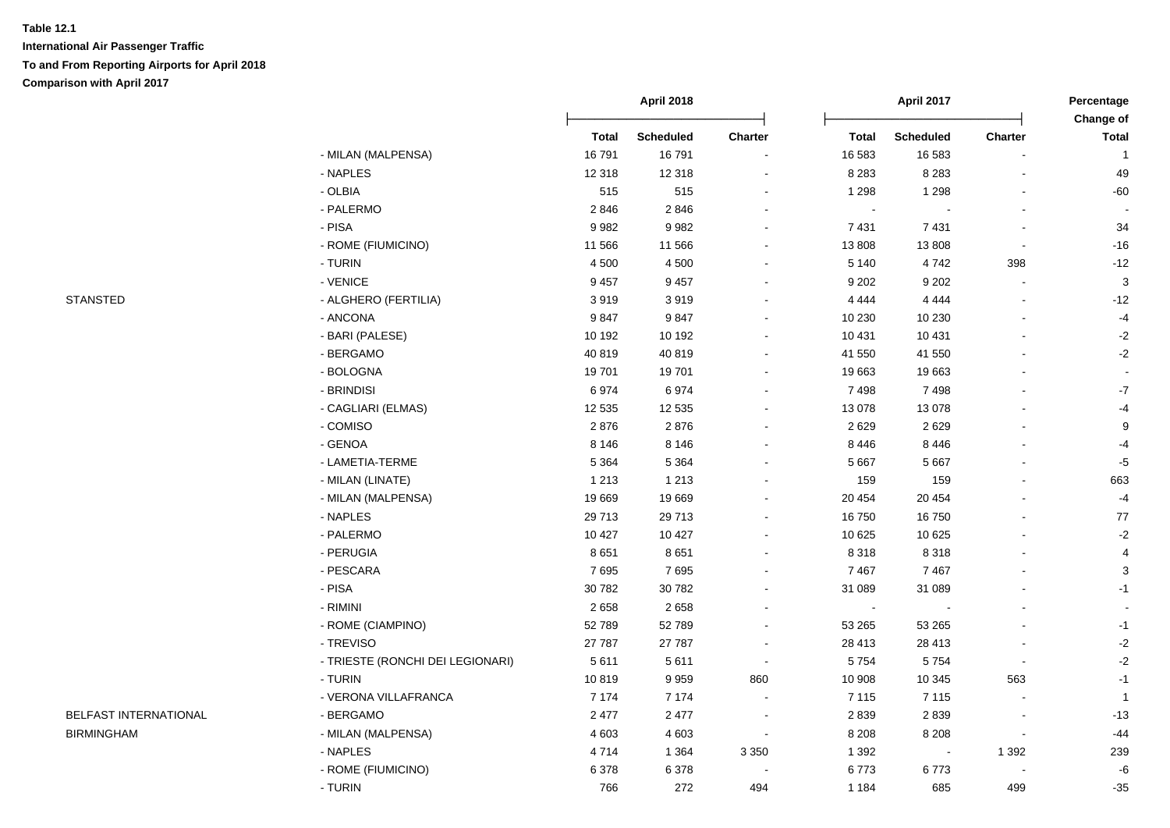**International Air Passenger Traffic To and From Reporting Airports for April 2018 Comparison with April 2017**

|                       |                                  |              | <b>April 2018</b> |                |                | April 2017       |                          | Percentage<br>Change of |  |
|-----------------------|----------------------------------|--------------|-------------------|----------------|----------------|------------------|--------------------------|-------------------------|--|
|                       |                                  | <b>Total</b> | <b>Scheduled</b>  | Charter        | <b>Total</b>   | <b>Scheduled</b> | Charter                  | <b>Total</b>            |  |
|                       | - MILAN (MALPENSA)               | 16791        | 16791             |                | 16 583         | 16 583           |                          | $\overline{1}$          |  |
|                       | - NAPLES                         | 12 3 18      | 12 3 18           |                | 8 2 8 3        | 8 2 8 3          |                          | 49                      |  |
|                       | - OLBIA                          | 515          | 515               |                | 1 2 9 8        | 1 2 9 8          |                          | $-60$                   |  |
|                       | - PALERMO                        | 2846         | 2846              |                | $\sim$         |                  |                          |                         |  |
|                       | - PISA                           | 9982         | 9982              |                | 7 4 31         | 7431             |                          | 34                      |  |
|                       | - ROME (FIUMICINO)               | 11 566       | 11 566            |                | 13 808         | 13808            | $\blacksquare$           | $-16$                   |  |
|                       | - TURIN                          | 4 500        | 4 5 0 0           | $\blacksquare$ | 5 1 4 0        | 4742             | 398                      | $-12$                   |  |
|                       | - VENICE                         | 9 4 5 7      | 9 4 5 7           | $\blacksquare$ | 9 2 0 2        | 9 2 0 2          |                          | $\mathbf{3}$            |  |
| <b>STANSTED</b>       | - ALGHERO (FERTILIA)             | 3919         | 3919              | $\sim$         | 4 4 4 4        | 4 4 4 4          |                          | $-12$                   |  |
|                       | - ANCONA                         | 9847         | 9847              | $\sim$         | 10 230         | 10 230           |                          | $-4$                    |  |
|                       | - BARI (PALESE)                  | 10 192       | 10 192            |                | 10 431         | 10 4 31          |                          | $-2$                    |  |
|                       | - BERGAMO                        | 40 819       | 40 819            |                | 41 550         | 41 550           |                          | $-2$                    |  |
|                       | - BOLOGNA                        | 19701        | 19701             | $\sim$         | 19 663         | 19663            |                          | $\sim$                  |  |
|                       | - BRINDISI                       | 6974         | 6974              |                | 7498           | 7498             |                          | $\mathbf{-7}$           |  |
|                       | - CAGLIARI (ELMAS)               | 12 5 35      | 12 5 35           |                | 13 078         | 13 0 78          |                          | $-4$                    |  |
|                       | - COMISO                         | 2876         | 2876              |                | 2629           | 2629             |                          | 9                       |  |
|                       | - GENOA                          | 8 1 4 6      | 8 1 4 6           | $\sim$         | 8 4 4 6        | 8 4 4 6          |                          | $-4$                    |  |
|                       | - LAMETIA-TERME                  | 5 3 6 4      | 5 3 6 4           |                | 5 6 6 7        | 5 6 6 7          |                          | $-5$                    |  |
|                       | - MILAN (LINATE)                 | 1 2 1 3      | 1 2 1 3           |                | 159            | 159              |                          | 663                     |  |
|                       | - MILAN (MALPENSA)               | 19669        | 19 669            |                | 20 454         | 20 454           |                          | $-4$                    |  |
|                       | - NAPLES                         | 29 713       | 29 713            |                | 16750          | 16750            |                          | 77                      |  |
|                       | - PALERMO                        | 10 4 27      | 10 4 27           |                | 10 625         | 10 625           |                          | $-2$                    |  |
|                       | - PERUGIA                        | 8651         | 8651              |                | 8 3 1 8        | 8 3 1 8          |                          | $\overline{4}$          |  |
|                       | - PESCARA                        | 7695         | 7695              |                | 7 4 6 7        | 7467             |                          | $\sqrt{3}$              |  |
|                       | - PISA                           | 30 782       | 30 782            |                | 31 089         | 31 089           |                          | $-1$                    |  |
|                       | - RIMINI                         | 2658         | 2658              |                | $\blacksquare$ |                  |                          |                         |  |
|                       | - ROME (CIAMPINO)                | 52 789       | 52789             |                | 53 265         | 53 265           |                          | $-1$                    |  |
|                       | - TREVISO                        | 27 787       | 27 787            |                | 28 413         | 28 413           |                          | $-2$                    |  |
|                       | - TRIESTE (RONCHI DEI LEGIONARI) | 5 6 1 1      | 5611              | $\sim$         | 5 7 5 4        | 5754             | $\overline{\phantom{a}}$ | $-2$                    |  |
|                       | - TURIN                          | 10819        | 9959              | 860            | 10 908         | 10 345           | 563                      | $-1$                    |  |
|                       | - VERONA VILLAFRANCA             | 7 1 7 4      | 7 1 7 4           |                | 7 1 1 5        | 7 1 1 5          |                          | $\overline{1}$          |  |
| BELFAST INTERNATIONAL | - BERGAMO                        | 2 4 7 7      | 2 4 7 7           |                | 2839           | 2839             |                          | $-13$                   |  |
| <b>BIRMINGHAM</b>     | - MILAN (MALPENSA)               | 4 6 0 3      | 4 6 0 3           |                | 8 2 0 8        | 8 2 0 8          |                          | $-44$                   |  |
|                       | - NAPLES                         | 4714         | 1 3 6 4           | 3 3 5 0        | 1 3 9 2        |                  | 1 3 9 2                  | 239                     |  |
|                       | - ROME (FIUMICINO)               | 6378         | 6378              |                | 6773           | 6773             |                          | -6                      |  |
|                       | - TURIN                          | 766          | 272               | 494            | 1 1 8 4        | 685              | 499                      | $-35$                   |  |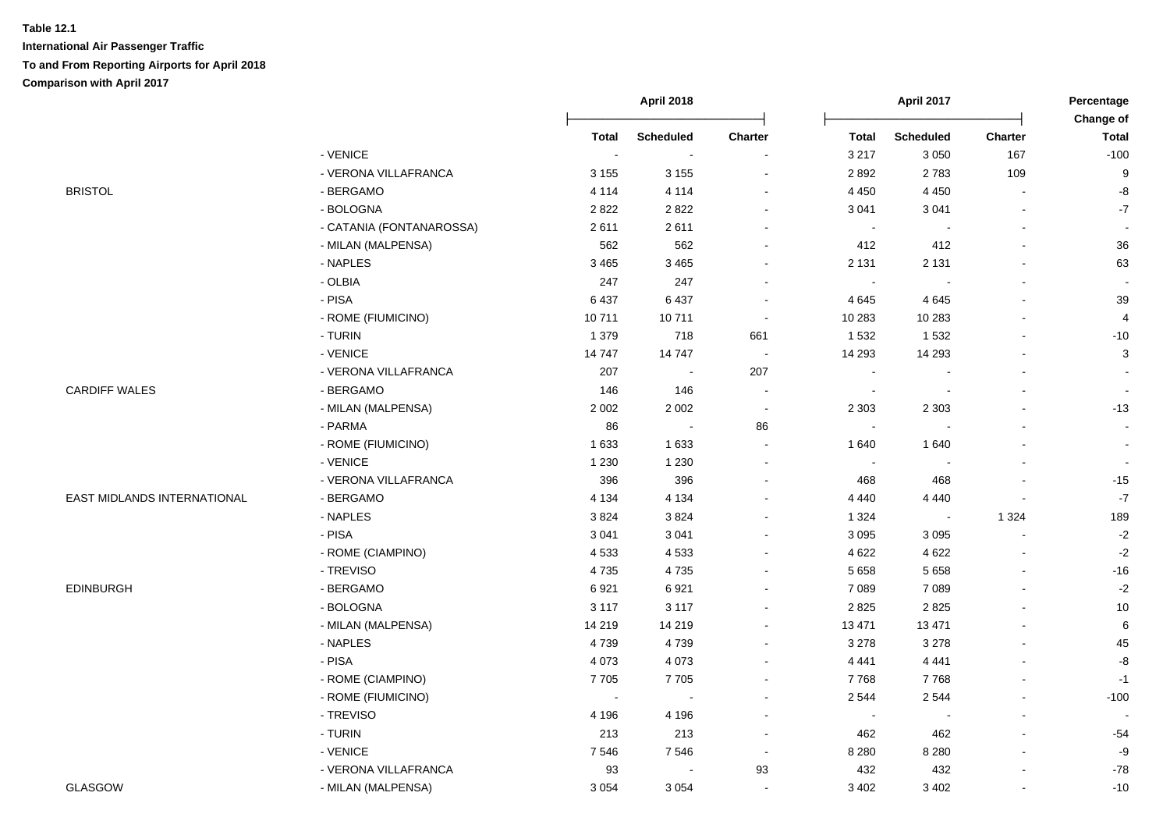|                             |                          |              | April 2018       |                          | April 2017               |                          | Percentage<br>Change of |                          |
|-----------------------------|--------------------------|--------------|------------------|--------------------------|--------------------------|--------------------------|-------------------------|--------------------------|
|                             |                          | <b>Total</b> | <b>Scheduled</b> | Charter                  | <b>Total</b>             | <b>Scheduled</b>         | <b>Charter</b>          | <b>Total</b>             |
|                             | - VENICE                 | $\sim$       | $\sim$           | $\blacksquare$           | 3 2 1 7                  | 3 0 5 0                  | 167                     | $-100$                   |
|                             | - VERONA VILLAFRANCA     | 3 1 5 5      | 3 1 5 5          | $\blacksquare$           | 2892                     | 2783                     | 109                     | 9                        |
| <b>BRISTOL</b>              | - BERGAMO                | 4 1 1 4      | 4 1 1 4          | $\blacksquare$           | 4 4 5 0                  | 4 4 5 0                  |                         | $\mbox{-}8$              |
|                             | - BOLOGNA                | 2822         | 2822             | $\sim$                   | 3 0 4 1                  | 3 0 4 1                  | $\overline{a}$          | $\mathbf{-7}$            |
|                             | - CATANIA (FONTANAROSSA) | 2611         | 2611             | $\blacksquare$           | $\blacksquare$           | $\sim$                   | $\overline{a}$          | $\sim$                   |
|                             | - MILAN (MALPENSA)       | 562          | 562              | $\sim$                   | 412                      | 412                      | L.                      | 36                       |
|                             | - NAPLES                 | 3 4 6 5      | 3 4 6 5          | $\blacksquare$           | 2 1 3 1                  | 2 1 3 1                  | $\overline{a}$          | 63                       |
|                             | - OLBIA                  | 247          | 247              | $\overline{\phantom{a}}$ | $\sim$                   |                          |                         |                          |
|                             | - PISA                   | 6437         | 6437             | $\blacksquare$           | 4645                     | 4645                     |                         | 39                       |
|                             | - ROME (FIUMICINO)       | 10711        | 10711            | $\sim$                   | 10 283                   | 10 283                   | $\blacksquare$          | $\overline{4}$           |
|                             | - TURIN                  | 1 3 7 9      | 718              | 661                      | 1 5 3 2                  | 1 5 3 2                  |                         | $-10$                    |
|                             | - VENICE                 | 14747        | 14747            | $\blacksquare$           | 14 29 3                  | 14 29 3                  | $\overline{a}$          | 3                        |
|                             | - VERONA VILLAFRANCA     | 207          | $\sim$           | 207                      | $\blacksquare$           |                          | $\overline{a}$          |                          |
| <b>CARDIFF WALES</b>        | - BERGAMO                | 146          | 146              | $\blacksquare$           | $\overline{\phantom{a}}$ |                          |                         |                          |
|                             | - MILAN (MALPENSA)       | 2 0 0 2      | 2 0 0 2          | $\sim$                   | 2 3 0 3                  | 2 3 0 3                  |                         | $-13$                    |
|                             | - PARMA                  | 86           | $\sim$           | 86                       | $\sim$                   |                          |                         | $\sim$                   |
|                             | - ROME (FIUMICINO)       | 1 6 3 3      | 1 6 3 3          | $\sim$                   | 1640                     | 1640                     |                         | $\overline{\phantom{a}}$ |
|                             | - VENICE                 | 1 2 3 0      | 1 2 3 0          | $\sim$                   | $\sim$                   |                          |                         | $\sim$                   |
|                             | - VERONA VILLAFRANCA     | 396          | 396              | $\sim$                   | 468                      | 468                      |                         | $-15$                    |
| EAST MIDLANDS INTERNATIONAL | - BERGAMO                | 4 1 3 4      | 4 1 3 4          | $\blacksquare$           | 4 4 4 0                  | 4 4 4 0                  |                         | $\textbf{-7}$            |
|                             | - NAPLES                 | 3824         | 3824             | $\blacksquare$           | 1 3 2 4                  | $\overline{\phantom{a}}$ | 1 3 2 4                 | 189                      |
|                             | - PISA                   | 3 0 4 1      | 3 0 4 1          | $\blacksquare$           | 3 0 9 5                  | 3 0 9 5                  |                         | $-2$                     |
|                             | - ROME (CIAMPINO)        | 4533         | 4533             | $\blacksquare$           | 4 6 22                   | 4 6 22                   | $\overline{a}$          | $-2$                     |
|                             | - TREVISO                | 4735         | 4735             | $\overline{\phantom{a}}$ | 5 6 5 8                  | 5 6 5 8                  | $\overline{a}$          | $-16$                    |
| <b>EDINBURGH</b>            | - BERGAMO                | 6921         | 6921             | $\blacksquare$           | 7 0 8 9                  | 7 0 8 9                  |                         | $-2$                     |
|                             | - BOLOGNA                | 3 1 1 7      | 3 1 1 7          | $\sim$                   | 2 8 2 5                  | 2825                     |                         | 10                       |
|                             | - MILAN (MALPENSA)       | 14 219       | 14 219           | $\blacksquare$           | 13 471                   | 13 4 71                  |                         | 6                        |
|                             | - NAPLES                 | 4739         | 4739             | $\sim$                   | 3 2 7 8                  | 3 2 7 8                  |                         | 45                       |
|                             | - PISA                   | 4 0 7 3      | 4 0 7 3          | $\blacksquare$           | 4 4 4 1                  | 4 4 4 1                  |                         | $\mbox{-}8$              |
|                             | - ROME (CIAMPINO)        | 7705         | 7705             | $\blacksquare$           | 7768                     | 7768                     |                         | $-1$                     |
|                             | - ROME (FIUMICINO)       | $\sim$       | $\sim$           | $\sim$                   | 2 5 4 4                  | 2544                     | $\blacksquare$          | $-100$                   |
|                             | - TREVISO                | 4 1 9 6      | 4 1 9 6          | $\blacksquare$           | $\blacksquare$           | $\overline{\phantom{a}}$ | $\overline{a}$          | $\overline{\phantom{a}}$ |
|                             | - TURIN                  | 213          | 213              | $\blacksquare$           | 462                      | 462                      |                         | $-54$                    |
|                             | - VENICE                 | 7546         | 7546             | $\sim$                   | 8 2 8 0                  | 8 2 8 0                  |                         | -9                       |
|                             | - VERONA VILLAFRANCA     | 93           | $\blacksquare$   | 93                       | 432                      | 432                      |                         | $-78$                    |
| <b>GLASGOW</b>              | - MILAN (MALPENSA)       | 3 0 5 4      | 3 0 5 4          | $\sim$                   | 3 4 0 2                  | 3 4 0 2                  |                         | $-10$                    |
|                             |                          |              |                  |                          |                          |                          |                         |                          |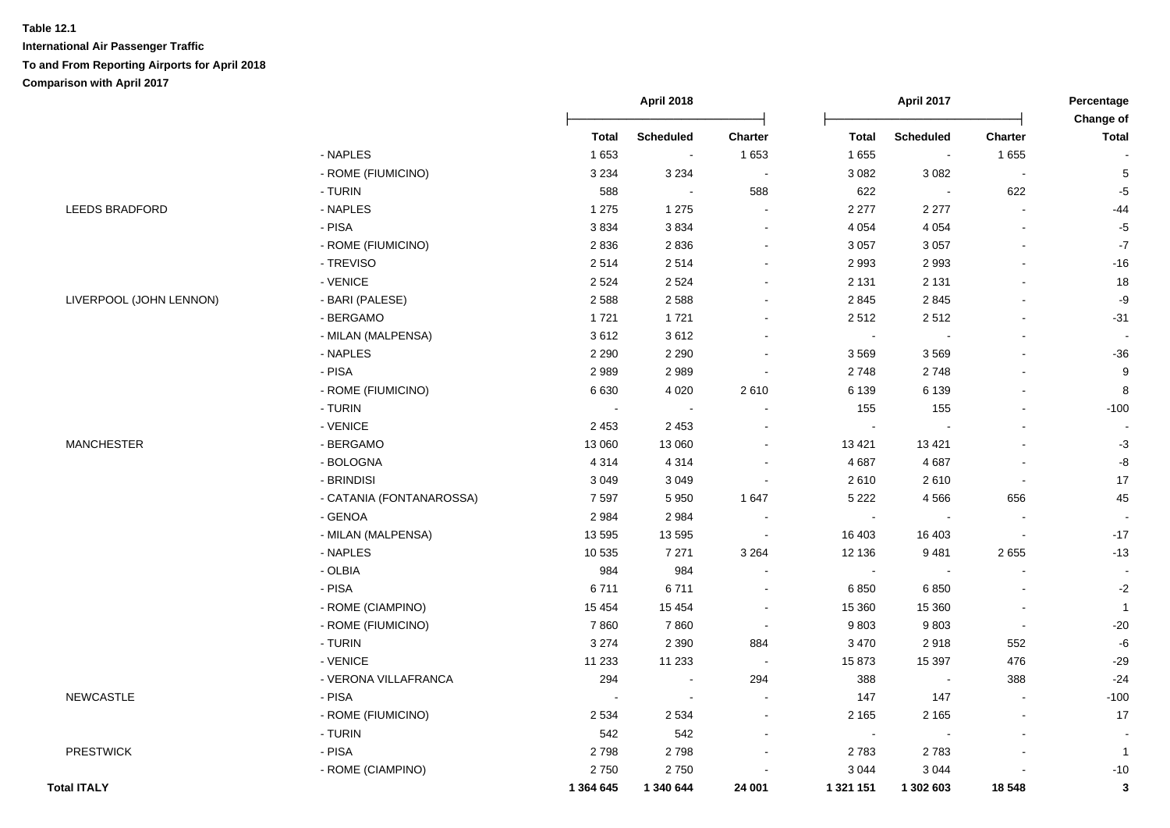|                         |                          |           | April 2018       |                          |                          | April 2017       |                | Percentage                       |
|-------------------------|--------------------------|-----------|------------------|--------------------------|--------------------------|------------------|----------------|----------------------------------|
|                         |                          | Total     | <b>Scheduled</b> | <b>Charter</b>           | <b>Total</b>             | <b>Scheduled</b> | <b>Charter</b> | <b>Change of</b><br><b>Total</b> |
|                         | - NAPLES                 | 1653      | $\blacksquare$   | 1 6 5 3                  | 1 6 5 5                  | $\sim$           | 1655           |                                  |
|                         | - ROME (FIUMICINO)       | 3 2 3 4   | 3 2 3 4          | $\blacksquare$           | 3 0 8 2                  | 3 0 8 2          | $\sim$         | 5                                |
|                         | - TURIN                  | 588       | $\blacksquare$   | 588                      | 622                      |                  | 622            | $-5$                             |
| LEEDS BRADFORD          | - NAPLES                 | 1 2 7 5   | 1 2 7 5          |                          | 2 2 7 7                  | 2 2 7 7          |                | $-44$                            |
|                         | - PISA                   | 3834      | 3834             | $\overline{\phantom{a}}$ | 4 0 5 4                  | 4 0 5 4          |                | $-5$                             |
|                         | - ROME (FIUMICINO)       | 2836      | 2836             | $\sim$                   | 3 0 5 7                  | 3 0 5 7          | $\blacksquare$ | $-7$                             |
|                         | - TREVISO                | 2514      | 2514             |                          | 2 9 9 3                  | 2993             | L,             | $-16$                            |
|                         | - VENICE                 | 2 5 2 4   | 2 5 2 4          |                          | 2 1 3 1                  | 2 1 3 1          | $\blacksquare$ | 18                               |
| LIVERPOOL (JOHN LENNON) | - BARI (PALESE)          | 2588      | 2588             |                          | 2 8 4 5                  | 2845             | $\overline{a}$ | $-9$                             |
|                         | - BERGAMO                | 1721      | 1721             | $\overline{\phantom{a}}$ | 2512                     | 2512             | $\blacksquare$ | $-31$                            |
|                         | - MILAN (MALPENSA)       | 3612      | 3612             |                          | $\sim$                   |                  |                |                                  |
|                         | - NAPLES                 | 2 2 9 0   | 2 2 9 0          | $\overline{\phantom{a}}$ | 3569                     | 3569             |                | $-36$                            |
|                         | - PISA                   | 2989      | 2989             | $\sim$                   | 2748                     | 2748             | $\overline{a}$ | $\boldsymbol{9}$                 |
|                         | - ROME (FIUMICINO)       | 6630      | 4 0 20           | 2610                     | 6 1 3 9                  | 6 1 3 9          | $\blacksquare$ | 8                                |
|                         | - TURIN                  |           |                  |                          | 155                      | 155              | $\blacksquare$ | $-100$                           |
|                         | - VENICE                 | 2 4 5 3   | 2 4 5 3          |                          | $\blacksquare$           |                  | $\blacksquare$ |                                  |
| <b>MANCHESTER</b>       | - BERGAMO                | 13 060    | 13 060           |                          | 13 4 21                  | 13 4 21          |                | $-3$                             |
|                         | - BOLOGNA                | 4 3 1 4   | 4 3 1 4          |                          | 4687                     | 4687             | $\overline{a}$ | $\mbox{-}8$                      |
|                         | - BRINDISI               | 3 0 4 9   | 3 0 4 9          |                          | 2610                     | 2610             | $\blacksquare$ | 17                               |
|                         | - CATANIA (FONTANAROSSA) | 7597      | 5 9 5 0          | 1 647                    | 5 2 2 2                  | 4566             | 656            | 45                               |
|                         | - GENOA                  | 2984      | 2984             |                          | $\sim$                   |                  |                |                                  |
|                         | - MILAN (MALPENSA)       | 13 5 95   | 13 5 95          |                          | 16 403                   | 16 403           | $\overline{a}$ | $-17$                            |
|                         | - NAPLES                 | 10 535    | 7 2 7 1          | 3 2 6 4                  | 12 136                   | 9481             | 2655           | $-13$                            |
|                         | - OLBIA                  | 984       | 984              | $\blacksquare$           | $\bullet$                | $\sim$           | $\blacksquare$ | $\sim$                           |
|                         | - PISA                   | 6711      | 6711             | $\overline{\phantom{a}}$ | 6850                     | 6 8 5 0          |                | $-2$                             |
|                         | - ROME (CIAMPINO)        | 15 4 54   | 15 4 54          | $\blacksquare$           | 15 360                   | 15 360           |                | $\mathbf{1}$                     |
|                         | - ROME (FIUMICINO)       | 7860      | 7860             | $\sim$                   | 9803                     | 9803             | $\blacksquare$ | $-20$                            |
|                         | - TURIN                  | 3 2 7 4   | 2 3 9 0          | 884                      | 3 4 7 0                  | 2918             | 552            | $\textnormal{-}6$                |
|                         | - VENICE                 | 11 233    | 11 233           | $\sim$                   | 15 873                   | 15 3 97          | 476            | $-29$                            |
|                         | - VERONA VILLAFRANCA     | 294       | $\blacksquare$   | 294                      | 388                      | $\sim$           | 388            | $-24$                            |
| <b>NEWCASTLE</b>        | - PISA                   |           | $\overline{a}$   |                          | 147                      | 147              | $\overline{a}$ | $-100$                           |
|                         | - ROME (FIUMICINO)       | 2 5 3 4   | 2 5 3 4          |                          | 2 1 6 5                  | 2 1 6 5          |                | 17                               |
|                         | - TURIN                  | 542       | 542              |                          | $\overline{\phantom{a}}$ |                  |                |                                  |
| <b>PRESTWICK</b>        | - PISA                   | 2798      | 2798             |                          | 2783                     | 2783             |                | $\overline{1}$                   |
|                         | - ROME (CIAMPINO)        | 2750      | 2750             |                          | 3 0 4 4                  | 3 0 4 4          |                | $-10$                            |
| <b>Total ITALY</b>      |                          | 1 364 645 | 1 340 644        | 24 001                   | 1 321 151                | 1 302 603        | 18 548         | 3                                |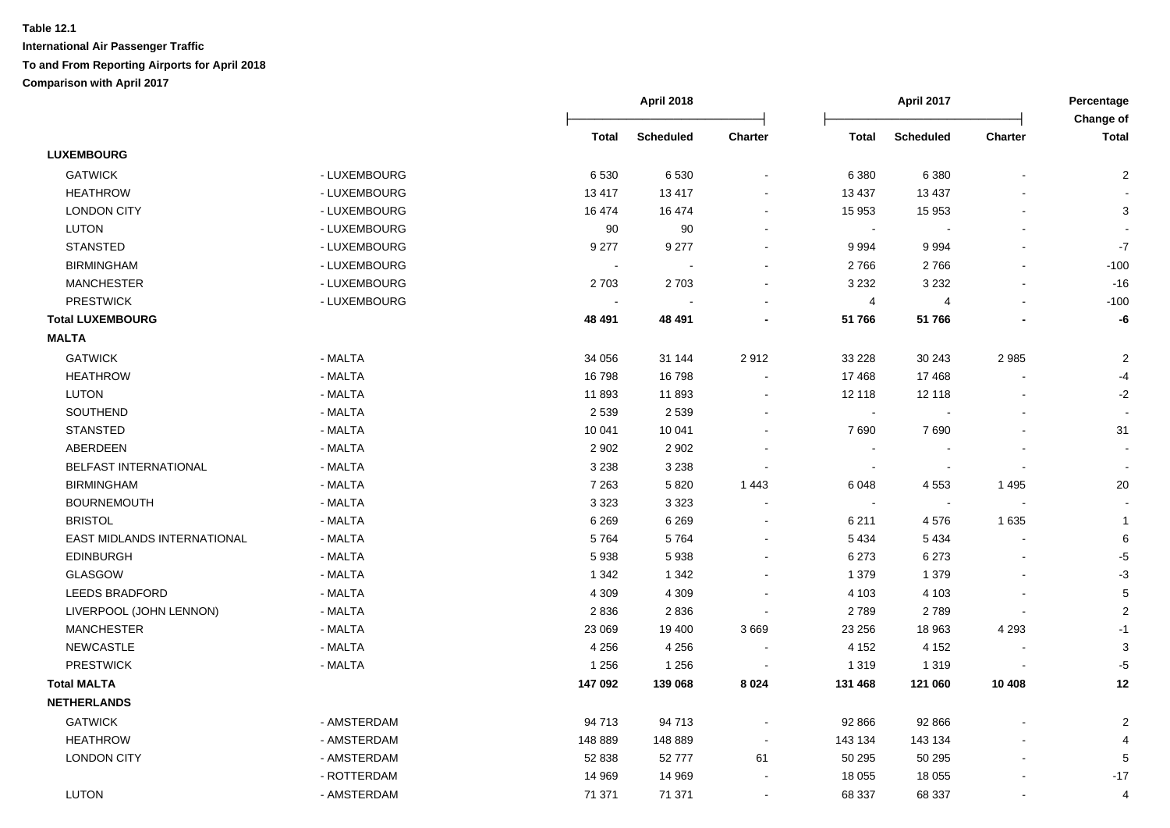|                             |              |              | <b>April 2018</b> |                |              | <b>April 2017</b>        |                | Percentage<br>Change of |
|-----------------------------|--------------|--------------|-------------------|----------------|--------------|--------------------------|----------------|-------------------------|
|                             |              | <b>Total</b> | <b>Scheduled</b>  | <b>Charter</b> | <b>Total</b> | <b>Scheduled</b>         | <b>Charter</b> | <b>Total</b>            |
| <b>LUXEMBOURG</b>           |              |              |                   |                |              |                          |                |                         |
| <b>GATWICK</b>              | - LUXEMBOURG | 6530         | 6530              |                | 6 3 8 0      | 6 3 8 0                  |                | 2                       |
| <b>HEATHROW</b>             | - LUXEMBOURG | 13 4 17      | 13 4 17           |                | 13 4 37      | 13 4 37                  |                |                         |
| <b>LONDON CITY</b>          | - LUXEMBOURG | 16 474       | 16 474            |                | 15 953       | 15 953                   |                | 3                       |
| LUTON                       | - LUXEMBOURG | 90           | 90                |                | $\sim$       |                          | $\blacksquare$ |                         |
| <b>STANSTED</b>             | - LUXEMBOURG | 9 2 7 7      | 9 2 7 7           |                | 9 9 9 4      | 9994                     |                | $\textnormal{-}7$       |
| <b>BIRMINGHAM</b>           | - LUXEMBOURG | $\sim$       | $\sim$            | $\sim$         | 2766         | 2766                     | $\blacksquare$ | $-100$                  |
| <b>MANCHESTER</b>           | - LUXEMBOURG | 2 7 0 3      | 2703              | $\sim$         | 3 2 3 2      | 3 2 3 2                  |                | $-16$                   |
| <b>PRESTWICK</b>            | - LUXEMBOURG |              |                   |                | 4            | 4                        | $\blacksquare$ | $-100$                  |
| <b>Total LUXEMBOURG</b>     |              | 48 491       | 48 491            |                | 51766        | 51766                    |                | -6                      |
| <b>MALTA</b>                |              |              |                   |                |              |                          |                |                         |
| <b>GATWICK</b>              | - MALTA      | 34 056       | 31 144            | 2912           | 33 228       | 30 24 3                  | 2985           | $\sqrt{2}$              |
| <b>HEATHROW</b>             | - MALTA      | 16798        | 16798             |                | 17468        | 17468                    |                | -4                      |
| <b>LUTON</b>                | - MALTA      | 11893        | 11893             | $\sim$         | 12 118       | 12 118                   | $\sim$         | $-2$                    |
| SOUTHEND                    | - MALTA      | 2 5 3 9      | 2 5 3 9           |                | $\sim$       |                          |                |                         |
| <b>STANSTED</b>             | - MALTA      | 10 041       | 10 041            |                | 7690         | 7690                     |                | 31                      |
| ABERDEEN                    | - MALTA      | 2 9 0 2      | 2 9 0 2           |                |              |                          |                |                         |
| BELFAST INTERNATIONAL       | - MALTA      | 3 2 3 8      | 3 2 3 8           |                | $\sim$       |                          |                |                         |
| <b>BIRMINGHAM</b>           | - MALTA      | 7 2 6 3      | 5820              | 1 4 4 3        | 6 0 4 8      | 4 5 5 3                  | 1 4 9 5        | 20                      |
| <b>BOURNEMOUTH</b>          | - MALTA      | 3 3 2 3      | 3 3 2 3           |                | $\sim$       | $\overline{\phantom{a}}$ |                |                         |
| <b>BRISTOL</b>              | - MALTA      | 6 2 6 9      | 6 2 6 9           | $\sim$         | 6 2 1 1      | 4576                     | 1 6 3 5        | $\overline{1}$          |
| EAST MIDLANDS INTERNATIONAL | - MALTA      | 5764         | 5764              | $\sim$         | 5 4 3 4      | 5 4 3 4                  |                | 6                       |
| <b>EDINBURGH</b>            | - MALTA      | 5938         | 5938              |                | 6 2 7 3      | 6 2 7 3                  |                | $-5$                    |
| <b>GLASGOW</b>              | - MALTA      | 1 3 4 2      | 1 3 4 2           | $\sim$         | 1 3 7 9      | 1 3 7 9                  |                | $-3$                    |
| <b>LEEDS BRADFORD</b>       | - MALTA      | 4 3 0 9      | 4 3 0 9           |                | 4 103        | 4 1 0 3                  |                | $\sqrt{5}$              |
| LIVERPOOL (JOHN LENNON)     | - MALTA      | 2836         | 2836              |                | 2789         | 2789                     |                | $\sqrt{2}$              |
| <b>MANCHESTER</b>           | - MALTA      | 23 069       | 19 400            | 3669           | 23 25 6      | 18 963                   | 4 2 9 3        | $-1$                    |
| NEWCASTLE                   | - MALTA      | 4 2 5 6      | 4 2 5 6           |                | 4 1 5 2      | 4 1 5 2                  |                | 3                       |
| <b>PRESTWICK</b>            | - MALTA      | 1 2 5 6      | 1 2 5 6           |                | 1 3 1 9      | 1 3 1 9                  |                | -5                      |
| <b>Total MALTA</b>          |              | 147 092      | 139 068           | 8 0 2 4        | 131 468      | 121 060                  | 10 408         | 12                      |
| <b>NETHERLANDS</b>          |              |              |                   |                |              |                          |                |                         |
| <b>GATWICK</b>              | - AMSTERDAM  | 94 713       | 94 713            |                | 92 866       | 92 866                   |                | $\overline{2}$          |
| <b>HEATHROW</b>             | - AMSTERDAM  | 148 889      | 148 889           | $\blacksquare$ | 143 134      | 143 134                  |                |                         |
| <b>LONDON CITY</b>          | - AMSTERDAM  | 52 838       | 52777             | 61             | 50 295       | 50 295                   | $\blacksquare$ | 5                       |
|                             | - ROTTERDAM  | 14 969       | 14 969            |                | 18 0 55      | 18 0 55                  |                | $-17$                   |
| <b>LUTON</b>                | - AMSTERDAM  | 71 371       | 71 371            | $\sim$         | 68 337       | 68 337                   | $\blacksquare$ | 4                       |
|                             |              |              |                   |                |              |                          |                |                         |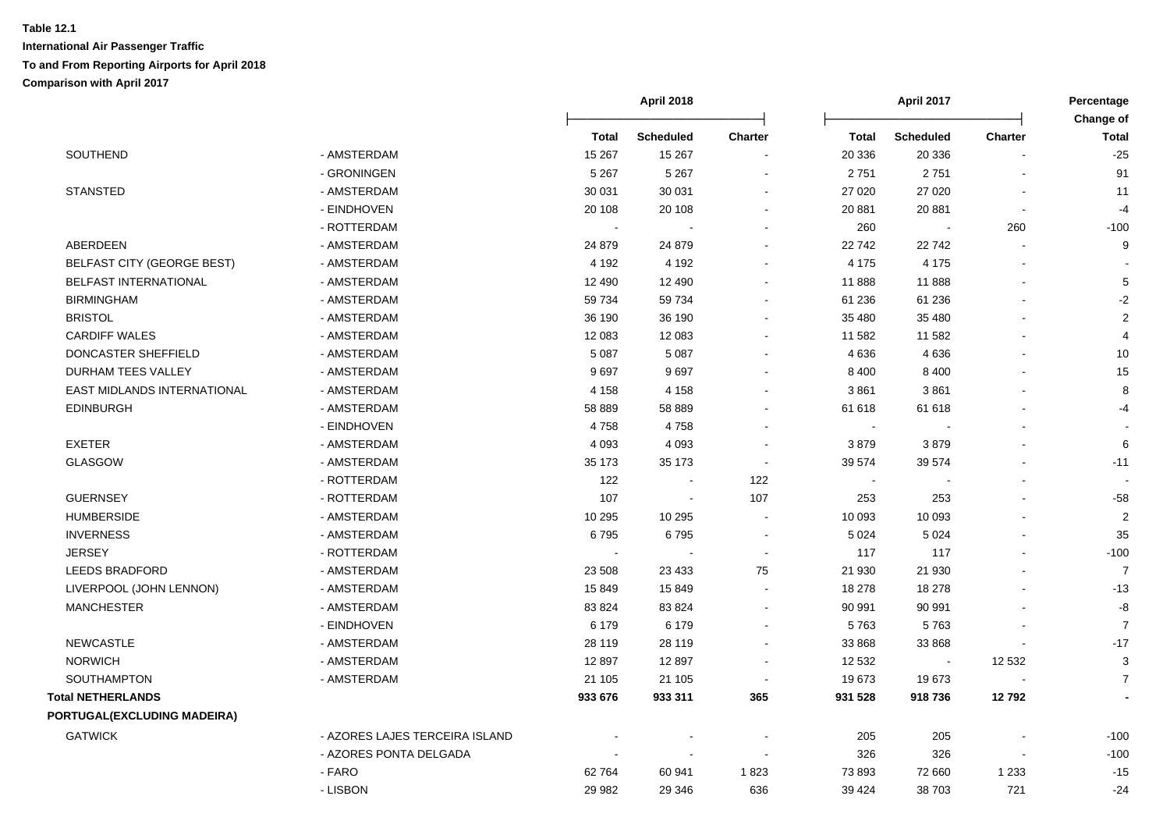|                                   |                                |          | <b>April 2018</b> |                          |         | <b>April 2017</b>        |                          | Percentage                |
|-----------------------------------|--------------------------------|----------|-------------------|--------------------------|---------|--------------------------|--------------------------|---------------------------|
|                                   |                                | Total    | <b>Scheduled</b>  | <b>Charter</b>           | Total   | <b>Scheduled</b>         | <b>Charter</b>           | Change of<br><b>Total</b> |
| SOUTHEND                          | - AMSTERDAM                    | 15 267   | 15 267            |                          | 20 336  | 20 336                   |                          | $-25$                     |
|                                   | - GRONINGEN                    | 5 2 6 7  | 5 2 6 7           |                          | 2751    | 2751                     |                          | 91                        |
| <b>STANSTED</b>                   | - AMSTERDAM                    | 30 031   | 30 031            |                          | 27 0 20 | 27 0 20                  |                          | 11                        |
|                                   | - EINDHOVEN                    | 20 108   | 20 108            |                          | 20 881  | 20 881                   | $\overline{\phantom{a}}$ | $-4$                      |
|                                   | - ROTTERDAM                    | $\sim$   |                   |                          | 260     |                          | 260                      | $-100$                    |
| ABERDEEN                          | - AMSTERDAM                    | 24 879   | 24 879            |                          | 22 742  | 22742                    | $\blacksquare$           | 9                         |
| <b>BELFAST CITY (GEORGE BEST)</b> | - AMSTERDAM                    | 4 1 9 2  | 4 1 9 2           |                          | 4 1 7 5 | 4 1 7 5                  |                          |                           |
| <b>BELFAST INTERNATIONAL</b>      | - AMSTERDAM                    | 12 4 9 0 | 12 490            |                          | 11 888  | 11888                    |                          | $\mathbf 5$               |
| <b>BIRMINGHAM</b>                 | - AMSTERDAM                    | 59 734   | 59 734            |                          | 61 236  | 61 236                   |                          | $-2$                      |
| <b>BRISTOL</b>                    | - AMSTERDAM                    | 36 190   | 36 190            |                          | 35 480  | 35 480                   |                          | $\boldsymbol{2}$          |
| <b>CARDIFF WALES</b>              | - AMSTERDAM                    | 12 083   | 12 083            |                          | 11 582  | 11 582                   |                          | 4                         |
| DONCASTER SHEFFIELD               | - AMSTERDAM                    | 5 0 8 7  | 5 0 8 7           |                          | 4636    | 4636                     |                          | 10                        |
| DURHAM TEES VALLEY                | - AMSTERDAM                    | 9697     | 9697              |                          | 8 4 0 0 | 8 4 0 0                  |                          | 15                        |
| EAST MIDLANDS INTERNATIONAL       | - AMSTERDAM                    | 4 1 5 8  | 4 1 5 8           |                          | 3861    | 3861                     |                          | 8                         |
| <b>EDINBURGH</b>                  | - AMSTERDAM                    | 58 889   | 58 889            |                          | 61 618  | 61 618                   |                          | $-4$                      |
|                                   | - EINDHOVEN                    | 4758     | 4758              |                          | $\sim$  |                          |                          |                           |
| <b>EXETER</b>                     | - AMSTERDAM                    | 4 0 9 3  | 4 0 9 3           |                          | 3879    | 3879                     |                          | 6                         |
| <b>GLASGOW</b>                    | - AMSTERDAM                    | 35 173   | 35 173            |                          | 39 574  | 39 574                   |                          | $-11$                     |
|                                   | - ROTTERDAM                    | 122      | $\blacksquare$    | 122                      | $\sim$  |                          |                          |                           |
| <b>GUERNSEY</b>                   | - ROTTERDAM                    | 107      | $\sim$            | 107                      | 253     | 253                      |                          | $-58$                     |
| <b>HUMBERSIDE</b>                 | - AMSTERDAM                    | 10 295   | 10 295            | $\blacksquare$           | 10 093  | 10 093                   |                          | $\sqrt{2}$                |
| <b>INVERNESS</b>                  | - AMSTERDAM                    | 6795     | 6795              |                          | 5 0 24  | 5 0 24                   |                          | 35                        |
| <b>JERSEY</b>                     | - ROTTERDAM                    |          |                   |                          | 117     | 117                      |                          | $-100$                    |
| <b>LEEDS BRADFORD</b>             | - AMSTERDAM                    | 23 508   | 23 4 33           | 75                       | 21 930  | 21 930                   |                          | $\overline{7}$            |
| LIVERPOOL (JOHN LENNON)           | - AMSTERDAM                    | 15849    | 15849             |                          | 18 278  | 18 278                   |                          | $-13$                     |
| <b>MANCHESTER</b>                 | - AMSTERDAM                    | 83 824   | 83 824            |                          | 90 991  | 90 991                   |                          | -8                        |
|                                   | - EINDHOVEN                    | 6 1 7 9  | 6 1 7 9           |                          | 5763    | 5763                     |                          | $\overline{7}$            |
| <b>NEWCASTLE</b>                  | - AMSTERDAM                    | 28 119   | 28 119            |                          | 33 868  | 33 868                   |                          | $-17$                     |
| <b>NORWICH</b>                    | - AMSTERDAM                    | 12897    | 12897             | $\overline{\phantom{a}}$ | 12 532  | $\overline{\phantom{a}}$ | 12 5 32                  | 3                         |
| <b>SOUTHAMPTON</b>                | - AMSTERDAM                    | 21 105   | 21 105            |                          | 19673   | 19673                    | $\overline{\phantom{a}}$ | $\overline{7}$            |
| <b>Total NETHERLANDS</b>          |                                | 933 676  | 933 311           | 365                      | 931 528 | 918736                   | 12792                    |                           |
| PORTUGAL(EXCLUDING MADEIRA)       |                                |          |                   |                          |         |                          |                          |                           |
| <b>GATWICK</b>                    | - AZORES LAJES TERCEIRA ISLAND |          |                   |                          | 205     | 205                      |                          | $-100$                    |
|                                   | - AZORES PONTA DELGADA         |          | $\sim$            | $\sim$                   | 326     | 326                      | $\blacksquare$           | $-100$                    |
|                                   | - FARO                         | 62764    | 60 941            | 1823                     | 73 893  | 72 660                   | 1 2 3 3                  | $-15$                     |
|                                   | - LISBON                       | 29 982   | 29 346            | 636                      | 39 4 24 | 38703                    | 721                      | $-24$                     |
|                                   |                                |          |                   |                          |         |                          |                          |                           |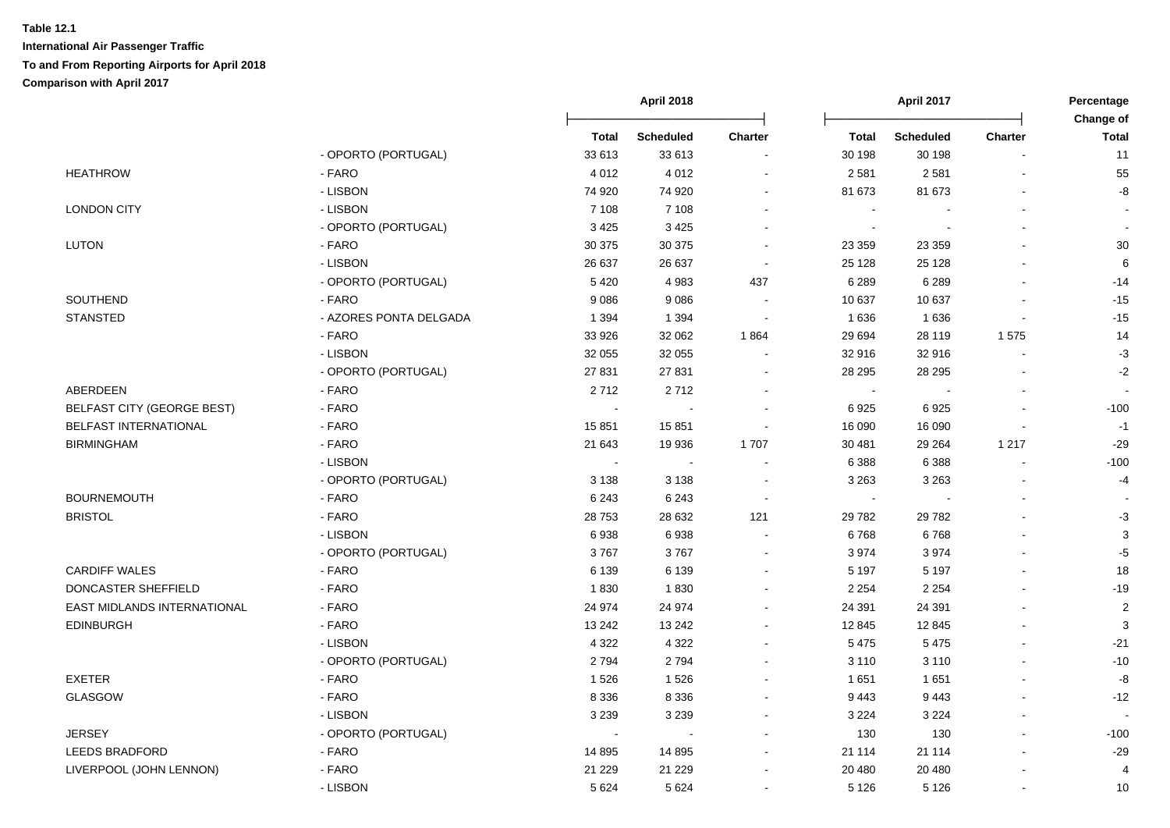|                                    |                        |                      | April 2018<br>April 2017 |         | Percentage     |                  |                |                           |
|------------------------------------|------------------------|----------------------|--------------------------|---------|----------------|------------------|----------------|---------------------------|
|                                    |                        | <b>Total</b>         | <b>Scheduled</b>         | Charter | <b>Total</b>   | <b>Scheduled</b> | Charter        | Change of<br><b>Total</b> |
|                                    | - OPORTO (PORTUGAL)    | 33 613               | 33 613                   |         | 30 198         | 30 198           |                | 11                        |
| <b>HEATHROW</b>                    | - FARO                 | 4 0 1 2              | 4 0 1 2                  |         | 2 5 8 1        | 2581             |                | 55                        |
|                                    | - LISBON               | 74 920               | 74 920                   |         | 81 673         | 81 673           |                | $\mbox{-}8$               |
| <b>LONDON CITY</b>                 | - LISBON               | 7 1 0 8              | 7 1 0 8                  |         |                |                  |                |                           |
|                                    | - OPORTO (PORTUGAL)    | 3 4 2 5              | 3 4 2 5                  |         | $\sim$         |                  |                |                           |
| <b>LUTON</b>                       | - FARO                 | 30 375               | 30 375                   |         | 23 359         | 23 3 5 9         |                | $30\,$                    |
|                                    | - LISBON               | 26 637               | 26 637                   | $\sim$  | 25 1 28        | 25 1 28          | $\sim$         | 6                         |
|                                    | - OPORTO (PORTUGAL)    | 5420                 | 4983                     | 437     | 6 2 8 9        | 6 2 8 9          |                | $-14$                     |
| SOUTHEND                           | - FARO                 | 9086                 | 9086                     |         | 10 637         | 10 637           |                | $-15$                     |
| <b>STANSTED</b>                    | - AZORES PONTA DELGADA | 1 3 9 4              | 1 3 9 4                  |         | 1 6 3 6        | 1636             | $\sim$         | $-15$                     |
|                                    | - FARO                 | 33 926               | 32 062                   | 1864    | 29 694         | 28 119           | 1575           | 14                        |
|                                    | - LISBON               | 32 055               | 32 055                   |         | 32 916         | 32 916           | $\sim$         | $-3$                      |
|                                    | - OPORTO (PORTUGAL)    | 27 831               | 27 831                   |         | 28 29 5        | 28 29 5          |                | $-2$                      |
| ABERDEEN                           | - FARO                 | 2712                 | 2712                     |         | $\blacksquare$ |                  |                |                           |
| <b>BELFAST CITY (GEORGE BEST)</b>  | - FARO                 |                      |                          |         | 6925           | 6925             |                | $-100$                    |
| <b>BELFAST INTERNATIONAL</b>       | - FARO                 | 15 851               | 15851                    |         | 16 090         | 16 090           |                | $-1$                      |
| <b>BIRMINGHAM</b>                  | - FARO                 | 21 643               | 19 936                   | 1707    | 30 481         | 29 264           | 1 2 1 7        | $-29$                     |
|                                    | - LISBON               | $\sim$               | $\sim$                   |         | 6 3 8 8        | 6 3 8 8          | $\overline{a}$ | $-100$                    |
|                                    | - OPORTO (PORTUGAL)    | 3 1 3 8              | 3 1 3 8                  | $\sim$  | 3 2 6 3        | 3 2 6 3          |                | $-4$                      |
| <b>BOURNEMOUTH</b>                 | - FARO                 | 6 2 4 3              | 6 2 4 3                  |         | $\blacksquare$ |                  |                |                           |
| <b>BRISTOL</b>                     | - FARO                 | 28753                | 28 632                   | 121     | 29 7 82        | 29 7 82          |                | $-3$                      |
|                                    | - LISBON               | 6938                 | 6938                     |         | 6768           | 6768             |                | $\ensuremath{\mathsf{3}}$ |
|                                    | - OPORTO (PORTUGAL)    | 3767                 | 3767                     |         | 3 9 7 4        | 3974             | $\blacksquare$ | $-5$                      |
| <b>CARDIFF WALES</b>               | - FARO                 | 6 1 3 9              | 6 1 3 9                  |         | 5 1 9 7        | 5 1 9 7          | $\blacksquare$ | 18                        |
| DONCASTER SHEFFIELD                | - FARO                 | 1830                 | 1830                     |         | 2 2 5 4        | 2 2 5 4          | $\blacksquare$ | $-19$                     |
| <b>EAST MIDLANDS INTERNATIONAL</b> | - FARO                 | 24 974               | 24 974                   |         | 24 391         | 24 391           |                | $\overline{2}$            |
| <b>EDINBURGH</b>                   | - FARO                 | 13 24 2              | 13 24 2                  |         | 12 845         | 12 845           |                | 3                         |
|                                    | - LISBON               | 4 3 2 2              | 4 3 2 2                  |         | 5 4 7 5        | 5 4 7 5          |                | $-21$                     |
|                                    | - OPORTO (PORTUGAL)    | 2794                 | 2794                     |         | 3 1 1 0        | 3 1 1 0          | $\overline{a}$ | $-10$                     |
| <b>EXETER</b>                      | - FARO                 | 1526                 | 1526                     |         | 1651           | 1651             | $\sim$         | -8                        |
| <b>GLASGOW</b>                     | - FARO                 | 8 3 3 6              | 8 3 3 6                  |         | 9443           | 9443             | ä,             | $-12$                     |
|                                    | - LISBON               | 3 2 3 9              | 3 2 3 9                  |         | 3 2 2 4        | 3 2 2 4          | $\sim$         |                           |
| <b>JERSEY</b>                      | - OPORTO (PORTUGAL)    | $\ddot{\phantom{0}}$ |                          |         | 130            | 130              |                | $-100$                    |
| <b>LEEDS BRADFORD</b>              | - FARO                 | 14 8 95              | 14 8 95                  |         | 21 114         | 21 114           |                | $-29$                     |
| LIVERPOOL (JOHN LENNON)            | - FARO                 | 21 229               | 21 2 2 9                 |         | 20 480         | 20 480           |                | 4                         |
|                                    | - LISBON               | 5 6 2 4              | 5624                     |         | 5 1 2 6        | 5 1 2 6          | $\sim$         | 10                        |
|                                    |                        |                      |                          |         |                |                  |                |                           |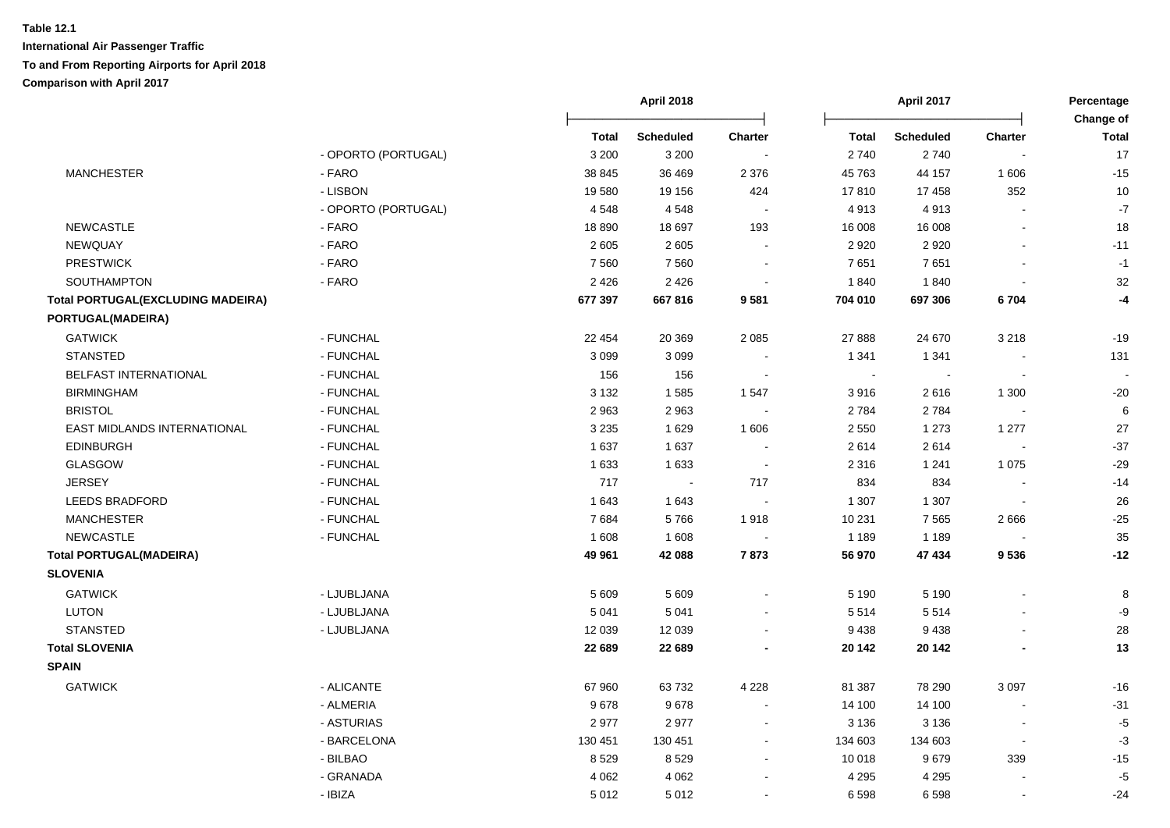|                                          |                     |         | <b>April 2018</b> |                          | April 2017   |                  | Percentage               |                           |
|------------------------------------------|---------------------|---------|-------------------|--------------------------|--------------|------------------|--------------------------|---------------------------|
|                                          |                     | Total   | <b>Scheduled</b>  | Charter                  | <b>Total</b> | <b>Scheduled</b> | <b>Charter</b>           | Change of<br><b>Total</b> |
|                                          | - OPORTO (PORTUGAL) | 3 2 0 0 | 3 2 0 0           |                          | 2740         | 2740             |                          | 17                        |
| <b>MANCHESTER</b>                        | - FARO              | 38 845  | 36 469            | 2 3 7 6                  | 45 763       | 44 157           | 1606                     | $-15$                     |
|                                          | - LISBON            | 19580   | 19 156            | 424                      | 17810        | 17458            | 352                      | 10                        |
|                                          | - OPORTO (PORTUGAL) | 4548    | 4548              | $\sim$                   | 4913         | 4913             | $\overline{a}$           | $\mathbf{-7}$             |
| NEWCASTLE                                | - FARO              | 18890   | 18 697            | 193                      | 16 008       | 16 008           | $\overline{\phantom{a}}$ | 18                        |
| NEWQUAY                                  | - FARO              | 2 6 0 5 | 2 6 0 5           | $\sim$                   | 2 9 2 0      | 2920             |                          | $-11$                     |
| <b>PRESTWICK</b>                         | - FARO              | 7560    | 7560              | $\overline{\phantom{a}}$ | 7651         | 7651             | $\blacksquare$           | $-1$                      |
| SOUTHAMPTON                              | - FARO              | 2 4 2 6 | 2 4 2 6           | $\blacksquare$           | 1840         | 1840             |                          | 32                        |
| <b>Total PORTUGAL(EXCLUDING MADEIRA)</b> |                     | 677 397 | 667816            | 9581                     | 704 010      | 697 306          | 6704                     | -4                        |
| PORTUGAL(MADEIRA)                        |                     |         |                   |                          |              |                  |                          |                           |
| <b>GATWICK</b>                           | - FUNCHAL           | 22 4 54 | 20 369            | 2 0 8 5                  | 27 888       | 24 670           | 3 2 1 8                  | $-19$                     |
| <b>STANSTED</b>                          | - FUNCHAL           | 3 0 9 9 | 3 0 9 9           |                          | 1 3 4 1      | 1 3 4 1          |                          | 131                       |
| BELFAST INTERNATIONAL                    | - FUNCHAL           | 156     | 156               |                          | $\sim$       |                  |                          |                           |
| <b>BIRMINGHAM</b>                        | - FUNCHAL           | 3 1 3 2 | 1585              | 1547                     | 3916         | 2616             | 1 300                    | $-20$                     |
| <b>BRISTOL</b>                           | - FUNCHAL           | 2963    | 2963              |                          | 2 7 8 4      | 2784             |                          | $\,6\,$                   |
| EAST MIDLANDS INTERNATIONAL              | - FUNCHAL           | 3 2 3 5 | 1629              | 1 606                    | 2 5 5 0      | 1 2 7 3          | 1 2 7 7                  | 27                        |
| <b>EDINBURGH</b>                         | - FUNCHAL           | 1 6 3 7 | 1637              |                          | 2614         | 2614             |                          | $-37$                     |
| <b>GLASGOW</b>                           | - FUNCHAL           | 1 6 3 3 | 1 6 3 3           |                          | 2 3 1 6      | 1 2 4 1          | 1 0 7 5                  | $-29$                     |
| <b>JERSEY</b>                            | - FUNCHAL           | 717     | $\blacksquare$    | 717                      | 834          | 834              |                          | $-14$                     |
| LEEDS BRADFORD                           | - FUNCHAL           | 1 6 4 3 | 1643              | $\blacksquare$           | 1 3 0 7      | 1 3 0 7          | $\sim$                   | 26                        |
| <b>MANCHESTER</b>                        | - FUNCHAL           | 7684    | 5766              | 1918                     | 10 231       | 7 5 6 5          | 2666                     | $-25$                     |
| <b>NEWCASTLE</b>                         | - FUNCHAL           | 1 608   | 1608              |                          | 1 1 8 9      | 1 1 8 9          |                          | 35                        |
| <b>Total PORTUGAL(MADEIRA)</b>           |                     | 49 961  | 42 088            | 7873                     | 56 970       | 47 434           | 9536                     | $-12$                     |
| <b>SLOVENIA</b>                          |                     |         |                   |                          |              |                  |                          |                           |
| <b>GATWICK</b>                           | - LJUBLJANA         | 5 609   | 5 6 0 9           |                          | 5 1 9 0      | 5 1 9 0          | $\overline{a}$           | 8                         |
| LUTON                                    | - LJUBLJANA         | 5 0 4 1 | 5 0 4 1           |                          | 5 5 1 4      | 5514             |                          | -9                        |
| <b>STANSTED</b>                          | - LJUBLJANA         | 12 039  | 12 039            |                          | 9438         | 9438             |                          | 28                        |
| <b>Total SLOVENIA</b>                    |                     | 22 689  | 22 689            |                          | 20 14 2      | 20 142           |                          | 13                        |
| <b>SPAIN</b>                             |                     |         |                   |                          |              |                  |                          |                           |
| <b>GATWICK</b>                           | - ALICANTE          | 67 960  | 63732             | 4 2 2 8                  | 81 387       | 78 290           | 3 0 9 7                  | $-16$                     |
|                                          | - ALMERIA           | 9678    | 9678              |                          | 14 100       | 14 100           |                          | $-31$                     |
|                                          | - ASTURIAS          | 2977    | 2977              |                          | 3 1 3 6      | 3 1 3 6          |                          | $-5$                      |
|                                          | - BARCELONA         | 130 451 | 130 451           |                          | 134 603      | 134 603          | $\overline{a}$           | $-3$                      |
|                                          | - BILBAO            | 8529    | 8529              |                          | 10 018       | 9679             | 339                      | $-15$                     |
|                                          | - GRANADA           | 4 0 6 2 | 4 0 6 2           |                          | 4 2 9 5      | 4 2 9 5          |                          | $-5$                      |
|                                          | - IBIZA             | 5012    | 5 0 1 2           | $\blacksquare$           | 6 5 9 8      | 6598             | $\blacksquare$           | $-24$                     |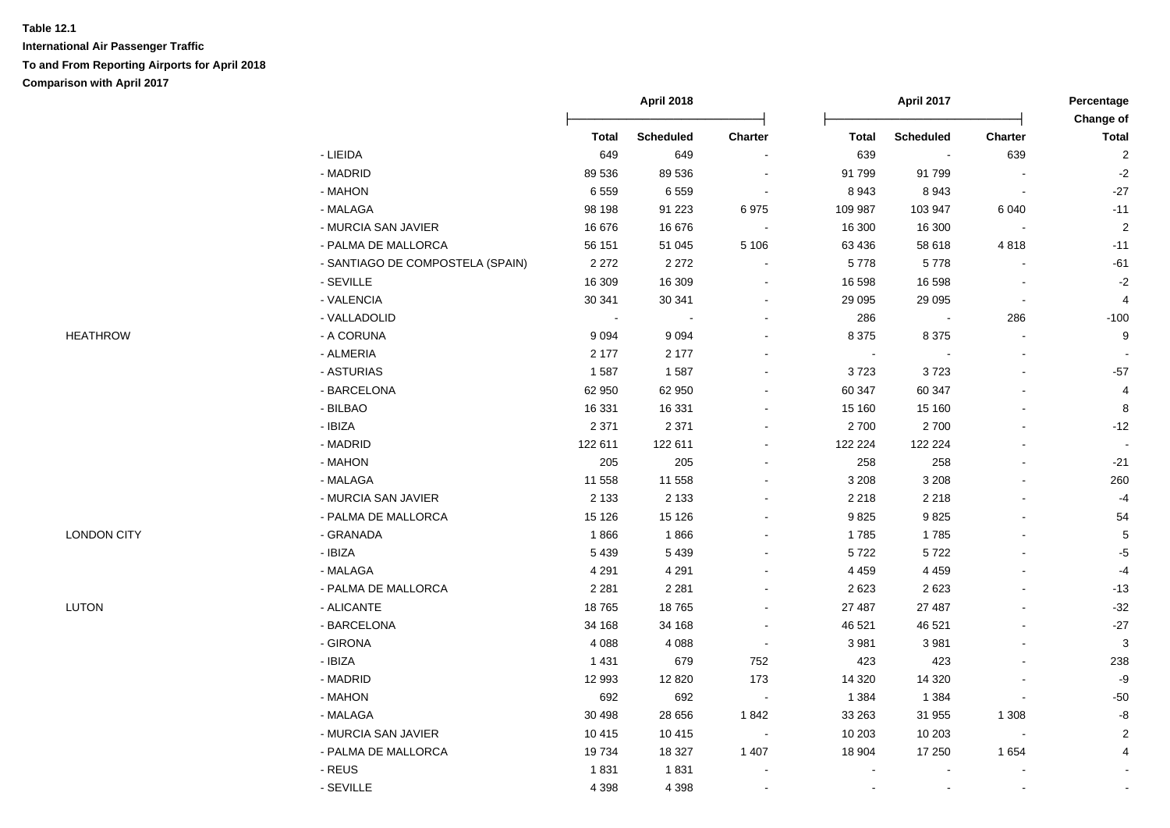|                    |                                  |              | <b>April 2018</b> |                          |                | <b>April 2017</b> |                          | Percentage                |
|--------------------|----------------------------------|--------------|-------------------|--------------------------|----------------|-------------------|--------------------------|---------------------------|
|                    |                                  | <b>Total</b> | <b>Scheduled</b>  | Charter                  | <b>Total</b>   | <b>Scheduled</b>  | <b>Charter</b>           | Change of<br><b>Total</b> |
|                    | - LIEIDA                         | 649          | 649               |                          | 639            |                   | 639                      | $\overline{2}$            |
|                    | - MADRID                         | 89 536       | 89 536            |                          | 91 799         | 91799             |                          | $-2$                      |
|                    | - MAHON                          | 6559         | 6559              | $\overline{\phantom{a}}$ | 8 9 4 3        | 8943              | $\blacksquare$           | $-27$                     |
|                    | - MALAGA                         | 98 198       | 91 2 23           | 6975                     | 109 987        | 103 947           | 6 0 4 0                  | $-11$                     |
|                    | - MURCIA SAN JAVIER              | 16 676       | 16 676            | $\sim$                   | 16 300         | 16 300            | $\overline{\phantom{a}}$ | $\overline{2}$            |
|                    | - PALMA DE MALLORCA              | 56 151       | 51 045            | 5 1 0 6                  | 63 436         | 58 618            | 4818                     | $-11$                     |
|                    | - SANTIAGO DE COMPOSTELA (SPAIN) | 2 2 7 2      | 2 2 7 2           | $\sim$                   | 5778           | 5778              |                          | $-61$                     |
|                    | - SEVILLE                        | 16 309       | 16 309            | $\blacksquare$           | 16 598         | 16 598            |                          | $-2$                      |
|                    | - VALENCIA                       | 30 341       | 30 341            | $\overline{\phantom{a}}$ | 29 095         | 29 0 95           | $\overline{\phantom{a}}$ | $\overline{4}$            |
|                    | - VALLADOLID                     |              |                   |                          | 286            |                   | 286                      | $-100$                    |
| <b>HEATHROW</b>    | - A CORUNA                       | 9 0 9 4      | 9 0 9 4           |                          | 8 3 7 5        | 8 3 7 5           |                          | 9                         |
|                    | - ALMERIA                        | 2 1 7 7      | 2 1 7 7           |                          | $\blacksquare$ |                   |                          |                           |
|                    | - ASTURIAS                       | 1587         | 1587              | $\sim$                   | 3723           | 3723              |                          | $-57$                     |
|                    | - BARCELONA                      | 62 950       | 62 950            | $\overline{\phantom{a}}$ | 60 347         | 60 347            |                          | $\overline{4}$            |
|                    | - BILBAO                         | 16 331       | 16 331            | $\overline{\phantom{a}}$ | 15 160         | 15 160            |                          | 8                         |
|                    | - IBIZA                          | 2 3 7 1      | 2 3 7 1           |                          | 2700           | 2700              |                          | $-12$                     |
|                    | - MADRID                         | 122 611      | 122 611           |                          | 122 224        | 122 224           |                          |                           |
|                    | - MAHON                          | 205          | 205               |                          | 258            | 258               |                          | $-21$                     |
|                    | - MALAGA                         | 11 558       | 11 558            |                          | 3 2 0 8        | 3 2 0 8           |                          | 260                       |
|                    | - MURCIA SAN JAVIER              | 2 1 3 3      | 2 1 3 3           |                          | 2 2 1 8        | 2 2 1 8           |                          | $-4$                      |
|                    | - PALMA DE MALLORCA              | 15 1 26      | 15 1 26           |                          | 9825           | 9825              |                          | 54                        |
| <b>LONDON CITY</b> | - GRANADA                        | 1866         | 1866              |                          | 1785           | 1785              |                          | $\sqrt{5}$                |
|                    | $-$ IBIZA                        | 5439         | 5 4 3 9           | $\sim$                   | 5722           | 5722              |                          | $-5$                      |
|                    | - MALAGA                         | 4 2 9 1      | 4 2 9 1           |                          | 4 4 5 9        | 4 4 5 9           |                          | $-4$                      |
|                    | - PALMA DE MALLORCA              | 2 2 8 1      | 2 2 8 1           |                          | 2 6 2 3        | 2623              |                          | $-13$                     |
| <b>LUTON</b>       | - ALICANTE                       | 18765        | 18765             |                          | 27 487         | 27 487            |                          | $-32$                     |
|                    | - BARCELONA                      | 34 168       | 34 168            |                          | 46 521         | 46 521            |                          | $-27$                     |
|                    | - GIRONA                         | 4 0 8 8      | 4 0 8 8           | $\blacksquare$           | 3 9 8 1        | 3 9 8 1           |                          | $\mathbf{3}$              |
|                    | - IBIZA                          | 1 4 3 1      | 679               | 752                      | 423            | 423               |                          | 238                       |
|                    | - MADRID                         | 12 993       | 12 8 20           | 173                      | 14 3 20        | 14 3 20           |                          | $-9$                      |
|                    | - MAHON                          | 692          | 692               |                          | 1 3 8 4        | 1 3 8 4           |                          | $-50$                     |
|                    | - MALAGA                         | 30 4 98      | 28 656            | 1842                     | 33 263         | 31 955            | 1 3 0 8                  | $\mbox{-}8$               |
|                    | - MURCIA SAN JAVIER              | 10 4 15      | 10 4 15           |                          | 10 203         | 10 203            |                          | $\overline{2}$            |
|                    | - PALMA DE MALLORCA              | 19734        | 18 327            | 1 4 0 7                  | 18 904         | 17 250            | 1 6 5 4                  | 4                         |
|                    | $-REUS$                          | 1831         | 1831              |                          |                |                   |                          |                           |
|                    | - SEVILLE                        | 4 3 9 8      | 4 3 9 8           |                          |                |                   |                          |                           |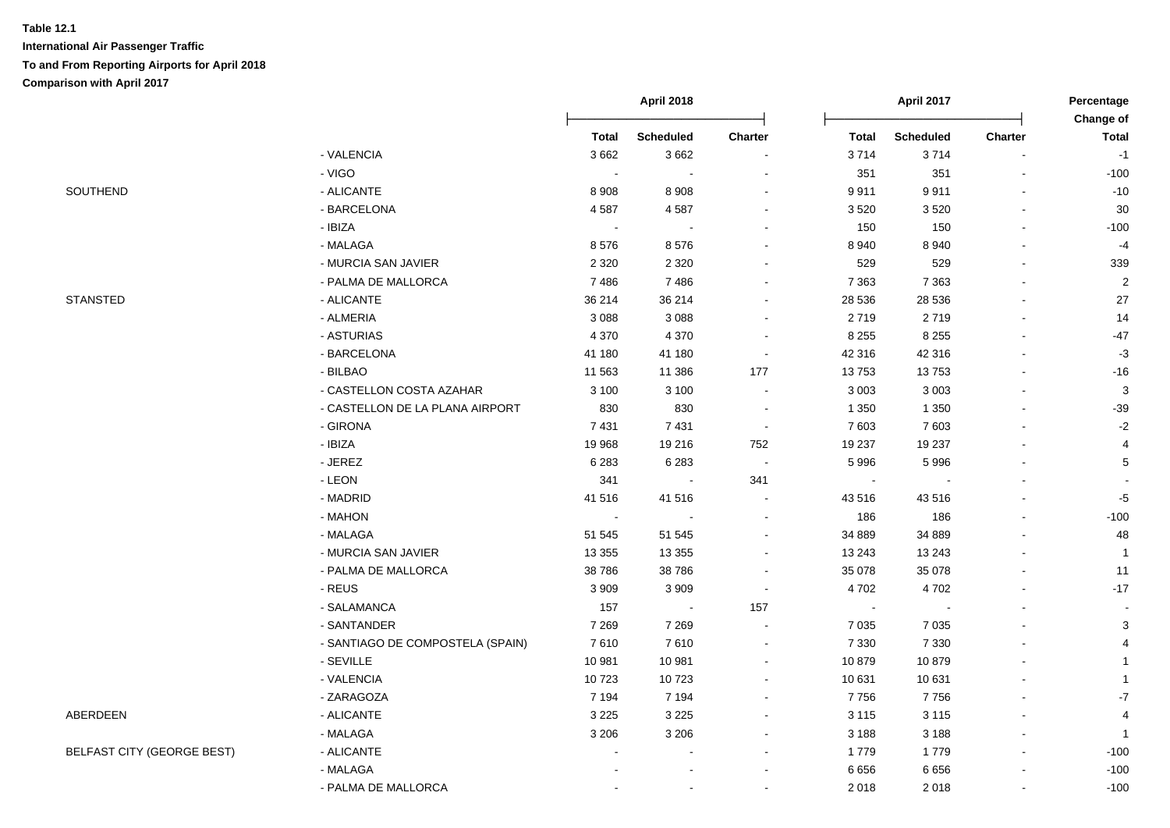|                                   |                                  |          | April 2018       |         |         | <b>April 2017</b> |                          | Percentage<br>Change of |
|-----------------------------------|----------------------------------|----------|------------------|---------|---------|-------------------|--------------------------|-------------------------|
|                                   |                                  | Total    | <b>Scheduled</b> | Charter | Total   | <b>Scheduled</b>  | Charter                  | <b>Total</b>            |
|                                   | - VALENCIA                       | 3662     | 3662             |         | 3714    | 3714              |                          | $-1$                    |
|                                   | - VIGO                           |          |                  |         | 351     | 351               |                          | $-100$                  |
| SOUTHEND                          | - ALICANTE                       | 8 9 0 8  | 8 9 0 8          |         | 9911    | 9911              |                          | $-10$                   |
|                                   | - BARCELONA                      | 4587     | 4587             |         | 3520    | 3520              |                          | 30                      |
|                                   | - IBIZA                          | $\sim$   |                  |         | 150     | 150               |                          | $-100$                  |
|                                   | - MALAGA                         | 8576     | 8576             |         | 8 9 4 0 | 8 9 4 0           |                          | $-4$                    |
|                                   | - MURCIA SAN JAVIER              | 2 3 2 0  | 2 3 2 0          |         | 529     | 529               | $\blacksquare$           | 339                     |
|                                   | - PALMA DE MALLORCA              | 7486     | 7486             |         | 7 3 6 3 | 7 3 6 3           | $\overline{\phantom{a}}$ | $\overline{2}$          |
| <b>STANSTED</b>                   | - ALICANTE                       | 36 214   | 36 214           |         | 28 536  | 28 536            | $\blacksquare$           | 27                      |
|                                   | - ALMERIA                        | 3 0 8 8  | 3 0 8 8          |         | 2719    | 2719              |                          | 14                      |
|                                   | - ASTURIAS                       | 4 3 7 0  | 4 3 7 0          |         | 8 2 5 5 | 8 2 5 5           |                          | $-47$                   |
|                                   | - BARCELONA                      | 41 180   | 41 180           |         | 42 316  | 42 316            |                          | $-3$                    |
|                                   | - BILBAO                         | 11 563   | 11 386           | 177     | 13753   | 13753             |                          | $-16$                   |
|                                   | - CASTELLON COSTA AZAHAR         | 3 1 0 0  | 3 100            | $\sim$  | 3 0 0 3 | 3 0 0 3           |                          | 3                       |
|                                   | - CASTELLON DE LA PLANA AIRPORT  | 830      | 830              | $\sim$  | 1 3 5 0 | 1 3 5 0           | $\blacksquare$           | $-39$                   |
|                                   | - GIRONA                         | 7 4 31   | 7 4 3 1          | $\sim$  | 7 603   | 7 603             |                          | $-2$                    |
|                                   | - IBIZA                          | 19 968   | 19 216           | 752     | 19 237  | 19 237            |                          | 4                       |
|                                   | - JEREZ                          | 6 2 8 3  | 6 2 8 3          |         | 5996    | 5996              |                          | 5                       |
|                                   | $-LEON$                          | 341      | $\blacksquare$   | 341     |         |                   |                          |                         |
|                                   | - MADRID                         | 41 516   | 41 516           |         | 43 516  | 43516             |                          | $-5$                    |
|                                   | - MAHON                          | $\sim$   |                  |         | 186     | 186               |                          | $-100$                  |
|                                   | - MALAGA                         | 51 545   | 51 545           |         | 34 889  | 34 889            |                          | 48                      |
|                                   | - MURCIA SAN JAVIER              | 13 3 5 5 | 13 3 5 5         |         | 13 24 3 | 13 24 3           |                          | $\overline{1}$          |
|                                   | - PALMA DE MALLORCA              | 38 786   | 38 7 86          |         | 35 078  | 35 078            |                          | 11                      |
|                                   | - REUS                           | 3 9 0 9  | 3 9 0 9          |         | 4702    | 4702              |                          | $-17$                   |
|                                   | - SALAMANCA                      | 157      | $\blacksquare$   | 157     | $\sim$  |                   |                          |                         |
|                                   | - SANTANDER                      | 7 2 6 9  | 7 2 6 9          |         | 7 0 3 5 | 7 0 3 5           |                          | 3                       |
|                                   | - SANTIAGO DE COMPOSTELA (SPAIN) | 7610     | 7610             |         | 7 3 3 0 | 7 3 3 0           |                          | $\overline{4}$          |
|                                   | - SEVILLE                        | 10 981   | 10 981           |         | 10879   | 10879             |                          | $\mathbf{1}$            |
|                                   | - VALENCIA                       | 10723    | 10723            |         | 10 631  | 10 631            |                          | $\mathbf{1}$            |
|                                   | - ZARAGOZA                       | 7 1 9 4  | 7 1 9 4          |         | 7756    | 7756              |                          | $\mathbf{-7}$           |
| ABERDEEN                          | - ALICANTE                       | 3 2 2 5  | 3 2 2 5          |         | 3 1 1 5 | 3 1 1 5           |                          | $\overline{4}$          |
|                                   | - MALAGA                         | 3 2 0 6  | 3 2 0 6          |         | 3 1 8 8 | 3 1 8 8           |                          | $\mathbf{1}$            |
| <b>BELFAST CITY (GEORGE BEST)</b> | - ALICANTE                       |          |                  |         | 1779    | 1779              |                          | $-100$                  |
|                                   | - MALAGA                         |          |                  |         | 6656    | 6656              |                          | $-100$                  |
|                                   | - PALMA DE MALLORCA              |          |                  |         | 2 0 1 8 | 2018              |                          | $-100$                  |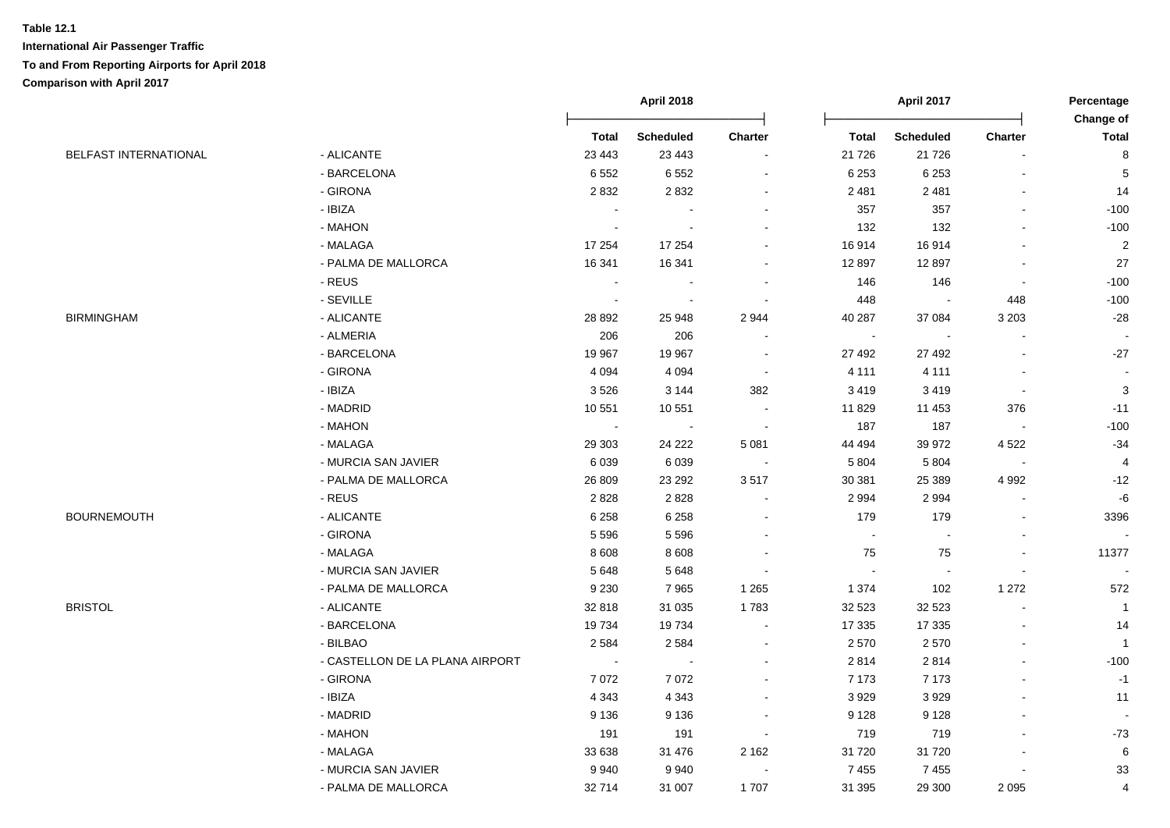|                              |                                 |              |                  | <b>April 2018</b>        |                |                  | April 2017               |                | Percentage<br><b>Change of</b> |
|------------------------------|---------------------------------|--------------|------------------|--------------------------|----------------|------------------|--------------------------|----------------|--------------------------------|
|                              |                                 | <b>Total</b> | <b>Scheduled</b> | Charter                  | <b>Total</b>   | <b>Scheduled</b> | Charter                  | <b>Total</b>   |                                |
| <b>BELFAST INTERNATIONAL</b> | - ALICANTE                      | 23 4 43      | 23 4 43          | $\blacksquare$           | 21 7 26        | 21 7 26          |                          | 8              |                                |
|                              | - BARCELONA                     | 6552         | 6552             | $\blacksquare$           | 6 2 5 3        | 6 2 5 3          |                          | 5              |                                |
|                              | - GIRONA                        | 2832         | 2832             | $\sim$                   | 2 4 8 1        | 2 4 8 1          |                          | 14             |                                |
|                              | - IBIZA                         |              |                  | $\blacksquare$           | 357            | 357              | $\mathbf{r}$             | $-100$         |                                |
|                              | - MAHON                         | $\sim$       |                  | $\blacksquare$           | 132            | 132              |                          | $-100$         |                                |
|                              | - MALAGA                        | 17 254       | 17 254           | $\sim$                   | 16914          | 16914            | $\blacksquare$           | $\overline{2}$ |                                |
|                              | - PALMA DE MALLORCA             | 16 341       | 16 341           | $\overline{\phantom{a}}$ | 12 897         | 12897            | $\sim$                   | 27             |                                |
|                              | - REUS                          |              |                  | $\overline{\phantom{a}}$ | 146            | 146              | $\blacksquare$           | $-100$         |                                |
|                              | - SEVILLE                       |              |                  | $\sim$                   | 448            |                  | 448                      | $-100$         |                                |
| <b>BIRMINGHAM</b>            | - ALICANTE                      | 28 8 9 2     | 25 948           | 2 9 4 4                  | 40 287         | 37 084           | 3 2 0 3                  | $-28$          |                                |
|                              | - ALMERIA                       | 206          | 206              |                          |                |                  |                          |                |                                |
|                              | - BARCELONA                     | 19 967       | 19 967           | $\blacksquare$           | 27 492         | 27 492           | $\blacksquare$           | $-27$          |                                |
|                              | - GIRONA                        | 4 0 9 4      | 4 0 9 4          | $\sim$                   | 4 1 1 1        | 4 1 1 1          |                          |                |                                |
|                              | - IBIZA                         | 3526         | 3 1 4 4          | 382                      | 3 4 1 9        | 3419             | $\overline{\phantom{a}}$ | $\mathbf{3}$   |                                |
|                              | - MADRID                        | 10 551       | 10 551           |                          | 11 829         | 11 453           | 376                      | $-11$          |                                |
|                              | - MAHON                         | $\sim$       |                  |                          | 187            | 187              |                          | $-100$         |                                |
|                              | - MALAGA                        | 29 30 3      | 24 2 22          | 5 0 8 1                  | 44 494         | 39 972           | 4522                     | $-34$          |                                |
|                              | - MURCIA SAN JAVIER             | 6039         | 6039             | $\sim$                   | 5 8 0 4        | 5 8 0 4          | $\blacksquare$           | $\overline{4}$ |                                |
|                              | - PALMA DE MALLORCA             | 26 809       | 23 29 2          | 3517                     | 30 381         | 25 389           | 4 9 9 2                  | $-12$          |                                |
|                              | $-REUS$                         | 2828         | 2828             | $\sim$                   | 2 9 9 4        | 2 9 9 4          |                          | $-6$           |                                |
| <b>BOURNEMOUTH</b>           | - ALICANTE                      | 6 2 5 8      | 6 2 5 8          | $\blacksquare$           | 179            | 179              |                          | 3396           |                                |
|                              | - GIRONA                        | 5 5 9 6      | 5 5 9 6          | $\sim$                   | $\blacksquare$ |                  | $\blacksquare$           |                |                                |
|                              | - MALAGA                        | 8608         | 8 6 0 8          |                          | 75             | 75               | $\blacksquare$           | 11377          |                                |
|                              | - MURCIA SAN JAVIER             | 5648         | 5648             | $\blacksquare$           |                |                  | $\blacksquare$           |                |                                |
|                              | - PALMA DE MALLORCA             | 9 2 3 0      | 7965             | 1 2 6 5                  | 1 3 7 4        | 102              | 1 2 7 2                  | 572            |                                |
| <b>BRISTOL</b>               | - ALICANTE                      | 32 818       | 31 0 35          | 1783                     | 32 523         | 32 5 23          | $\blacksquare$           | $\overline{1}$ |                                |
|                              | - BARCELONA                     | 19734        | 19734            | $\blacksquare$           | 17 335         | 17 335           |                          | 14             |                                |
|                              | - BILBAO                        | 2 5 8 4      | 2584             | $\blacksquare$           | 2570           | 2570             | $\overline{a}$           | $\overline{1}$ |                                |
|                              | - CASTELLON DE LA PLANA AIRPORT | $\sim$       |                  | $\blacksquare$           | 2814           | 2814             | ä,                       | $-100$         |                                |
|                              | - GIRONA                        | 7072         | 7072             |                          | 7 1 7 3        | 7 1 7 3          |                          | $-1$           |                                |
|                              | - IBIZA                         | 4 3 4 3      | 4 3 4 3          |                          | 3929           | 3929             |                          | 11             |                                |
|                              | - MADRID                        | 9 1 3 6      | 9 1 3 6          |                          | 9 1 2 8        | 9 1 2 8          |                          |                |                                |
|                              | - MAHON                         | 191          | 191              |                          | 719            | 719              |                          | $-73$          |                                |
|                              | - MALAGA                        | 33 638       | 31 476           | 2 1 6 2                  | 31 720         | 31720            |                          | 6              |                                |
|                              | - MURCIA SAN JAVIER             | 9940         | 9940             | $\sim$                   | 7455           | 7 4 5 5          |                          | 33             |                                |
|                              | - PALMA DE MALLORCA             | 32714        | 31 007           | 1707                     | 31 395         | 29 300           | 2 0 9 5                  | $\overline{4}$ |                                |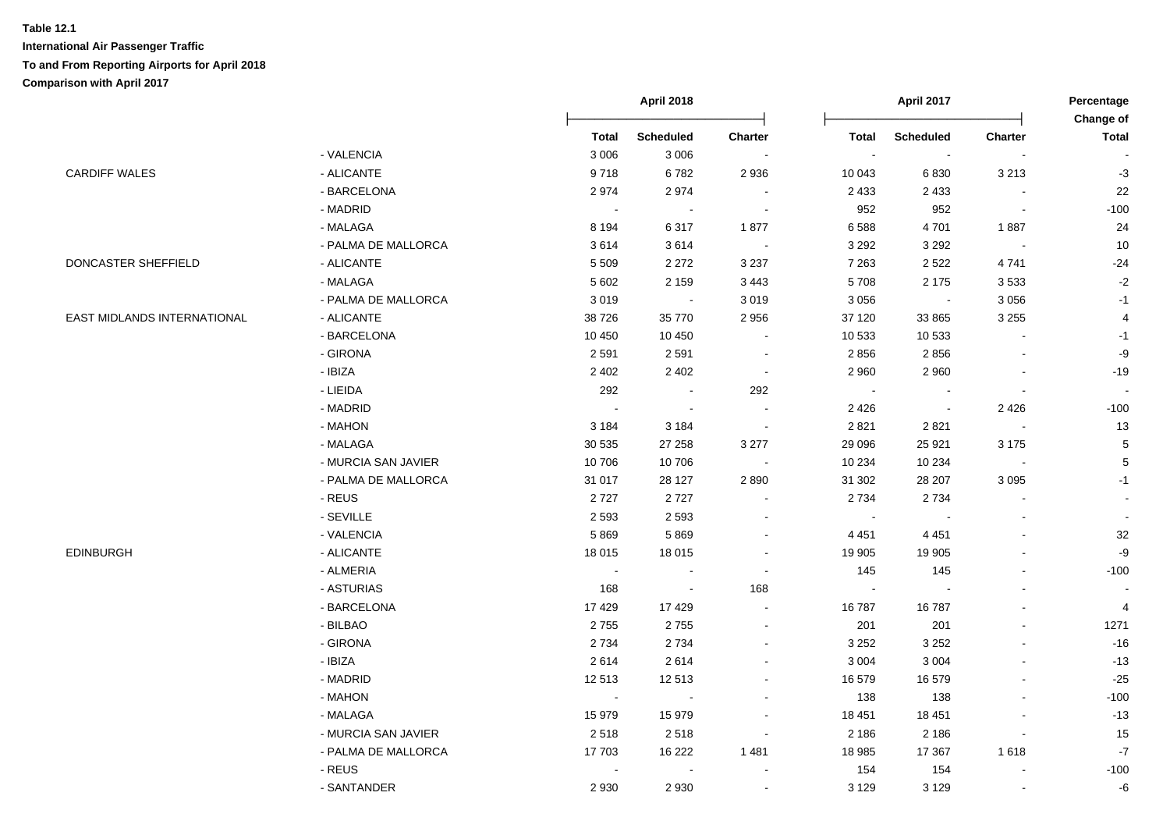|                             |                     | <b>April 2018</b> |                          |                | April 2017   |                  |                          | Percentage<br>Change of  |
|-----------------------------|---------------------|-------------------|--------------------------|----------------|--------------|------------------|--------------------------|--------------------------|
|                             |                     | <b>Total</b>      | <b>Scheduled</b>         | <b>Charter</b> | <b>Total</b> | <b>Scheduled</b> | Charter                  | <b>Total</b>             |
|                             | - VALENCIA          | 3 0 0 6           | 3 0 0 6                  | $\sim$         | $\sim$       | $\blacksquare$   | $\sim$                   |                          |
| <b>CARDIFF WALES</b>        | - ALICANTE          | 9718              | 6782                     | 2 9 3 6        | 10 043       | 6830             | 3 2 1 3                  | $-3$                     |
|                             | - BARCELONA         | 2974              | 2974                     | $\blacksquare$ | 2 4 3 3      | 2 4 3 3          | $\blacksquare$           | 22                       |
|                             | - MADRID            | $\sim$            | $\blacksquare$           | $\sim$         | 952          | 952              | $\sim$                   | $-100$                   |
|                             | - MALAGA            | 8 1 9 4           | 6317                     | 1877           | 6588         | 4701             | 1887                     | 24                       |
|                             | - PALMA DE MALLORCA | 3614              | 3614                     | $\sim$         | 3 2 9 2      | 3 2 9 2          | $\sim$                   | $10$                     |
| DONCASTER SHEFFIELD         | - ALICANTE          | 5 5 0 9           | 2 2 7 2                  | 3 2 3 7        | 7 2 6 3      | 2 5 2 2          | 4741                     | $-24$                    |
|                             | - MALAGA            | 5 6 0 2           | 2 1 5 9                  | 3 4 4 3        | 5708         | 2 1 7 5          | 3533                     | $-2$                     |
|                             | - PALMA DE MALLORCA | 3019              | $\sim$                   | 3 0 1 9        | 3 0 5 6      | $\sim$           | 3 0 5 6                  | $-1$                     |
| EAST MIDLANDS INTERNATIONAL | - ALICANTE          | 38726             | 35 770                   | 2 9 5 6        | 37 120       | 33 865           | 3 2 5 5                  | 4                        |
|                             | - BARCELONA         | 10 450            | 10 450                   | $\blacksquare$ | 10 533       | 10 533           | $\blacksquare$           | $-1$                     |
|                             | - GIRONA            | 2591              | 2591                     | $\blacksquare$ | 2856         | 2856             | $\blacksquare$           | -9                       |
|                             | - IBIZA             | 2 4 0 2           | 2 4 0 2                  | $\blacksquare$ | 2 9 6 0      | 2 9 6 0          | $\blacksquare$           | $-19$                    |
|                             | - LIEIDA            | 292               | $\sim$                   | 292            | $\sim$       | $\blacksquare$   | $\blacksquare$           | $\overline{\phantom{a}}$ |
|                             | - MADRID            | $\sim$            | $\overline{\phantom{a}}$ | $\blacksquare$ | 2 4 2 6      | $\sim$           | 2 4 2 6                  | $-100$                   |
|                             | - MAHON             | 3 1 8 4           | 3 1 8 4                  | $\sim$         | 2 8 21       | 2821             | $\sim$                   | $13$                     |
|                             | - MALAGA            | 30 535            | 27 258                   | 3 2 7 7        | 29 096       | 25 9 21          | 3 1 7 5                  | $\overline{5}$           |
|                             | - MURCIA SAN JAVIER | 10706             | 10706                    | $\sim$         | 10 234       | 10 234           | $\blacksquare$           | 5                        |
|                             | - PALMA DE MALLORCA | 31 017            | 28 127                   | 2890           | 31 302       | 28 207           | 3 0 9 5                  | $-1$                     |
|                             | - REUS              | 2727              | 2727                     |                | 2 7 3 4      | 2 7 3 4          |                          |                          |
|                             | - SEVILLE           | 2 5 9 3           | 2 5 9 3                  | $\blacksquare$ |              |                  | $\blacksquare$           |                          |
|                             | - VALENCIA          | 5869              | 5869                     | $\overline{a}$ | 4 4 5 1      | 4 4 5 1          | $\sim$                   | 32                       |
| <b>EDINBURGH</b>            | - ALICANTE          | 18 015            | 18 015                   | $\blacksquare$ | 19 905       | 19 905           | $\sim$                   | $-9$                     |
|                             | - ALMERIA           | $\sim$            | $\blacksquare$           | $\sim$         | 145          | 145              | $\overline{\phantom{a}}$ | $-100$                   |
|                             | - ASTURIAS          | 168               | $\blacksquare$           | 168            | $\sim$       |                  | L.                       |                          |
|                             | - BARCELONA         | 17429             | 17429                    | $\blacksquare$ | 16787        | 16787            | $\blacksquare$           | 4                        |
|                             | - BILBAO            | 2755              | 2755                     | $\blacksquare$ | 201          | 201              | $\blacksquare$           | 1271                     |
|                             | - GIRONA            | 2 7 3 4           | 2734                     | $\sim$         | 3 2 5 2      | 3 2 5 2          |                          | $-16$                    |
|                             | - IBIZA             | 2614              | 2614                     | $\sim$         | 3 0 0 4      | 3 0 0 4          | $\blacksquare$           | $-13$                    |
|                             | - MADRID            | 12513             | 12513                    | $\blacksquare$ | 16 579       | 16579            | ä,                       | $-25$                    |
|                             | - MAHON             | $\blacksquare$    | $\sim$                   | $\overline{a}$ | 138          | 138              | $\sim$                   | $-100$                   |
|                             | - MALAGA            | 15979             | 15 979                   | $\blacksquare$ | 18 451       | 18 451           | $\sim$                   | $-13$                    |
|                             | - MURCIA SAN JAVIER | 2518              | 2518                     | $\blacksquare$ | 2 1 8 6      | 2 1 8 6          | $\blacksquare$           | $15\,$                   |
|                             | - PALMA DE MALLORCA | 17 703            | 16 222                   | 1 4 8 1        | 18 985       | 17 367           | 1618                     | $-7$                     |
|                             | - REUS              | $\sim$            |                          |                | 154          | 154              |                          | $-100$                   |
|                             | - SANTANDER         | 2 9 3 0           | 2930                     |                | 3 1 2 9      | 3 1 2 9          |                          | -6                       |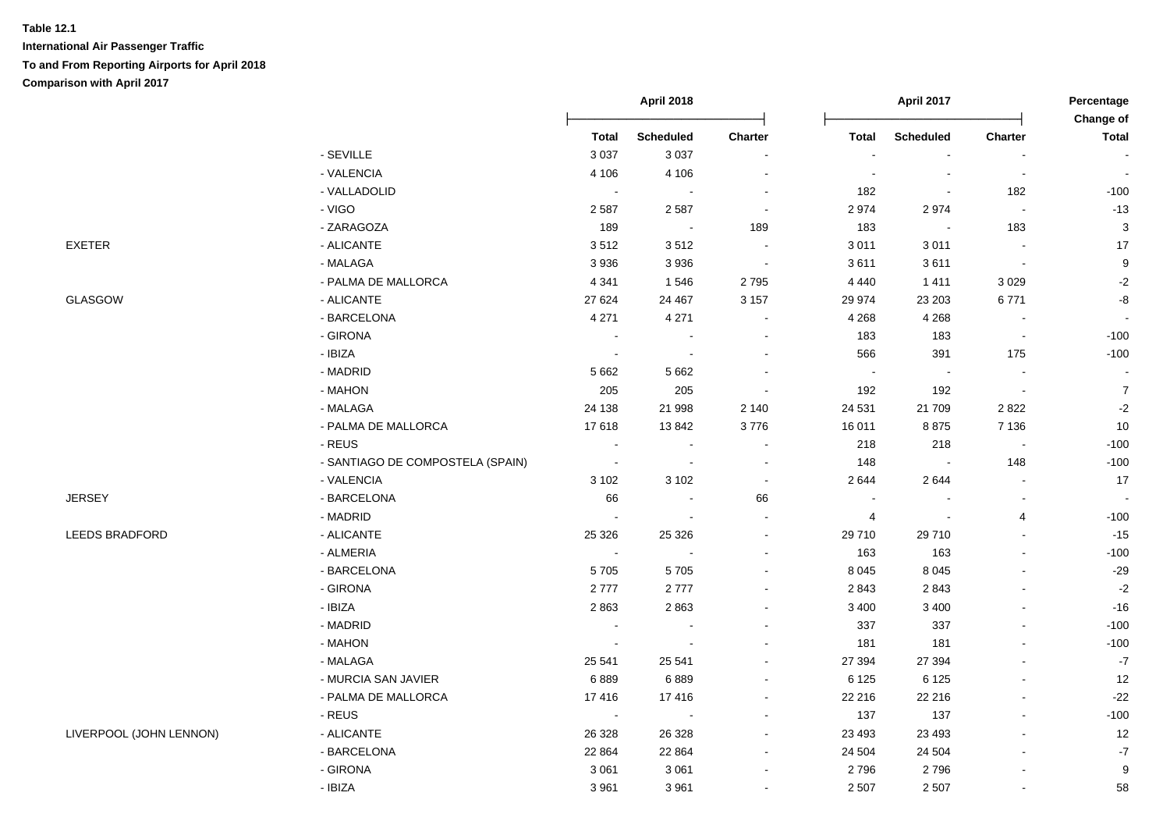|                         |                                  | <b>April 2018</b> |                  |                |                          | <b>April 2017</b>        |                          | Percentage<br>Change of  |
|-------------------------|----------------------------------|-------------------|------------------|----------------|--------------------------|--------------------------|--------------------------|--------------------------|
|                         |                                  | <b>Total</b>      | <b>Scheduled</b> | Charter        | <b>Total</b>             | Scheduled                | Charter                  | <b>Total</b>             |
|                         | - SEVILLE                        | 3 0 3 7           | 3 0 3 7          |                |                          |                          |                          |                          |
|                         | - VALENCIA                       | 4 10 6            | 4 1 0 6          |                | ÷                        | $\overline{\phantom{a}}$ | $\blacksquare$           | $\sim$                   |
|                         | - VALLADOLID                     | $\blacksquare$    | $\sim$           |                | 182                      | $\overline{\phantom{a}}$ | 182                      | $-100$                   |
|                         | - VIGO                           | 2587              | 2587             | $\sim$         | 2974                     | 2974                     | $\sim$                   | $-13$                    |
|                         | - ZARAGOZA                       | 189               | $\sim 100$       | 189            | 183                      | $\blacksquare$           | 183                      | $\sqrt{3}$               |
| EXETER                  | - ALICANTE                       | 3512              | 3512             | $\sim$         | 3 0 1 1                  | 3011                     | $\overline{\phantom{a}}$ | 17                       |
|                         | - MALAGA                         | 3936              | 3 9 3 6          | $\blacksquare$ | 3611                     | 3611                     | $\sim$                   | $\boldsymbol{9}$         |
|                         | - PALMA DE MALLORCA              | 4 3 4 1           | 1546             | 2795           | 4 4 4 0                  | 1411                     | 3 0 2 9                  | $\textnormal{-}2$        |
| <b>GLASGOW</b>          | - ALICANTE                       | 27 624            | 24 4 67          | 3 1 5 7        | 29 974                   | 23 203                   | 6771                     | $\mbox{-}8$              |
|                         | - BARCELONA                      | 4 2 7 1           | 4 2 7 1          |                | 4 2 6 8                  | 4 2 6 8                  | $\bullet$                | $\overline{\phantom{a}}$ |
|                         | - GIRONA                         | $\blacksquare$    | $\blacksquare$   |                | 183                      | 183                      | $\overline{\phantom{a}}$ | $-100$                   |
|                         | - IBIZA                          | $\sim$            |                  |                | 566                      | 391                      | 175                      | $-100$                   |
|                         | - MADRID                         | 5 6 6 2           | 5 6 6 2          |                |                          |                          |                          |                          |
|                         | - MAHON                          | 205               | 205              | $\sim$         | 192                      | 192                      | $\sim$                   | $\overline{7}$           |
|                         | - MALAGA                         | 24 138            | 21 998           | 2 140          | 24 5 31                  | 21709                    | 2822                     | $\textnormal{-}2$        |
|                         | - PALMA DE MALLORCA              | 17618             | 13 842           | 3776           | 16 011                   | 8875                     | 7 1 3 6                  | 10                       |
|                         | - REUS                           | $\blacksquare$    | $\sim$           | $\sim$         | 218                      | 218                      | $\sim$                   | $-100$                   |
|                         | - SANTIAGO DE COMPOSTELA (SPAIN) | $\blacksquare$    | $\blacksquare$   | $\sim$         | 148                      | $\blacksquare$           | 148                      | $-100$                   |
|                         | - VALENCIA                       | 3 1 0 2           | 3 1 0 2          | $\sim$         | 2644                     | 2644                     | $\blacksquare$           | 17                       |
| <b>JERSEY</b>           | - BARCELONA                      | 66                | $\blacksquare$   | 66             | $\overline{\phantom{a}}$ |                          | $\blacksquare$           | $\sim$                   |
|                         | - MADRID                         | $\sim$            |                  | $\sim$         | $\overline{4}$           | $\overline{\phantom{a}}$ | $\overline{4}$           | $-100$                   |
| LEEDS BRADFORD          | - ALICANTE                       | 25 3 26           | 25 3 26          |                | 29 710                   | 29710                    | $\blacksquare$           | $-15$                    |
|                         | - ALMERIA                        | $\blacksquare$    | $\sim$           | $\sim$         | 163                      | 163                      | $\blacksquare$           | $-100$                   |
|                         | - BARCELONA                      | 5705              | 5705             |                | 8 0 4 5                  | 8 0 4 5                  |                          | $-29$                    |
|                         | - GIRONA                         | 2777              | 2777             |                | 2843                     | 2843                     |                          | $-2$                     |
|                         | - IBIZA                          | 2863              | 2863             |                | 3 4 0 0                  | 3 4 0 0                  |                          | $-16$                    |
|                         | - MADRID                         |                   |                  |                | 337                      | 337                      |                          | $-100$                   |
|                         | - MAHON                          | $\blacksquare$    |                  |                | 181                      | 181                      |                          | $-100$                   |
|                         | - MALAGA                         | 25 541            | 25 541           |                | 27 394                   | 27 394                   | $\blacksquare$           | $-7$                     |
|                         | - MURCIA SAN JAVIER              | 6889              | 6889             |                | 6 1 2 5                  | 6 1 2 5                  | $\blacksquare$           | 12                       |
|                         | - PALMA DE MALLORCA              | 17416             | 17416            |                | 22 216                   | 22 216                   |                          | $-22$                    |
|                         | - REUS                           | $\sim$            | $\blacksquare$   |                | 137                      | 137                      |                          | $-100$                   |
| LIVERPOOL (JOHN LENNON) | - ALICANTE                       | 26 3 28           | 26 3 28          |                | 23 4 93                  | 23 4 93                  |                          | 12                       |
|                         | - BARCELONA                      | 22 8 64           | 22 8 64          |                | 24 504                   | 24 504                   |                          | $\mathbf{-7}$            |
|                         | - GIRONA                         | 3 0 6 1           | 3 0 6 1          |                | 2796                     | 2796                     | $\overline{\phantom{a}}$ | $\boldsymbol{9}$         |
|                         | - IBIZA                          | 3961              | 3 9 6 1          |                | 2 5 0 7                  | 2 5 0 7                  |                          | 58                       |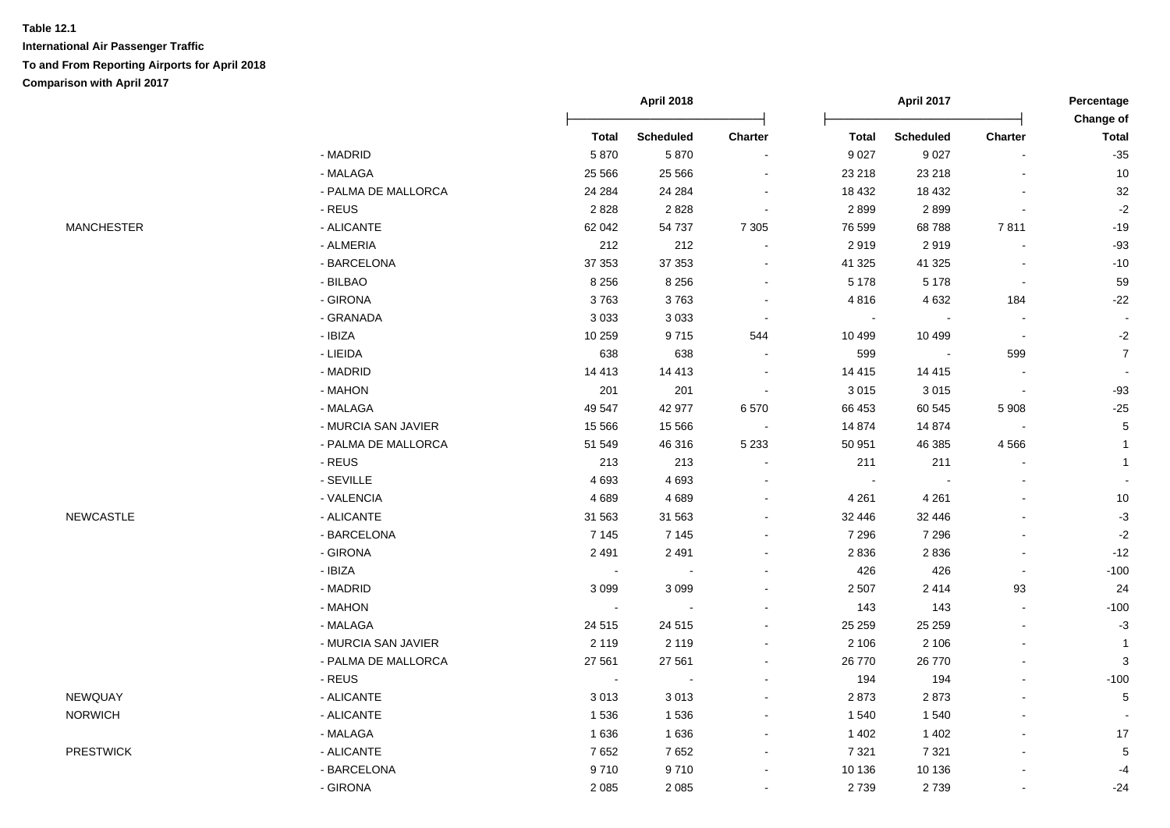|                   |                     |                | <b>April 2018</b> |         |                | April 2017       |                          | Percentage                |
|-------------------|---------------------|----------------|-------------------|---------|----------------|------------------|--------------------------|---------------------------|
|                   |                     | <b>Total</b>   | <b>Scheduled</b>  | Charter | <b>Total</b>   | <b>Scheduled</b> | Charter                  | Change of<br><b>Total</b> |
|                   | - MADRID            | 5870           | 5870              |         | 9 0 27         | 9 0 27           |                          | $-35$                     |
|                   | - MALAGA            | 25 5 66        | 25 5 66           |         | 23 218         | 23 218           |                          | 10                        |
|                   | - PALMA DE MALLORCA | 24 284         | 24 284            | $\sim$  | 18 4 32        | 18 4 32          | $\overline{a}$           | $32\,$                    |
|                   | - REUS              | 2828           | 2828              | $\sim$  | 2899           | 2899             | $\sim$                   | $-2$                      |
| <b>MANCHESTER</b> | - ALICANTE          | 62 042         | 54 737            | 7 3 0 5 | 76 599         | 68788            | 7811                     | $-19$                     |
|                   | - ALMERIA           | 212            | 212               | $\sim$  | 2919           | 2919             | $\bullet$                | $-93$                     |
|                   | - BARCELONA         | 37 353         | 37 353            | $\sim$  | 41 325         | 41 325           | $\blacksquare$           | $-10$                     |
|                   | - BILBAO            | 8 2 5 6        | 8 2 5 6           | $\sim$  | 5 1 7 8        | 5 1 7 8          | $\blacksquare$           | 59                        |
|                   | - GIRONA            | 3763           | 3763              | $\sim$  | 4816           | 4 6 3 2          | 184                      | $-22$                     |
|                   | - GRANADA           | 3 0 3 3        | 3 0 3 3           | $\sim$  | $\blacksquare$ |                  | $\sim$                   |                           |
|                   | - IBIZA             | 10 259         | 9715              | 544     | 10 499         | 10 499           | $\sim$                   | $-2$                      |
|                   | - LIEIDA            | 638            | 638               |         | 599            |                  | 599                      | $\boldsymbol{7}$          |
|                   | - MADRID            | 14 4 13        | 14 4 13           |         | 14 4 15        | 14 4 15          | $\overline{\phantom{a}}$ |                           |
|                   | - MAHON             | 201            | 201               |         | 3 0 1 5        | 3015             | $\overline{\phantom{a}}$ | $-93$                     |
|                   | - MALAGA            | 49 547         | 42 977            | 6570    | 66 453         | 60 545           | 5 9 0 8                  | $-25$                     |
|                   | - MURCIA SAN JAVIER | 15 5 66        | 15 5 66           |         | 14 874         | 14 8 74          |                          | $\sqrt{5}$                |
|                   | - PALMA DE MALLORCA | 51 549         | 46 316            | 5 2 3 3 | 50 951         | 46 385           | 4566                     | $\mathbf{1}$              |
|                   | - REUS              | 213            | 213               |         | 211            | 211              |                          | $\mathbf{1}$              |
|                   | - SEVILLE           | 4 6 9 3        | 4693              |         | $\sim$         |                  |                          |                           |
|                   | - VALENCIA          | 4689           | 4689              |         | 4 2 6 1        | 4 2 6 1          |                          | 10                        |
| <b>NEWCASTLE</b>  | - ALICANTE          | 31 563         | 31 563            | $\sim$  | 32 446         | 32 446           | L.                       | $-3$                      |
|                   | - BARCELONA         | 7 1 4 5        | 7 1 4 5           |         | 7 2 9 6        | 7 2 9 6          | ä,                       | $-2$                      |
|                   | - GIRONA            | 2 4 9 1        | 2491              |         | 2836           | 2836             | $\overline{\phantom{a}}$ | $-12$                     |
|                   | - IBIZA             | $\bullet$      | $\sim$            |         | 426            | 426              | $\Delta$                 | $-100$                    |
|                   | - MADRID            | 3099           | 3 0 9 9           |         | 2 5 0 7        | 2414             | 93                       | 24                        |
|                   | - MAHON             | $\blacksquare$ | $\sim$            |         | 143            | 143              | $\blacksquare$           | $-100$                    |
|                   | - MALAGA            | 24 5 15        | 24 5 15           |         | 25 25 9        | 25 25 9          | $\blacksquare$           | $-3$                      |
|                   | - MURCIA SAN JAVIER | 2 1 1 9        | 2 1 1 9           | $\sim$  | 2 106          | 2 1 0 6          | $\blacksquare$           | $\mathbf{1}$              |
|                   | - PALMA DE MALLORCA | 27 561         | 27 561            |         | 26 770         | 26 770           | $\blacksquare$           | 3                         |
|                   | - REUS              | $\sim$         | $\blacksquare$    |         | 194            | 194              | $\overline{a}$           | $-100$                    |
| NEWQUAY           | - ALICANTE          | 3013           | 3013              |         | 2873           | 2873             |                          | $\,$ 5 $\,$               |
| <b>NORWICH</b>    | - ALICANTE          | 1536           | 1536              |         | 1 540          | 1 540            |                          |                           |
|                   | - MALAGA            | 1636           | 1636              |         | 1 4 0 2        | 1 4 0 2          |                          | 17                        |
| <b>PRESTWICK</b>  | - ALICANTE          | 7652           | 7652              |         | 7 3 2 1        | 7 3 21           |                          | $\,$ 5 $\,$               |
|                   | - BARCELONA         | 9710           | 9710              |         | 10 136         | 10 136           |                          | $-4$                      |
|                   | - GIRONA            | 2 0 8 5        | 2085              |         | 2739           | 2739             | $\sim$                   | $-24$                     |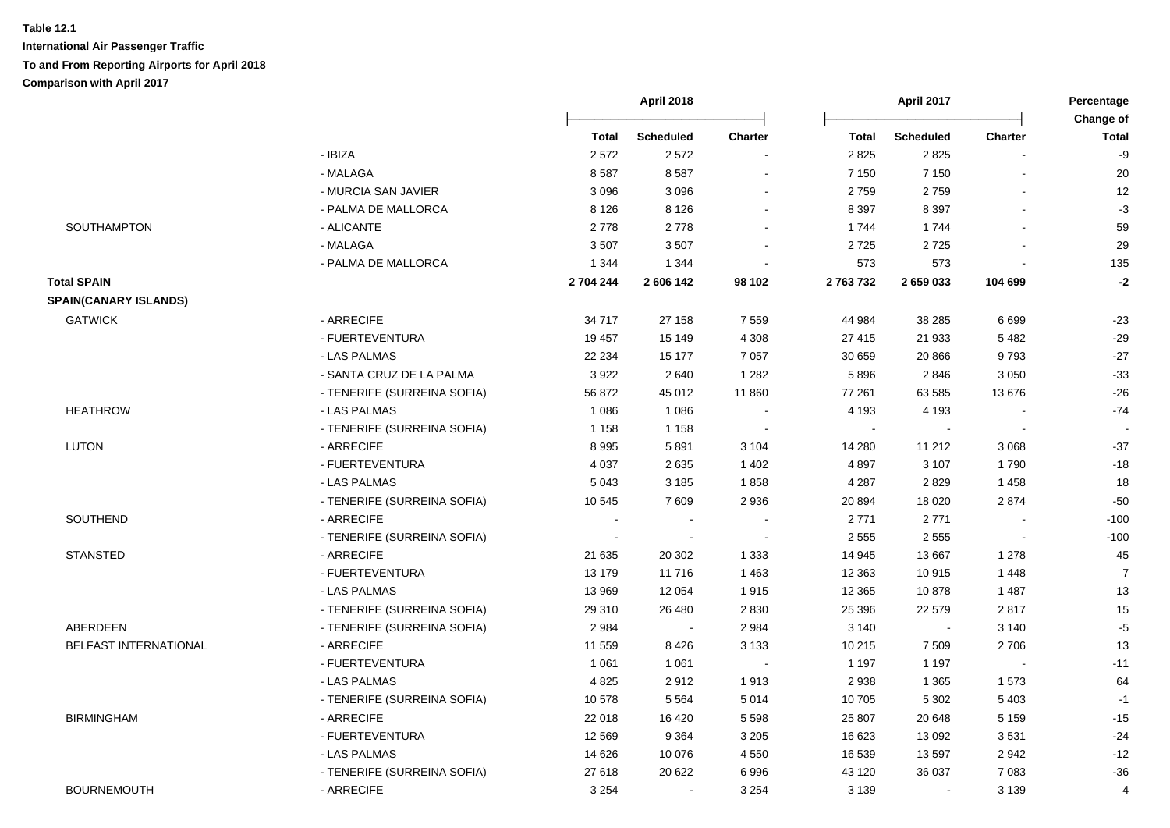|                              |                             |           | <b>April 2018</b> |         |              | April 2017       |         | Percentage<br>Change of |  |
|------------------------------|-----------------------------|-----------|-------------------|---------|--------------|------------------|---------|-------------------------|--|
|                              |                             | Total     | <b>Scheduled</b>  | Charter | Total        | <b>Scheduled</b> | Charter | <b>Total</b>            |  |
|                              | - IBIZA                     | 2572      | 2572              |         | 2825         | 2825             |         | -9                      |  |
|                              | - MALAGA                    | 8587      | 8587              |         | 7 1 5 0      | 7 1 5 0          |         | 20                      |  |
|                              | - MURCIA SAN JAVIER         | 3 0 9 6   | 3 0 9 6           |         | 2759         | 2759             |         | 12                      |  |
|                              | - PALMA DE MALLORCA         | 8 1 2 6   | 8 1 2 6           |         | 8 3 9 7      | 8 3 9 7          |         | $-3$                    |  |
| SOUTHAMPTON                  | - ALICANTE                  | 2778      | 2778              |         | 1744         | 1744             |         | 59                      |  |
|                              | - MALAGA                    | 3507      | 3507              |         | 2725         | 2725             |         | 29                      |  |
|                              | - PALMA DE MALLORCA         | 1 3 4 4   | 1 3 4 4           |         | 573          | 573              |         | 135                     |  |
| <b>Total SPAIN</b>           |                             | 2 704 244 | 2 606 142         | 98 102  | 2763732      | 2 659 033        | 104 699 | $-2$                    |  |
| <b>SPAIN(CANARY ISLANDS)</b> |                             |           |                   |         |              |                  |         |                         |  |
| <b>GATWICK</b>               | - ARRECIFE                  | 34 717    | 27 158            | 7 5 5 9 | 44 984       | 38 285           | 6699    | $-23$                   |  |
|                              | - FUERTEVENTURA             | 19 457    | 15 149            | 4 3 0 8 | 27 415       | 21 933           | 5482    | $-29$                   |  |
|                              | - LAS PALMAS                | 22 234    | 15 177            | 7 0 5 7 | 30 659       | 20 866           | 9793    | $-27$                   |  |
|                              | - SANTA CRUZ DE LA PALMA    | 3922      | 2640              | 1 2 8 2 | 5896         | 2846             | 3 0 5 0 | $-33$                   |  |
|                              | - TENERIFE (SURREINA SOFIA) | 56 872    | 45 012            | 11 860  | 77 261       | 63 585           | 13676   | $-26$                   |  |
| <b>HEATHROW</b>              | - LAS PALMAS                | 1 0 8 6   | 1 0 8 6           |         | 4 1 9 3      | 4 1 9 3          |         | $-74$                   |  |
|                              | - TENERIFE (SURREINA SOFIA) | 1 1 5 8   | 1 1 5 8           |         | $\mathbf{r}$ |                  |         |                         |  |
| <b>LUTON</b>                 | - ARRECIFE                  | 8995      | 5891              | 3 1 0 4 | 14 280       | 11 21 2          | 3 0 6 8 | $-37$                   |  |
|                              | - FUERTEVENTURA             | 4 0 3 7   | 2635              | 1 4 0 2 | 4897         | 3 1 0 7          | 1790    | $-18$                   |  |
|                              | - LAS PALMAS                | 5 0 4 3   | 3 1 8 5           | 1858    | 4 2 8 7      | 2829             | 1458    | 18                      |  |
|                              | - TENERIFE (SURREINA SOFIA) | 10 545    | 7609              | 2 9 3 6 | 20 894       | 18 0 20          | 2874    | $-50$                   |  |
| <b>SOUTHEND</b>              | - ARRECIFE                  |           |                   |         | 2 7 7 1      | 2771             |         | $-100$                  |  |
|                              | - TENERIFE (SURREINA SOFIA) |           | $\blacksquare$    |         | 2 5 5 5      | 2 5 5 5          |         | $-100$                  |  |
| <b>STANSTED</b>              | - ARRECIFE                  | 21 635    | 20 302            | 1 3 3 3 | 14 945       | 13 667           | 1 2 7 8 | 45                      |  |
|                              | - FUERTEVENTURA             | 13 179    | 11716             | 1 4 6 3 | 12 3 63      | 10915            | 1 4 4 8 | $\overline{7}$          |  |
|                              | - LAS PALMAS                | 13 969    | 12 0 54           | 1915    | 12 3 65      | 10878            | 1 4 8 7 | 13                      |  |
|                              | - TENERIFE (SURREINA SOFIA) | 29 310    | 26 480            | 2 8 3 0 | 25 39 6      | 22 579           | 2817    | 15                      |  |
| ABERDEEN                     | - TENERIFE (SURREINA SOFIA) | 2984      | $\sim$            | 2 9 8 4 | 3 1 4 0      | $\sim$           | 3 1 4 0 | $-5$                    |  |
| BELFAST INTERNATIONAL        | - ARRECIFE                  | 11 559    | 8426              | 3 1 3 3 | 10 215       | 7 5 0 9          | 2706    | 13                      |  |
|                              | - FUERTEVENTURA             | 1 0 6 1   | 1 0 6 1           | $\sim$  | 1 1 9 7      | 1 1 9 7          | $\sim$  | $-11$                   |  |
|                              | - LAS PALMAS                | 4825      | 2912              | 1913    | 2938         | 1 3 6 5          | 1573    | 64                      |  |
|                              | - TENERIFE (SURREINA SOFIA) | 10 578    | 5 5 6 4           | 5 0 1 4 | 10 705       | 5 3 0 2          | 5 4 0 3 | $-1$                    |  |
| <b>BIRMINGHAM</b>            | - ARRECIFE                  | 22 018    | 16 4 20           | 5 5 9 8 | 25 807       | 20 648           | 5 1 5 9 | $-15$                   |  |
|                              | - FUERTEVENTURA             | 12 5 69   | 9 3 6 4           | 3 2 0 5 | 16 623       | 13 092           | 3531    | $-24$                   |  |
|                              | - LAS PALMAS                | 14 6 26   | 10 0 76           | 4 5 5 0 | 16 539       | 13597            | 2942    | $-12$                   |  |
|                              | - TENERIFE (SURREINA SOFIA) | 27618     | 20 622            | 6996    | 43 120       | 36 037           | 7 0 8 3 | $-36$                   |  |
| <b>BOURNEMOUTH</b>           | - ARRECIFE                  | 3 2 5 4   | $\sim$            | 3 2 5 4 | 3 1 3 9      | $\blacksquare$   | 3 1 3 9 | $\overline{4}$          |  |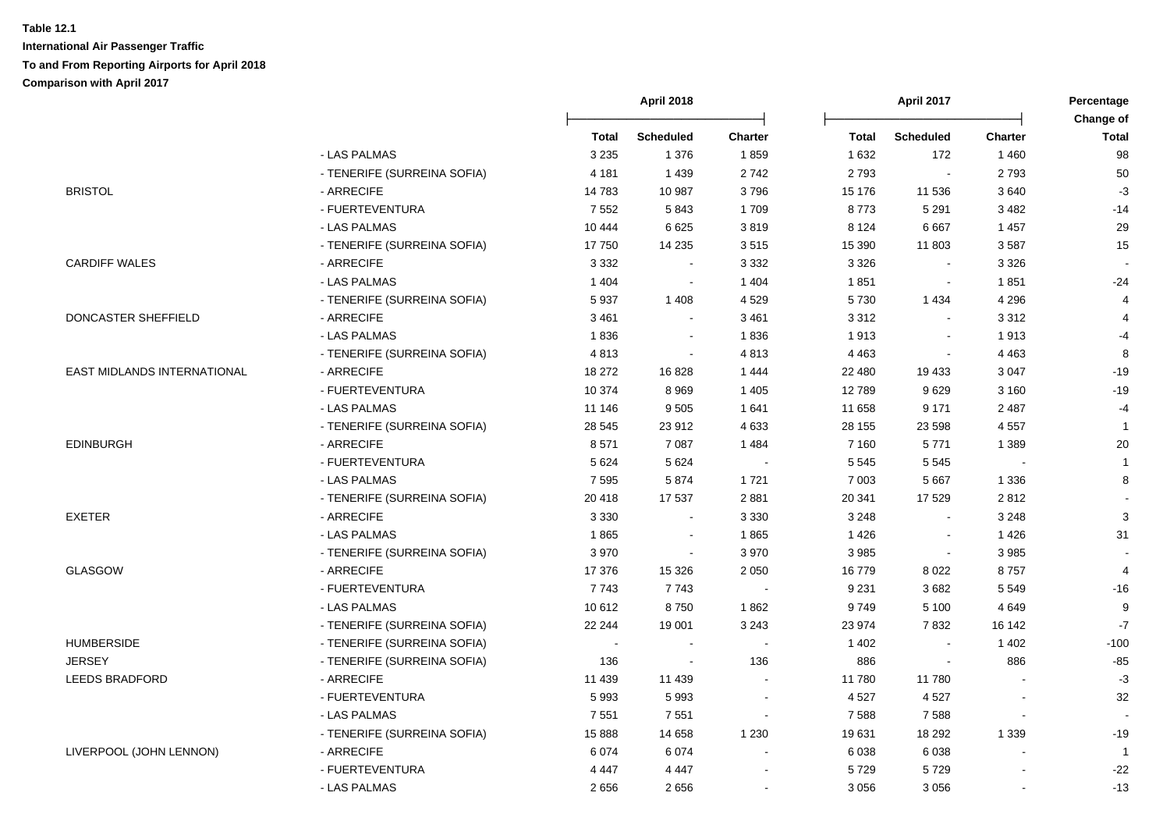|                             |                             | April 2017<br><b>April 2018</b> |                  | Percentage     |              |                             |                |                           |
|-----------------------------|-----------------------------|---------------------------------|------------------|----------------|--------------|-----------------------------|----------------|---------------------------|
|                             |                             | <b>Total</b>                    | <b>Scheduled</b> | <b>Charter</b> | <b>Total</b> | <b>Scheduled</b>            | <b>Charter</b> | Change of<br><b>Total</b> |
|                             | - LAS PALMAS                | 3 2 3 5                         | 1 3 7 6          | 1859           | 1 6 3 2      | 172                         | 1 4 6 0        | 98                        |
|                             | - TENERIFE (SURREINA SOFIA) | 4 1 8 1                         | 1 4 3 9          | 2742           | 2793         | $\mathcal{L}_{\mathcal{A}}$ | 2793           | 50                        |
| <b>BRISTOL</b>              | - ARRECIFE                  | 14783                           | 10 987           | 3796           | 15 176       | 11 536                      | 3640           | $-3$                      |
|                             | - FUERTEVENTURA             | 7 5 5 2                         | 5843             | 1709           | 8773         | 5 2 9 1                     | 3 4 8 2        | $-14$                     |
|                             | - LAS PALMAS                | 10 444                          | 6625             | 3819           | 8 1 2 4      | 6667                        | 1 4 5 7        | 29                        |
|                             | - TENERIFE (SURREINA SOFIA) | 17750                           | 14 2 35          | 3515           | 15 390       | 11 803                      | 3587           | 15                        |
| <b>CARDIFF WALES</b>        | - ARRECIFE                  | 3 3 3 2                         | $\sim$           | 3 3 3 2        | 3 3 2 6      | $\sim$                      | 3 3 2 6        |                           |
|                             | - LAS PALMAS                | 1 4 0 4                         | $\blacksquare$   | 1 4 0 4        | 1851         | $\blacksquare$              | 1851           | $-24$                     |
|                             | - TENERIFE (SURREINA SOFIA) | 5937                            | 1 4 0 8          | 4 5 2 9        | 5730         | 1 4 3 4                     | 4 2 9 6        | 4                         |
| <b>DONCASTER SHEFFIELD</b>  | - ARRECIFE                  | 3 4 6 1                         | $\blacksquare$   | 3 4 6 1        | 3 3 1 2      | $\blacksquare$              | 3312           | $\overline{4}$            |
|                             | - LAS PALMAS                | 1836                            | $\sim$           | 1836           | 1913         | $\blacksquare$              | 1913           | $-4$                      |
|                             | - TENERIFE (SURREINA SOFIA) | 4813                            | $\sim$           | 4813           | 4 4 6 3      | $\sim$                      | 4 4 6 3        | 8                         |
| EAST MIDLANDS INTERNATIONAL | - ARRECIFE                  | 18 272                          | 16828            | 1 4 4 4        | 22 480       | 19 433                      | 3 0 4 7        | $-19$                     |
|                             | - FUERTEVENTURA             | 10 374                          | 8969             | 1 4 0 5        | 12789        | 9629                        | 3 1 6 0        | $-19$                     |
|                             | - LAS PALMAS                | 11 146                          | 9505             | 1 641          | 11 658       | 9 1 7 1                     | 2 4 8 7        | $-4$                      |
|                             | - TENERIFE (SURREINA SOFIA) | 28 545                          | 23 912           | 4 6 3 3        | 28 155       | 23 598                      | 4 5 5 7        | $\mathbf{1}$              |
| <b>EDINBURGH</b>            | - ARRECIFE                  | 8571                            | 7 0 8 7          | 1 4 8 4        | 7 1 6 0      | 5771                        | 1 3 8 9        | 20                        |
|                             | - FUERTEVENTURA             | 5 6 2 4                         | 5 6 2 4          | $\sim$         | 5 5 4 5      | 5 5 4 5                     |                | $\mathbf{1}$              |
|                             | - LAS PALMAS                | 7 5 9 5                         | 5874             | 1721           | 7 0 0 3      | 5 6 6 7                     | 1 3 3 6        | 8                         |
|                             | - TENERIFE (SURREINA SOFIA) | 20 418                          | 17 537           | 2 8 8 1        | 20 341       | 17529                       | 2812           |                           |
| <b>EXETER</b>               | - ARRECIFE                  | 3 3 3 0                         | $\sim$           | 3 3 3 0        | 3 2 4 8      | $\mathcal{L}_{\mathcal{A}}$ | 3 2 4 8        | 3                         |
|                             | - LAS PALMAS                | 1865                            | $\sim$           | 1865           | 1 4 2 6      | $\blacksquare$              | 1 4 2 6        | 31                        |
|                             | - TENERIFE (SURREINA SOFIA) | 3970                            | $\sim$           | 3 9 7 0        | 3 9 8 5      | $\mathbf{r}$                | 3985           |                           |
| <b>GLASGOW</b>              | - ARRECIFE                  | 17 376                          | 15 3 26          | 2 0 5 0        | 16779        | 8 0 2 2                     | 8757           | $\overline{4}$            |
|                             | - FUERTEVENTURA             | 7743                            | 7743             |                | 9 2 3 1      | 3682                        | 5 5 4 9        | $-16$                     |
|                             | - LAS PALMAS                | 10612                           | 8750             | 1862           | 9749         | 5 1 0 0                     | 4 6 4 9        | 9                         |
|                             | - TENERIFE (SURREINA SOFIA) | 22 244                          | 19 001           | 3 2 4 3        | 23 974       | 7832                        | 16 142         | $\mathbf{-7}$             |
| <b>HUMBERSIDE</b>           | - TENERIFE (SURREINA SOFIA) |                                 | $\sim$           |                | 1 4 0 2      |                             | 1 4 0 2        | $-100$                    |
| <b>JERSEY</b>               | - TENERIFE (SURREINA SOFIA) | 136                             | $\sim$           | 136            | 886          | $\blacksquare$              | 886            | $-85$                     |
| LEEDS BRADFORD              | - ARRECIFE                  | 11 439                          | 11 439           |                | 11780        | 11 780                      |                | $-3$                      |
|                             | - FUERTEVENTURA             | 5993                            | 5993             | $\sim$         | 4 5 27       | 4527                        | L.             | 32                        |
|                             | - LAS PALMAS                | 7551                            | 7551             | $\sim$         | 7588         | 7588                        | $\blacksquare$ |                           |
|                             | - TENERIFE (SURREINA SOFIA) | 15888                           | 14 658           | 1 2 3 0        | 19631        | 18 29 2                     | 1 3 3 9        | $-19$                     |
| LIVERPOOL (JOHN LENNON)     | - ARRECIFE                  | 6074                            | 6 0 7 4          |                | 6 0 38       | 6038                        |                | $\mathbf{1}$              |
|                             | - FUERTEVENTURA             | 4 4 4 7                         | 4 4 4 7          |                | 5729         | 5729                        |                | $-22$                     |
|                             | - LAS PALMAS                | 2656                            | 2656             |                | 3 0 5 6      | 3 0 5 6                     |                | $-13$                     |
|                             |                             |                                 |                  |                |              |                             |                |                           |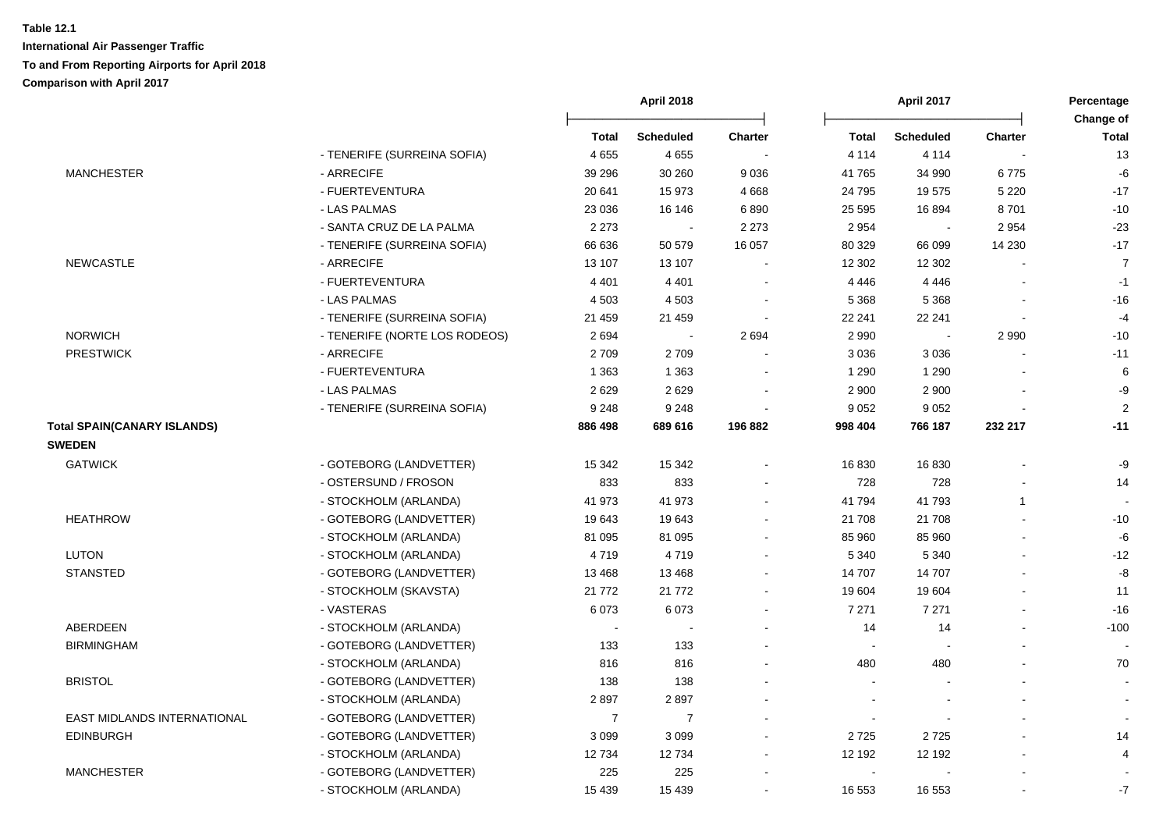|                                    |                               |                          | April 2018       |                | April 2017     |                  | Percentage     |                           |
|------------------------------------|-------------------------------|--------------------------|------------------|----------------|----------------|------------------|----------------|---------------------------|
|                                    |                               | Total                    | <b>Scheduled</b> | <b>Charter</b> | <b>Total</b>   | <b>Scheduled</b> | <b>Charter</b> | Change of<br><b>Total</b> |
|                                    | - TENERIFE (SURREINA SOFIA)   | 4655                     | 4655             |                | 4 1 1 4        | 4 1 1 4          |                | 13                        |
| <b>MANCHESTER</b>                  | - ARRECIFE                    | 39 29 6                  | 30 260           | 9036           | 41765          | 34 990           | 6775           | -6                        |
|                                    | - FUERTEVENTURA               | 20 641                   | 15 973           | 4 6 6 8        | 24 795         | 19575            | 5 2 2 0        | $-17$                     |
|                                    | - LAS PALMAS                  | 23 0 36                  | 16 146           | 6890           | 25 5 95        | 16894            | 8701           | $-10$                     |
|                                    | - SANTA CRUZ DE LA PALMA      | 2 2 7 3                  | $\sim$           | 2 2 7 3        | 2 9 5 4        | $\sim$           | 2 9 5 4        | $-23$                     |
|                                    | - TENERIFE (SURREINA SOFIA)   | 66 636                   | 50 579           | 16 057         | 80 329         | 66 099           | 14 230         | $-17$                     |
| <b>NEWCASTLE</b>                   | - ARRECIFE                    | 13 107                   | 13 107           | $\sim$         | 12 302         | 12 302           |                | $\overline{7}$            |
|                                    | - FUERTEVENTURA               | 4 4 0 1                  | 4 4 0 1          | $\blacksquare$ | 4 4 4 6        | 4 4 4 6          |                | $-1$                      |
|                                    | - LAS PALMAS                  | 4 5 0 3                  | 4 5 0 3          |                | 5 3 6 8        | 5 3 6 8          |                | $-16$                     |
|                                    | - TENERIFE (SURREINA SOFIA)   | 21 459                   | 21 459           |                | 22 241         | 22 241           |                | $-4$                      |
| <b>NORWICH</b>                     | - TENERIFE (NORTE LOS RODEOS) | 2694                     | $\overline{a}$   | 2694           | 2 9 9 0        | $\sim$           | 2 9 9 0        | $-10$                     |
| <b>PRESTWICK</b>                   | - ARRECIFE                    | 2709                     | 2709             |                | 3 0 3 6        | 3 0 3 6          |                | $-11$                     |
|                                    | - FUERTEVENTURA               | 1 3 6 3                  | 1 3 6 3          |                | 1 2 9 0        | 1 2 9 0          |                | 6                         |
|                                    | - LAS PALMAS                  | 2629                     | 2629             |                | 2 9 0 0        | 2 900            |                | $-9$                      |
|                                    | - TENERIFE (SURREINA SOFIA)   | 9 2 4 8                  | 9 2 4 8          |                | 9 0 5 2        | 9 0 5 2          |                | 2                         |
| <b>Total SPAIN(CANARY ISLANDS)</b> |                               | 886 498                  | 689 616          | 196 882        | 998 404        | 766 187          | 232 217        | $-11$                     |
| <b>SWEDEN</b>                      |                               |                          |                  |                |                |                  |                |                           |
| <b>GATWICK</b>                     | - GOTEBORG (LANDVETTER)       | 15 342                   | 15 342           |                | 16 830         | 16830            |                | -9                        |
|                                    | - OSTERSUND / FROSON          | 833                      | 833              |                | 728            | 728              |                | 14                        |
|                                    | - STOCKHOLM (ARLANDA)         | 41 973                   | 41 973           |                | 41 794         | 41793            | $\mathbf{1}$   |                           |
| <b>HEATHROW</b>                    | - GOTEBORG (LANDVETTER)       | 19643                    | 19643            |                | 21 708         | 21 708           | $\blacksquare$ | $-10$                     |
|                                    | - STOCKHOLM (ARLANDA)         | 81 095                   | 81 095           |                | 85 960         | 85 960           |                | -6                        |
| <b>LUTON</b>                       | - STOCKHOLM (ARLANDA)         | 4719                     | 4719             |                | 5 3 4 0        | 5 3 4 0          |                | $-12$                     |
| <b>STANSTED</b>                    | - GOTEBORG (LANDVETTER)       | 13 4 68                  | 13 4 68          |                | 14 707         | 14 707           |                | -8                        |
|                                    | - STOCKHOLM (SKAVSTA)         | 21 772                   | 21 772           |                | 19 604         | 19604            |                | 11                        |
|                                    | - VASTERAS                    | 6073                     | 6073             |                | 7 2 7 1        | 7 2 7 1          |                | $-16$                     |
| <b>ABERDEEN</b>                    | - STOCKHOLM (ARLANDA)         | $\overline{\phantom{a}}$ |                  |                | 14             | 14               |                | $-100$                    |
| <b>BIRMINGHAM</b>                  | - GOTEBORG (LANDVETTER)       | 133                      | 133              |                | $\blacksquare$ |                  |                |                           |
|                                    | - STOCKHOLM (ARLANDA)         | 816                      | 816              |                | 480            | 480              |                | 70                        |
| <b>BRISTOL</b>                     | - GOTEBORG (LANDVETTER)       | 138                      | 138              |                | $\sim$         |                  | ÷.             | $\sim$                    |
|                                    | - STOCKHOLM (ARLANDA)         | 2897                     | 2897             |                | $\blacksquare$ |                  |                | $\sim$                    |
| <b>EAST MIDLANDS INTERNATIONAL</b> | - GOTEBORG (LANDVETTER)       | $\overline{7}$           | $\overline{7}$   |                | $\blacksquare$ |                  |                |                           |
| <b>EDINBURGH</b>                   | - GOTEBORG (LANDVETTER)       | 3099                     | 3 0 9 9          |                | 2725           | 2725             |                | 14                        |
|                                    | - STOCKHOLM (ARLANDA)         | 12734                    | 12734            |                | 12 192         | 12 192           |                | 4                         |
| <b>MANCHESTER</b>                  | - GOTEBORG (LANDVETTER)       | 225                      | 225              |                | $\sim$         |                  |                |                           |
|                                    | - STOCKHOLM (ARLANDA)         | 15 4 39                  | 15 4 39          |                | 16 553         | 16 553           |                | $-7$                      |
|                                    |                               |                          |                  |                |                |                  |                |                           |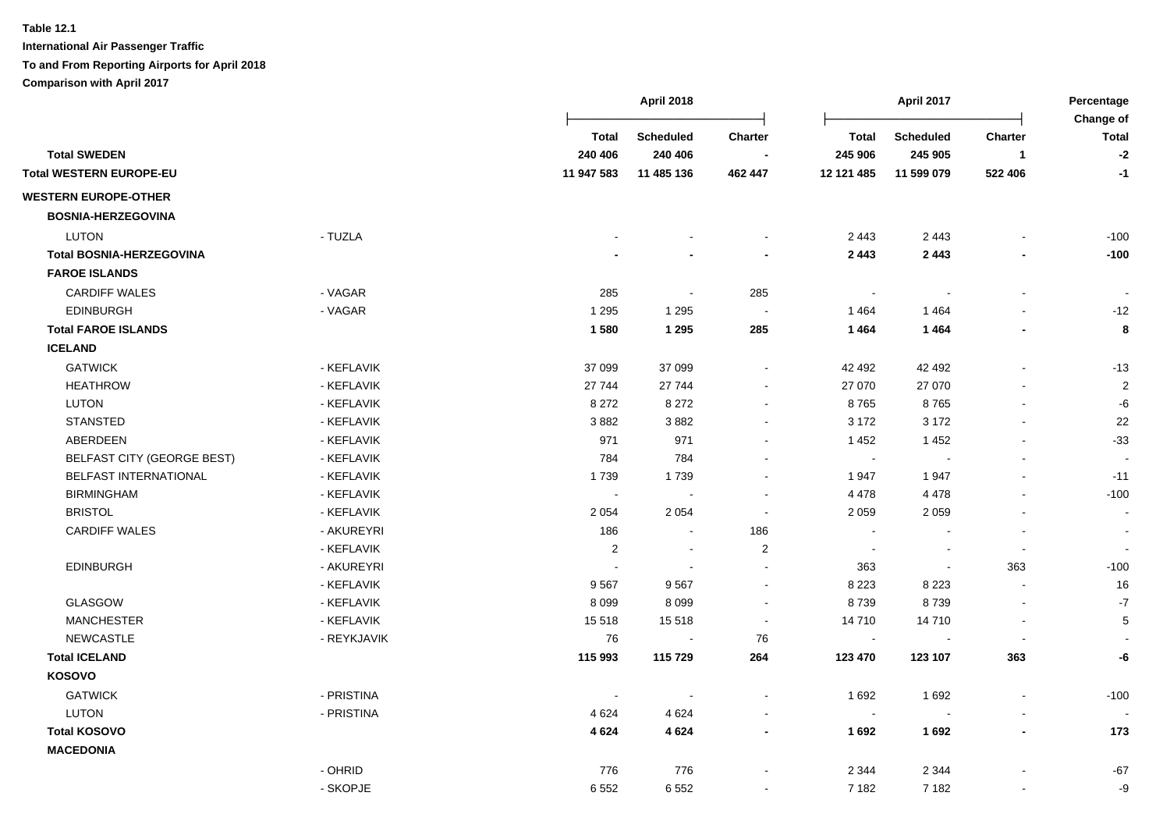|                                   |             |                          | <b>April 2018</b>           |                |                         | <b>April 2017</b>           |                         | Percentage<br>Change of  |
|-----------------------------------|-------------|--------------------------|-----------------------------|----------------|-------------------------|-----------------------------|-------------------------|--------------------------|
| <b>Total SWEDEN</b>               |             | <b>Total</b><br>240 406  | <b>Scheduled</b><br>240 406 | <b>Charter</b> | <b>Total</b><br>245 906 | <b>Scheduled</b><br>245 905 | Charter<br>$\mathbf{1}$ | <b>Total</b><br>$-2$     |
| <b>Total WESTERN EUROPE-EU</b>    |             | 11 947 583               | 11 485 136                  | 462 447        | 12 121 485              | 11 599 079                  | 522 406                 | $-1$                     |
| <b>WESTERN EUROPE-OTHER</b>       |             |                          |                             |                |                         |                             |                         |                          |
| <b>BOSNIA-HERZEGOVINA</b>         |             |                          |                             |                |                         |                             |                         |                          |
| <b>LUTON</b>                      | - TUZLA     |                          |                             |                | 2 4 4 3                 | 2 4 4 3                     |                         | $-100$                   |
| <b>Total BOSNIA-HERZEGOVINA</b>   |             |                          |                             |                | 2 4 4 3                 | 2 4 4 3                     |                         | $-100$                   |
| <b>FAROE ISLANDS</b>              |             |                          |                             |                |                         |                             |                         |                          |
| <b>CARDIFF WALES</b>              | - VAGAR     | 285                      | $\sim$                      | 285            | $\sim$                  | $\blacksquare$              | $\overline{a}$          |                          |
| <b>EDINBURGH</b>                  | - VAGAR     | 1 2 9 5                  | 1 2 9 5                     | $\blacksquare$ | 1464                    | 1464                        |                         | $-12$                    |
| <b>Total FAROE ISLANDS</b>        |             | 1580                     | 1 2 9 5                     | 285            | 1464                    | 1464                        |                         | 8                        |
| <b>ICELAND</b>                    |             |                          |                             |                |                         |                             |                         |                          |
| <b>GATWICK</b>                    | - KEFLAVIK  | 37 099                   | 37 099                      |                | 42 492                  | 42 492                      |                         | $-13$                    |
| <b>HEATHROW</b>                   | - KEFLAVIK  | 27 744                   | 27 744                      | $\blacksquare$ | 27 070                  | 27 070                      |                         | $\sqrt{2}$               |
| LUTON                             | - KEFLAVIK  | 8 2 7 2                  | 8 2 7 2                     | $\blacksquare$ | 8765                    | 8765                        |                         | -6                       |
| <b>STANSTED</b>                   | - KEFLAVIK  | 3882                     | 3882                        | $\blacksquare$ | 3 1 7 2                 | 3 1 7 2                     |                         | 22                       |
| ABERDEEN                          | - KEFLAVIK  | 971                      | 971                         | $\blacksquare$ | 1452                    | 1452                        | $\blacksquare$          | $-33$                    |
| <b>BELFAST CITY (GEORGE BEST)</b> | - KEFLAVIK  | 784                      | 784                         | $\blacksquare$ | $\blacksquare$          | $\sim$                      | $\overline{a}$          | $\overline{\phantom{a}}$ |
| BELFAST INTERNATIONAL             | - KEFLAVIK  | 1739                     | 1739                        |                | 1947                    | 1947                        |                         | $-11$                    |
| <b>BIRMINGHAM</b>                 | - KEFLAVIK  | $\blacksquare$           |                             | $\blacksquare$ | 4 4 7 8                 | 4 4 7 8                     |                         | $-100$                   |
| <b>BRISTOL</b>                    | - KEFLAVIK  | 2 0 5 4                  | 2 0 5 4                     |                | 2 0 5 9                 | 2 0 5 9                     |                         | $\overline{\phantom{a}}$ |
| <b>CARDIFF WALES</b>              | - AKUREYRI  | 186                      |                             | 186            |                         |                             |                         | $\blacksquare$           |
|                                   | - KEFLAVIK  | 2                        |                             | $\overline{2}$ | $\sim$                  | $\overline{\phantom{a}}$    | $\blacksquare$          |                          |
| <b>EDINBURGH</b>                  | - AKUREYRI  | $\overline{\phantom{a}}$ |                             | $\overline{a}$ | 363                     | $\blacksquare$              | 363                     | $-100$                   |
|                                   | - KEFLAVIK  | 9567                     | 9567                        | $\overline{a}$ | 8 2 2 3                 | 8 2 2 3                     | $\sim$                  | 16                       |
| GLASGOW                           | - KEFLAVIK  | 8 0 9 9                  | 8099                        | $\sim$         | 8739                    | 8739                        | $\blacksquare$          | $-7$                     |
| <b>MANCHESTER</b>                 | - KEFLAVIK  | 15 5 18                  | 15 5 18                     | $\blacksquare$ | 14 710                  | 14710                       | $\overline{a}$          | $\sqrt{5}$               |
| <b>NEWCASTLE</b>                  | - REYKJAVIK | 76                       | $\sim$                      | 76             | $\sim$                  | $\overline{\phantom{a}}$    | $\blacksquare$          |                          |
| <b>Total ICELAND</b>              |             | 115 993                  | 115729                      | 264            | 123 470                 | 123 107                     | 363                     | -6                       |
| <b>KOSOVO</b>                     |             |                          |                             |                |                         |                             |                         |                          |
| <b>GATWICK</b>                    | - PRISTINA  |                          |                             |                | 1 6 9 2                 | 1692                        |                         | $-100$                   |
| <b>LUTON</b>                      | - PRISTINA  | 4624                     | 4624                        | $\blacksquare$ | $\sim$                  | $\overline{\phantom{a}}$    |                         |                          |
| <b>Total KOSOVO</b>               |             | 4624                     | 4 6 24                      | $\blacksquare$ | 1692                    | 1692                        | ٠                       | 173                      |
| <b>MACEDONIA</b>                  |             |                          |                             |                |                         |                             |                         |                          |
|                                   | - OHRID     | 776                      | 776                         |                | 2 3 4 4                 | 2 3 4 4                     |                         | $-67$                    |
|                                   | - SKOPJE    | 6 5 5 2                  | 6552                        | $\sim$         | 7 1 8 2                 | 7 1 8 2                     | $\overline{a}$          | -9                       |
|                                   |             |                          |                             |                |                         |                             |                         |                          |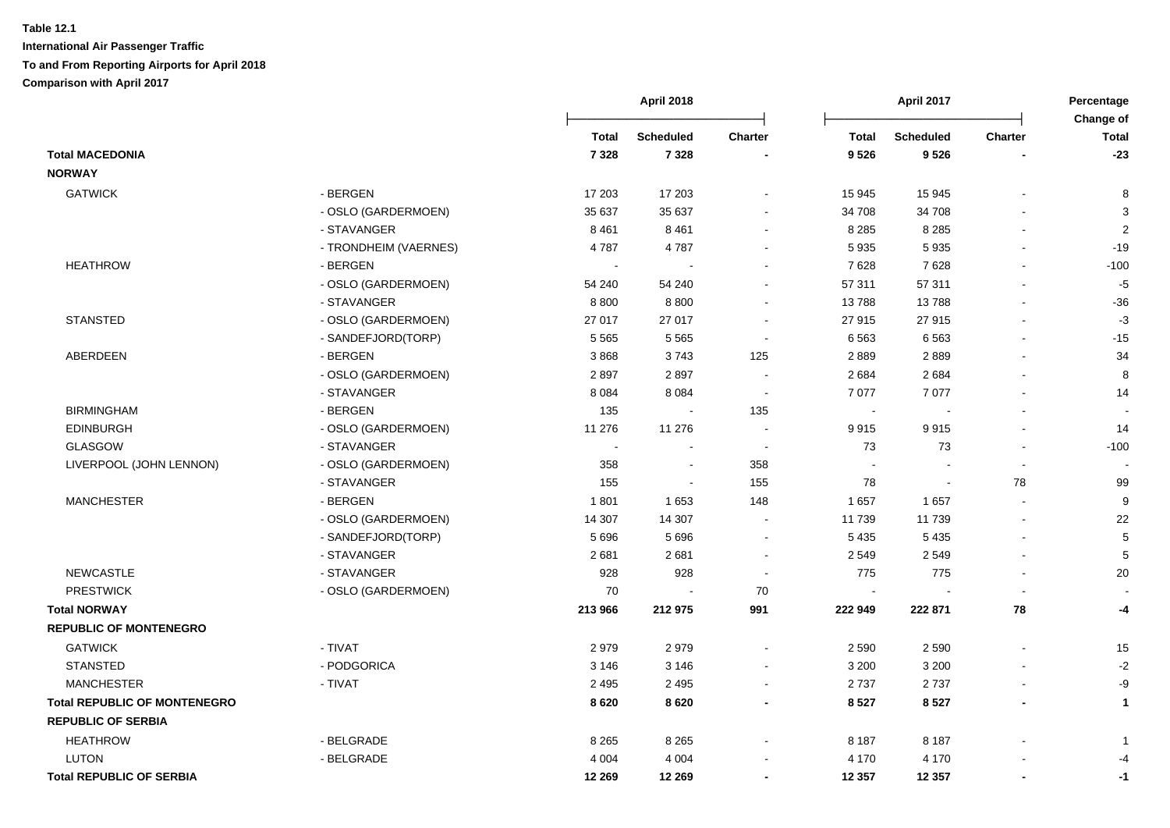|                                     |                       |              | April 2018       |                |                | April 2017       |                | Percentage              |
|-------------------------------------|-----------------------|--------------|------------------|----------------|----------------|------------------|----------------|-------------------------|
|                                     |                       | <b>Total</b> | <b>Scheduled</b> | <b>Charter</b> | <b>Total</b>   | <b>Scheduled</b> | <b>Charter</b> | Change of<br>Total      |
| <b>Total MACEDONIA</b>              |                       | 7 3 2 8      | 7 3 2 8          |                | 9526           | 9526             |                | $-23$                   |
| <b>NORWAY</b>                       |                       |              |                  |                |                |                  |                |                         |
| <b>GATWICK</b>                      | - BERGEN              | 17 203       | 17 203           |                | 15 945         | 15 945           |                | 8                       |
|                                     | - OSLO (GARDERMOEN)   | 35 637       | 35 637           |                | 34 708         | 34 708           |                | 3                       |
|                                     | - STAVANGER           | 8 4 6 1      | 8 4 6 1          |                | 8 2 8 5        | 8 2 8 5          |                | $\overline{2}$          |
|                                     | - TRONDHEIM (VAERNES) | 4787         | 4787             |                | 5 9 3 5        | 5935             |                | $-19$                   |
| <b>HEATHROW</b>                     | - BERGEN              |              |                  |                | 7628           | 7628             |                | $-100$                  |
|                                     | - OSLO (GARDERMOEN)   | 54 240       | 54 240           |                | 57 311         | 57 311           |                | $-5$                    |
|                                     | - STAVANGER           | 8800         | 8800             |                | 13788          | 13788            | $\blacksquare$ | $-36$                   |
| <b>STANSTED</b>                     | - OSLO (GARDERMOEN)   | 27 017       | 27 017           |                | 27 915         | 27 915           |                | $-3$                    |
|                                     | - SANDEFJORD(TORP)    | 5 5 6 5      | 5 5 6 5          |                | 6563           | 6563             |                | $-15$                   |
| ABERDEEN                            | - BERGEN              | 3868         | 3743             | 125            | 2889           | 2889             |                | 34                      |
|                                     | - OSLO (GARDERMOEN)   | 2897         | 2897             |                | 2684           | 2684             |                | 8                       |
|                                     | - STAVANGER           | 8 0 8 4      | 8 0 8 4          |                | 7 0 7 7        | 7077             |                | 14                      |
| <b>BIRMINGHAM</b>                   | - BERGEN              | 135          |                  | 135            | $\sim$         |                  |                |                         |
| <b>EDINBURGH</b>                    | - OSLO (GARDERMOEN)   | 11 276       | 11 276           |                | 9915           | 9915             |                | 14                      |
| <b>GLASGOW</b>                      | - STAVANGER           |              |                  |                | 73             | 73               |                | $-100$                  |
| LIVERPOOL (JOHN LENNON)             | - OSLO (GARDERMOEN)   | 358          |                  | 358            |                |                  |                |                         |
|                                     | - STAVANGER           | 155          | $\blacksquare$   | 155            | 78             |                  | 78             | 99                      |
| <b>MANCHESTER</b>                   | - BERGEN              | 1801         | 1653             | 148            | 1 657          | 1657             |                | $\boldsymbol{9}$        |
|                                     | - OSLO (GARDERMOEN)   | 14 307       | 14 307           | $\sim$         | 11 739         | 11 739           | L.             | 22                      |
|                                     | - SANDEFJORD(TORP)    | 5 6 9 6      | 5 6 9 6          | $\sim$         | 5 4 3 5        | 5 4 3 5          |                | 5                       |
|                                     | - STAVANGER           | 2681         | 2681             | $\blacksquare$ | 2 5 4 9        | 2549             |                | 5                       |
| <b>NEWCASTLE</b>                    | - STAVANGER           | 928          | 928              | $\blacksquare$ | 775            | 775              | $\overline{a}$ | 20                      |
| <b>PRESTWICK</b>                    | - OSLO (GARDERMOEN)   | 70           | $\overline{a}$   | 70             | $\blacksquare$ |                  | $\sim$         |                         |
| <b>Total NORWAY</b>                 |                       | 213 966      | 212 975          | 991            | 222 949        | 222 871          | 78             | -4                      |
| <b>REPUBLIC OF MONTENEGRO</b>       |                       |              |                  |                |                |                  |                |                         |
| <b>GATWICK</b>                      | - TIVAT               | 2979         | 2979             |                | 2 5 9 0        | 2 5 9 0          |                | 15                      |
| <b>STANSTED</b>                     | - PODGORICA           | 3 1 4 6      | 3 1 4 6          |                | 3 2 0 0        | 3 2 0 0          |                | $-2$                    |
| <b>MANCHESTER</b>                   | - TIVAT               | 2 4 9 5      | 2 4 9 5          | $\blacksquare$ | 2737           | 2737             | $\overline{a}$ | -9                      |
| <b>Total REPUBLIC OF MONTENEGRO</b> |                       | 8620         | 8620             |                | 8 5 27         | 8527             | $\blacksquare$ | $\mathbf{1}$            |
| <b>REPUBLIC OF SERBIA</b>           |                       |              |                  |                |                |                  |                |                         |
| <b>HEATHROW</b>                     | - BELGRADE            | 8 2 6 5      | 8 2 6 5          |                | 8 1 8 7        | 8 1 8 7          |                | $\overline{\mathbf{1}}$ |
| <b>LUTON</b>                        | - BELGRADE            | 4 0 0 4      | 4 0 0 4          |                | 4 170          | 4 1 7 0          |                | -4                      |
| <b>Total REPUBLIC OF SERBIA</b>     |                       | 12 269       | 12 269           |                | 12 3 5 7       | 12 3 5 7         | $\blacksquare$ | $-1$                    |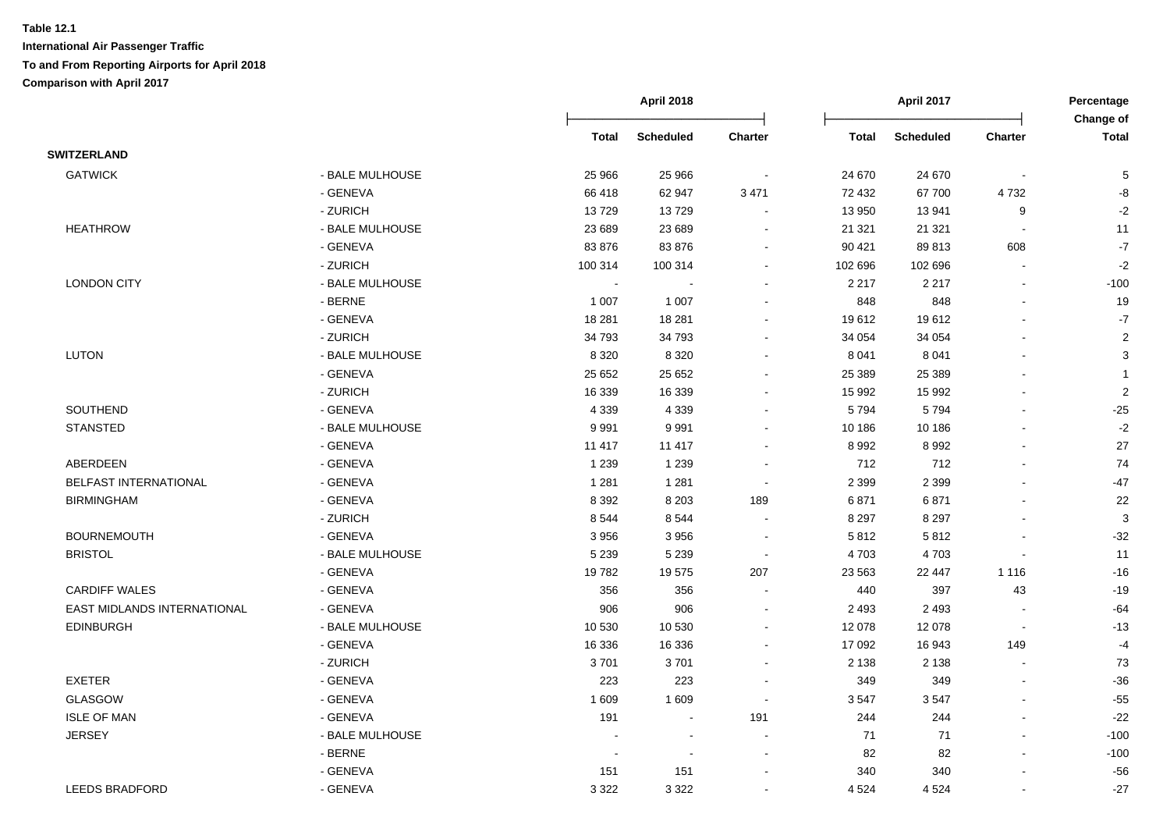|                             |                 | <b>April 2018</b>        |                  |                          |              | <b>April 2017</b> |                          | Percentage<br>Change of   |  |
|-----------------------------|-----------------|--------------------------|------------------|--------------------------|--------------|-------------------|--------------------------|---------------------------|--|
|                             |                 | <b>Total</b>             | <b>Scheduled</b> | Charter                  | <b>Total</b> | <b>Scheduled</b>  | <b>Charter</b>           | <b>Total</b>              |  |
| <b>SWITZERLAND</b>          |                 |                          |                  |                          |              |                   |                          |                           |  |
| <b>GATWICK</b>              | - BALE MULHOUSE | 25 966                   | 25 966           |                          | 24 670       | 24 670            |                          | 5                         |  |
|                             | - GENEVA        | 66 418                   | 62 947           | 3 4 7 1                  | 72 432       | 67 700            | 4732                     | -8                        |  |
|                             | - ZURICH        | 13729                    | 13729            |                          | 13 950       | 13 941            | 9                        | $-2$                      |  |
| <b>HEATHROW</b>             | - BALE MULHOUSE | 23 689                   | 23 689           | $\sim$                   | 21 321       | 21 3 21           | $\overline{\phantom{a}}$ | 11                        |  |
|                             | - GENEVA        | 83 876                   | 83 876           |                          | 90 421       | 89813             | 608                      | $\mathbf{-7}$             |  |
|                             | - ZURICH        | 100 314                  | 100 314          |                          | 102 696      | 102 696           | L.                       | $-2$                      |  |
| <b>LONDON CITY</b>          | - BALE MULHOUSE | $\sim$                   |                  | $\sim$                   | 2 2 1 7      | 2 2 1 7           | $\blacksquare$           | $-100$                    |  |
|                             | - BERNE         | 1 0 0 7                  | 1 0 0 7          | $\sim$                   | 848          | 848               | $\sim$                   | 19                        |  |
|                             | - GENEVA        | 18 281                   | 18 281           | $\overline{\phantom{a}}$ | 19612        | 19612             | $\overline{a}$           | $-7$                      |  |
|                             | - ZURICH        | 34 793                   | 34 793           |                          | 34 054       | 34 054            |                          | $\boldsymbol{2}$          |  |
| <b>LUTON</b>                | - BALE MULHOUSE | 8 3 2 0                  | 8 3 2 0          | $\sim$                   | 8 0 4 1      | 8 0 4 1           | $\overline{a}$           | $\ensuremath{\mathsf{3}}$ |  |
|                             | - GENEVA        | 25 652                   | 25 652           |                          | 25 389       | 25 3 89           | $\blacksquare$           | 1                         |  |
|                             | - ZURICH        | 16 339                   | 16 339           |                          | 15 992       | 15 992            | $\overline{\phantom{a}}$ | $\boldsymbol{2}$          |  |
| SOUTHEND                    | - GENEVA        | 4 3 3 9                  | 4 3 3 9          |                          | 5794         | 5794              | $\blacksquare$           | $-25$                     |  |
| <b>STANSTED</b>             | - BALE MULHOUSE | 9991                     | 9991             |                          | 10 186       | 10 186            |                          | $-2$                      |  |
|                             | - GENEVA        | 11 417                   | 11 417           |                          | 8 9 9 2      | 8992              |                          | 27                        |  |
| ABERDEEN                    | - GENEVA        | 1 2 3 9                  | 1 2 3 9          |                          | 712          | 712               |                          | 74                        |  |
| BELFAST INTERNATIONAL       | - GENEVA        | 1 2 8 1                  | 1 2 8 1          |                          | 2 3 9 9      | 2 3 9 9           |                          | $-47$                     |  |
| <b>BIRMINGHAM</b>           | - GENEVA        | 8 3 9 2                  | 8 2 0 3          | 189                      | 6871         | 6871              |                          | 22                        |  |
|                             | - ZURICH        | 8544                     | 8544             | $\blacksquare$           | 8 2 9 7      | 8 2 9 7           | $\blacksquare$           | $\ensuremath{\mathsf{3}}$ |  |
| <b>BOURNEMOUTH</b>          | - GENEVA        | 3 9 5 6                  | 3 9 5 6          | $\sim$                   | 5812         | 5812              | $\overline{a}$           | $-32$                     |  |
| <b>BRISTOL</b>              | - BALE MULHOUSE | 5 2 3 9                  | 5 2 3 9          | $\blacksquare$           | 4703         | 4703              | $\overline{a}$           | 11                        |  |
|                             | - GENEVA        | 19782                    | 19575            | 207                      | 23 5 63      | 22 447            | 1 1 1 6                  | $-16$                     |  |
| <b>CARDIFF WALES</b>        | - GENEVA        | 356                      | 356              |                          | 440          | 397               | 43                       | $-19$                     |  |
| EAST MIDLANDS INTERNATIONAL | - GENEVA        | 906                      | 906              | $\overline{\phantom{a}}$ | 2 4 9 3      | 2 4 9 3           |                          | $-64$                     |  |
| <b>EDINBURGH</b>            | - BALE MULHOUSE | 10 530                   | 10 530           |                          | 12 078       | 12 0 78           | $\overline{a}$           | $-13$                     |  |
|                             | - GENEVA        | 16 336                   | 16 336           | $\sim$                   | 17 092       | 16 943            | 149                      | $-4$                      |  |
|                             | - ZURICH        | 3701                     | 3701             |                          | 2 1 3 8      | 2 1 3 8           |                          | 73                        |  |
| <b>EXETER</b>               | - GENEVA        | 223                      | 223              |                          | 349          | 349               |                          | $-36$                     |  |
| <b>GLASGOW</b>              | - GENEVA        | 1 609                    | 1 609            |                          | 3547         | 3547              | $\blacksquare$           | $-55$                     |  |
| <b>ISLE OF MAN</b>          | - GENEVA        | 191                      | $\sim$           | 191                      | 244          | 244               | $\blacksquare$           | $-22$                     |  |
| <b>JERSEY</b>               | - BALE MULHOUSE |                          | $\overline{a}$   |                          | 71           | 71                | $\overline{a}$           | $-100$                    |  |
|                             | - BERNE         | $\overline{\phantom{a}}$ | $\sim$           | $\blacksquare$           | 82           | 82                | $\blacksquare$           | $-100$                    |  |
|                             | - GENEVA        | 151                      | 151              |                          | 340          | 340               | $\blacksquare$           | $-56$                     |  |
| <b>LEEDS BRADFORD</b>       | - GENEVA        | 3 3 2 2                  | 3 3 2 2          |                          | 4 5 24       | 4 5 24            | $\blacksquare$           | $-27$                     |  |
|                             |                 |                          |                  |                          |              |                   |                          |                           |  |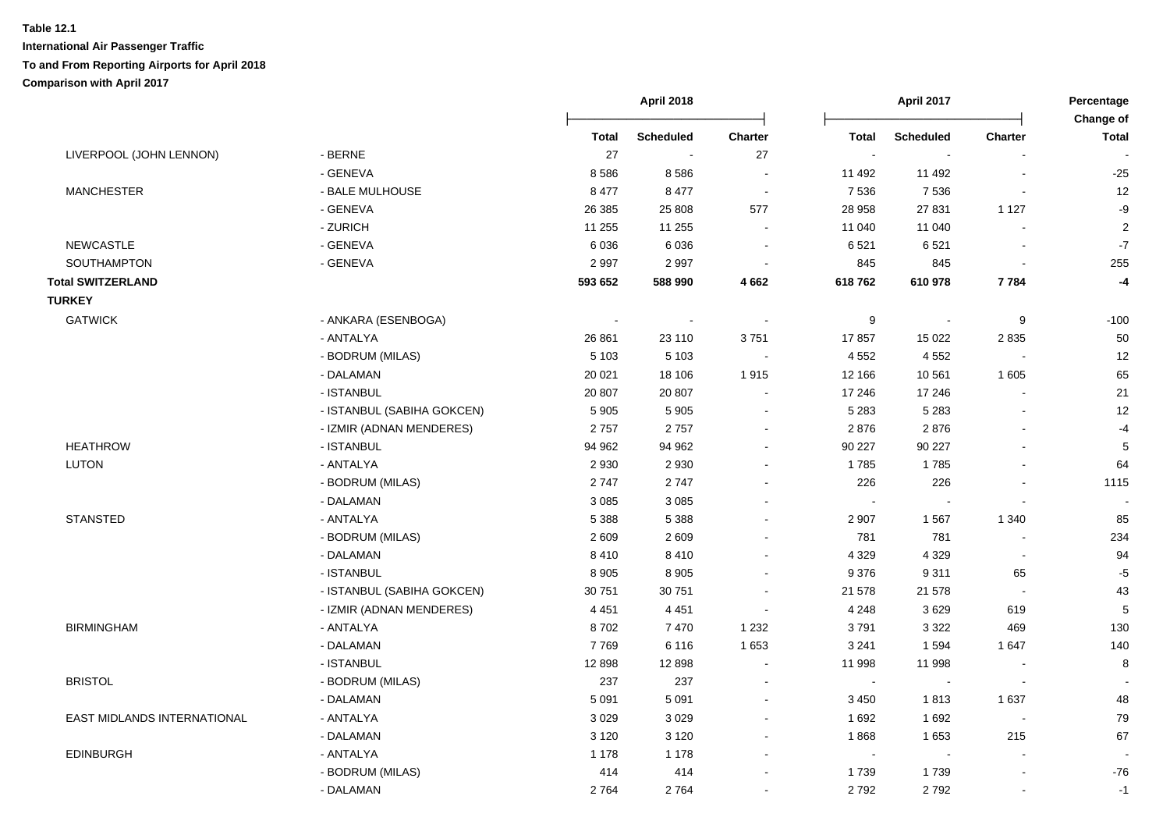|                             |                            |              | <b>April 2018</b> |                |                | <b>April 2017</b> |                          | Percentage<br>Change of |
|-----------------------------|----------------------------|--------------|-------------------|----------------|----------------|-------------------|--------------------------|-------------------------|
|                             |                            | <b>Total</b> | <b>Scheduled</b>  | <b>Charter</b> | <b>Total</b>   | <b>Scheduled</b>  | Charter                  | <b>Total</b>            |
| LIVERPOOL (JOHN LENNON)     | - BERNE                    | 27           | $\sim$            | 27             | $\sim$         | $\blacksquare$    |                          |                         |
|                             | - GENEVA                   | 8586         | 8586              | $\blacksquare$ | 11 492         | 11 492            | ÷,                       | $-25$                   |
| <b>MANCHESTER</b>           | - BALE MULHOUSE            | 8 4 7 7      | 8 4 7 7           | $\sim$         | 7 5 3 6        | 7536              | $\sim$                   | 12                      |
|                             | - GENEVA                   | 26 38 5      | 25 808            | 577            | 28 958         | 27 831            | 1 1 2 7                  | -9                      |
|                             | - ZURICH                   | 11 255       | 11 255            | $\sim$         | 11 040         | 11 040            | $\sim$                   | $\boldsymbol{2}$        |
| NEWCASTLE                   | - GENEVA                   | 6036         | 6036              | $\sim$         | 6521           | 6521              | $\blacksquare$           | $\mathbf{-7}$           |
| SOUTHAMPTON                 | - GENEVA                   | 2997         | 2997              | $\sim$         | 845            | 845               | $\blacksquare$           | 255                     |
| <b>Total SWITZERLAND</b>    |                            | 593 652      | 588 990           | 4662           | 618762         | 610 978           | 7784                     | $-4$                    |
| <b>TURKEY</b>               |                            |              |                   |                |                |                   |                          |                         |
| <b>GATWICK</b>              | - ANKARA (ESENBOGA)        | $\sim$       | $\sim$            |                | 9              | $\mathbf{r}$      | 9                        | $-100$                  |
|                             | - ANTALYA                  | 26 861       | 23 110            | 3751           | 17857          | 15 0 22           | 2835                     | 50                      |
|                             | - BODRUM (MILAS)           | 5 1 0 3      | 5 1 0 3           | $\sim$         | 4 5 5 2        | 4 5 5 2           |                          | 12                      |
|                             | - DALAMAN                  | 20 0 21      | 18 106            | 1915           | 12 166         | 10 561            | 1 605                    | 65                      |
|                             | - ISTANBUL                 | 20 807       | 20 807            | $\sim$         | 17 246         | 17 24 6           |                          | 21                      |
|                             | - ISTANBUL (SABIHA GOKCEN) | 5 9 0 5      | 5 9 0 5           |                | 5 2 8 3        | 5 2 8 3           |                          | 12                      |
|                             | - IZMIR (ADNAN MENDERES)   | 2757         | 2757              |                | 2876           | 2876              |                          | $-4$                    |
| <b>HEATHROW</b>             | - ISTANBUL                 | 94 962       | 94 962            |                | 90 227         | 90 227            |                          | 5                       |
| LUTON                       | - ANTALYA                  | 2 9 3 0      | 2 9 3 0           |                | 1785           | 1785              |                          | 64                      |
|                             | - BODRUM (MILAS)           | 2747         | 2747              |                | 226            | 226               | $\overline{a}$           | 1115                    |
|                             | - DALAMAN                  | 3 0 8 5      | 3 0 8 5           |                | $\sim$         | $\sim$            | $\sim$                   |                         |
| <b>STANSTED</b>             | - ANTALYA                  | 5 3 8 8      | 5 3 8 8           |                | 2 9 0 7        | 1567              | 1 3 4 0                  | 85                      |
|                             | - BODRUM (MILAS)           | 2 6 0 9      | 2609              |                | 781            | 781               | $\blacksquare$           | 234                     |
|                             | - DALAMAN                  | 8410         | 8410              |                | 4 3 2 9        | 4 3 2 9           | $\sim$                   | 94                      |
|                             | - ISTANBUL                 | 8 9 0 5      | 8 9 0 5           |                | 9 3 7 6        | 9311              | 65                       | $-5$                    |
|                             | - ISTANBUL (SABIHA GOKCEN) | 30 751       | 30 751            |                | 21 578         | 21 578            | $\sim$                   | 43                      |
|                             | - IZMIR (ADNAN MENDERES)   | 4 4 5 1      | 4 4 5 1           |                | 4 2 4 8        | 3629              | 619                      | 5                       |
| <b>BIRMINGHAM</b>           | - ANTALYA                  | 8702         | 7470              | 1 2 3 2        | 3791           | 3 3 2 2           | 469                      | 130                     |
|                             | - DALAMAN                  | 7769         | 6 1 1 6           | 1 6 5 3        | 3 2 4 1        | 1594              | 1647                     | 140                     |
|                             | - ISTANBUL                 | 12898        | 12898             |                | 11 998         | 11 998            |                          | 8                       |
| <b>BRISTOL</b>              | - BODRUM (MILAS)           | 237          | 237               | $\sim$         | $\blacksquare$ | $\sim$            | $\overline{\phantom{a}}$ |                         |
|                             | - DALAMAN                  | 5 0 9 1      | 5 0 9 1           |                | 3 4 5 0        | 1813              | 1 6 3 7                  | 48                      |
| EAST MIDLANDS INTERNATIONAL | - ANTALYA                  | 3 0 2 9      | 3 0 2 9           |                | 1692           | 1692              | $\sim$                   | 79                      |
|                             | - DALAMAN                  | 3 1 2 0      | 3 1 2 0           |                | 1868           | 1653              | 215                      | 67                      |
| <b>EDINBURGH</b>            | - ANTALYA                  | 1 1 7 8      | 1 1 7 8           |                | $\sim$         | $\sim$            | $\blacksquare$           |                         |
|                             | - BODRUM (MILAS)           | 414          | 414               |                | 1739           | 1739              | ä,                       | $-76$                   |
|                             | - DALAMAN                  | 2764         | 2764              |                | 2792           | 2792              | ä,                       | $-1$                    |
|                             |                            |              |                   |                |                |                   |                          |                         |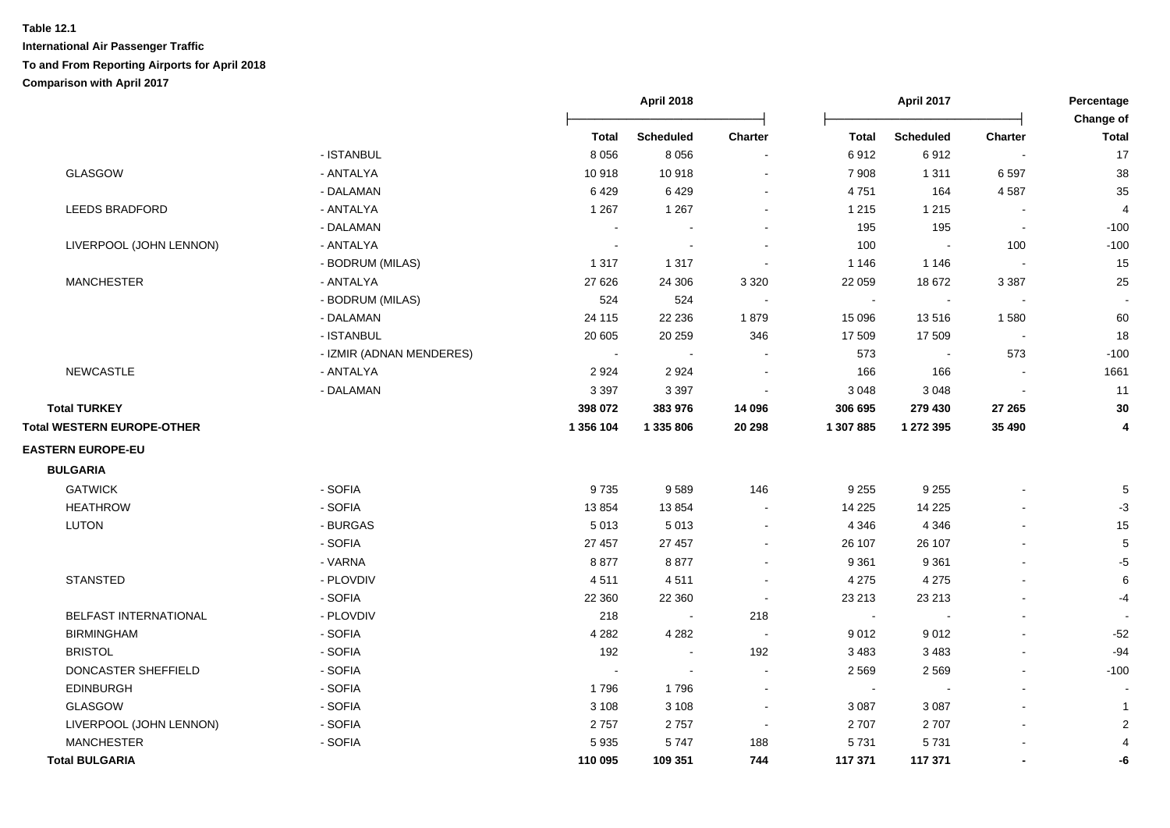|                                   |                          | <b>April 2018</b><br>April 2017 |                  | Percentage<br>Change of |              |                  |                          |                |
|-----------------------------------|--------------------------|---------------------------------|------------------|-------------------------|--------------|------------------|--------------------------|----------------|
|                                   |                          | <b>Total</b>                    | <b>Scheduled</b> | Charter                 | <b>Total</b> | <b>Scheduled</b> | Charter                  | <b>Total</b>   |
|                                   | - ISTANBUL               | 8 0 5 6                         | 8 0 5 6          |                         | 6912         | 6912             | $\overline{\phantom{a}}$ | 17             |
| GLASGOW                           | - ANTALYA                | 10918                           | 10918            |                         | 7 9 0 8      | 1 3 1 1          | 6597                     | 38             |
|                                   | - DALAMAN                | 6429                            | 6429             |                         | 4751         | 164              | 4587                     | 35             |
| <b>LEEDS BRADFORD</b>             | - ANTALYA                | 1 2 6 7                         | 1 2 6 7          |                         | 1 2 1 5      | 1 2 1 5          |                          | $\overline{4}$ |
|                                   | - DALAMAN                |                                 |                  |                         | 195          | 195              | $\blacksquare$           | $-100$         |
| LIVERPOOL (JOHN LENNON)           | - ANTALYA                |                                 |                  |                         | 100          | $\sim$           | 100                      | $-100$         |
|                                   | - BODRUM (MILAS)         | 1 3 1 7                         | 1 3 1 7          |                         | 1 1 4 6      | 1 1 4 6          | $\overline{\phantom{a}}$ | 15             |
| <b>MANCHESTER</b>                 | - ANTALYA                | 27 6 26                         | 24 30 6          | 3 3 2 0                 | 22 059       | 18 672           | 3 3 8 7                  | 25             |
|                                   | - BODRUM (MILAS)         | 524                             | 524              |                         | $\mathbf{u}$ | $\sim$           | $\sim$                   |                |
|                                   | - DALAMAN                | 24 115                          | 22 2 36          | 1879                    | 15 096       | 13516            | 1580                     | 60             |
|                                   | - ISTANBUL               | 20 605                          | 20 25 9          | 346                     | 17 509       | 17 509           | $\blacksquare$           | 18             |
|                                   | - IZMIR (ADNAN MENDERES) | $\sim$                          |                  |                         | 573          | $\sim$           | 573                      | $-100$         |
| <b>NEWCASTLE</b>                  | - ANTALYA                | 2924                            | 2924             |                         | 166          | 166              | $\blacksquare$           | 1661           |
|                                   | - DALAMAN                | 3 3 9 7                         | 3 3 9 7          |                         | 3 0 4 8      | 3 0 4 8          |                          | 11             |
| <b>Total TURKEY</b>               |                          | 398 072                         | 383 976          | 14 096                  | 306 695      | 279 430          | 27 265                   | 30             |
| <b>Total WESTERN EUROPE-OTHER</b> |                          | 1 356 104                       | 1 335 806        | 20 29 8                 | 1 307 885    | 1 272 395        | 35 490                   | 4              |
| <b>EASTERN EUROPE-EU</b>          |                          |                                 |                  |                         |              |                  |                          |                |
| <b>BULGARIA</b>                   |                          |                                 |                  |                         |              |                  |                          |                |
| <b>GATWICK</b>                    | - SOFIA                  | 9735                            | 9589             | 146                     | 9 2 5 5      | 9 2 5 5          |                          | 5              |
| <b>HEATHROW</b>                   | - SOFIA                  | 13854                           | 13854            |                         | 14 2 25      | 14 2 25          |                          | $-3$           |
| LUTON                             | - BURGAS                 | 5 0 1 3                         | 5013             | $\blacksquare$          | 4 3 4 6      | 4 3 4 6          |                          | 15             |
|                                   | - SOFIA                  | 27 457                          | 27 457           |                         | 26 107       | 26 107           |                          | 5              |
|                                   | - VARNA                  | 8877                            | 8877             | $\sim$                  | 9 3 6 1      | 9 3 6 1          |                          | $-5$           |
| <b>STANSTED</b>                   | - PLOVDIV                | 4511                            | 4511             | $\sim$                  | 4 2 7 5      | 4 2 7 5          |                          | 6              |
|                                   | - SOFIA                  | 22 360                          | 22 360           | $\sim$                  | 23 213       | 23 213           |                          | -4             |
| <b>BELFAST INTERNATIONAL</b>      | - PLOVDIV                | 218                             | $\sim$           | 218                     | $\sim$       | $\sim$           |                          |                |
| <b>BIRMINGHAM</b>                 | - SOFIA                  | 4 2 8 2                         | 4 2 8 2          |                         | 9012         | 9012             |                          | $-52$          |
| <b>BRISTOL</b>                    | - SOFIA                  | 192                             | $\sim$           | 192                     | 3 4 8 3      | 3 4 8 3          |                          | $-94$          |
| DONCASTER SHEFFIELD               | - SOFIA                  |                                 | $\sim$           |                         | 2 5 6 9      | 2 5 6 9          |                          | $-100$         |
| <b>EDINBURGH</b>                  | - SOFIA                  | 1796                            | 1796             |                         | $\sim$       |                  |                          |                |
| GLASGOW                           | - SOFIA                  | 3 1 0 8                         | 3 1 0 8          | $\sim$                  | 3 0 8 7      | 3 0 8 7          |                          |                |
| LIVERPOOL (JOHN LENNON)           | - SOFIA                  | 2757                            | 2757             | $\sim$                  | 2707         | 2707             |                          | $\overline{2}$ |
| <b>MANCHESTER</b>                 | - SOFIA                  | 5935                            | 5747             | 188                     | 5731         | 5731             |                          |                |
| <b>Total BULGARIA</b>             |                          | 110 095                         | 109 351          | 744                     | 117 371      | 117 371          | $\blacksquare$           | -6             |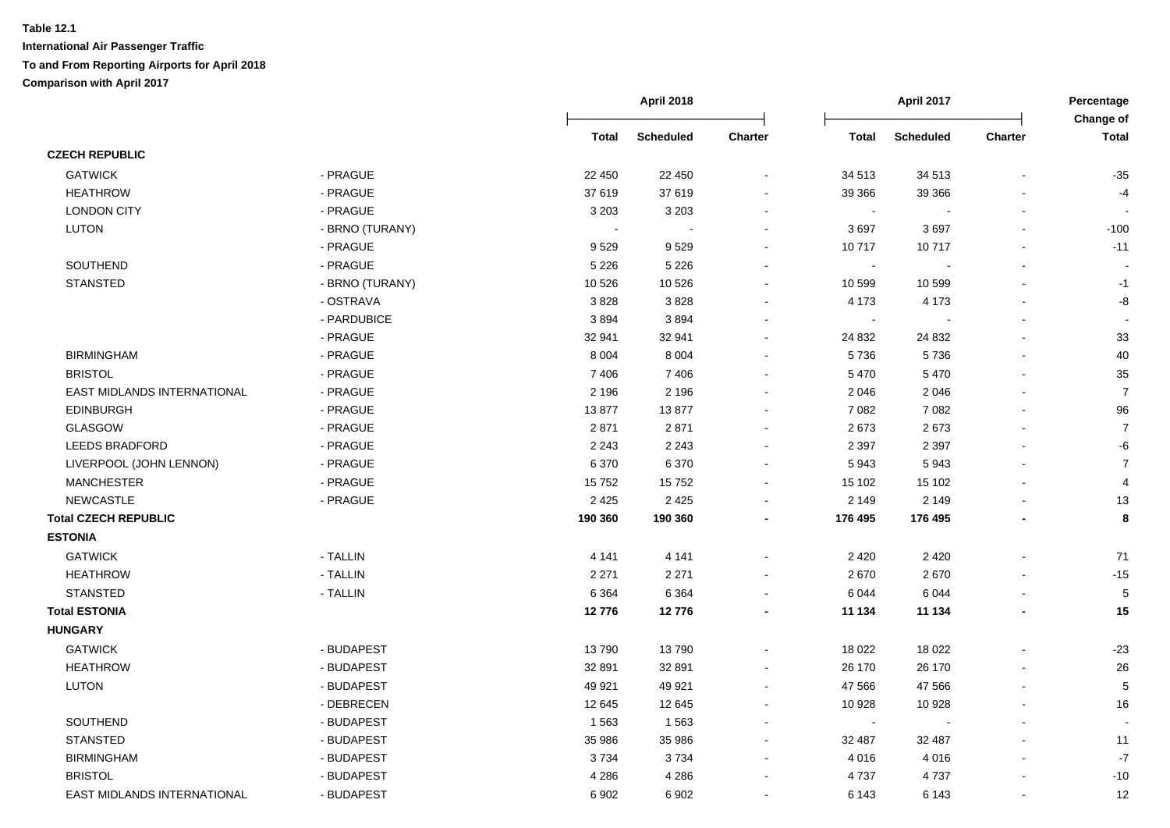|                             |                 | <b>April 2018</b> |                  |         | April 2017   |           | Percentage<br>Change of |                |
|-----------------------------|-----------------|-------------------|------------------|---------|--------------|-----------|-------------------------|----------------|
|                             |                 | <b>Total</b>      | <b>Scheduled</b> | Charter | <b>Total</b> | Scheduled | Charter                 | <b>Total</b>   |
| <b>CZECH REPUBLIC</b>       |                 |                   |                  |         |              |           |                         |                |
| <b>GATWICK</b>              | - PRAGUE        | 22 450            | 22 450           |         | 34 513       | 34 513    |                         | $-35$          |
| <b>HEATHROW</b>             | - PRAGUE        | 37 619            | 37 619           |         | 39 366       | 39 366    |                         | $-4$           |
| <b>LONDON CITY</b>          | - PRAGUE        | 3 2 0 3           | 3 2 0 3          |         | $\sim$       |           |                         |                |
| <b>LUTON</b>                | - BRNO (TURANY) |                   |                  |         | 3697         | 3697      |                         | $-100$         |
|                             | - PRAGUE        | 9529              | 9529             |         | 10717        | 10717     | $\blacksquare$          | $-11$          |
| SOUTHEND                    | - PRAGUE        | 5 2 2 6           | 5 2 2 6          |         | $\sim$       |           |                         |                |
| <b>STANSTED</b>             | - BRNO (TURANY) | 10 5 26           | 10 5 26          |         | 10 599       | 10 599    |                         | $-1$           |
|                             | - OSTRAVA       | 3828              | 3828             |         | 4 1 7 3      | 4 1 7 3   |                         | -8             |
|                             | - PARDUBICE     | 3894              | 3894             |         | $\sim$       |           |                         |                |
|                             | - PRAGUE        | 32 941            | 32 941           |         | 24 832       | 24 832    | L,                      | 33             |
| <b>BIRMINGHAM</b>           | - PRAGUE        | 8 0 0 4           | 8 0 0 4          |         | 5736         | 5736      |                         | 40             |
| <b>BRISTOL</b>              | - PRAGUE        | 7 4 0 6           | 7406             |         | 5470         | 5470      |                         | 35             |
| EAST MIDLANDS INTERNATIONAL | - PRAGUE        | 2 1 9 6           | 2 1 9 6          |         | 2 0 4 6      | 2 0 4 6   |                         | $\overline{7}$ |
| <b>EDINBURGH</b>            | - PRAGUE        | 13877             | 13877            |         | 7 0 8 2      | 7 0 8 2   |                         | 96             |
| <b>GLASGOW</b>              | - PRAGUE        | 2871              | 2871             |         | 2673         | 2673      |                         | 7              |
| <b>LEEDS BRADFORD</b>       | - PRAGUE        | 2 2 4 3           | 2 2 4 3          |         | 2 3 9 7      | 2 3 9 7   |                         | -6             |
| LIVERPOOL (JOHN LENNON)     | - PRAGUE        | 6 3 7 0           | 6 3 7 0          |         | 5943         | 5943      |                         | $\overline{7}$ |
| <b>MANCHESTER</b>           | - PRAGUE        | 15752             | 15752            |         | 15 102       | 15 102    |                         | 4              |
| <b>NEWCASTLE</b>            | - PRAGUE        | 2 4 2 5           | 2 4 2 5          |         | 2 1 4 9      | 2 1 4 9   |                         | 13             |
| <b>Total CZECH REPUBLIC</b> |                 | 190 360           | 190 360          |         | 176 495      | 176 495   | ٠                       | 8              |
| <b>ESTONIA</b>              |                 |                   |                  |         |              |           |                         |                |
| <b>GATWICK</b>              | - TALLIN        | 4 1 4 1           | 4 1 4 1          |         | 2 4 2 0      | 2 4 2 0   |                         | 71             |
| <b>HEATHROW</b>             | - TALLIN        | 2 2 7 1           | 2 2 7 1          |         | 2670         | 2670      |                         | $-15$          |
| <b>STANSTED</b>             | - TALLIN        | 6 3 6 4           | 6 3 6 4          |         | 6 0 4 4      | 6 0 4 4   |                         | $\sqrt{5}$     |
| <b>Total ESTONIA</b>        |                 | 12776             | 12776            |         | 11 134       | 11 134    |                         | 15             |
| <b>HUNGARY</b>              |                 |                   |                  |         |              |           |                         |                |
| <b>GATWICK</b>              | - BUDAPEST      | 13790             | 13790            |         | 18 0 22      | 18 0 22   |                         | $-23$          |
| <b>HEATHROW</b>             | - BUDAPEST      | 32 891            | 32 891           |         | 26 170       | 26 170    |                         | 26             |
| LUTON                       | - BUDAPEST      | 49 921            | 49 921           |         | 47 566       | 47 566    |                         | 5              |
|                             | - DEBRECEN      | 12 645            | 12 645           |         | 10 928       | 10 928    |                         | 16             |
| SOUTHEND                    | - BUDAPEST      | 1563              | 1563             |         | $\sim$       |           |                         |                |
| <b>STANSTED</b>             | - BUDAPEST      | 35 986            | 35 986           |         | 32 487       | 32 487    |                         | 11             |
| <b>BIRMINGHAM</b>           | - BUDAPEST      | 3734              | 3734             |         | 4 0 16       | 4016      |                         | $-7$           |
| <b>BRISTOL</b>              | - BUDAPEST      | 4 2 8 6           | 4 2 8 6          |         | 4737         | 4737      |                         | $-10$          |
|                             |                 |                   |                  |         |              |           |                         |                |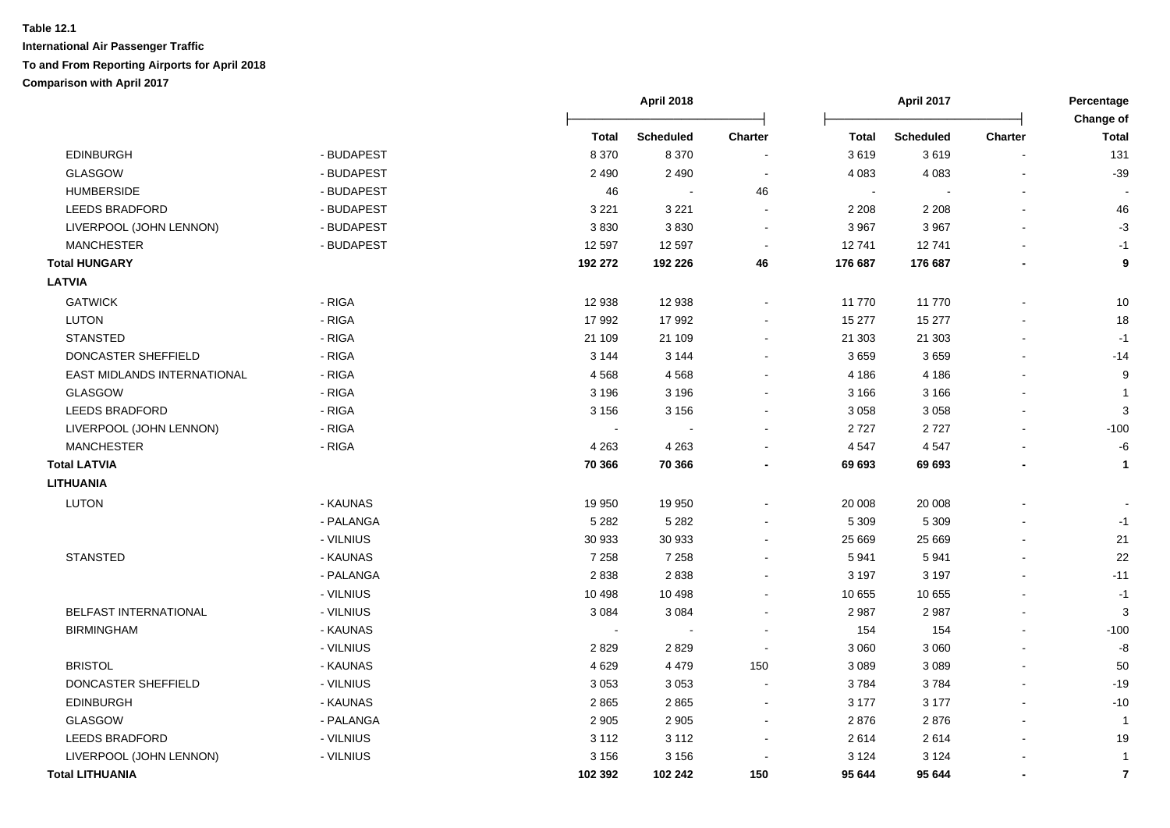|                             |            |                | <b>April 2018</b> |                          |                            | April 2017       |         | Percentage                |  |
|-----------------------------|------------|----------------|-------------------|--------------------------|----------------------------|------------------|---------|---------------------------|--|
|                             |            | Total          | <b>Scheduled</b>  | Charter                  | <b>Total</b>               | <b>Scheduled</b> | Charter | Change of<br><b>Total</b> |  |
| <b>EDINBURGH</b>            | - BUDAPEST | 8 3 7 0        | 8 3 7 0           |                          | 3619                       | 3619             |         | 131                       |  |
| <b>GLASGOW</b>              | - BUDAPEST | 2 4 9 0        | 2 4 9 0           |                          | 4 0 8 3                    | 4 0 8 3          |         | $-39$                     |  |
| <b>HUMBERSIDE</b>           | - BUDAPEST | 46             |                   | 46                       | $\mathcal{L}_{\mathbf{r}}$ |                  |         |                           |  |
| <b>LEEDS BRADFORD</b>       | - BUDAPEST | 3 2 2 1        | 3 2 2 1           |                          | 2 2 0 8                    | 2 2 0 8          |         | 46                        |  |
| LIVERPOOL (JOHN LENNON)     | - BUDAPEST | 3830           | 3830              |                          | 3 9 6 7                    | 3 9 6 7          |         | $-3$                      |  |
| <b>MANCHESTER</b>           | - BUDAPEST | 12 5 9 7       | 12 5 9 7          |                          | 12741                      | 12741            |         | $-1$                      |  |
| <b>Total HUNGARY</b>        |            | 192 272        | 192 226           | 46                       | 176 687                    | 176 687          |         | 9                         |  |
| <b>LATVIA</b>               |            |                |                   |                          |                            |                  |         |                           |  |
| <b>GATWICK</b>              | - RIGA     | 12 938         | 12 938            | $\blacksquare$           | 11 770                     | 11770            |         | 10                        |  |
| <b>LUTON</b>                | - RIGA     | 17 992         | 17 992            |                          | 15 277                     | 15 277           |         | 18                        |  |
| <b>STANSTED</b>             | - RIGA     | 21 109         | 21 109            |                          | 21 30 3                    | 21 303           |         | $-1$                      |  |
| DONCASTER SHEFFIELD         | - RIGA     | 3 1 4 4        | 3 1 4 4           |                          | 3659                       | 3659             |         | $-14$                     |  |
| EAST MIDLANDS INTERNATIONAL | - RIGA     | 4568           | 4568              |                          | 4 1 8 6                    | 4 1 8 6          |         | 9                         |  |
| GLASGOW                     | - RIGA     | 3 1 9 6        | 3 1 9 6           |                          | 3 1 6 6                    | 3 1 6 6          |         | -1                        |  |
| <b>LEEDS BRADFORD</b>       | - RIGA     | 3 1 5 6        | 3 1 5 6           |                          | 3 0 5 8                    | 3 0 5 8          |         | 3                         |  |
| LIVERPOOL (JOHN LENNON)     | - RIGA     |                |                   |                          | 2727                       | 2727             |         | $-100$                    |  |
| <b>MANCHESTER</b>           | - RIGA     | 4 2 6 3        | 4 2 6 3           |                          | 4 5 4 7                    | 4547             |         | -6                        |  |
| <b>Total LATVIA</b>         |            | 70 366         | 70 366            |                          | 69 693                     | 69 693           |         | $\mathbf{1}$              |  |
| <b>LITHUANIA</b>            |            |                |                   |                          |                            |                  |         |                           |  |
| <b>LUTON</b>                | - KAUNAS   | 19 950         | 19 950            |                          | 20 008                     | 20 008           |         |                           |  |
|                             | - PALANGA  | 5 2 8 2        | 5 2 8 2           |                          | 5 3 0 9                    | 5 3 0 9          |         | $-1$                      |  |
|                             | - VILNIUS  | 30 933         | 30 933            |                          | 25 6 69                    | 25 6 69          |         | 21                        |  |
| <b>STANSTED</b>             | - KAUNAS   | 7 2 5 8        | 7 2 5 8           |                          | 5 9 4 1                    | 5941             |         | 22                        |  |
|                             | - PALANGA  | 2838           | 2838              |                          | 3 1 9 7                    | 3 1 9 7          |         | $-11$                     |  |
|                             | - VILNIUS  | 10 4 98        | 10 4 98           |                          | 10 655                     | 10 655           |         | $-1$                      |  |
| BELFAST INTERNATIONAL       | - VILNIUS  | 3 0 8 4        | 3 0 8 4           |                          | 2 9 8 7                    | 2987             |         | 3                         |  |
| <b>BIRMINGHAM</b>           | - KAUNAS   | $\blacksquare$ | $\blacksquare$    |                          | 154                        | 154              |         | $-100$                    |  |
|                             | - VILNIUS  | 2829           | 2829              |                          | 3 0 6 0                    | 3 0 6 0          |         | -8                        |  |
| <b>BRISTOL</b>              | - KAUNAS   | 4 6 2 9        | 4 4 7 9           | 150                      | 3 0 8 9                    | 3 0 8 9          |         | 50                        |  |
| DONCASTER SHEFFIELD         | - VILNIUS  | 3 0 5 3        | 3 0 5 3           |                          | 3784                       | 3784             |         | $-19$                     |  |
| <b>EDINBURGH</b>            | - KAUNAS   | 2865           | 2865              | $\sim$                   | 3 1 7 7                    | 3 1 7 7          |         | $-10$                     |  |
| GLASGOW                     | - PALANGA  | 2 9 0 5        | 2 9 0 5           | $\overline{\phantom{a}}$ | 2876                       | 2876             |         | $\mathbf{1}$              |  |
| <b>LEEDS BRADFORD</b>       | - VILNIUS  | 3 1 1 2        | 3 1 1 2           |                          | 2614                       | 2614             |         | 19                        |  |
| LIVERPOOL (JOHN LENNON)     | - VILNIUS  | 3 1 5 6        | 3 1 5 6           |                          | 3 1 2 4                    | 3 1 2 4          |         | $\mathbf{1}$              |  |
| <b>Total LITHUANIA</b>      |            | 102 392        | 102 242           | 150                      | 95 644                     | 95 644           |         | $\overline{7}$            |  |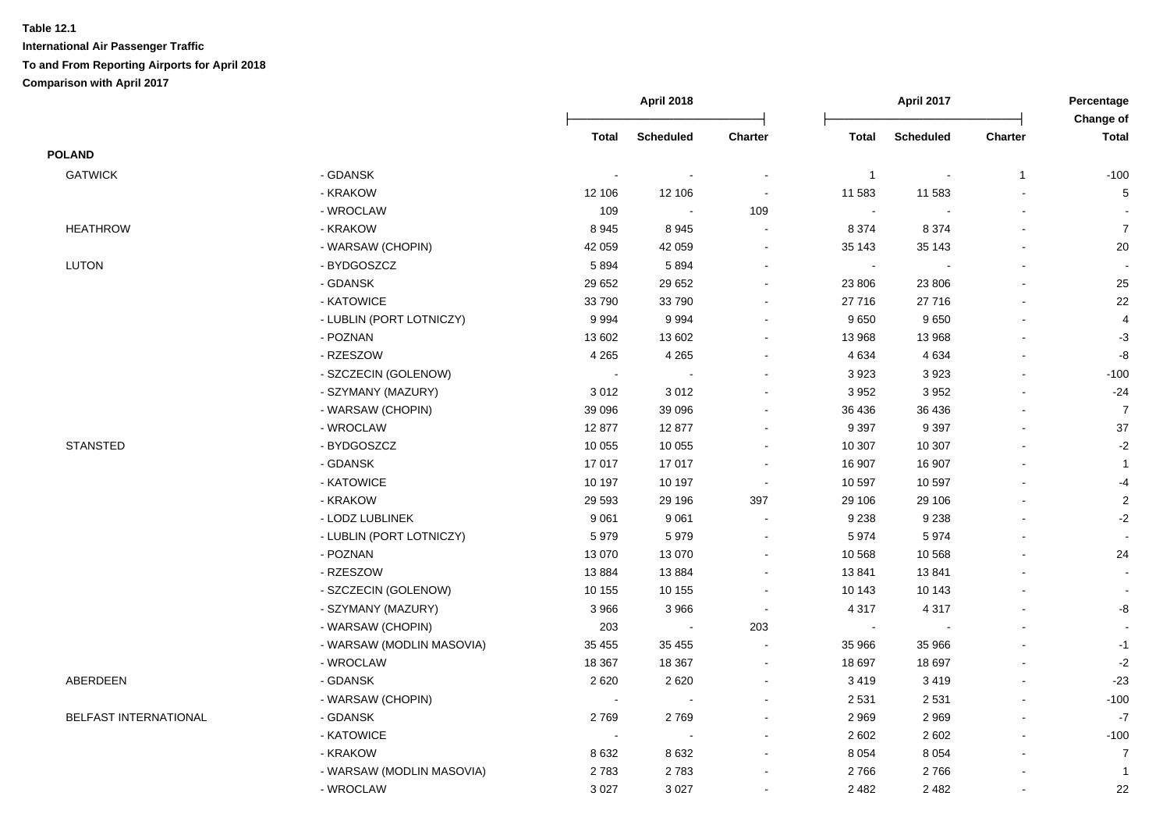|                       |                           | <b>April 2018</b>        |                  |                          | April 2017     |                  |                          |                           |
|-----------------------|---------------------------|--------------------------|------------------|--------------------------|----------------|------------------|--------------------------|---------------------------|
|                       |                           | <b>Total</b>             | <b>Scheduled</b> | Charter                  | <b>Total</b>   | <b>Scheduled</b> | Charter                  | Change of<br><b>Total</b> |
| <b>POLAND</b>         |                           |                          |                  |                          |                |                  |                          |                           |
| <b>GATWICK</b>        | - GDANSK                  | $\overline{\phantom{a}}$ |                  | $\blacksquare$           | $\overline{1}$ |                  | $\mathbf{1}$             | $-100$                    |
|                       | - KRAKOW                  | 12 106                   | 12 106           | $\overline{\phantom{a}}$ | 11 583         | 11 583           |                          | 5                         |
|                       | - WROCLAW                 | 109                      | $\sim$           | 109                      | $\sim$         |                  |                          |                           |
| <b>HEATHROW</b>       | - KRAKOW                  | 8945                     | 8945             | $\blacksquare$           | 8 3 7 4        | 8 3 7 4          | $\overline{\phantom{a}}$ | $\boldsymbol{7}$          |
|                       | - WARSAW (CHOPIN)         | 42 059                   | 42 059           | $\blacksquare$           | 35 143         | 35 143           |                          | $20\,$                    |
| <b>LUTON</b>          | - BYDGOSZCZ               | 5894                     | 5894             | $\blacksquare$           | $\blacksquare$ |                  | $\blacksquare$           |                           |
|                       | - GDANSK                  | 29 652                   | 29 652           | $\overline{\phantom{a}}$ | 23 806         | 23 806           |                          | 25                        |
|                       | - KATOWICE                | 33790                    | 33790            | $\blacksquare$           | 27 716         | 27 716           |                          | 22                        |
|                       | - LUBLIN (PORT LOTNICZY)  | 9994                     | 9994             |                          | 9650           | 9650             |                          | $\overline{4}$            |
|                       | - POZNAN                  | 13 602                   | 13 602           | $\overline{\phantom{a}}$ | 13 968         | 13 968           |                          | $-3$                      |
|                       | - RZESZOW                 | 4 2 6 5                  | 4 2 6 5          |                          | 4 6 3 4        | 4 6 3 4          |                          | -8                        |
|                       | - SZCZECIN (GOLENOW)      | $\blacksquare$           | $\blacksquare$   |                          | 3 9 2 3        | 3923             |                          | $-100$                    |
|                       | - SZYMANY (MAZURY)        | 3012                     | 3012             |                          | 3 9 5 2        | 3 9 5 2          |                          | $-24$                     |
|                       | - WARSAW (CHOPIN)         | 39 096                   | 39 096           |                          | 36 436         | 36 436           |                          | $\overline{7}$            |
|                       | - WROCLAW                 | 12877                    | 12877            |                          | 9 3 9 7        | 9 3 9 7          |                          | 37                        |
| <b>STANSTED</b>       | - BYDGOSZCZ               | 10 055                   | 10 055           | $\overline{\phantom{a}}$ | 10 307         | 10 307           |                          | $-2$                      |
|                       | - GDANSK                  | 17017                    | 17 017           | $\blacksquare$           | 16 907         | 16 907           |                          | $\mathbf{1}$              |
|                       | - KATOWICE                | 10 197                   | 10 197           | $\blacksquare$           | 10 597         | 10 597           |                          | $-4$                      |
|                       | - KRAKOW                  | 29 5 93                  | 29 196           | 397                      | 29 106         | 29 106           |                          | $\sqrt{2}$                |
|                       | - LODZ LUBLINEK           | 9 0 61                   | 9 0 6 1          | $\blacksquare$           | 9 2 3 8        | 9 2 3 8          |                          | $-2$                      |
|                       | - LUBLIN (PORT LOTNICZY)  | 5979                     | 5979             |                          | 5974           | 5974             |                          | $\sim$                    |
|                       | - POZNAN                  | 13 0 70                  | 13 0 70          | $\blacksquare$           | 10 568         | 10 568           |                          | 24                        |
|                       | - RZESZOW                 | 13884                    | 13884            | $\sim$                   | 13841          | 13841            |                          |                           |
|                       | - SZCZECIN (GOLENOW)      | 10 155                   | 10 155           |                          | 10 143         | 10 143           |                          |                           |
|                       | - SZYMANY (MAZURY)        | 3 9 6 6                  | 3966             | $\blacksquare$           | 4 3 1 7        | 4 3 1 7          |                          | -8                        |
|                       | - WARSAW (CHOPIN)         | 203                      | $\sim$           | 203                      | $\sim$         |                  |                          |                           |
|                       | - WARSAW (MODLIN MASOVIA) | 35 455                   | 35 455           |                          | 35 966         | 35 966           |                          | $-1$                      |
|                       | - WROCLAW                 | 18 3 67                  | 18 3 67          | $\sim$                   | 18 697         | 18 697           |                          | $-2$                      |
| ABERDEEN              | - GDANSK                  | 2620                     | 2620             | $\blacksquare$           | 3 4 1 9        | 3419             | $\sim$                   | $-23$                     |
|                       | - WARSAW (CHOPIN)         | $\sim$                   | $\sim$           |                          | 2 5 3 1        | 2 5 3 1          | $\overline{a}$           | $-100$                    |
| BELFAST INTERNATIONAL | - GDANSK                  | 2769                     | 2769             | $\sim$                   | 2 9 6 9        | 2969             | $\blacksquare$           | $-7$                      |
|                       | - KATOWICE                | $\sim$                   | $\sim$           | $\overline{\phantom{a}}$ | 2 6 0 2        | 2 6 0 2          | $\blacksquare$           | $-100$                    |
|                       | - KRAKOW                  | 8632                     | 8632             |                          | 8 0 5 4        | 8 0 5 4          |                          | $\overline{7}$            |
|                       | - WARSAW (MODLIN MASOVIA) | 2783                     | 2783             |                          | 2766           | 2766             |                          | $\overline{1}$            |
|                       | - WROCLAW                 | 3 0 27                   | 3 0 2 7          | $\overline{\phantom{a}}$ | 2 4 8 2        | 2 4 8 2          |                          | 22                        |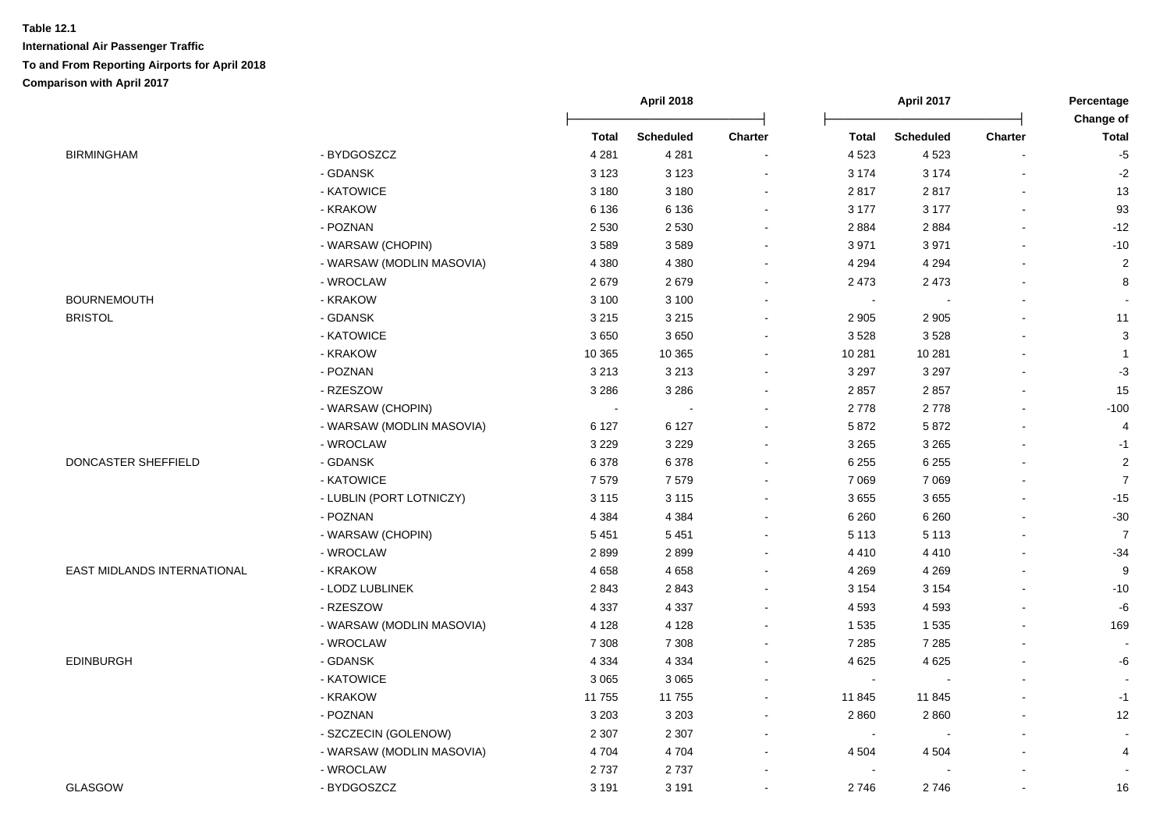|                                    |                           | April 2018   |                  |                          | April 2017   |                  |                |                           |
|------------------------------------|---------------------------|--------------|------------------|--------------------------|--------------|------------------|----------------|---------------------------|
|                                    |                           | <b>Total</b> | <b>Scheduled</b> | Charter                  | <b>Total</b> | <b>Scheduled</b> | Charter        | Change of<br><b>Total</b> |
| <b>BIRMINGHAM</b>                  | - BYDGOSZCZ               | 4 2 8 1      | 4 2 8 1          | $\overline{\phantom{a}}$ | 4 5 23       | 4523             |                | $-5$                      |
|                                    | - GDANSK                  | 3 1 2 3      | 3 1 2 3          | $\blacksquare$           | 3 1 7 4      | 3 1 7 4          |                | $-2$                      |
|                                    | - KATOWICE                | 3 1 8 0      | 3 1 8 0          | $\blacksquare$           | 2817         | 2817             | ÷.             | 13                        |
|                                    | - KRAKOW                  | 6 1 3 6      | 6 1 3 6          | $\blacksquare$           | 3 1 7 7      | 3 1 7 7          | $\mathbf{r}$   | 93                        |
|                                    | - POZNAN                  | 2 5 3 0      | 2 5 3 0          | ä,                       | 2884         | 2884             | ä,             | $-12$                     |
|                                    | - WARSAW (CHOPIN)         | 3589         | 3589             | $\blacksquare$           | 3 9 7 1      | 3 9 7 1          | $\blacksquare$ | $-10$                     |
|                                    | - WARSAW (MODLIN MASOVIA) | 4 3 8 0      | 4 3 8 0          | $\blacksquare$           | 4 2 9 4      | 4 2 9 4          | $\blacksquare$ | $\overline{2}$            |
|                                    | - WROCLAW                 | 2679         | 2679             | ۰                        | 2 4 7 3      | 2 4 7 3          | $\overline{a}$ | 8                         |
| <b>BOURNEMOUTH</b>                 | - KRAKOW                  | 3 100        | 3 1 0 0          | $\blacksquare$           | $\sim$       |                  | $\blacksquare$ |                           |
| <b>BRISTOL</b>                     | - GDANSK                  | 3 2 1 5      | 3 2 1 5          |                          | 2 9 0 5      | 2 9 0 5          |                | 11                        |
|                                    | - KATOWICE                | 3650         | 3650             | $\blacksquare$           | 3528         | 3528             | ä,             | 3                         |
|                                    | - KRAKOW                  | 10 365       | 10 365           |                          | 10 281       | 10 281           |                | $\overline{1}$            |
|                                    | - POZNAN                  | 3 2 1 3      | 3 2 1 3          |                          | 3 2 9 7      | 3 2 9 7          |                | $-3$                      |
|                                    | - RZESZOW                 | 3 2 8 6      | 3 2 8 6          | $\sim$                   | 2857         | 2857             | L.             | 15                        |
|                                    | - WARSAW (CHOPIN)         | $\sim$       | $\sim$           | $\sim$                   | 2778         | 2778             |                | $-100$                    |
|                                    | - WARSAW (MODLIN MASOVIA) | 6 1 2 7      | 6 1 2 7          | $\sim$                   | 5 8 7 2      | 5872             |                | 4                         |
|                                    | - WROCLAW                 | 3 2 2 9      | 3 2 2 9          | $\sim$                   | 3 2 6 5      | 3 2 6 5          | L.             | $-1$                      |
| DONCASTER SHEFFIELD                | - GDANSK                  | 6 3 7 8      | 6378             | ä,                       | 6 2 5 5      | 6 2 5 5          | $\blacksquare$ | $\overline{2}$            |
|                                    | - KATOWICE                | 7579         | 7579             | $\blacksquare$           | 7 0 6 9      | 7 0 6 9          | L.             | $\overline{7}$            |
|                                    | - LUBLIN (PORT LOTNICZY)  | 3 1 1 5      | 3 1 1 5          | ä,                       | 3655         | 3655             |                | $-15$                     |
|                                    | - POZNAN                  | 4 3 8 4      | 4 3 8 4          | ۰                        | 6 2 6 0      | 6 2 6 0          | $\blacksquare$ | $-30$                     |
|                                    | - WARSAW (CHOPIN)         | 5 4 5 1      | 5 4 5 1          | $\blacksquare$           | 5 1 1 3      | 5 1 1 3          | $\blacksquare$ | $\overline{7}$            |
|                                    | - WROCLAW                 | 2899         | 2899             | $\blacksquare$           | 4 4 1 0      | 4 4 1 0          |                | $-34$                     |
| <b>EAST MIDLANDS INTERNATIONAL</b> | - KRAKOW                  | 4658         | 4658             | $\blacksquare$           | 4 2 6 9      | 4 2 6 9          | ä,             | 9                         |
|                                    | - LODZ LUBLINEK           | 2843         | 2843             |                          | 3 1 5 4      | 3 1 5 4          |                | $-10$                     |
|                                    | - RZESZOW                 | 4 3 3 7      | 4 3 3 7          |                          | 4 5 9 3      | 4593             |                | -6                        |
|                                    | - WARSAW (MODLIN MASOVIA) | 4 1 2 8      | 4 1 2 8          | $\blacksquare$           | 1 5 3 5      | 1 5 3 5          | L.             | 169                       |
|                                    | - WROCLAW                 | 7 3 0 8      | 7 3 0 8          | $\sim$                   | 7 2 8 5      | 7 2 8 5          |                |                           |
| <b>EDINBURGH</b>                   | - GDANSK                  | 4 3 3 4      | 4 3 3 4          | $\blacksquare$           | 4 6 2 5      | 4 6 2 5          |                | -6                        |
|                                    | - KATOWICE                | 3 0 6 5      | 3 0 6 5          | $\sim$                   | $\sim$       |                  | L.             | $\sim$                    |
|                                    | - KRAKOW                  | 11 755       | 11 755           | ۰                        | 11 845       | 11845            | ä,             | $-1$                      |
|                                    | - POZNAN                  | 3 2 0 3      | 3 2 0 3          | ۰                        | 2 8 6 0      | 2860             | ä,             | 12                        |
|                                    | - SZCZECIN (GOLENOW)      | 2 3 0 7      | 2 3 0 7          | $\overline{\phantom{a}}$ | $\sim$       |                  | $\blacksquare$ | $\sim$                    |
|                                    | - WARSAW (MODLIN MASOVIA) | 4704         | 4 7 0 4          | ۰                        | 4 5 0 4      | 4 5 0 4          |                | 4                         |
|                                    | - WROCLAW                 | 2737         | 2737             | $\blacksquare$           | $\sim$       |                  | $\overline{a}$ |                           |
| GLASGOW                            | - BYDGOSZCZ               | 3 1 9 1      | 3 1 9 1          |                          | 2746         | 2746             |                | 16                        |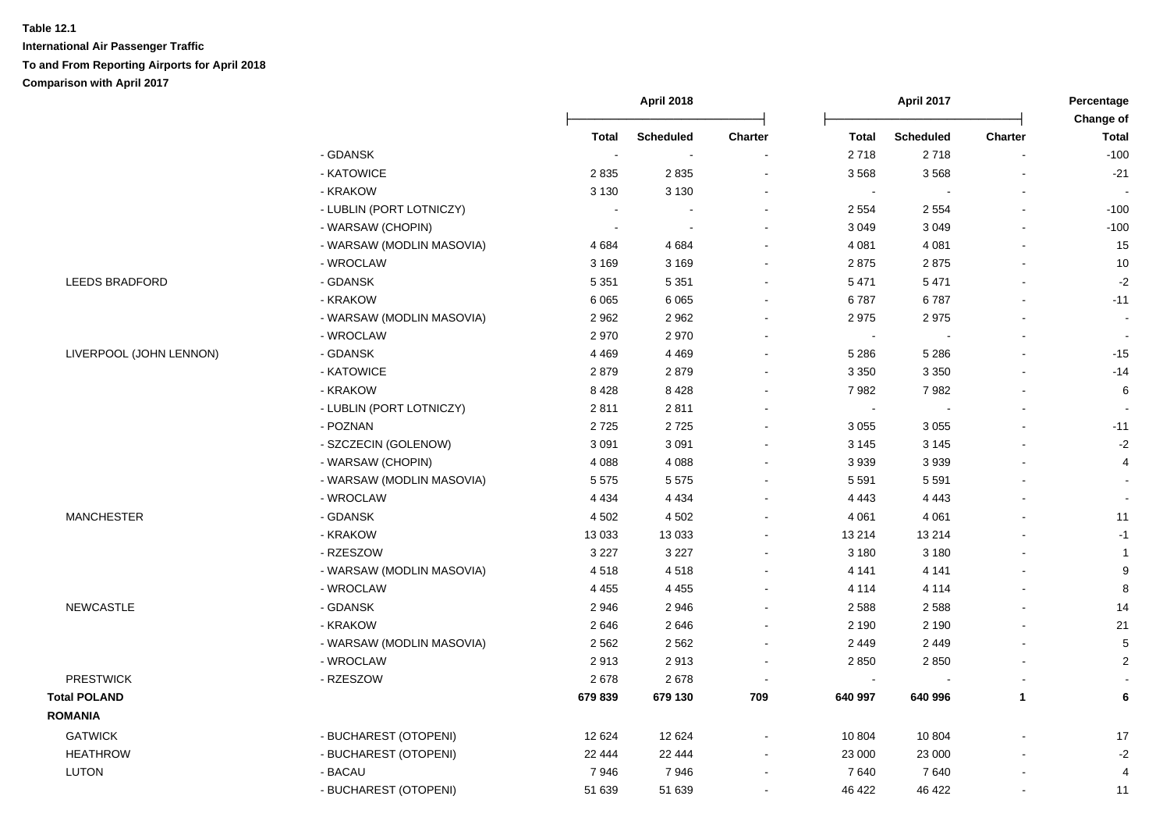|                         |                           | April 2018               |                  |                | April 2017   |                  |                |                           |
|-------------------------|---------------------------|--------------------------|------------------|----------------|--------------|------------------|----------------|---------------------------|
|                         |                           | <b>Total</b>             | <b>Scheduled</b> | Charter        | <b>Total</b> | <b>Scheduled</b> | Charter        | Change of<br><b>Total</b> |
|                         | - GDANSK                  | $\overline{\phantom{a}}$ |                  |                | 2718         | 2718             |                | $-100$                    |
|                         | - KATOWICE                | 2835                     | 2835             |                | 3568         | 3568             |                | $-21$                     |
|                         | - KRAKOW                  | 3 1 3 0                  | 3 1 3 0          |                | $\sim$       |                  |                |                           |
|                         | - LUBLIN (PORT LOTNICZY)  |                          |                  |                | 2 5 5 4      | 2 5 5 4          | $\overline{a}$ | $-100$                    |
|                         | - WARSAW (CHOPIN)         | $\blacksquare$           |                  | $\blacksquare$ | 3 0 4 9      | 3 0 4 9          | $\blacksquare$ | $-100$                    |
|                         | - WARSAW (MODLIN MASOVIA) | 4684                     | 4684             |                | 4 0 8 1      | 4 0 8 1          | $\blacksquare$ | 15                        |
|                         | - WROCLAW                 | 3 1 6 9                  | 3 1 6 9          | $\blacksquare$ | 2875         | 2875             |                | 10                        |
| <b>LEEDS BRADFORD</b>   | - GDANSK                  | 5 3 5 1                  | 5 3 5 1          | $\sim$         | 5 4 7 1      | 5 4 7 1          |                | $-2$                      |
|                         | - KRAKOW                  | 6 0 65                   | 6 0 6 5          | $\blacksquare$ | 6787         | 6787             |                | $-11$                     |
|                         | - WARSAW (MODLIN MASOVIA) | 2962                     | 2962             | $\blacksquare$ | 2975         | 2975             |                | $\blacksquare$            |
|                         | - WROCLAW                 | 2970                     | 2970             | $\blacksquare$ | $\sim$       |                  |                | $\blacksquare$            |
| LIVERPOOL (JOHN LENNON) | - GDANSK                  | 4 4 6 9                  | 4 4 6 9          | $\blacksquare$ | 5 2 8 6      | 5 2 8 6          |                | $-15$                     |
|                         | - KATOWICE                | 2879                     | 2879             | $\blacksquare$ | 3 3 5 0      | 3 3 5 0          |                | $-14$                     |
|                         | - KRAKOW                  | 8428                     | 8428             |                | 7982         | 7982             |                | 6                         |
|                         | - LUBLIN (PORT LOTNICZY)  | 2811                     | 2811             |                | $\sim$       |                  |                |                           |
|                         | - POZNAN                  | 2725                     | 2725             |                | 3 0 5 5      | 3 0 5 5          |                | $-11$                     |
|                         | - SZCZECIN (GOLENOW)      | 3 0 9 1                  | 3 0 9 1          | ÷              | 3 1 4 5      | 3 1 4 5          |                | $-2$                      |
|                         | - WARSAW (CHOPIN)         | 4 0 8 8                  | 4 0 8 8          |                | 3 9 3 9      | 3939             |                | 4                         |
|                         | - WARSAW (MODLIN MASOVIA) | 5 5 7 5                  | 5575             |                | 5 5 9 1      | 5 5 9 1          |                | $\sim$                    |
|                         | - WROCLAW                 | 4 4 3 4                  | 4 4 3 4          | $\blacksquare$ | 4 4 4 3      | 4 4 4 3          |                | $\overline{a}$            |
| <b>MANCHESTER</b>       | - GDANSK                  | 4 5 0 2                  | 4 5 0 2          | $\blacksquare$ | 4 0 61       | 4 0 6 1          |                | 11                        |
|                         | - KRAKOW                  | 13 0 33                  | 13 0 33          | $\blacksquare$ | 13 214       | 13 214           |                | $-1$                      |
|                         | - RZESZOW                 | 3 2 2 7                  | 3 2 2 7          | $\blacksquare$ | 3 1 8 0      | 3 1 8 0          |                | $\mathbf{1}$              |
|                         | - WARSAW (MODLIN MASOVIA) | 4518                     | 4518             | $\sim$         | 4 1 4 1      | 4 1 4 1          |                | $\boldsymbol{9}$          |
|                         | - WROCLAW                 | 4 4 5 5                  | 4 4 5 5          | $\blacksquare$ | 4 1 1 4      | 4 1 1 4          |                | 8                         |
| <b>NEWCASTLE</b>        | - GDANSK                  | 2946                     | 2946             |                | 2 5 8 8      | 2588             |                | 14                        |
|                         | - KRAKOW                  | 2646                     | 2646             |                | 2 1 9 0      | 2 1 9 0          |                | 21                        |
|                         | - WARSAW (MODLIN MASOVIA) | 2 5 6 2                  | 2 5 6 2          |                | 2 4 4 9      | 2 4 4 9          |                | $\,$ 5 $\,$               |
|                         | - WROCLAW                 | 2913                     | 2913             |                | 2850         | 2850             |                | $\sqrt{2}$                |
| <b>PRESTWICK</b>        | - RZESZOW                 | 2678                     | 2678             | $\blacksquare$ | $\sim$       |                  |                | $\sim$                    |
| <b>Total POLAND</b>     |                           | 679 839                  | 679 130          | 709            | 640 997      | 640 996          | $\mathbf{1}$   | 6                         |
| <b>ROMANIA</b>          |                           |                          |                  |                |              |                  |                |                           |
| <b>GATWICK</b>          | - BUCHAREST (OTOPENI)     | 12 6 24                  | 12 6 24          |                | 10 804       | 10 804           |                | 17                        |
| <b>HEATHROW</b>         | - BUCHAREST (OTOPENI)     | 22 4 44                  | 22 4 44          | $\blacksquare$ | 23 000       | 23 000           |                | $\textnormal{-}2$         |
| <b>LUTON</b>            | - BACAU                   | 7946                     | 7946             | $\blacksquare$ | 7640         | 7640             |                | $\overline{4}$            |
|                         | - BUCHAREST (OTOPENI)     | 51 639                   | 51 639           |                | 46 422       | 46 422           |                | 11                        |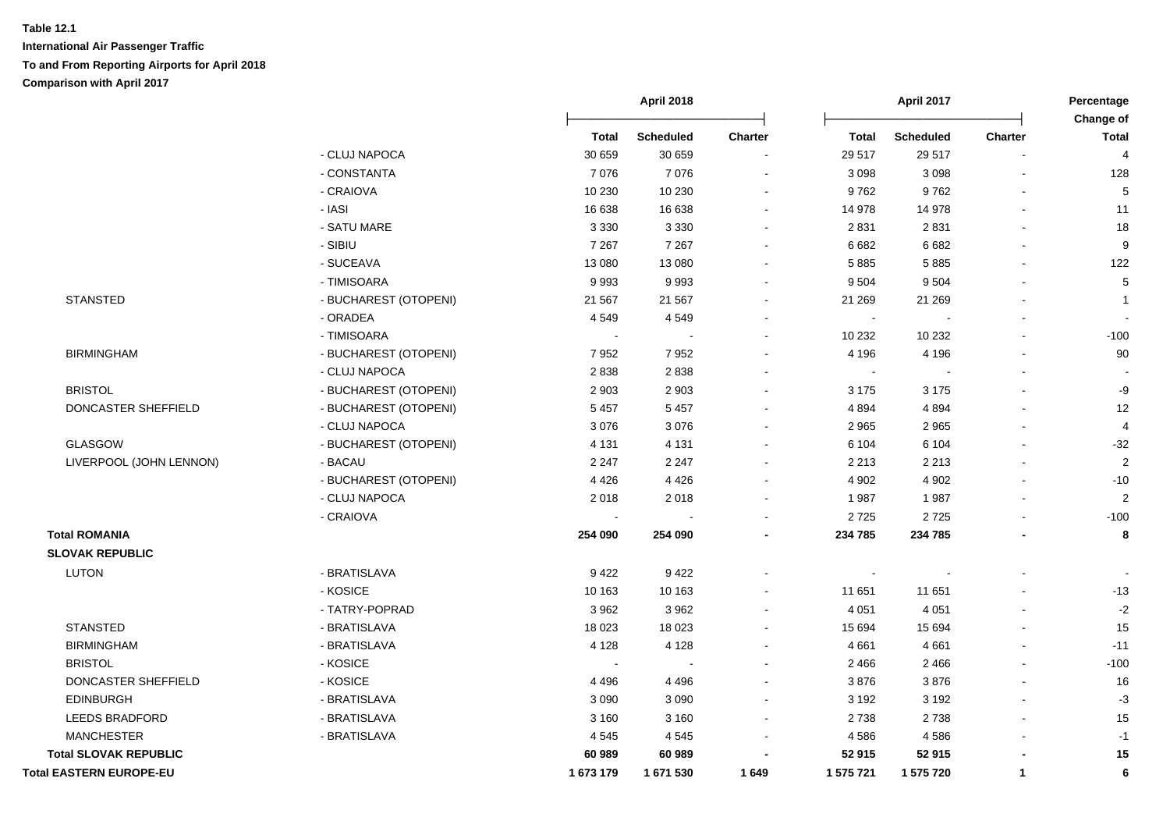|                                |                       | April 2018     |                  |                | April 2017 |                  | Percentage<br>Change of |                  |
|--------------------------------|-----------------------|----------------|------------------|----------------|------------|------------------|-------------------------|------------------|
|                                |                       | <b>Total</b>   | <b>Scheduled</b> | <b>Charter</b> | Total      | <b>Scheduled</b> | <b>Charter</b>          | <b>Total</b>     |
|                                | - CLUJ NAPOCA         | 30 659         | 30 659           |                | 29 517     | 29 517           |                         | 4                |
|                                | - CONSTANTA           | 7076           | 7076             |                | 3 0 9 8    | 3 0 9 8          |                         | 128              |
|                                | - CRAIOVA             | 10 230         | 10 230           |                | 9762       | 9762             |                         | $\mathbf 5$      |
|                                | - IASI                | 16 638         | 16 638           |                | 14 978     | 14 978           |                         | 11               |
|                                | - SATU MARE           | 3 3 3 0        | 3 3 3 0          |                | 2 8 3 1    | 2831             |                         | 18               |
|                                | - SIBIU               | 7 2 6 7        | 7 2 6 7          |                | 6 6 8 2    | 6 6 8 2          |                         | $\boldsymbol{9}$ |
|                                | - SUCEAVA             | 13 080         | 13 080           |                | 5 8 8 5    | 5885             | $\blacksquare$          | 122              |
|                                | - TIMISOARA           | 9993           | 9993             |                | 9 5 0 4    | 9504             |                         | $\mathbf 5$      |
| <b>STANSTED</b>                | - BUCHAREST (OTOPENI) | 21 5 6 7       | 21 5 6 7         |                | 21 269     | 21 269           |                         | $\mathbf{1}$     |
|                                | - ORADEA              | 4549           | 4549             |                | $\sim$     |                  |                         |                  |
|                                | - TIMISOARA           | $\sim$         |                  |                | 10 232     | 10 232           | $\blacksquare$          | $-100$           |
| <b>BIRMINGHAM</b>              | - BUCHAREST (OTOPENI) | 7952           | 7952             |                | 4 1 9 6    | 4 1 9 6          | $\blacksquare$          | 90               |
|                                | - CLUJ NAPOCA         | 2838           | 2838             |                | $\sim$     |                  | $\overline{a}$          |                  |
| <b>BRISTOL</b>                 | - BUCHAREST (OTOPENI) | 2 9 0 3        | 2 9 0 3          |                | 3 1 7 5    | 3 1 7 5          | $\blacksquare$          | -9               |
| DONCASTER SHEFFIELD            | - BUCHAREST (OTOPENI) | 5 4 5 7        | 5 4 5 7          | $\blacksquare$ | 4 8 9 4    | 4 8 9 4          | $\blacksquare$          | 12               |
|                                | - CLUJ NAPOCA         | 3 0 7 6        | 3 0 7 6          |                | 2 9 6 5    | 2 9 6 5          |                         | 4                |
| GLASGOW                        | - BUCHAREST (OTOPENI) | 4 1 3 1        | 4 1 3 1          |                | 6 104      | 6 1 0 4          |                         | $-32$            |
| LIVERPOOL (JOHN LENNON)        | - BACAU               | 2 2 4 7        | 2 2 4 7          | $\sim$         | 2 2 1 3    | 2 2 1 3          |                         | $\sqrt{2}$       |
|                                | - BUCHAREST (OTOPENI) | 4 4 2 6        | 4426             |                | 4 9 0 2    | 4 9 0 2          |                         | $-10$            |
|                                | - CLUJ NAPOCA         | 2018           | 2018             | $\sim$         | 1987       | 1987             | $\blacksquare$          | $\sqrt{2}$       |
|                                | - CRAIOVA             |                |                  |                | 2725       | 2725             |                         | $-100$           |
| <b>Total ROMANIA</b>           |                       | 254 090        | 254 090          | ۰              | 234 785    | 234 785          |                         | 8                |
| <b>SLOVAK REPUBLIC</b>         |                       |                |                  |                |            |                  |                         |                  |
| <b>LUTON</b>                   | - BRATISLAVA          | 9422           | 9422             |                |            |                  |                         |                  |
|                                | - KOSICE              | 10 163         | 10 163           |                | 11 651     | 11 651           |                         | $-13$            |
|                                | - TATRY-POPRAD        | 3 9 6 2        | 3 9 6 2          |                | 4 0 5 1    | 4 0 5 1          | $\blacksquare$          | $-2$             |
| <b>STANSTED</b>                | - BRATISLAVA          | 18 0 23        | 18 0 23          |                | 15 694     | 15 694           |                         | 15               |
| <b>BIRMINGHAM</b>              | - BRATISLAVA          | 4 1 2 8        | 4 1 2 8          | $\blacksquare$ | 4661       | 4 6 6 1          | $\sim$                  | $-11$            |
| <b>BRISTOL</b>                 | - KOSICE              | $\blacksquare$ |                  |                | 2 4 6 6    | 2 4 6 6          | $\overline{a}$          | $-100$           |
| DONCASTER SHEFFIELD            | - KOSICE              | 4 4 9 6        | 4496             |                | 3876       | 3876             |                         | 16               |
| <b>EDINBURGH</b>               | - BRATISLAVA          | 3 0 9 0        | 3 0 9 0          |                | 3 1 9 2    | 3 1 9 2          |                         | $-3$             |
| <b>LEEDS BRADFORD</b>          | - BRATISLAVA          | 3 1 6 0        | 3 1 6 0          |                | 2738       | 2738             |                         | 15               |
| <b>MANCHESTER</b>              | - BRATISLAVA          | 4 5 4 5        | 4545             |                | 4586       | 4586             |                         | $-1$             |
| <b>Total SLOVAK REPUBLIC</b>   |                       | 60 989         | 60 989           |                | 52 915     | 52915            |                         | 15               |
| <b>Total EASTERN EUROPE-EU</b> |                       | 1 673 179      | 1671530          | 1649           | 1 575 721  | 1 575 720        | $\mathbf{1}$            | 6                |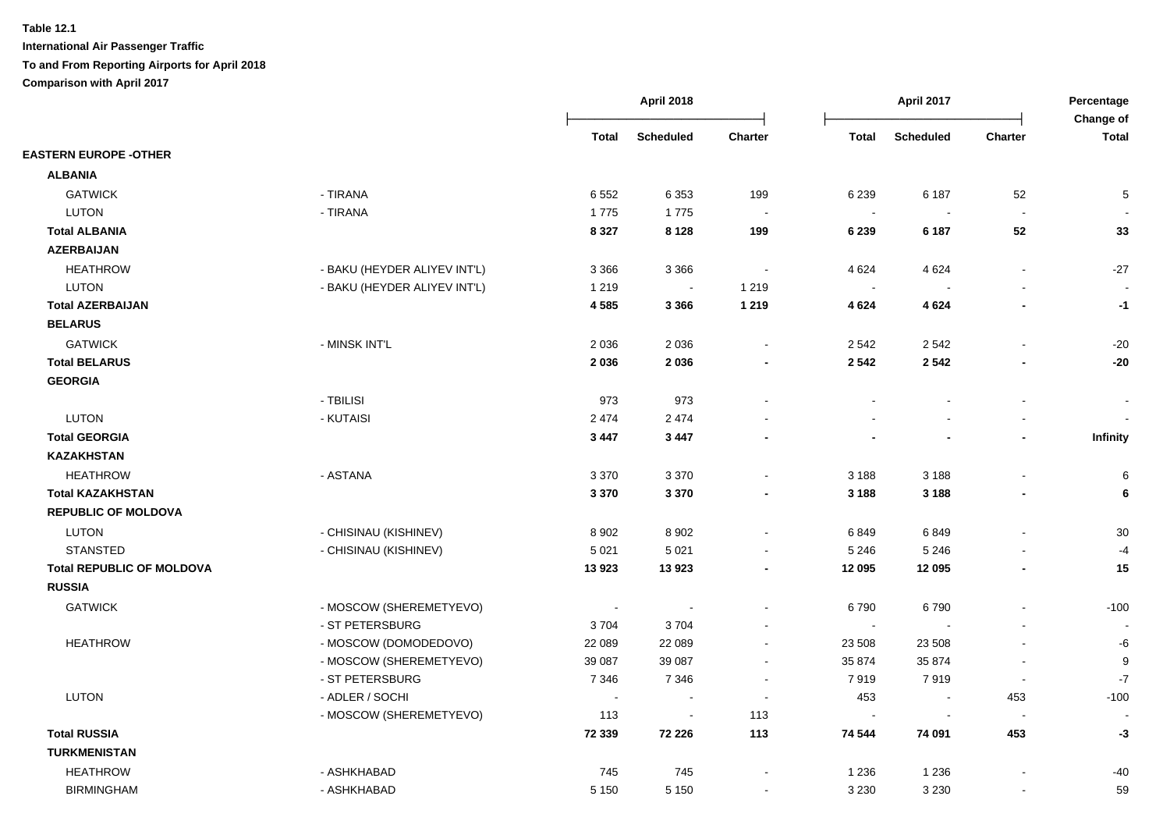|                                  |                              | <b>April 2018</b> |                          |                          | April 2017     |                  | Percentage<br>Change of |              |
|----------------------------------|------------------------------|-------------------|--------------------------|--------------------------|----------------|------------------|-------------------------|--------------|
|                                  |                              | <b>Total</b>      | <b>Scheduled</b>         | Charter                  | <b>Total</b>   | <b>Scheduled</b> | Charter                 | <b>Total</b> |
| <b>EASTERN EUROPE -OTHER</b>     |                              |                   |                          |                          |                |                  |                         |              |
| <b>ALBANIA</b>                   |                              |                   |                          |                          |                |                  |                         |              |
| <b>GATWICK</b>                   | - TIRANA                     | 6 5 5 2           | 6 3 5 3                  | 199                      | 6 2 3 9        | 6 187            | 52                      | 5            |
| <b>LUTON</b>                     | - TIRANA                     | 1775              | 1775                     |                          | $\sim$         |                  | $\sim$                  |              |
| <b>Total ALBANIA</b>             |                              | 8 3 2 7           | 8 1 2 8                  | 199                      | 6 2 3 9        | 6 187            | 52                      | 33           |
| <b>AZERBAIJAN</b>                |                              |                   |                          |                          |                |                  |                         |              |
| <b>HEATHROW</b>                  | - BAKU (HEYDER ALIYEV INT'L) | 3 3 6 6           | 3 3 6 6                  |                          | 4 6 24         | 4 6 24           | $\blacksquare$          | $-27$        |
| <b>LUTON</b>                     | - BAKU (HEYDER ALIYEV INT'L) | 1 2 1 9           | $\sim$                   | 1 2 1 9                  | $\sim$         |                  |                         |              |
| <b>Total AZERBAIJAN</b>          |                              | 4585              | 3 3 6 6                  | 1 2 1 9                  | 4 6 24         | 4 6 24           |                         | $-1$         |
| <b>BELARUS</b>                   |                              |                   |                          |                          |                |                  |                         |              |
| <b>GATWICK</b>                   | - MINSK INT'L                | 2 0 3 6           | 2 0 3 6                  |                          | 2 5 4 2        | 2 5 4 2          |                         | $-20$        |
| <b>Total BELARUS</b>             |                              | 2 0 3 6           | 2036                     |                          | 2 5 4 2        | 2 5 4 2          |                         | $-20$        |
| <b>GEORGIA</b>                   |                              |                   |                          |                          |                |                  |                         |              |
|                                  | - TBILISI                    | 973               | 973                      |                          |                |                  | $\overline{a}$          |              |
| <b>LUTON</b>                     | - KUTAISI                    | 2 4 7 4           | 2 4 7 4                  |                          |                |                  |                         |              |
| <b>Total GEORGIA</b>             |                              | 3 4 4 7           | 3 4 4 7                  |                          |                |                  | $\blacksquare$          | Infinity     |
| <b>KAZAKHSTAN</b>                |                              |                   |                          |                          |                |                  |                         |              |
| <b>HEATHROW</b>                  | - ASTANA                     | 3 3 7 0           | 3 3 7 0                  |                          | 3 1 8 8        | 3 1 8 8          |                         | 6            |
| <b>Total KAZAKHSTAN</b>          |                              | 3 3 7 0           | 3 3 7 0                  |                          | 3 1 8 8        | 3 1 8 8          |                         | 6            |
| <b>REPUBLIC OF MOLDOVA</b>       |                              |                   |                          |                          |                |                  |                         |              |
| <b>LUTON</b>                     | - CHISINAU (KISHINEV)        | 8 9 0 2           | 8902                     |                          | 6849           | 6849             |                         | 30           |
| <b>STANSTED</b>                  | - CHISINAU (KISHINEV)        | 5 0 21            | 5 0 21                   |                          | 5 2 4 6        | 5 2 4 6          |                         | -4           |
| <b>Total REPUBLIC OF MOLDOVA</b> |                              | 13923             | 13923                    |                          | 12 095         | 12 095           |                         | 15           |
| <b>RUSSIA</b>                    |                              |                   |                          |                          |                |                  |                         |              |
| <b>GATWICK</b>                   | - MOSCOW (SHEREMETYEVO)      | $\sim$            |                          |                          | 6790           | 6790             |                         | $-100$       |
|                                  | - ST PETERSBURG              | 3704              | 3704                     |                          | $\sim$         |                  |                         |              |
| <b>HEATHROW</b>                  | - MOSCOW (DOMODEDOVO)        | 22 089            | 22 089                   | $\sim$                   | 23 508         | 23 508           |                         | -6           |
|                                  | - MOSCOW (SHEREMETYEVO)      | 39 087            | 39 087                   | $\sim$                   | 35 874         | 35 874           | $\blacksquare$          | 9            |
|                                  | - ST PETERSBURG              | 7 3 4 6           | 7 3 4 6                  | $\overline{\phantom{a}}$ | 7919           | 7919             | $\blacksquare$          | $-7$         |
| <b>LUTON</b>                     | - ADLER / SOCHI              | $\blacksquare$    | $\overline{\phantom{a}}$ | $\overline{\phantom{a}}$ | 453            | $\sim$           | 453                     | $-100$       |
|                                  | - MOSCOW (SHEREMETYEVO)      | 113               | $\blacksquare$           | 113                      | $\blacksquare$ | $\sim$           | $\blacksquare$          |              |
| <b>Total RUSSIA</b>              |                              | 72 339            | 72 226                   | 113                      | 74 544         | 74 091           | 453                     | $-3$         |
| <b>TURKMENISTAN</b>              |                              |                   |                          |                          |                |                  |                         |              |
| <b>HEATHROW</b>                  | - ASHKHABAD                  | 745               | 745                      |                          | 1 2 3 6        | 1 2 3 6          |                         | -40          |
| <b>BIRMINGHAM</b>                | - ASHKHABAD                  | 5 1 5 0           | 5 1 5 0                  | $\sim$                   | 3 2 3 0        | 3 2 3 0          | $\blacksquare$          | 59           |
|                                  |                              |                   |                          |                          |                |                  |                         |              |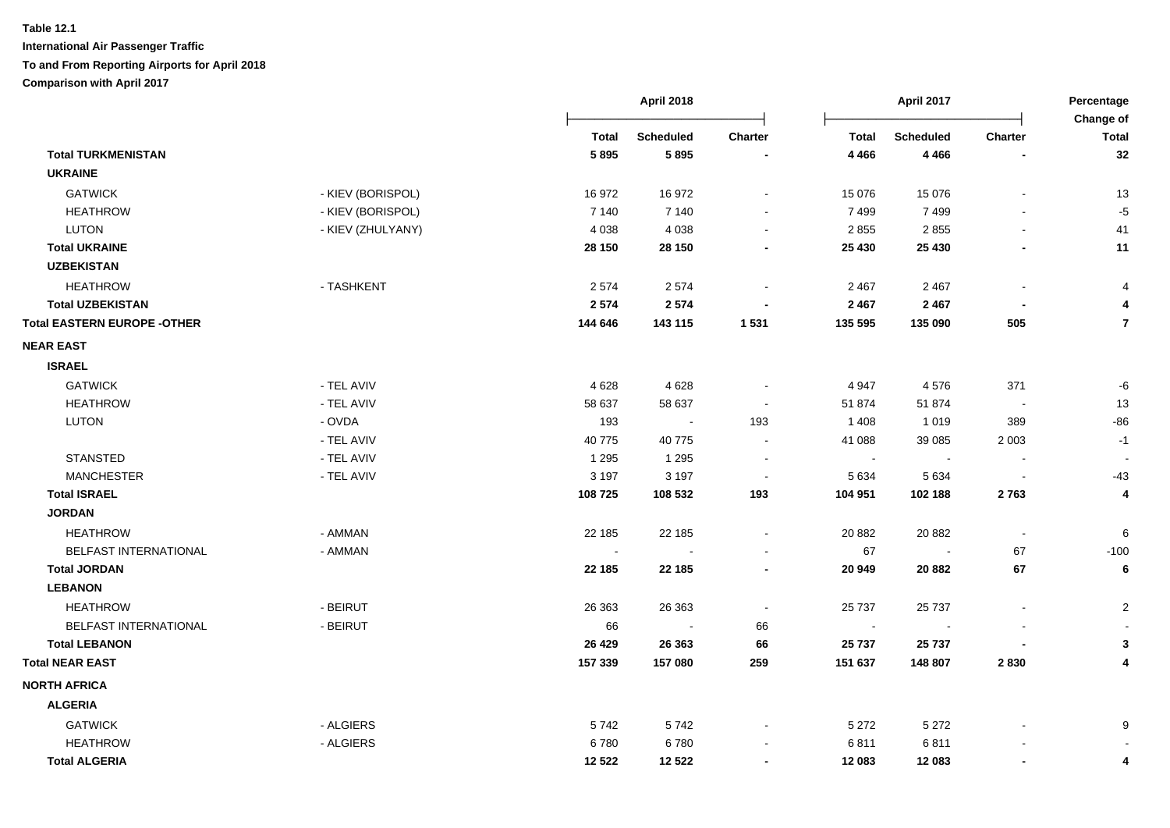|                                    |                   |              | <b>April 2018</b> |         |              | April 2017       |                | Percentage<br>Change of |
|------------------------------------|-------------------|--------------|-------------------|---------|--------------|------------------|----------------|-------------------------|
|                                    |                   | <b>Total</b> | <b>Scheduled</b>  | Charter | <b>Total</b> | <b>Scheduled</b> | Charter        | <b>Total</b>            |
| <b>Total TURKMENISTAN</b>          |                   | 5895         | 5895              |         | 4 4 6 6      | 4 4 6 6          |                | 32                      |
| <b>UKRAINE</b>                     |                   |              |                   |         |              |                  |                |                         |
| <b>GATWICK</b>                     | - KIEV (BORISPOL) | 16972        | 16972             |         | 15 0 76      | 15 0 76          |                | 13                      |
| <b>HEATHROW</b>                    | - KIEV (BORISPOL) | 7 1 4 0      | 7 140             |         | 7499         | 7499             |                | $-5$                    |
| <b>LUTON</b>                       | - KIEV (ZHULYANY) | 4 0 38       | 4 0 38            |         | 2 8 5 5      | 2855             |                | 41                      |
| <b>Total UKRAINE</b>               |                   | 28 150       | 28 150            |         | 25 430       | 25 4 30          |                | 11                      |
| <b>UZBEKISTAN</b>                  |                   |              |                   |         |              |                  |                |                         |
| <b>HEATHROW</b>                    | - TASHKENT        | 2 5 7 4      | 2574              |         | 2 4 6 7      | 2 4 6 7          |                | $\overline{4}$          |
| <b>Total UZBEKISTAN</b>            |                   | 2574         | 2574              |         | 2 4 6 7      | 2 4 6 7          |                | 4                       |
| <b>Total EASTERN EUROPE -OTHER</b> |                   | 144 646      | 143 115           | 1 5 3 1 | 135 595      | 135 090          | 505            | $\overline{7}$          |
| <b>NEAR EAST</b>                   |                   |              |                   |         |              |                  |                |                         |
| <b>ISRAEL</b>                      |                   |              |                   |         |              |                  |                |                         |
| <b>GATWICK</b>                     | - TEL AVIV        | 4628         | 4628              |         | 4 9 4 7      | 4576             | 371            | -6                      |
| <b>HEATHROW</b>                    | - TEL AVIV        | 58 637       | 58 637            |         | 51 874       | 51 874           |                | 13                      |
| <b>LUTON</b>                       | - OVDA            | 193          | $\sim$            | 193     | 1408         | 1019             | 389            | $-86$                   |
|                                    | - TEL AVIV        | 40775        | 40 775            |         | 41 088       | 39 085           | 2 0 0 3        | $-1$                    |
| <b>STANSTED</b>                    | - TEL AVIV        | 1 2 9 5      | 1 2 9 5           |         | $\sim$       |                  |                |                         |
| <b>MANCHESTER</b>                  | - TEL AVIV        | 3 1 9 7      | 3 1 9 7           |         | 5 6 3 4      | 5 6 3 4          |                | $-43$                   |
| <b>Total ISRAEL</b>                |                   | 108725       | 108 532           | 193     | 104 951      | 102 188          | 2763           | 4                       |
| <b>JORDAN</b>                      |                   |              |                   |         |              |                  |                |                         |
| <b>HEATHROW</b>                    | - AMMAN           | 22 185       | 22 185            |         | 20 882       | 20 882           | $\blacksquare$ | $\,6$                   |
| BELFAST INTERNATIONAL              | - AMMAN           |              |                   |         | 67           |                  | 67             | $-100$                  |
| <b>Total JORDAN</b>                |                   | 22 185       | 22 185            |         | 20 949       | 20 882           | 67             | $6\phantom{1}6$         |
| <b>LEBANON</b>                     |                   |              |                   |         |              |                  |                |                         |
| <b>HEATHROW</b>                    | - BEIRUT          | 26 36 3      | 26 363            |         | 25 7 37      | 25 7 37          |                | $\overline{2}$          |
| <b>BELFAST INTERNATIONAL</b>       | - BEIRUT          | 66           |                   | 66      | $\sim$       |                  |                |                         |
| <b>Total LEBANON</b>               |                   | 26 4 29      | 26 363            | 66      | 25 737       | 25 737           |                | 3                       |
| <b>Total NEAR EAST</b>             |                   | 157 339      | 157 080           | 259     | 151 637      | 148 807          | 2830           | 4                       |
| <b>NORTH AFRICA</b>                |                   |              |                   |         |              |                  |                |                         |
| <b>ALGERIA</b>                     |                   |              |                   |         |              |                  |                |                         |
| <b>GATWICK</b>                     | - ALGIERS         | 5742         | 5742              |         | 5 2 7 2      | 5 2 7 2          |                | 9                       |
| <b>HEATHROW</b>                    | - ALGIERS         | 6780         | 6780              |         | 6811         | 6811             |                |                         |
| <b>Total ALGERIA</b>               |                   | 12 5 22      | 12 5 22           |         | 12 083       | 12 083           |                | 4                       |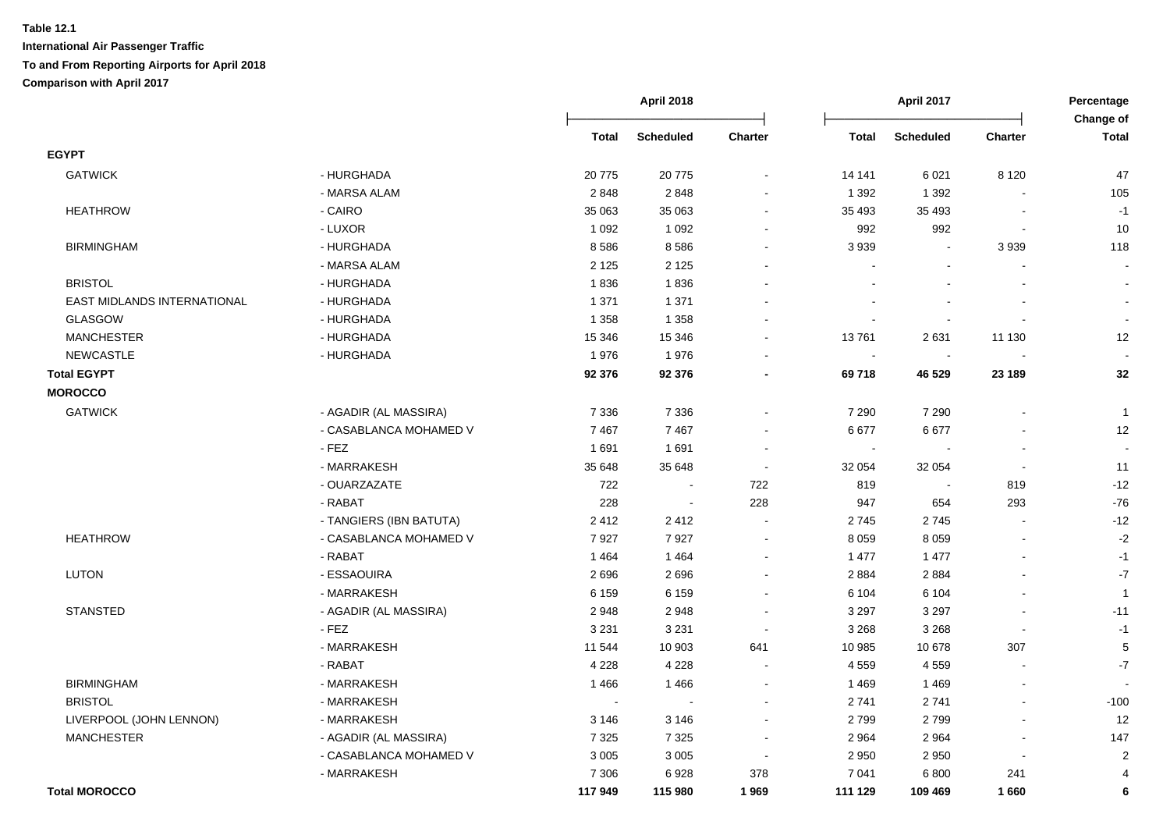|                             |                         | <b>April 2018</b> |                  |                          |                | April 2017               |                | Percentage<br>Change of  |  |
|-----------------------------|-------------------------|-------------------|------------------|--------------------------|----------------|--------------------------|----------------|--------------------------|--|
|                             |                         | Total             | <b>Scheduled</b> | <b>Charter</b>           | <b>Total</b>   | <b>Scheduled</b>         | Charter        | <b>Total</b>             |  |
| <b>EGYPT</b>                |                         |                   |                  |                          |                |                          |                |                          |  |
| <b>GATWICK</b>              | - HURGHADA              | 20775             | 20775            |                          | 14 14 1        | 6 0 21                   | 8 1 2 0        | 47                       |  |
|                             | - MARSA ALAM            | 2848              | 2848             | $\overline{\phantom{a}}$ | 1 3 9 2        | 1 3 9 2                  |                | 105                      |  |
| <b>HEATHROW</b>             | - CAIRO                 | 35 063            | 35 063           | $\sim$                   | 35 4 93        | 35 4 93                  |                | $-1$                     |  |
|                             | - LUXOR                 | 1 0 9 2           | 1 0 9 2          |                          | 992            | 992                      | $\blacksquare$ | $10$                     |  |
| <b>BIRMINGHAM</b>           | - HURGHADA              | 8586              | 8586             | $\sim$                   | 3 9 3 9        | $\overline{\phantom{a}}$ | 3939           | 118                      |  |
|                             | - MARSA ALAM            | 2 1 2 5           | 2 1 2 5          |                          |                |                          |                |                          |  |
| <b>BRISTOL</b>              | - HURGHADA              | 1836              | 1836             |                          |                |                          |                | $\sim$                   |  |
| EAST MIDLANDS INTERNATIONAL | - HURGHADA              | 1 3 7 1           | 1 3 7 1          |                          |                |                          |                | $\overline{\phantom{a}}$ |  |
| <b>GLASGOW</b>              | - HURGHADA              | 1 3 5 8           | 1 3 5 8          |                          | $\sim$         |                          |                | $\sim$                   |  |
| <b>MANCHESTER</b>           | - HURGHADA              | 15 346            | 15 346           | $\sim$                   | 13761          | 2631                     | 11 130         | 12                       |  |
| <b>NEWCASTLE</b>            | - HURGHADA              | 1976              | 1976             |                          | $\sim$         |                          |                |                          |  |
| <b>Total EGYPT</b>          |                         | 92 376            | 92 376           |                          | 69718          | 46 529                   | 23 189         | 32                       |  |
| <b>MOROCCO</b>              |                         |                   |                  |                          |                |                          |                |                          |  |
| <b>GATWICK</b>              | - AGADIR (AL MASSIRA)   | 7 3 3 6           | 7 3 3 6          | $\sim$                   | 7 2 9 0        | 7 2 9 0                  |                | $\overline{1}$           |  |
|                             | - CASABLANCA MOHAMED V  | 7467              | 7467             |                          | 6677           | 6677                     |                | 12                       |  |
|                             | - FEZ                   | 1691              | 1691             | $\sim$                   | $\blacksquare$ |                          | $\overline{a}$ | $\sim$                   |  |
|                             | - MARRAKESH             | 35 648            | 35 648           | $\sim$                   | 32 054         | 32 054                   | $\sim$         | 11                       |  |
|                             | - OUARZAZATE            | 722               | $\sim$           | 722                      | 819            | $\blacksquare$           | 819            | $-12$                    |  |
|                             | - RABAT                 | 228               | $\blacksquare$   | 228                      | 947            | 654                      | 293            | $-76$                    |  |
|                             | - TANGIERS (IBN BATUTA) | 2412              | 2412             | $\blacksquare$           | 2745           | 2745                     | $\blacksquare$ | $-12$                    |  |
| <b>HEATHROW</b>             | - CASABLANCA MOHAMED V  | 7927              | 7927             | $\sim$                   | 8 0 5 9        | 8 0 5 9                  | $\blacksquare$ | $\textnormal{-}2$        |  |
|                             | - RABAT                 | 1 4 6 4           | 1 4 6 4          | $\sim$                   | 1 477          | 1 477                    | $\blacksquare$ | $-1$                     |  |
| LUTON                       | - ESSAOUIRA             | 2696              | 2696             | $\sim$                   | 2 8 8 4        | 2884                     | $\blacksquare$ | $\textnormal{-}7$        |  |
|                             | - MARRAKESH             | 6 1 5 9           | 6 1 5 9          | $\sim$                   | 6 104          | 6 1 0 4                  | $\sim$         | $\overline{1}$           |  |
| <b>STANSTED</b>             | - AGADIR (AL MASSIRA)   | 2948              | 2948             | $\sim$                   | 3 2 9 7        | 3 2 9 7                  |                | $-11$                    |  |
|                             | - FEZ                   | 3 2 3 1           | 3 2 3 1          | $\sim$                   | 3 2 6 8        | 3 2 6 8                  |                | $-1$                     |  |
|                             | - MARRAKESH             | 11 544            | 10 903           | 641                      | 10 985         | 10 678                   | 307            | $\,$ 5 $\,$              |  |
|                             | - RABAT                 | 4 2 2 8           | 4 2 2 8          | $\sim$                   | 4 5 5 9        | 4559                     | $\overline{a}$ | $-7$                     |  |
| <b>BIRMINGHAM</b>           | - MARRAKESH             | 1466              | 1466             | $\sim$                   | 1469           | 1469                     | $\sim$         |                          |  |
| <b>BRISTOL</b>              | - MARRAKESH             | $\sim$            | $\sim$           | $\blacksquare$           | 2741           | 2741                     | $\blacksquare$ | $-100$                   |  |
| LIVERPOOL (JOHN LENNON)     | - MARRAKESH             | 3 1 4 6           | 3 1 4 6          | $\overline{\phantom{a}}$ | 2799           | 2799                     | $\overline{a}$ | 12                       |  |
| <b>MANCHESTER</b>           | - AGADIR (AL MASSIRA)   | 7 3 2 5           | 7 3 2 5          | $\sim$                   | 2 9 64         | 2 9 6 4                  | $\blacksquare$ | 147                      |  |
|                             | - CASABLANCA MOHAMED V  | 3 0 0 5           | 3 0 0 5          | $\sim$                   | 2 9 5 0        | 2 9 5 0                  | $\blacksquare$ | $\sqrt{2}$               |  |
|                             | - MARRAKESH             | 7 3 0 6           | 6928             | 378                      | 7 0 4 1        | 6800                     | 241            | $\overline{4}$           |  |
| <b>Total MOROCCO</b>        |                         | 117949            | 115 980          | 1969                     | 111 129        | 109 469                  | 1660           | 6                        |  |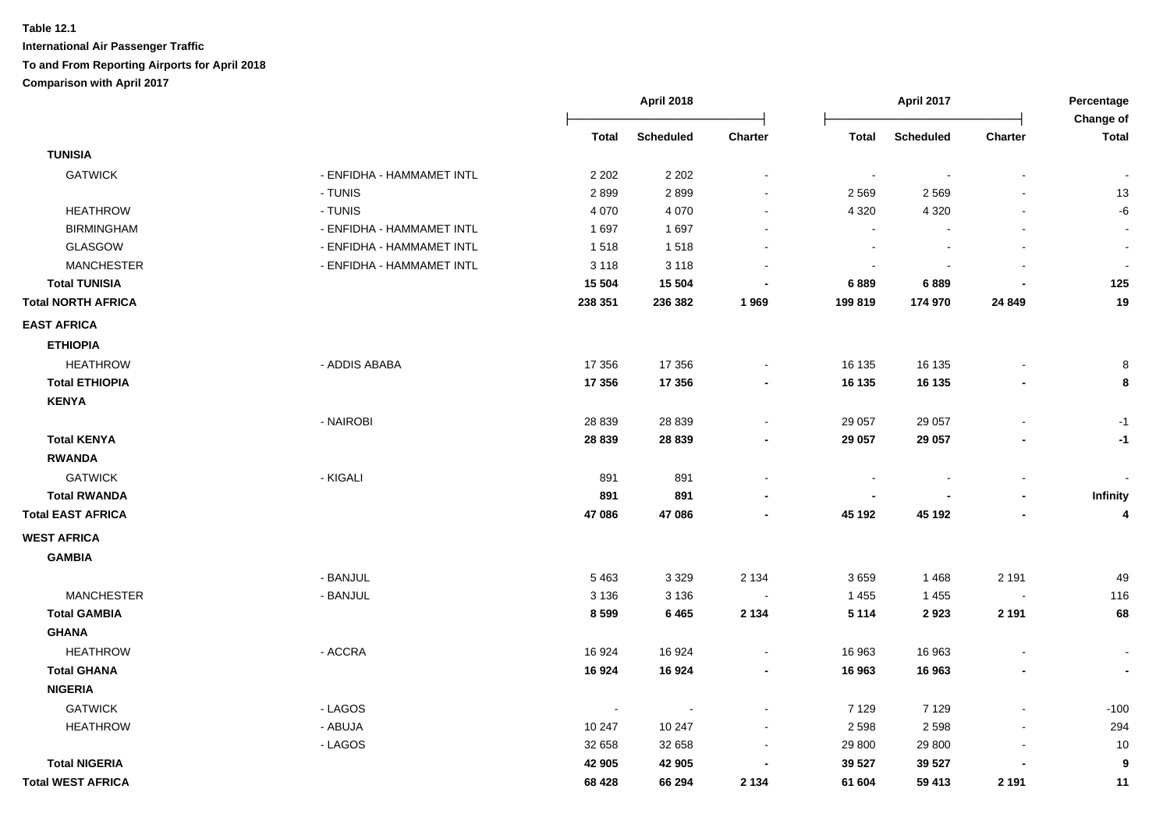|                           |                           |         | April 2018       |                |              | April 2017 |                | Percentage<br>Change of  |
|---------------------------|---------------------------|---------|------------------|----------------|--------------|------------|----------------|--------------------------|
|                           |                           | Total   | <b>Scheduled</b> | Charter        | <b>Total</b> | Scheduled  | <b>Charter</b> | <b>Total</b>             |
| <b>TUNISIA</b>            |                           |         |                  |                |              |            |                |                          |
| <b>GATWICK</b>            | - ENFIDHA - HAMMAMET INTL | 2 2 0 2 | 2 2 0 2          |                |              |            |                |                          |
|                           | - TUNIS                   | 2899    | 2899             |                | 2 5 6 9      | 2569       |                | 13                       |
| <b>HEATHROW</b>           | - TUNIS                   | 4 0 7 0 | 4 0 7 0          |                | 4 3 2 0      | 4 3 2 0    |                | -6                       |
| <b>BIRMINGHAM</b>         | - ENFIDHA - HAMMAMET INTL | 1697    | 1697             |                |              |            |                |                          |
| GLASGOW                   | - ENFIDHA - HAMMAMET INTL | 1518    | 1518             |                |              |            |                |                          |
| <b>MANCHESTER</b>         | - ENFIDHA - HAMMAMET INTL | 3 1 1 8 | 3 1 1 8          |                |              |            |                |                          |
| <b>Total TUNISIA</b>      |                           | 15 5 04 | 15 5 04          |                | 6889         | 6889       |                | 125                      |
| <b>Total NORTH AFRICA</b> |                           | 238 351 | 236 382          | 1969           | 199 819      | 174 970    | 24 849         | 19                       |
| <b>EAST AFRICA</b>        |                           |         |                  |                |              |            |                |                          |
| <b>ETHIOPIA</b>           |                           |         |                  |                |              |            |                |                          |
| <b>HEATHROW</b>           | - ADDIS ABABA             | 17 356  | 17 356           |                | 16 135       | 16 135     |                | 8                        |
| <b>Total ETHIOPIA</b>     |                           | 17 356  | 17 356           |                | 16 135       | 16 135     |                | 8                        |
| <b>KENYA</b>              |                           |         |                  |                |              |            |                |                          |
|                           | - NAIROBI                 | 28 8 39 | 28 8 39          |                | 29 057       | 29 057     |                | $-1$                     |
| <b>Total KENYA</b>        |                           | 28 839  | 28 839           |                | 29 057       | 29 057     |                | $-1$                     |
| <b>RWANDA</b>             |                           |         |                  |                |              |            |                |                          |
| <b>GATWICK</b>            | - KIGALI                  | 891     | 891              |                |              |            |                |                          |
| <b>Total RWANDA</b>       |                           | 891     | 891              |                |              |            |                | Infinity                 |
| <b>Total EAST AFRICA</b>  |                           | 47 086  | 47 086           |                | 45 192       | 45 192     |                | $\boldsymbol{4}$         |
| <b>WEST AFRICA</b>        |                           |         |                  |                |              |            |                |                          |
| <b>GAMBIA</b>             |                           |         |                  |                |              |            |                |                          |
|                           | - BANJUL                  | 5463    | 3 3 2 9          | 2 1 3 4        | 3659         | 1 4 6 8    | 2 1 9 1        | 49                       |
| <b>MANCHESTER</b>         | - BANJUL                  | 3 1 3 6 | 3 1 3 6          |                | 1 4 5 5      | 1 4 5 5    |                | 116                      |
| <b>Total GAMBIA</b>       |                           | 8599    | 6465             | 2 1 3 4        | 5 1 1 4      | 2923       | 2 1 9 1        | 68                       |
| <b>GHANA</b>              |                           |         |                  |                |              |            |                |                          |
| <b>HEATHROW</b>           | - ACCRA                   | 16 924  | 16924            |                | 16 963       | 16 963     |                |                          |
| <b>Total GHANA</b>        |                           | 16924   | 16924            | $\blacksquare$ | 16 963       | 16 963     |                | $\overline{\phantom{a}}$ |
| <b>NIGERIA</b>            |                           |         |                  |                |              |            |                |                          |
| <b>GATWICK</b>            | - LAGOS                   |         |                  |                | 7 1 2 9      | 7 1 2 9    |                | $-100$                   |
| <b>HEATHROW</b>           | - ABUJA                   | 10 247  | 10 247           |                | 2 5 9 8      | 2 5 9 8    |                | 294                      |
|                           | - LAGOS                   | 32 658  | 32 658           |                | 29 800       | 29 800     |                | 10                       |
| <b>Total NIGERIA</b>      |                           | 42 905  | 42 905           |                | 39 527       | 39 527     |                | 9                        |
| <b>Total WEST AFRICA</b>  |                           | 68 4 28 | 66 294           | 2 1 3 4        | 61 604       | 59 413     | 2 1 9 1        | 11                       |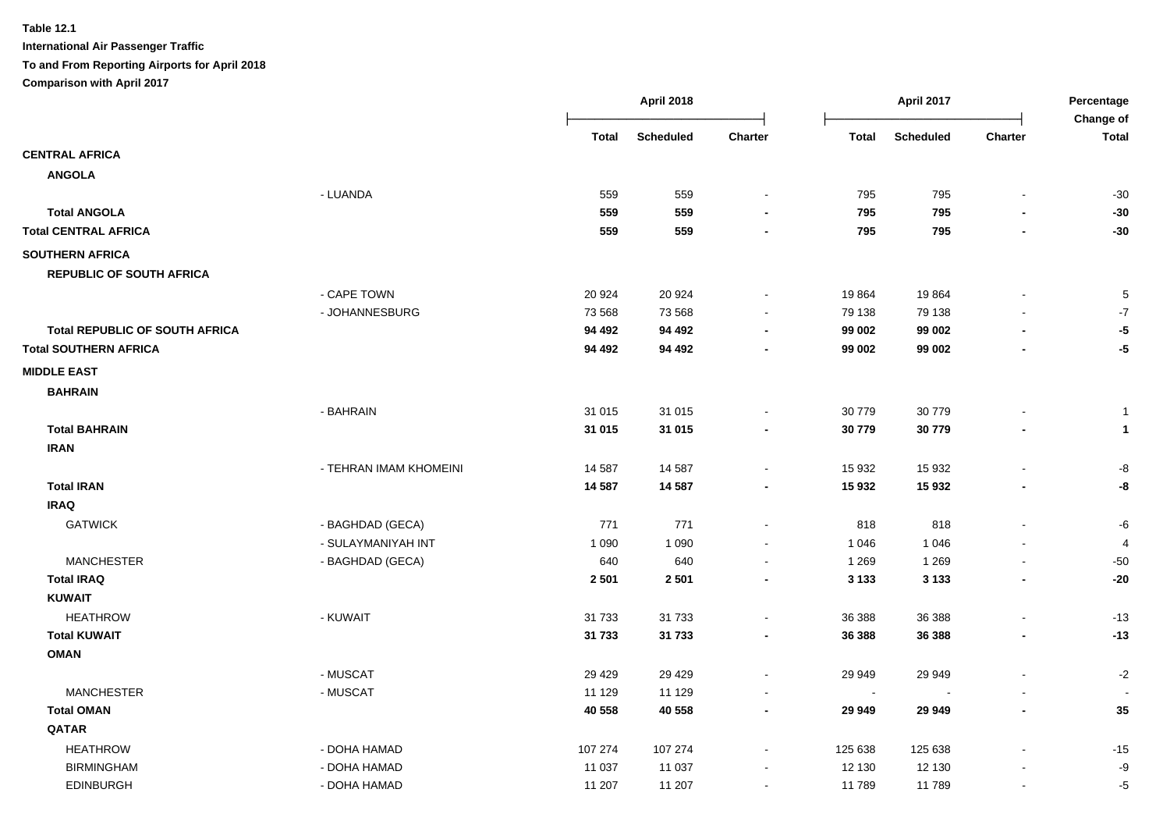|                                       |                        |              | <b>April 2018</b> |                          |                | April 2017       |                          | Percentage<br>Change of |
|---------------------------------------|------------------------|--------------|-------------------|--------------------------|----------------|------------------|--------------------------|-------------------------|
|                                       |                        | <b>Total</b> | <b>Scheduled</b>  | Charter                  | <b>Total</b>   | <b>Scheduled</b> | <b>Charter</b>           | <b>Total</b>            |
| <b>CENTRAL AFRICA</b>                 |                        |              |                   |                          |                |                  |                          |                         |
| <b>ANGOLA</b>                         |                        |              |                   |                          |                |                  |                          |                         |
|                                       | - LUANDA               | 559          | 559               | $\blacksquare$           | 795            | 795              | $\blacksquare$           | $-30$                   |
| <b>Total ANGOLA</b>                   |                        | 559          | 559               |                          | 795            | 795              |                          | $-30$                   |
| <b>Total CENTRAL AFRICA</b>           |                        | 559          | 559               |                          | 795            | 795              |                          | $-30$                   |
| <b>SOUTHERN AFRICA</b>                |                        |              |                   |                          |                |                  |                          |                         |
| <b>REPUBLIC OF SOUTH AFRICA</b>       |                        |              |                   |                          |                |                  |                          |                         |
|                                       | - CAPE TOWN            | 20 9 24      | 20 9 24           |                          | 19864          | 19864            |                          | 5                       |
|                                       | - JOHANNESBURG         | 73 568       | 73 568            |                          | 79 138         | 79 138           |                          | $-7$                    |
| <b>Total REPUBLIC OF SOUTH AFRICA</b> |                        | 94 492       | 94 492            |                          | 99 002         | 99 002           |                          | $-5$                    |
| <b>Total SOUTHERN AFRICA</b>          |                        | 94 492       | 94 492            |                          | 99 002         | 99 002           | $\blacksquare$           | $-5$                    |
| <b>MIDDLE EAST</b>                    |                        |              |                   |                          |                |                  |                          |                         |
| <b>BAHRAIN</b>                        |                        |              |                   |                          |                |                  |                          |                         |
|                                       | - BAHRAIN              | 31 015       | 31 015            |                          | 30 779         | 30779            |                          | $\mathbf{1}$            |
| <b>Total BAHRAIN</b>                  |                        | 31 015       | 31 015            | $\blacksquare$           | 30 779         | 30779            | $\overline{\phantom{a}}$ | $\mathbf{1}$            |
| <b>IRAN</b>                           |                        |              |                   |                          |                |                  |                          |                         |
|                                       | - TEHRAN IMAM KHOMEINI | 14 5 8 7     | 14 5 8 7          | $\overline{\phantom{a}}$ | 15 932         | 15 9 32          | $\overline{\phantom{a}}$ | -8                      |
| <b>Total IRAN</b>                     |                        | 14 587       | 14 5 8 7          | $\blacksquare$           | 15 932         | 15 932           | $\overline{\phantom{a}}$ | -8                      |
| <b>IRAQ</b>                           |                        |              |                   |                          |                |                  |                          |                         |
| <b>GATWICK</b>                        | - BAGHDAD (GECA)       | 771          | 771               | $\blacksquare$           | 818            | 818              | $\blacksquare$           | -6                      |
|                                       | - SULAYMANIYAH INT     | 1 0 9 0      | 1 0 9 0           | $\blacksquare$           | 1 0 4 6        | 1 0 4 6          |                          | 4                       |
| <b>MANCHESTER</b>                     | - BAGHDAD (GECA)       | 640          | 640               | $\sim$                   | 1 2 6 9        | 1 2 6 9          |                          | $-50$                   |
| <b>Total IRAQ</b>                     |                        | 2 5 0 1      | 2501              | $\blacksquare$           | 3 1 3 3        | 3 1 3 3          | $\blacksquare$           | $-20$                   |
| <b>KUWAIT</b>                         |                        |              |                   |                          |                |                  |                          |                         |
| <b>HEATHROW</b>                       | - KUWAIT               | 31 7 33      | 31 7 33           |                          | 36 388         | 36 388           | $\overline{\phantom{a}}$ | $-13$                   |
| <b>Total KUWAIT</b>                   |                        | 31 733       | 31 733            | $\blacksquare$           | 36 388         | 36 388           | $\overline{\phantom{a}}$ | $-13$                   |
| <b>OMAN</b>                           |                        |              |                   |                          |                |                  |                          |                         |
|                                       | - MUSCAT               | 29 4 29      | 29 4 29           | $\sim$                   | 29 949         | 29 949           |                          | $-2$                    |
| <b>MANCHESTER</b>                     | - MUSCAT               | 11 129       | 11 129            |                          | $\blacksquare$ |                  |                          |                         |
| <b>Total OMAN</b>                     |                        | 40 558       | 40 558            | $\blacksquare$           | 29 949         | 29 949           | $\overline{\phantom{0}}$ | 35                      |
| QATAR                                 |                        |              |                   |                          |                |                  |                          |                         |
| <b>HEATHROW</b>                       | - DOHA HAMAD           | 107 274      | 107 274           | $\blacksquare$           | 125 638        | 125 638          |                          | $-15$                   |
| <b>BIRMINGHAM</b>                     | - DOHA HAMAD           | 11 0 37      | 11 0 37           |                          | 12 130         | 12 130           |                          | $-9$                    |
| <b>EDINBURGH</b>                      | - DOHA HAMAD           | 11 207       | 11 207            | $\sim$                   | 11 789         | 11789            | $\blacksquare$           | $-5$                    |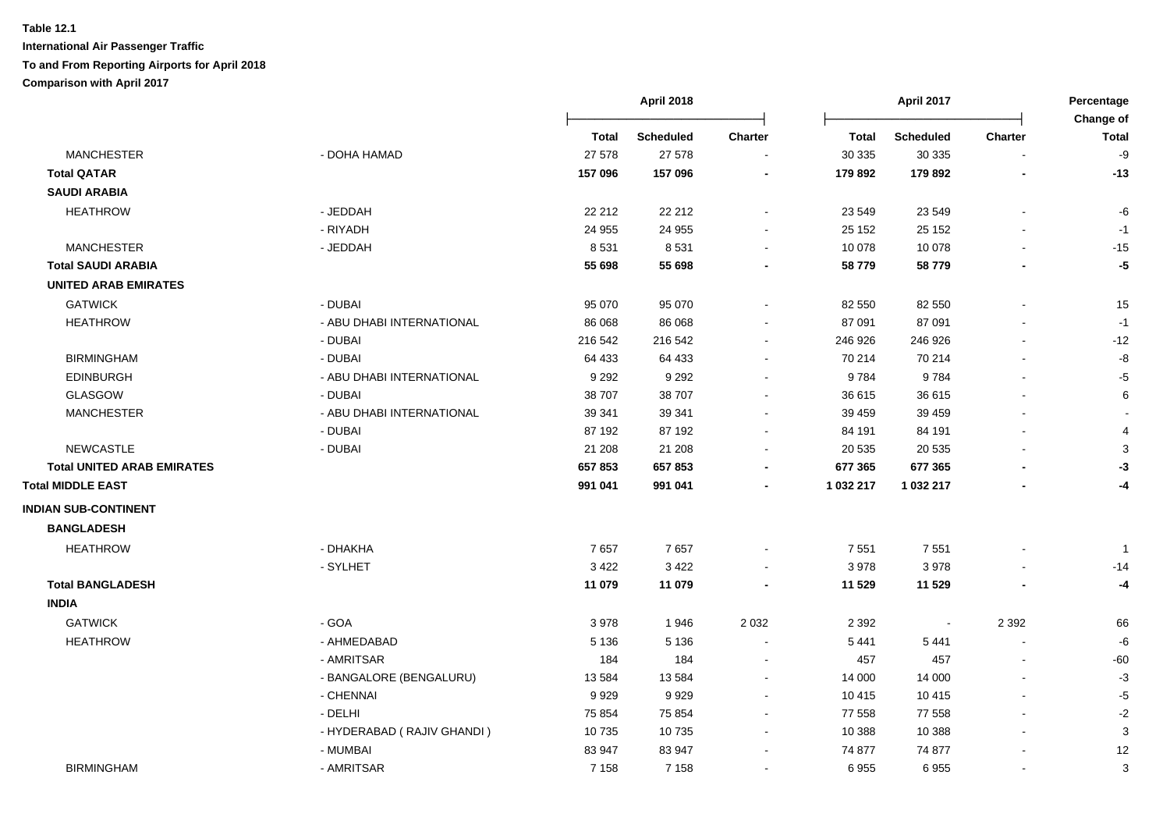|                                   |                            |         | <b>April 2018</b> |                |              | April 2017       |                | Percentage<br>Change of |
|-----------------------------------|----------------------------|---------|-------------------|----------------|--------------|------------------|----------------|-------------------------|
|                                   |                            | Total   | <b>Scheduled</b>  | <b>Charter</b> | <b>Total</b> | <b>Scheduled</b> | <b>Charter</b> | <b>Total</b>            |
| <b>MANCHESTER</b>                 | - DOHA HAMAD               | 27 578  | 27 578            |                | 30 335       | 30 335           |                | -9                      |
| <b>Total QATAR</b>                |                            | 157 096 | 157 096           |                | 179 892      | 179 892          |                | $-13$                   |
| <b>SAUDI ARABIA</b>               |                            |         |                   |                |              |                  |                |                         |
| <b>HEATHROW</b>                   | - JEDDAH                   | 22 212  | 22 212            |                | 23 549       | 23 549           |                | -6                      |
|                                   | - RIYADH                   | 24 955  | 24 955            |                | 25 152       | 25 152           |                | $-1$                    |
| <b>MANCHESTER</b>                 | - JEDDAH                   | 8531    | 8531              |                | 10 078       | 10 078           |                | $-15$                   |
| <b>Total SAUDI ARABIA</b>         |                            | 55 698  | 55 698            |                | 58779        | 58779            |                | $-5$                    |
| <b>UNITED ARAB EMIRATES</b>       |                            |         |                   |                |              |                  |                |                         |
| <b>GATWICK</b>                    | - DUBAI                    | 95 070  | 95 070            |                | 82 550       | 82 550           |                | 15                      |
| <b>HEATHROW</b>                   | - ABU DHABI INTERNATIONAL  | 86 068  | 86 068            |                | 87 091       | 87 091           |                | $-1$                    |
|                                   | - DUBAI                    | 216 542 | 216 542           |                | 246 926      | 246 926          |                | $-12$                   |
| <b>BIRMINGHAM</b>                 | - DUBAI                    | 64 433  | 64 433            |                | 70 214       | 70 214           |                | -8                      |
| <b>EDINBURGH</b>                  | - ABU DHABI INTERNATIONAL  | 9 2 9 2 | 9 2 9 2           |                | 9784         | 9784             |                | $-5$                    |
| GLASGOW                           | - DUBAI                    | 38707   | 38 707            | $\sim$         | 36 615       | 36 615           |                | 6                       |
| <b>MANCHESTER</b>                 | - ABU DHABI INTERNATIONAL  | 39 341  | 39 341            |                | 39 459       | 39 45 9          |                |                         |
|                                   | - DUBAI                    | 87 192  | 87 192            |                | 84 191       | 84 191           |                | $\overline{4}$          |
| <b>NEWCASTLE</b>                  | - DUBAI                    | 21 208  | 21 208            |                | 20 535       | 20 5 35          |                | 3                       |
| <b>Total UNITED ARAB EMIRATES</b> |                            | 657853  | 657853            |                | 677 365      | 677 365          |                | -3                      |
| <b>Total MIDDLE EAST</b>          |                            | 991 041 | 991 041           |                | 1 032 217    | 1 032 217        |                | -4                      |
| <b>INDIAN SUB-CONTINENT</b>       |                            |         |                   |                |              |                  |                |                         |
| <b>BANGLADESH</b>                 |                            |         |                   |                |              |                  |                |                         |
| <b>HEATHROW</b>                   | - DHAKHA                   | 7657    | 7657              |                | 7 5 5 1      | 7 5 5 1          |                | $\mathbf{1}$            |
|                                   | - SYLHET                   | 3 4 2 2 | 3 4 2 2           |                | 3978         | 3978             |                | -14                     |
| <b>Total BANGLADESH</b>           |                            | 11 079  | 11 079            |                | 11 529       | 11 529           |                | -4                      |
| <b>INDIA</b>                      |                            |         |                   |                |              |                  |                |                         |
| <b>GATWICK</b>                    | - GOA                      | 3978    | 1946              | 2 0 3 2        | 2 3 9 2      |                  | 2 3 9 2        | 66                      |
| <b>HEATHROW</b>                   | - AHMEDABAD                | 5 1 3 6 | 5 1 3 6           | $\sim$         | 5441         | 5441             | $\overline{a}$ | -6                      |
|                                   | - AMRITSAR                 | 184     | 184               |                | 457          | 457              |                | $-60$                   |
|                                   | - BANGALORE (BENGALURU)    | 13584   | 13584             | $\sim$         | 14 000       | 14 000           |                | $-3$                    |
|                                   | - CHENNAI                  | 9929    | 9929              |                | 10 415       | 10 4 15          |                | $-5$                    |
|                                   | - DELHI                    | 75 854  | 75 854            |                | 77 558       | 77 558           |                | $-2$                    |
|                                   | - HYDERABAD (RAJIV GHANDI) | 10735   | 10735             |                | 10 388       | 10 388           |                | 3                       |
|                                   | - MUMBAI                   | 83 947  | 83 947            |                | 74 877       | 74 877           |                | 12                      |
| <b>BIRMINGHAM</b>                 | - AMRITSAR                 | 7 1 5 8 | 7 1 5 8           |                | 6955         | 6955             |                | 3                       |
|                                   |                            |         |                   |                |              |                  |                |                         |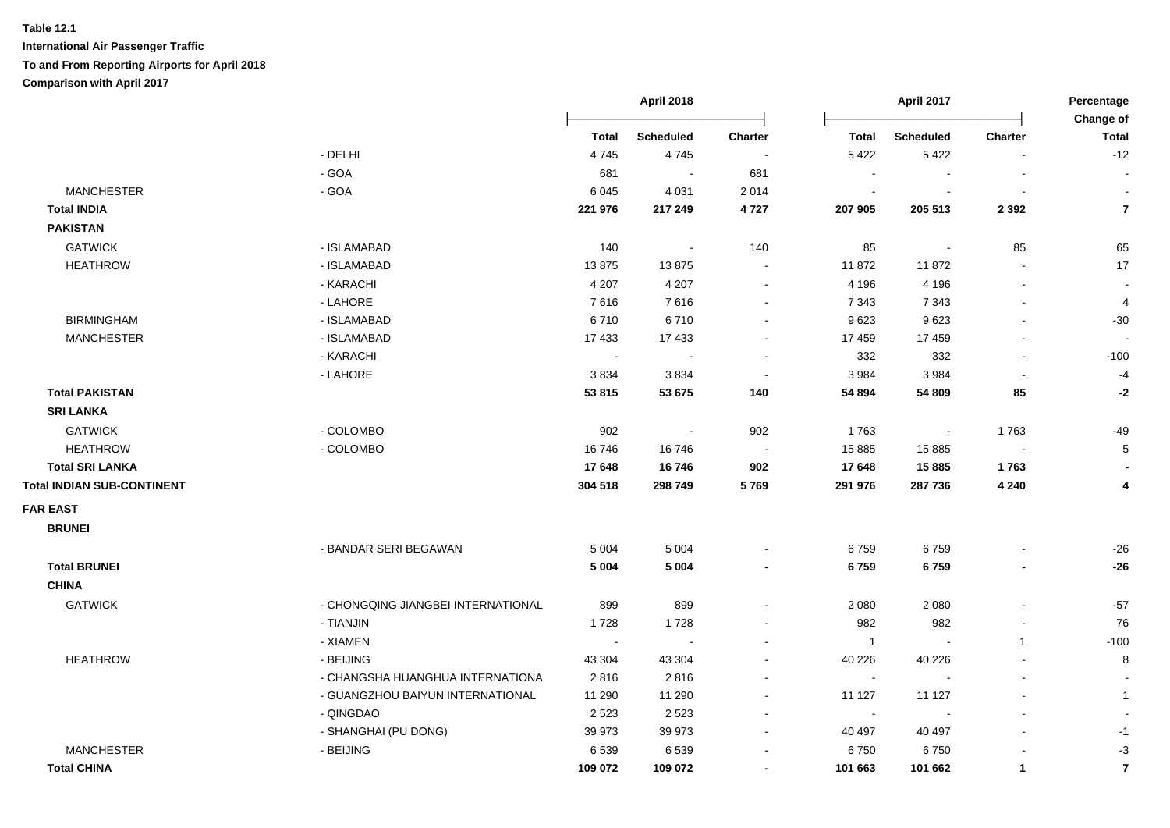|                                   |                                    | <b>April 2018</b> |                  |                | April 2017     | Percentage<br>Change of     |                          |                |
|-----------------------------------|------------------------------------|-------------------|------------------|----------------|----------------|-----------------------------|--------------------------|----------------|
|                                   |                                    | <b>Total</b>      | <b>Scheduled</b> | <b>Charter</b> | <b>Total</b>   | <b>Scheduled</b>            | <b>Charter</b>           | <b>Total</b>   |
|                                   | - DELHI                            | 4745              | 4745             | $\sim$         | 5 4 2 2        | 5422                        | $\blacksquare$           | $-12$          |
|                                   | $-GOA$                             | 681               | $\sim$           | 681            |                |                             |                          | $\blacksquare$ |
| <b>MANCHESTER</b>                 | $-GOA$                             | 6 0 4 5           | 4 0 31           | 2 0 1 4        | $\sim$         |                             | $\blacksquare$           | $\sim$         |
| <b>Total INDIA</b>                |                                    | 221 976           | 217 249          | 4727           | 207 905        | 205 513                     | 2 3 9 2                  | $\overline{7}$ |
| <b>PAKISTAN</b>                   |                                    |                   |                  |                |                |                             |                          |                |
| <b>GATWICK</b>                    | - ISLAMABAD                        | 140               | $\sim$           | 140            | 85             | $\mathcal{L}_{\mathcal{A}}$ | 85                       | 65             |
| <b>HEATHROW</b>                   | - ISLAMABAD                        | 13875             | 13875            | $\sim$         | 11 872         | 11872                       | $\sim$                   | 17             |
|                                   | - KARACHI                          | 4 2 0 7           | 4 2 0 7          | $\sim$         | 4 1 9 6        | 4 1 9 6                     | $\sim$                   | $\sim$         |
|                                   | - LAHORE                           | 7616              | 7616             | $\sim$         | 7 3 4 3        | 7 3 4 3                     | $\blacksquare$           | 4              |
| <b>BIRMINGHAM</b>                 | - ISLAMABAD                        | 6710              | 6710             | $\sim$         | 9623           | 9623                        | $\overline{\phantom{a}}$ | $-30$          |
| <b>MANCHESTER</b>                 | - ISLAMABAD                        | 17433             | 17 433           | $\sim$         | 17 459         | 17 459                      | $\ddot{\phantom{a}}$     | $\sim$         |
|                                   | - KARACHI                          | $\sim$            | $\sim$           |                | 332            | 332                         | $\blacksquare$           | $-100$         |
|                                   | - LAHORE                           | 3834              | 3834             | $\sim$         | 3 9 8 4        | 3 9 8 4                     | $\sim$                   | $-4$           |
| <b>Total PAKISTAN</b>             |                                    | 53 815            | 53 675           | 140            | 54 894         | 54 809                      | 85                       | -2             |
| <b>SRI LANKA</b>                  |                                    |                   |                  |                |                |                             |                          |                |
| <b>GATWICK</b>                    | - COLOMBO                          | 902               | $\blacksquare$   | 902            | 1763           | $\blacksquare$              | 1763                     | $-49$          |
| <b>HEATHROW</b>                   | - COLOMBO                          | 16746             | 16746            |                | 15 8 85        | 15 8 85                     | $\sim$                   | $\sqrt{5}$     |
| <b>Total SRI LANKA</b>            |                                    | 17648             | 16746            | 902            | 17 648         | 15885                       | 1763                     |                |
| <b>Total INDIAN SUB-CONTINENT</b> |                                    | 304 518           | 298 749          | 5769           | 291 976        | 287 736                     | 4 2 4 0                  | 4              |
| <b>FAR EAST</b>                   |                                    |                   |                  |                |                |                             |                          |                |
| <b>BRUNEI</b>                     |                                    |                   |                  |                |                |                             |                          |                |
|                                   | - BANDAR SERI BEGAWAN              | 5 0 0 4           | 5 0 0 4          |                | 6759           | 6759                        |                          | $-26$          |
| <b>Total BRUNEI</b>               |                                    | 5 0 0 4           | 5 0 0 4          | $\blacksquare$ | 6759           | 6759                        | $\blacksquare$           | $-26$          |
| <b>CHINA</b>                      |                                    |                   |                  |                |                |                             |                          |                |
| <b>GATWICK</b>                    | - CHONGQING JIANGBEI INTERNATIONAL | 899               | 899              |                | 2 0 8 0        | 2 0 8 0                     |                          | $-57$          |
|                                   | - TIANJIN                          | 1728              | 1728             |                | 982            | 982                         | $\blacksquare$           | 76             |
|                                   | - XIAMEN                           | $\sim$            | $\sim$           |                | $\overline{1}$ |                             | $\mathbf{1}$             | $-100$         |
| <b>HEATHROW</b>                   | - BEIJING                          | 43 304            | 43 304           |                | 40 226         | 40 226                      |                          | 8              |
|                                   | - CHANGSHA HUANGHUA INTERNATIONA   | 2816              | 2816             |                | $\sim$         |                             | $\blacksquare$           |                |
|                                   | - GUANGZHOU BAIYUN INTERNATIONAL   | 11 290            | 11 290           | $\sim$         | 11 127         | 11 127                      | $\blacksquare$           | $\mathbf{1}$   |
|                                   | - QINGDAO                          | 2 5 2 3           | 2523             |                | $\sim$         |                             | $\blacksquare$           |                |
|                                   | - SHANGHAI (PU DONG)               | 39 973            | 39 973           | $\sim$         | 40 497         | 40 497                      | $\sim$                   | $-1$           |
| <b>MANCHESTER</b>                 | - BEIJING                          | 6539              | 6539             |                | 6750           | 6750                        |                          | $-3$           |
| <b>Total CHINA</b>                |                                    | 109 072           | 109 072          | $\blacksquare$ | 101 663        | 101 662                     | $\mathbf{1}$             | $\overline{7}$ |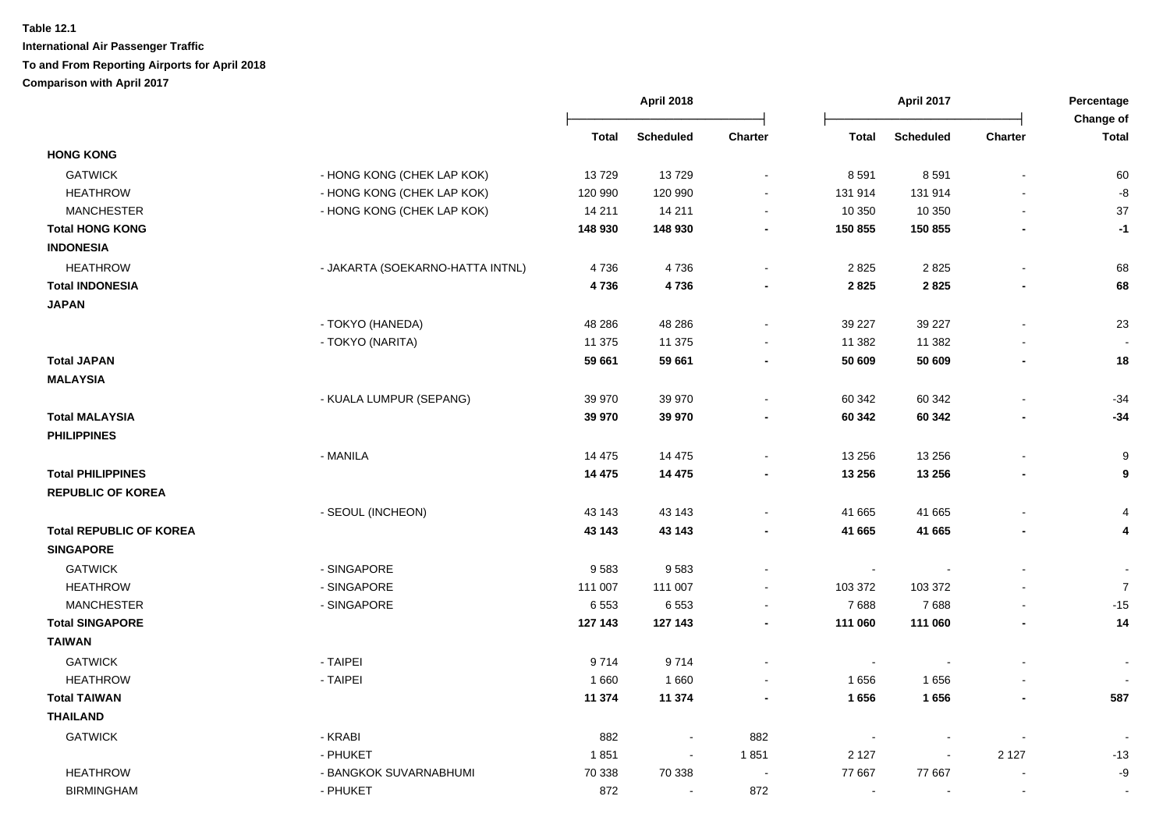| <b>Total</b><br><b>Scheduled</b><br><b>Charter</b><br><b>Total</b><br><b>Scheduled</b><br>Charter<br><b>HONG KONG</b><br><b>GATWICK</b><br>13729<br>- HONG KONG (CHEK LAP KOK)<br>13729<br>8 5 9 1<br>8591<br><b>HEATHROW</b><br>- HONG KONG (CHEK LAP KOK)<br>120 990<br>131 914<br>120 990<br>131 914<br><b>MANCHESTER</b><br>- HONG KONG (CHEK LAP KOK)<br>14 211<br>10 350<br>14 211<br>10 350<br><b>Total HONG KONG</b><br>148 930<br>148 930<br>150 855<br>150 855<br>$\blacksquare$<br><b>INDONESIA</b><br><b>HEATHROW</b><br>- JAKARTA (SOEKARNO-HATTA INTNL)<br>4736<br>4736<br>2825<br>2825<br>2825<br><b>Total INDONESIA</b><br>4736<br>4736<br>2 8 2 5<br>$\blacksquare$<br><b>JAPAN</b><br>- TOKYO (HANEDA)<br>48 28 6<br>39 227<br>39 227<br>48 28 6<br>- TOKYO (NARITA)<br>11 375<br>11 375<br>11 382<br>11 382<br><b>Total JAPAN</b><br>59 661<br>59 661<br>50 609<br>50 609<br>$\blacksquare$<br>$\blacksquare$<br><b>MALAYSIA</b><br>- KUALA LUMPUR (SEPANG)<br>39 970<br>60 342<br>39 970<br>60 342<br><b>Total MALAYSIA</b><br>39 970<br>39 970<br>60 342<br>60 342<br>$\blacksquare$<br><b>PHILIPPINES</b><br>- MANILA<br>14 4 7 5<br>14 4 7 5<br>13 25 6<br>13 25 6<br><b>Total PHILIPPINES</b><br>14 4 75<br>14 4 75<br>13 25 6<br>13 25 6<br>$\blacksquare$<br><b>REPUBLIC OF KOREA</b><br>- SEOUL (INCHEON)<br>43 143<br>43 143<br>41 665<br>41 665<br><b>Total REPUBLIC OF KOREA</b><br>41 665<br>41 665<br>43 143<br>43 143<br>$\blacksquare$<br>$\blacksquare$<br><b>SINGAPORE</b><br><b>GATWICK</b><br>- SINGAPORE<br>9583<br>9583<br>$\blacksquare$<br><b>HEATHROW</b><br>- SINGAPORE<br>111 007<br>111 007<br>103 372<br>103 372<br>$\blacksquare$<br><b>MANCHESTER</b><br>- SINGAPORE<br>6553<br>6553<br>7688<br>7688<br>$\blacksquare$<br><b>Total SINGAPORE</b><br>127 143<br>127 143<br>111 060<br>111 060<br>$\blacksquare$<br>$\blacksquare$<br><b>TAIWAN</b><br><b>GATWICK</b><br>- TAIPEI<br>9714<br>9714<br>$\ddot{\phantom{0}}$<br><b>HEATHROW</b><br>- TAIPEI<br>1660<br>1656<br>1660<br>1656<br>$\blacksquare$ | Percentage<br>Change of |  |
|-----------------------------------------------------------------------------------------------------------------------------------------------------------------------------------------------------------------------------------------------------------------------------------------------------------------------------------------------------------------------------------------------------------------------------------------------------------------------------------------------------------------------------------------------------------------------------------------------------------------------------------------------------------------------------------------------------------------------------------------------------------------------------------------------------------------------------------------------------------------------------------------------------------------------------------------------------------------------------------------------------------------------------------------------------------------------------------------------------------------------------------------------------------------------------------------------------------------------------------------------------------------------------------------------------------------------------------------------------------------------------------------------------------------------------------------------------------------------------------------------------------------------------------------------------------------------------------------------------------------------------------------------------------------------------------------------------------------------------------------------------------------------------------------------------------------------------------------------------------------------------------------------------------------------------------------------------------------------------------------------------------------------------------------------------------|-------------------------|--|
|                                                                                                                                                                                                                                                                                                                                                                                                                                                                                                                                                                                                                                                                                                                                                                                                                                                                                                                                                                                                                                                                                                                                                                                                                                                                                                                                                                                                                                                                                                                                                                                                                                                                                                                                                                                                                                                                                                                                                                                                                                                           | <b>Total</b>            |  |
|                                                                                                                                                                                                                                                                                                                                                                                                                                                                                                                                                                                                                                                                                                                                                                                                                                                                                                                                                                                                                                                                                                                                                                                                                                                                                                                                                                                                                                                                                                                                                                                                                                                                                                                                                                                                                                                                                                                                                                                                                                                           |                         |  |
|                                                                                                                                                                                                                                                                                                                                                                                                                                                                                                                                                                                                                                                                                                                                                                                                                                                                                                                                                                                                                                                                                                                                                                                                                                                                                                                                                                                                                                                                                                                                                                                                                                                                                                                                                                                                                                                                                                                                                                                                                                                           | 60                      |  |
|                                                                                                                                                                                                                                                                                                                                                                                                                                                                                                                                                                                                                                                                                                                                                                                                                                                                                                                                                                                                                                                                                                                                                                                                                                                                                                                                                                                                                                                                                                                                                                                                                                                                                                                                                                                                                                                                                                                                                                                                                                                           | -8                      |  |
|                                                                                                                                                                                                                                                                                                                                                                                                                                                                                                                                                                                                                                                                                                                                                                                                                                                                                                                                                                                                                                                                                                                                                                                                                                                                                                                                                                                                                                                                                                                                                                                                                                                                                                                                                                                                                                                                                                                                                                                                                                                           | 37                      |  |
|                                                                                                                                                                                                                                                                                                                                                                                                                                                                                                                                                                                                                                                                                                                                                                                                                                                                                                                                                                                                                                                                                                                                                                                                                                                                                                                                                                                                                                                                                                                                                                                                                                                                                                                                                                                                                                                                                                                                                                                                                                                           | $-1$                    |  |
|                                                                                                                                                                                                                                                                                                                                                                                                                                                                                                                                                                                                                                                                                                                                                                                                                                                                                                                                                                                                                                                                                                                                                                                                                                                                                                                                                                                                                                                                                                                                                                                                                                                                                                                                                                                                                                                                                                                                                                                                                                                           |                         |  |
|                                                                                                                                                                                                                                                                                                                                                                                                                                                                                                                                                                                                                                                                                                                                                                                                                                                                                                                                                                                                                                                                                                                                                                                                                                                                                                                                                                                                                                                                                                                                                                                                                                                                                                                                                                                                                                                                                                                                                                                                                                                           | 68                      |  |
|                                                                                                                                                                                                                                                                                                                                                                                                                                                                                                                                                                                                                                                                                                                                                                                                                                                                                                                                                                                                                                                                                                                                                                                                                                                                                                                                                                                                                                                                                                                                                                                                                                                                                                                                                                                                                                                                                                                                                                                                                                                           | 68                      |  |
|                                                                                                                                                                                                                                                                                                                                                                                                                                                                                                                                                                                                                                                                                                                                                                                                                                                                                                                                                                                                                                                                                                                                                                                                                                                                                                                                                                                                                                                                                                                                                                                                                                                                                                                                                                                                                                                                                                                                                                                                                                                           |                         |  |
|                                                                                                                                                                                                                                                                                                                                                                                                                                                                                                                                                                                                                                                                                                                                                                                                                                                                                                                                                                                                                                                                                                                                                                                                                                                                                                                                                                                                                                                                                                                                                                                                                                                                                                                                                                                                                                                                                                                                                                                                                                                           | 23                      |  |
|                                                                                                                                                                                                                                                                                                                                                                                                                                                                                                                                                                                                                                                                                                                                                                                                                                                                                                                                                                                                                                                                                                                                                                                                                                                                                                                                                                                                                                                                                                                                                                                                                                                                                                                                                                                                                                                                                                                                                                                                                                                           |                         |  |
|                                                                                                                                                                                                                                                                                                                                                                                                                                                                                                                                                                                                                                                                                                                                                                                                                                                                                                                                                                                                                                                                                                                                                                                                                                                                                                                                                                                                                                                                                                                                                                                                                                                                                                                                                                                                                                                                                                                                                                                                                                                           | 18                      |  |
|                                                                                                                                                                                                                                                                                                                                                                                                                                                                                                                                                                                                                                                                                                                                                                                                                                                                                                                                                                                                                                                                                                                                                                                                                                                                                                                                                                                                                                                                                                                                                                                                                                                                                                                                                                                                                                                                                                                                                                                                                                                           |                         |  |
|                                                                                                                                                                                                                                                                                                                                                                                                                                                                                                                                                                                                                                                                                                                                                                                                                                                                                                                                                                                                                                                                                                                                                                                                                                                                                                                                                                                                                                                                                                                                                                                                                                                                                                                                                                                                                                                                                                                                                                                                                                                           | $-34$                   |  |
|                                                                                                                                                                                                                                                                                                                                                                                                                                                                                                                                                                                                                                                                                                                                                                                                                                                                                                                                                                                                                                                                                                                                                                                                                                                                                                                                                                                                                                                                                                                                                                                                                                                                                                                                                                                                                                                                                                                                                                                                                                                           | $-34$                   |  |
|                                                                                                                                                                                                                                                                                                                                                                                                                                                                                                                                                                                                                                                                                                                                                                                                                                                                                                                                                                                                                                                                                                                                                                                                                                                                                                                                                                                                                                                                                                                                                                                                                                                                                                                                                                                                                                                                                                                                                                                                                                                           |                         |  |
|                                                                                                                                                                                                                                                                                                                                                                                                                                                                                                                                                                                                                                                                                                                                                                                                                                                                                                                                                                                                                                                                                                                                                                                                                                                                                                                                                                                                                                                                                                                                                                                                                                                                                                                                                                                                                                                                                                                                                                                                                                                           | 9                       |  |
|                                                                                                                                                                                                                                                                                                                                                                                                                                                                                                                                                                                                                                                                                                                                                                                                                                                                                                                                                                                                                                                                                                                                                                                                                                                                                                                                                                                                                                                                                                                                                                                                                                                                                                                                                                                                                                                                                                                                                                                                                                                           | 9                       |  |
|                                                                                                                                                                                                                                                                                                                                                                                                                                                                                                                                                                                                                                                                                                                                                                                                                                                                                                                                                                                                                                                                                                                                                                                                                                                                                                                                                                                                                                                                                                                                                                                                                                                                                                                                                                                                                                                                                                                                                                                                                                                           |                         |  |
|                                                                                                                                                                                                                                                                                                                                                                                                                                                                                                                                                                                                                                                                                                                                                                                                                                                                                                                                                                                                                                                                                                                                                                                                                                                                                                                                                                                                                                                                                                                                                                                                                                                                                                                                                                                                                                                                                                                                                                                                                                                           | $\overline{4}$          |  |
|                                                                                                                                                                                                                                                                                                                                                                                                                                                                                                                                                                                                                                                                                                                                                                                                                                                                                                                                                                                                                                                                                                                                                                                                                                                                                                                                                                                                                                                                                                                                                                                                                                                                                                                                                                                                                                                                                                                                                                                                                                                           | 4                       |  |
|                                                                                                                                                                                                                                                                                                                                                                                                                                                                                                                                                                                                                                                                                                                                                                                                                                                                                                                                                                                                                                                                                                                                                                                                                                                                                                                                                                                                                                                                                                                                                                                                                                                                                                                                                                                                                                                                                                                                                                                                                                                           |                         |  |
|                                                                                                                                                                                                                                                                                                                                                                                                                                                                                                                                                                                                                                                                                                                                                                                                                                                                                                                                                                                                                                                                                                                                                                                                                                                                                                                                                                                                                                                                                                                                                                                                                                                                                                                                                                                                                                                                                                                                                                                                                                                           |                         |  |
|                                                                                                                                                                                                                                                                                                                                                                                                                                                                                                                                                                                                                                                                                                                                                                                                                                                                                                                                                                                                                                                                                                                                                                                                                                                                                                                                                                                                                                                                                                                                                                                                                                                                                                                                                                                                                                                                                                                                                                                                                                                           | $\bf 7$                 |  |
|                                                                                                                                                                                                                                                                                                                                                                                                                                                                                                                                                                                                                                                                                                                                                                                                                                                                                                                                                                                                                                                                                                                                                                                                                                                                                                                                                                                                                                                                                                                                                                                                                                                                                                                                                                                                                                                                                                                                                                                                                                                           | $-15$                   |  |
|                                                                                                                                                                                                                                                                                                                                                                                                                                                                                                                                                                                                                                                                                                                                                                                                                                                                                                                                                                                                                                                                                                                                                                                                                                                                                                                                                                                                                                                                                                                                                                                                                                                                                                                                                                                                                                                                                                                                                                                                                                                           | 14                      |  |
|                                                                                                                                                                                                                                                                                                                                                                                                                                                                                                                                                                                                                                                                                                                                                                                                                                                                                                                                                                                                                                                                                                                                                                                                                                                                                                                                                                                                                                                                                                                                                                                                                                                                                                                                                                                                                                                                                                                                                                                                                                                           |                         |  |
|                                                                                                                                                                                                                                                                                                                                                                                                                                                                                                                                                                                                                                                                                                                                                                                                                                                                                                                                                                                                                                                                                                                                                                                                                                                                                                                                                                                                                                                                                                                                                                                                                                                                                                                                                                                                                                                                                                                                                                                                                                                           |                         |  |
|                                                                                                                                                                                                                                                                                                                                                                                                                                                                                                                                                                                                                                                                                                                                                                                                                                                                                                                                                                                                                                                                                                                                                                                                                                                                                                                                                                                                                                                                                                                                                                                                                                                                                                                                                                                                                                                                                                                                                                                                                                                           |                         |  |
| <b>Total TAIWAN</b><br>11 374<br>11 374<br>1656<br>1656<br>$\blacksquare$                                                                                                                                                                                                                                                                                                                                                                                                                                                                                                                                                                                                                                                                                                                                                                                                                                                                                                                                                                                                                                                                                                                                                                                                                                                                                                                                                                                                                                                                                                                                                                                                                                                                                                                                                                                                                                                                                                                                                                                 | 587                     |  |
| <b>THAILAND</b>                                                                                                                                                                                                                                                                                                                                                                                                                                                                                                                                                                                                                                                                                                                                                                                                                                                                                                                                                                                                                                                                                                                                                                                                                                                                                                                                                                                                                                                                                                                                                                                                                                                                                                                                                                                                                                                                                                                                                                                                                                           |                         |  |
| <b>GATWICK</b><br>- KRABI<br>882<br>882<br>$\blacksquare$                                                                                                                                                                                                                                                                                                                                                                                                                                                                                                                                                                                                                                                                                                                                                                                                                                                                                                                                                                                                                                                                                                                                                                                                                                                                                                                                                                                                                                                                                                                                                                                                                                                                                                                                                                                                                                                                                                                                                                                                 |                         |  |
| - PHUKET<br>1851<br>2 1 2 7<br>1851<br>2 1 2 7<br>$\blacksquare$<br>$\blacksquare$                                                                                                                                                                                                                                                                                                                                                                                                                                                                                                                                                                                                                                                                                                                                                                                                                                                                                                                                                                                                                                                                                                                                                                                                                                                                                                                                                                                                                                                                                                                                                                                                                                                                                                                                                                                                                                                                                                                                                                        | $-13$                   |  |
| <b>HEATHROW</b><br>- BANGKOK SUVARNABHUMI<br>70 338<br>70 338<br>77 667<br>77 667<br>$\overline{\phantom{a}}$                                                                                                                                                                                                                                                                                                                                                                                                                                                                                                                                                                                                                                                                                                                                                                                                                                                                                                                                                                                                                                                                                                                                                                                                                                                                                                                                                                                                                                                                                                                                                                                                                                                                                                                                                                                                                                                                                                                                             | -9                      |  |
| <b>BIRMINGHAM</b><br>- PHUKET<br>872<br>872<br>$\blacksquare$<br>$\blacksquare$                                                                                                                                                                                                                                                                                                                                                                                                                                                                                                                                                                                                                                                                                                                                                                                                                                                                                                                                                                                                                                                                                                                                                                                                                                                                                                                                                                                                                                                                                                                                                                                                                                                                                                                                                                                                                                                                                                                                                                           | $\sim$                  |  |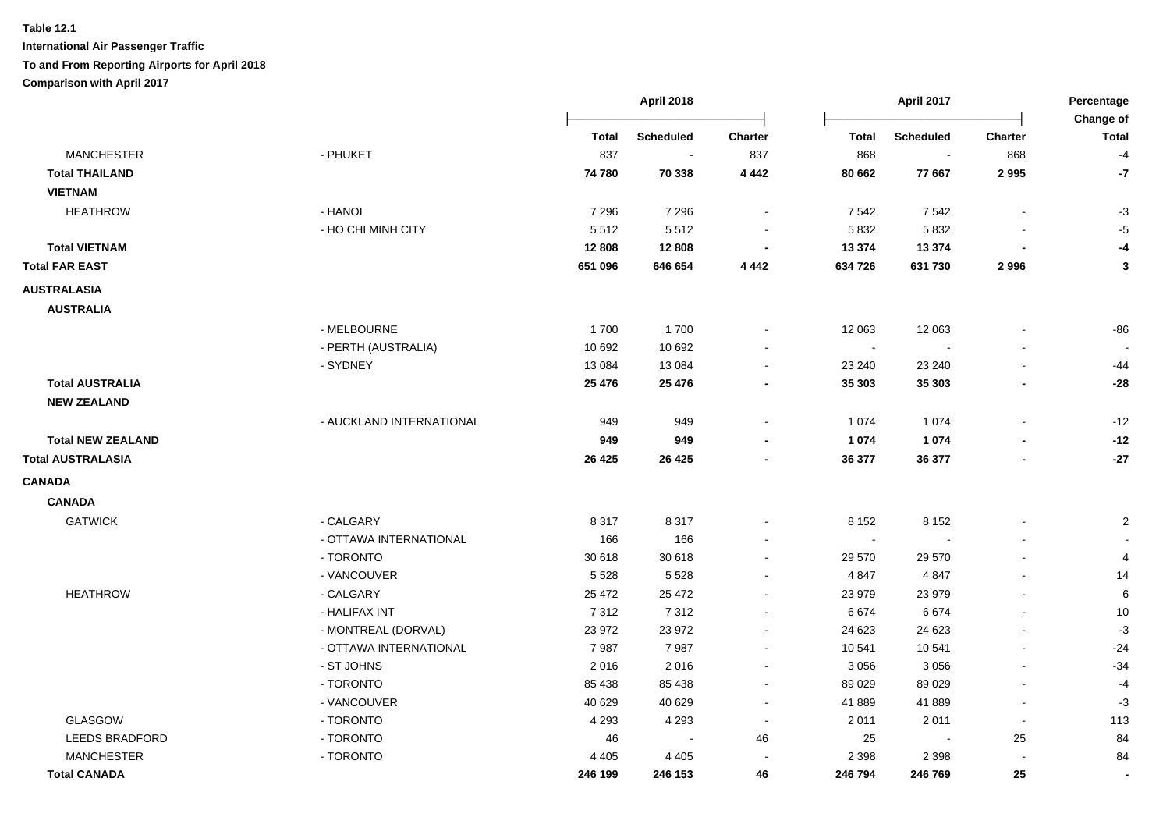|                          |                          |         | <b>April 2018</b> |                          |                | April 2017       |                          | Percentage<br>Change of |
|--------------------------|--------------------------|---------|-------------------|--------------------------|----------------|------------------|--------------------------|-------------------------|
|                          |                          | Total   | <b>Scheduled</b>  | Charter                  | <b>Total</b>   | <b>Scheduled</b> | <b>Charter</b>           | <b>Total</b>            |
| <b>MANCHESTER</b>        | - PHUKET                 | 837     |                   | 837                      | 868            | $\blacksquare$   | 868                      | $-4$                    |
| <b>Total THAILAND</b>    |                          | 74 780  | 70 338            | 4 4 4 2                  | 80 662         | 77 667           | 2995                     | $-7$                    |
| <b>VIETNAM</b>           |                          |         |                   |                          |                |                  |                          |                         |
| <b>HEATHROW</b>          | - HANOI                  | 7 2 9 6 | 7 2 9 6           | $\sim$                   | 7 5 4 2        | 7542             | $\blacksquare$           | $-3$                    |
|                          | - HO CHI MINH CITY       | 5512    | 5512              |                          | 5832           | 5 8 3 2          |                          | $-5$                    |
| <b>Total VIETNAM</b>     |                          | 12 808  | 12 808            | $\overline{\phantom{a}}$ | 13 374         | 13 3 7 4         |                          | -4                      |
| <b>Total FAR EAST</b>    |                          | 651 096 | 646 654           | 4 4 4 2                  | 634 726        | 631 730          | 2996                     | 3                       |
| <b>AUSTRALASIA</b>       |                          |         |                   |                          |                |                  |                          |                         |
| <b>AUSTRALIA</b>         |                          |         |                   |                          |                |                  |                          |                         |
|                          | - MELBOURNE              | 1700    | 1700              | $\sim$                   | 12 063         | 12 063           | $\blacksquare$           | $-86$                   |
|                          | - PERTH (AUSTRALIA)      | 10 692  | 10 692            |                          | $\sim$         |                  |                          |                         |
|                          | - SYDNEY                 | 13 0 84 | 13 0 84           |                          | 23 240         | 23 240           | $\ddot{\phantom{a}}$     | -44                     |
| <b>Total AUSTRALIA</b>   |                          | 25 4 76 | 25 4 76           |                          | 35 30 3        | 35 30 3          |                          | $-28$                   |
| <b>NEW ZEALAND</b>       |                          |         |                   |                          |                |                  |                          |                         |
|                          | - AUCKLAND INTERNATIONAL | 949     | 949               | $\sim$                   | 1 0 7 4        | 1 0 7 4          | $\blacksquare$           | $-12$                   |
| <b>Total NEW ZEALAND</b> |                          | 949     | 949               |                          | 1 0 7 4        | 1 0 7 4          |                          | $-12$                   |
| <b>Total AUSTRALASIA</b> |                          | 26 4 25 | 26 4 25           |                          | 36 377         | 36 377           | $\blacksquare$           | $-27$                   |
| <b>CANADA</b>            |                          |         |                   |                          |                |                  |                          |                         |
| <b>CANADA</b>            |                          |         |                   |                          |                |                  |                          |                         |
| <b>GATWICK</b>           | - CALGARY                | 8 3 1 7 | 8 3 1 7           | $\blacksquare$           | 8 1 5 2        | 8 1 5 2          |                          | $\overline{c}$          |
|                          | - OTTAWA INTERNATIONAL   | 166     | 166               |                          | $\blacksquare$ |                  | $\blacksquare$           |                         |
|                          | - TORONTO                | 30 618  | 30 618            | $\sim$                   | 29 570         | 29 570           | $\overline{a}$           | $\overline{4}$          |
|                          | - VANCOUVER              | 5 5 28  | 5 5 2 8           | $\sim$                   | 4 8 4 7        | 4 8 4 7          | $\mathbf{r}$             | 14                      |
| <b>HEATHROW</b>          | - CALGARY                | 25 4 72 | 25 4 72           | $\sim$                   | 23 979         | 23 979           | $\blacksquare$           | 6                       |
|                          | - HALIFAX INT            | 7 3 1 2 | 7312              | $\sim$                   | 6674           | 6674             | $\overline{\phantom{a}}$ | 10                      |
|                          | - MONTREAL (DORVAL)      | 23 972  | 23 972            | $\sim$                   | 24 623         | 24 623           | $\overline{\phantom{a}}$ | $-3$                    |
|                          | - OTTAWA INTERNATIONAL   | 7987    | 7987              | $\blacksquare$           | 10 541         | 10 541           | $\blacksquare$           | $-24$                   |
|                          | - ST JOHNS               | 2016    | 2016              | $\sim$                   | 3 0 5 6        | 3056             | $\blacksquare$           | $-34$                   |
|                          | - TORONTO                | 85 438  | 85 438            | $\sim$                   | 89 0 29        | 89 0 29          | $\mathbf{r}$             | $-4$                    |
|                          | - VANCOUVER              | 40 629  | 40 629            | $\sim$                   | 41 889         | 41 889           | $\blacksquare$           | $-3$                    |
| <b>GLASGOW</b>           | - TORONTO                | 4 2 9 3 | 4 2 9 3           | $\sim$                   | 2 0 1 1        | 2011             | $\sim$                   | 113                     |
| <b>LEEDS BRADFORD</b>    | - TORONTO                | 46      | $\sim$            | 46                       | 25             |                  | 25                       | 84                      |
| <b>MANCHESTER</b>        | - TORONTO                | 4 4 0 5 | 4 4 0 5           |                          | 2 3 9 8        | 2 3 9 8          | $\sim$                   | 84                      |
| <b>Total CANADA</b>      |                          | 246 199 | 246 153           | 46                       | 246 794        | 246 769          | 25                       |                         |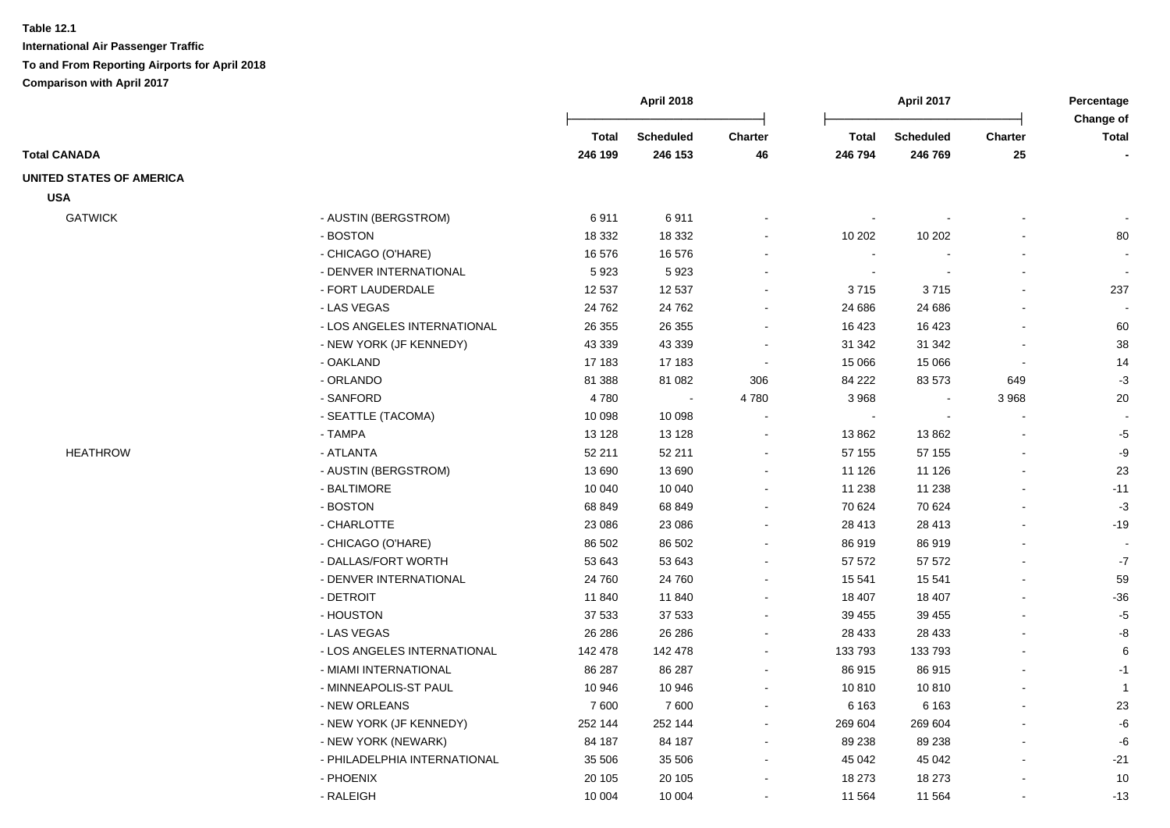|                                 |                              | <b>April 2018</b> |                             | April 2017               |                         |                             | Percentage<br>Change of      |              |
|---------------------------------|------------------------------|-------------------|-----------------------------|--------------------------|-------------------------|-----------------------------|------------------------------|--------------|
| <b>Total CANADA</b>             |                              | Total<br>246 199  | <b>Scheduled</b><br>246 153 | Charter<br>46            | <b>Total</b><br>246 794 | <b>Scheduled</b><br>246 769 | <b>Charter</b><br>${\bf 25}$ | <b>Total</b> |
|                                 |                              |                   |                             |                          |                         |                             |                              |              |
| <b>UNITED STATES OF AMERICA</b> |                              |                   |                             |                          |                         |                             |                              |              |
| <b>USA</b>                      |                              |                   |                             |                          |                         |                             |                              |              |
| <b>GATWICK</b>                  | - AUSTIN (BERGSTROM)         | 6911              | 6911                        |                          |                         |                             |                              |              |
|                                 | - BOSTON                     | 18 3 32           | 18 3 32                     |                          | 10 20 2                 | 10 20 2                     |                              | 80           |
|                                 | - CHICAGO (O'HARE)           | 16 576            | 16 576                      |                          | $\sim$                  |                             |                              |              |
|                                 | - DENVER INTERNATIONAL       | 5923              | 5923                        |                          |                         |                             |                              |              |
|                                 | - FORT LAUDERDALE            | 12 537            | 12 537                      |                          | 3715                    | 3715                        |                              | 237          |
|                                 | - LAS VEGAS                  | 24 7 62           | 24 7 62                     |                          | 24 686                  | 24 686                      |                              |              |
|                                 | - LOS ANGELES INTERNATIONAL  | 26 35 5           | 26 355                      | $\overline{\phantom{a}}$ | 16 423                  | 16 4 23                     |                              | 60           |
|                                 | - NEW YORK (JF KENNEDY)      | 43 339            | 43 339                      | $\blacksquare$           | 31 342                  | 31 342                      |                              | 38           |
|                                 | - OAKLAND                    | 17 183            | 17 183                      | $\sim$                   | 15 066                  | 15 0 66                     | $\overline{\phantom{a}}$     | 14           |
|                                 | - ORLANDO                    | 81 388            | 81 082                      | 306                      | 84 222                  | 83 573                      | 649                          | $-3$         |
|                                 | - SANFORD                    | 4780              |                             | 4780                     | 3 9 6 8                 |                             | 3 9 6 8                      | 20           |
|                                 | - SEATTLE (TACOMA)           | 10 098            | 10 098                      | $\overline{\phantom{a}}$ | $\sim$                  |                             |                              | $\sim$       |
|                                 | - TAMPA                      | 13 1 28           | 13 1 28                     |                          | 13 862                  | 13862                       |                              | $-5$         |
| <b>HEATHROW</b>                 | - ATLANTA                    | 52 211            | 52 211                      | $\overline{\phantom{a}}$ | 57 155                  | 57 155                      |                              | -9           |
|                                 | - AUSTIN (BERGSTROM)         | 13 690            | 13 690                      |                          | 11 1 26                 | 11 1 26                     |                              | 23           |
|                                 | - BALTIMORE                  | 10 040            | 10 040                      |                          | 11 238                  | 11 238                      |                              | $-11$        |
|                                 | - BOSTON                     | 68 849            | 68 849                      |                          | 70 624                  | 70 624                      |                              | $-3$         |
|                                 | - CHARLOTTE                  | 23 086            | 23 086                      | $\blacksquare$           | 28 413                  | 28 413                      |                              | $-19$        |
|                                 | - CHICAGO (O'HARE)           | 86 502            | 86 502                      |                          | 86 919                  | 86919                       |                              | $\sim$       |
|                                 | - DALLAS/FORT WORTH          | 53 643            | 53 643                      |                          | 57 572                  | 57 572                      |                              | $-7$         |
|                                 | - DENVER INTERNATIONAL       | 24 760            | 24 760                      |                          | 15 541                  | 15 541                      |                              | 59           |
|                                 | - DETROIT                    | 11 840            | 11 840                      |                          | 18 407                  | 18 407                      |                              | -36          |
|                                 | - HOUSTON                    | 37 533            | 37 533                      |                          | 39 455                  | 39 455                      |                              | $-5$         |
|                                 | - LAS VEGAS                  | 26 28 6           | 26 28 6                     |                          | 28 4 33                 | 28 4 33                     |                              | -8           |
|                                 | - LOS ANGELES INTERNATIONAL  | 142 478           | 142 478                     | $\sim$                   | 133 793                 | 133 793                     |                              | 6            |
|                                 | - MIAMI INTERNATIONAL        | 86 287            | 86 287                      | $\blacksquare$           | 86 915                  | 86915                       |                              | $-1$         |
|                                 | - MINNEAPOLIS-ST PAUL        | 10 946            | 10 946                      | $\sim$                   | 10810                   | 10810                       |                              | $\mathbf{1}$ |
|                                 | - NEW ORLEANS                | 7600              | 7600                        | $\blacksquare$           | 6 1 6 3                 | 6 1 6 3                     |                              | 23           |
|                                 | - NEW YORK (JF KENNEDY)      | 252 144           | 252 144                     | $\blacksquare$           | 269 604                 | 269 604                     |                              | -6           |
|                                 | - NEW YORK (NEWARK)          | 84 187            | 84 187                      | $\blacksquare$           | 89 238                  | 89 238                      |                              | -6           |
|                                 | - PHILADELPHIA INTERNATIONAL | 35 506            | 35 506                      | $\blacksquare$           | 45 042                  | 45 042                      |                              | $-21$        |
|                                 | - PHOENIX                    | 20 105            | 20 10 5                     |                          | 18 273                  | 18 273                      |                              | 10           |
|                                 | - RALEIGH                    | 10 004            | 10 004                      |                          | 11 564                  | 11 564                      |                              | $-13$        |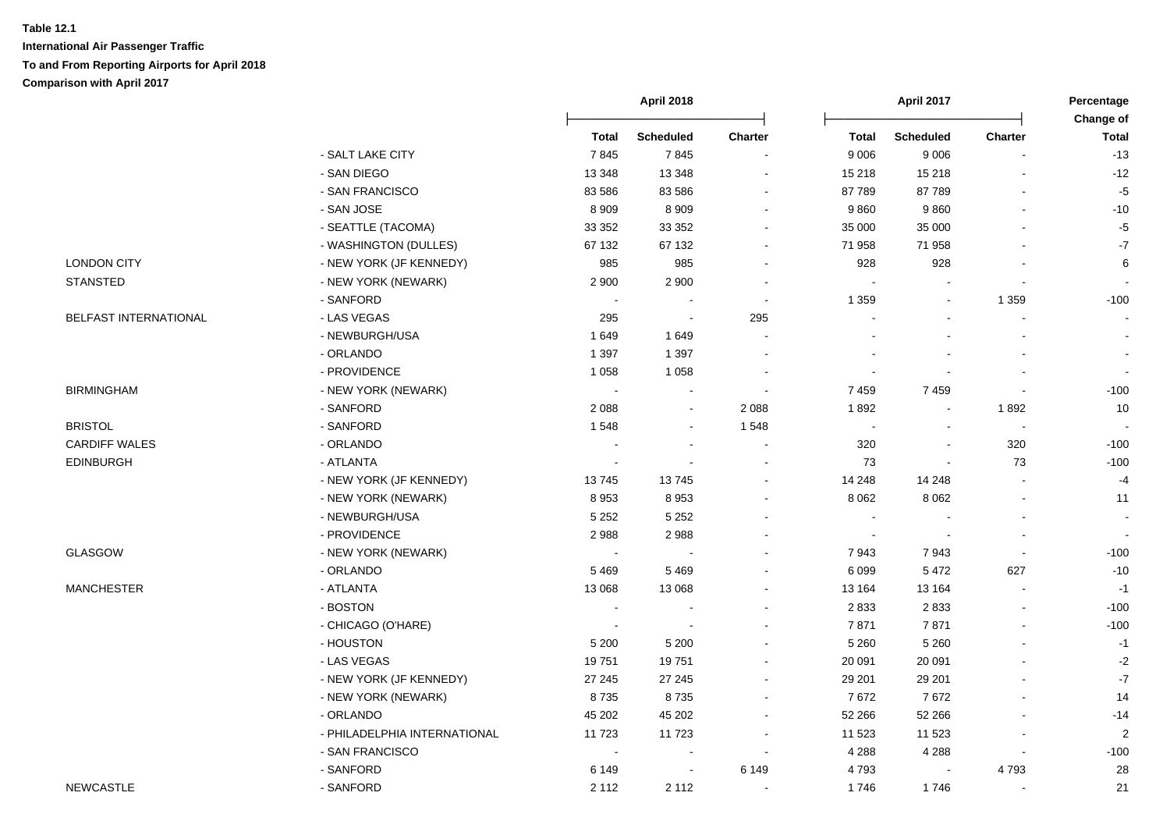|                              |                              | <b>April 2018</b> |                          |         | April 2017               |                          |                          |                           |
|------------------------------|------------------------------|-------------------|--------------------------|---------|--------------------------|--------------------------|--------------------------|---------------------------|
|                              |                              | <b>Total</b>      | <b>Scheduled</b>         | Charter | <b>Total</b>             | <b>Scheduled</b>         | <b>Charter</b>           | Change of<br><b>Total</b> |
|                              | - SALT LAKE CITY             | 7845              | 7845                     |         | 9 0 0 6                  | 9 0 0 6                  |                          | $-13$                     |
|                              | - SAN DIEGO                  | 13 3 48           | 13 3 48                  |         | 15 218                   | 15 218                   | $\overline{a}$           | $-12$                     |
|                              | - SAN FRANCISCO              | 83 586            | 83 5 86                  |         | 87 789                   | 87789                    | $\blacksquare$           | $-5$                      |
|                              | - SAN JOSE                   | 8 9 0 9           | 8 9 0 9                  |         | 9860                     | 9860                     | $\blacksquare$           | $-10$                     |
|                              | - SEATTLE (TACOMA)           | 33 352            | 33 352                   | $\sim$  | 35 000                   | 35 000                   | $\overline{a}$           | $-5$                      |
|                              | - WASHINGTON (DULLES)        | 67 132            | 67 132                   |         | 71 958                   | 71 958                   |                          | $\text{-}7$               |
| <b>LONDON CITY</b>           | - NEW YORK (JF KENNEDY)      | 985               | 985                      |         | 928                      | 928                      |                          | 6                         |
| <b>STANSTED</b>              | - NEW YORK (NEWARK)          | 2 9 0 0           | 2 9 0 0                  | $\sim$  | $\overline{\phantom{a}}$ |                          | $\blacksquare$           |                           |
|                              | - SANFORD                    | $\sim$            |                          | $\sim$  | 1 3 5 9                  | $\blacksquare$           | 1 3 5 9                  | $-100$                    |
| <b>BELFAST INTERNATIONAL</b> | - LAS VEGAS                  | 295               | $\blacksquare$           | 295     |                          |                          | $\blacksquare$           |                           |
|                              | - NEWBURGH/USA               | 1 6 4 9           | 1649                     | $\sim$  |                          |                          |                          | $\sim$                    |
|                              | - ORLANDO                    | 1 3 9 7           | 1 3 9 7                  |         |                          |                          |                          |                           |
|                              | - PROVIDENCE                 | 1 0 5 8           | 1 0 5 8                  |         |                          |                          |                          |                           |
| <b>BIRMINGHAM</b>            | - NEW YORK (NEWARK)          | $\sim$            | $\overline{\phantom{a}}$ | $\sim$  | 7459                     | 7 4 5 9                  | $\overline{\phantom{a}}$ | $-100$                    |
|                              | - SANFORD                    | 2088              | $\blacksquare$           | 2 0 8 8 | 1892                     | $\overline{\phantom{a}}$ | 1892                     | 10                        |
| <b>BRISTOL</b>               | - SANFORD                    | 1548              | $\blacksquare$           | 1 5 4 8 |                          | $\sim$                   | $\bullet$                |                           |
| <b>CARDIFF WALES</b>         | - ORLANDO                    | $\sim$            | $\sim$                   | $\sim$  | 320                      | $\overline{a}$           | 320                      | $-100$                    |
| <b>EDINBURGH</b>             | - ATLANTA                    | $\blacksquare$    | $\overline{\phantom{a}}$ |         | 73                       | $\blacksquare$           | 73                       | $-100$                    |
|                              | - NEW YORK (JF KENNEDY)      | 13745             | 13745                    | $\sim$  | 14 248                   | 14 248                   | $\sim$                   | $-4$                      |
|                              | - NEW YORK (NEWARK)          | 8953              | 8953                     |         | 8 0 6 2                  | 8 0 6 2                  | $\blacksquare$           | 11                        |
|                              | - NEWBURGH/USA               | 5 2 5 2           | 5 2 5 2                  |         | $\overline{a}$           |                          | $\overline{\phantom{a}}$ | $\sim$                    |
|                              | - PROVIDENCE                 | 2988              | 2988                     |         | $\sim$                   |                          | $\blacksquare$           | $\sim$                    |
| GLASGOW                      | - NEW YORK (NEWARK)          | $\sim$            | $\overline{\phantom{a}}$ |         | 7943                     | 7943                     | $\blacksquare$           | $-100$                    |
|                              | - ORLANDO                    | 5469              | 5 4 6 9                  |         | 6 0 9 9                  | 5 4 7 2                  | 627                      | $-10$                     |
| <b>MANCHESTER</b>            | - ATLANTA                    | 13 0 68           | 13 068                   |         | 13 164                   | 13 164                   |                          | $-1$                      |
|                              | - BOSTON                     | $\sim$            |                          |         | 2833                     | 2833                     |                          | $-100$                    |
|                              | - CHICAGO (O'HARE)           | $\blacksquare$    | $\overline{\phantom{a}}$ |         | 7871                     | 7871                     | $\blacksquare$           | $-100$                    |
|                              | - HOUSTON                    | 5 200             | 5 200                    |         | 5 2 6 0                  | 5 2 6 0                  | $\sim$                   | $-1$                      |
|                              | - LAS VEGAS                  | 19751             | 19751                    |         | 20 091                   | 20 091                   | $\sim$                   | $-2$                      |
|                              | - NEW YORK (JF KENNEDY)      | 27 245            | 27 245                   | $\sim$  | 29 201                   | 29 201                   | $\sim$                   | $-7$                      |
|                              | - NEW YORK (NEWARK)          | 8735              | 8735                     | $\sim$  | 7672                     | 7672                     | $\sim$                   | 14                        |
|                              | - ORLANDO                    | 45 202            | 45 202                   |         | 52 266                   | 52 266                   |                          | $-14$                     |
|                              | - PHILADELPHIA INTERNATIONAL | 11723             | 11723                    |         | 11 523                   | 11 523                   | $\blacksquare$           | $\sqrt{2}$                |
|                              | - SAN FRANCISCO              | $\blacksquare$    | $\blacksquare$           |         | 4 2 8 8                  | 4 2 8 8                  | $\blacksquare$           | $-100$                    |
|                              | - SANFORD                    | 6 1 4 9           | $\blacksquare$           | 6 1 4 9 | 4793                     |                          | 4793                     | 28                        |
| <b>NEWCASTLE</b>             | - SANFORD                    | 2 1 1 2           | 2 1 1 2                  | $\sim$  | 1746                     | 1746                     | $\sim$                   | 21                        |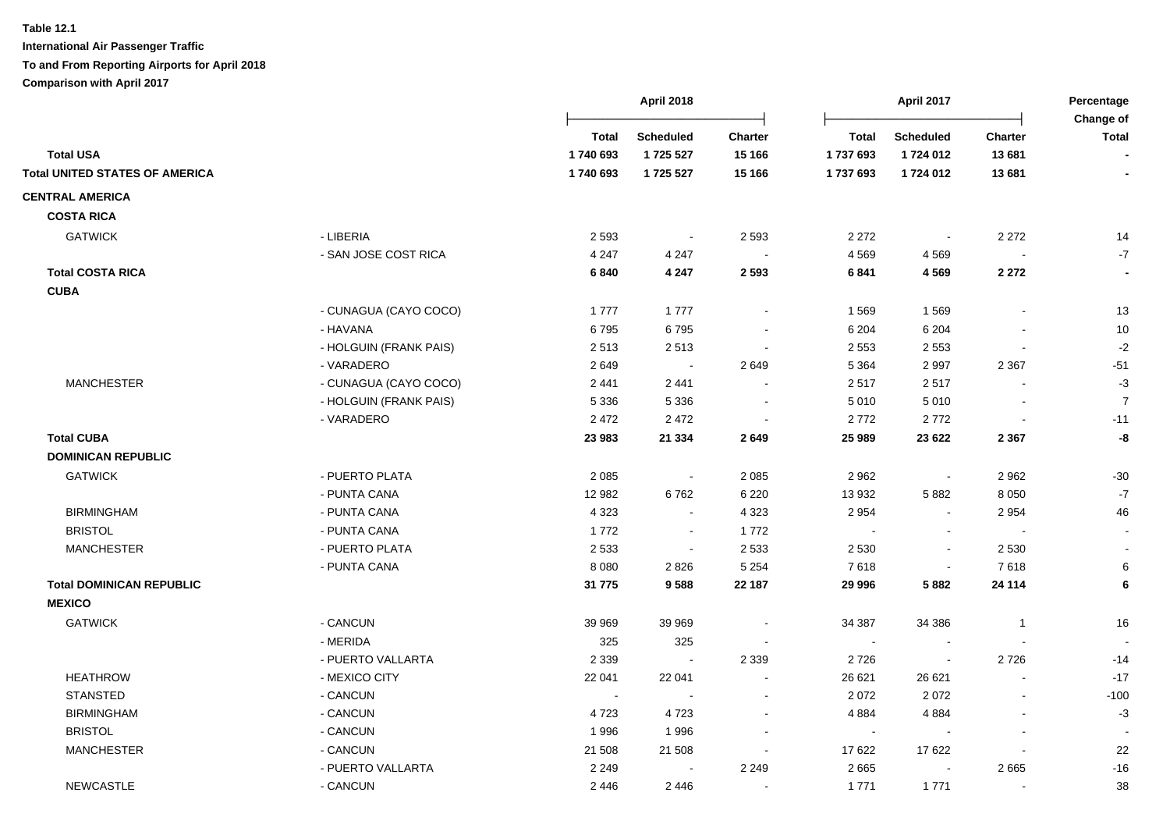|                                       |                        |                      | <b>April 2018</b>      |                          |                    | <b>April 2017</b>        |                          |                           |
|---------------------------------------|------------------------|----------------------|------------------------|--------------------------|--------------------|--------------------------|--------------------------|---------------------------|
| <b>Total USA</b>                      |                        | <b>Total</b>         | <b>Scheduled</b>       | <b>Charter</b>           | <b>Total</b>       | <b>Scheduled</b>         | <b>Charter</b><br>13 681 | <b>Change of</b><br>Total |
| <b>Total UNITED STATES OF AMERICA</b> |                        | 1740 693<br>1740 693 | 1 725 527<br>1 725 527 | 15 166<br>15 166         | 1737693<br>1737693 | 1724 012<br>1724 012     | 13 681                   |                           |
|                                       |                        |                      |                        |                          |                    |                          |                          |                           |
| <b>CENTRAL AMERICA</b>                |                        |                      |                        |                          |                    |                          |                          |                           |
| <b>COSTA RICA</b>                     |                        |                      |                        |                          |                    |                          |                          |                           |
| <b>GATWICK</b>                        | - LIBERIA              | 2 5 9 3              | $\sim$                 | 2 5 9 3                  | 2 2 7 2            | $\sim$                   | 2 2 7 2                  | 14                        |
|                                       | - SAN JOSE COST RICA   | 4 2 4 7              | 4 2 4 7                | $\blacksquare$           | 4 5 6 9            | 4 5 6 9                  | $\overline{\phantom{a}}$ | $-7$                      |
| <b>Total COSTA RICA</b>               |                        | 6840                 | 4 2 4 7                | 2 5 9 3                  | 6841               | 4 5 6 9                  | 2 2 7 2                  |                           |
| <b>CUBA</b>                           |                        |                      |                        |                          |                    |                          |                          |                           |
|                                       | - CUNAGUA (CAYO COCO)  | 1777                 | 1777                   |                          | 1569               | 1569                     |                          | 13                        |
|                                       | - HAVANA               | 6795                 | 6795                   |                          | 6 2 0 4            | 6 2 0 4                  |                          | $10$                      |
|                                       | - HOLGUIN (FRANK PAIS) | 2513                 | 2513                   |                          | 2 5 5 3            | 2 5 5 3                  |                          | $-2$                      |
|                                       | - VARADERO             | 2649                 | $\sim$                 | 2649                     | 5 3 6 4            | 2 9 9 7                  | 2 3 6 7                  | $-51$                     |
| <b>MANCHESTER</b>                     | - CUNAGUA (CAYO COCO)  | 2 4 4 1              | 2 4 4 1                |                          | 2517               | 2517                     |                          | $-3$                      |
|                                       | - HOLGUIN (FRANK PAIS) | 5 3 3 6              | 5 3 3 6                |                          | 5 0 1 0            | 5 0 1 0                  |                          | $\boldsymbol{7}$          |
|                                       | - VARADERO             | 2 4 7 2              | 2 4 7 2                |                          | 2772               | 2772                     |                          | $-11$                     |
| <b>Total CUBA</b>                     |                        | 23 983               | 21 334                 | 2649                     | 25 989             | 23 6 22                  | 2 3 6 7                  | -8                        |
| <b>DOMINICAN REPUBLIC</b>             |                        |                      |                        |                          |                    |                          |                          |                           |
| <b>GATWICK</b>                        | - PUERTO PLATA         | 2 0 8 5              | $\sim$                 | 2 0 8 5                  | 2 9 6 2            | $\sim$                   | 2 9 6 2                  | $-30$                     |
|                                       | - PUNTA CANA           | 12 982               | 6762                   | 6 2 2 0                  | 13 932             | 5882                     | 8 0 5 0                  | $-7$                      |
| <b>BIRMINGHAM</b>                     | - PUNTA CANA           | 4 3 2 3              | $\blacksquare$         | 4 3 2 3                  | 2 9 5 4            | $\sim$                   | 2954                     | 46                        |
| <b>BRISTOL</b>                        | - PUNTA CANA           | 1772                 | $\blacksquare$         | 1772                     |                    |                          |                          |                           |
| <b>MANCHESTER</b>                     | - PUERTO PLATA         | 2 5 3 3              | $\sim$                 | 2 5 3 3                  | 2 5 3 0            | $\blacksquare$           | 2 5 3 0                  |                           |
|                                       | - PUNTA CANA           | 8 0 8 0              | 2826                   | 5 2 5 4                  | 7618               | $\blacksquare$           | 7618                     | 6                         |
| <b>Total DOMINICAN REPUBLIC</b>       |                        | 31 775               | 9588                   | 22 187                   | 29 996             | 5882                     | 24 114                   | 6                         |
| <b>MEXICO</b>                         |                        |                      |                        |                          |                    |                          |                          |                           |
| <b>GATWICK</b>                        | - CANCUN               | 39 969               | 39 969                 |                          | 34 387             | 34 386                   | $\overline{1}$           | 16                        |
|                                       | - MERIDA               | 325                  | 325                    |                          | $\sim$             | $\overline{\phantom{a}}$ |                          |                           |
|                                       | - PUERTO VALLARTA      | 2 3 3 9              | $\sim$                 | 2 3 3 9                  | 2726               | $\sim$                   | 2726                     | $-14$                     |
| <b>HEATHROW</b>                       | - MEXICO CITY          | 22 041               | 22 041                 |                          | 26 621             | 26 621                   |                          | $-17$                     |
| <b>STANSTED</b>                       | - CANCUN               | $\sim$               | $\blacksquare$         |                          | 2 0 7 2            | 2072                     | $\blacksquare$           | $-100$                    |
| <b>BIRMINGHAM</b>                     | - CANCUN               | 4723                 | 4723                   |                          | 4 8 8 4            | 4884                     |                          | $-3$                      |
| <b>BRISTOL</b>                        | - CANCUN               | 1996                 | 1996                   |                          | $\sim$             |                          | $\blacksquare$           |                           |
| <b>MANCHESTER</b>                     | - CANCUN               | 21 508               | 21 508                 | $\overline{\phantom{a}}$ | 17 622             | 17622                    |                          | 22                        |
|                                       | - PUERTO VALLARTA      | 2 2 4 9              |                        | 2 2 4 9                  | 2 6 6 5            |                          | 2665                     | $-16$                     |
| <b>NEWCASTLE</b>                      | - CANCUN               | 2 4 4 6              | 2446                   |                          | 1771               | 1771                     |                          | 38                        |
|                                       |                        |                      |                        |                          |                    |                          |                          |                           |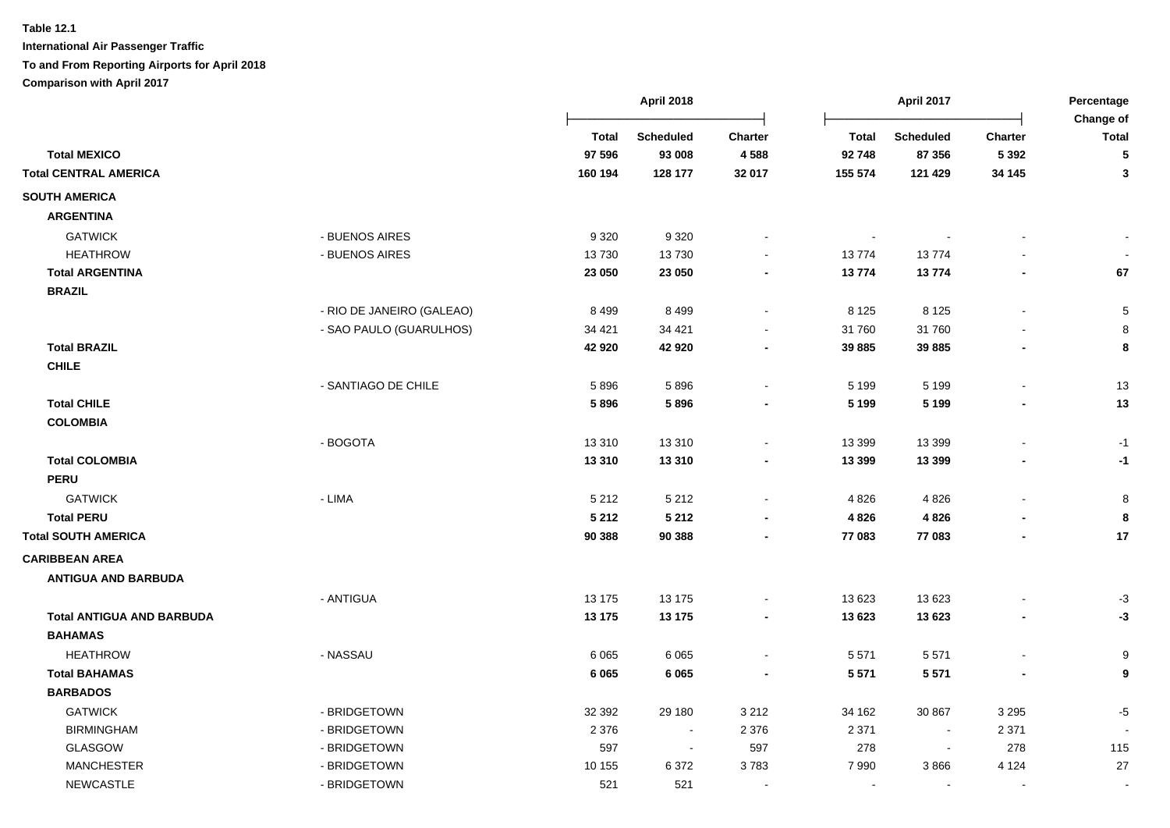|                                  |                           |              | <b>April 2018</b> |                |              | <b>April 2017</b> |         | Percentage<br>Change of |
|----------------------------------|---------------------------|--------------|-------------------|----------------|--------------|-------------------|---------|-------------------------|
|                                  |                           | <b>Total</b> | <b>Scheduled</b>  | <b>Charter</b> | <b>Total</b> | <b>Scheduled</b>  | Charter | <b>Total</b>            |
| <b>Total MEXICO</b>              |                           | 97 596       | 93 008            | 4588           | 92 748       | 87 356            | 5 3 9 2 | 5                       |
| <b>Total CENTRAL AMERICA</b>     |                           | 160 194      | 128 177           | 32 017         | 155 574      | 121 429           | 34 145  | 3                       |
| <b>SOUTH AMERICA</b>             |                           |              |                   |                |              |                   |         |                         |
| <b>ARGENTINA</b>                 |                           |              |                   |                |              |                   |         |                         |
| <b>GATWICK</b>                   | - BUENOS AIRES            | 9 3 2 0      | 9 3 2 0           |                |              |                   |         |                         |
| <b>HEATHROW</b>                  | - BUENOS AIRES            | 13730        | 13730             |                | 13774        | 13774             |         |                         |
| <b>Total ARGENTINA</b>           |                           | 23 050       | 23 050            |                | 13774        | 13774             |         | 67                      |
| <b>BRAZIL</b>                    |                           |              |                   |                |              |                   |         |                         |
|                                  | - RIO DE JANEIRO (GALEAO) | 8 4 9 9      | 8 4 9 9           |                | 8 1 2 5      | 8 1 2 5           |         | 5                       |
|                                  | - SAO PAULO (GUARULHOS)   | 34 4 21      | 34 4 21           |                | 31 760       | 31760             |         | 8                       |
| <b>Total BRAZIL</b>              |                           | 42 920       | 42 920            |                | 39 885       | 39 885            |         | 8                       |
| <b>CHILE</b>                     |                           |              |                   |                |              |                   |         |                         |
|                                  | - SANTIAGO DE CHILE       | 5896         | 5896              |                | 5 1 9 9      | 5 1 9 9           |         | 13                      |
| <b>Total CHILE</b>               |                           | 5896         | 5896              |                | 5 1 9 9      | 5 1 9 9           |         | 13                      |
| <b>COLOMBIA</b>                  |                           |              |                   |                |              |                   |         |                         |
|                                  | - BOGOTA                  | 13 3 10      | 13 3 10           |                | 13 3 9 9     | 13 3 9 9          |         | $-1$                    |
| <b>Total COLOMBIA</b>            |                           | 13 3 10      | 13 3 10           |                | 13 3 9 9     | 13 3 9 9          |         | -1                      |
| <b>PERU</b>                      |                           |              |                   |                |              |                   |         |                         |
| <b>GATWICK</b>                   | - LIMA                    | 5 2 1 2      | 5 2 1 2           |                | 4 8 2 6      | 4 8 2 6           |         | $\bf8$                  |
| <b>Total PERU</b>                |                           | 5 2 1 2      | 5 2 1 2           |                | 4 8 2 6      | 4 8 2 6           |         | 8                       |
| <b>Total SOUTH AMERICA</b>       |                           | 90 388       | 90 388            |                | 77 083       | 77 083            |         | 17                      |
| <b>CARIBBEAN AREA</b>            |                           |              |                   |                |              |                   |         |                         |
| <b>ANTIGUA AND BARBUDA</b>       |                           |              |                   |                |              |                   |         |                         |
|                                  | - ANTIGUA                 | 13 175       | 13 175            |                | 13 623       | 13 623            |         | $-3$                    |
| <b>Total ANTIGUA AND BARBUDA</b> |                           | 13 175       | 13 175            |                | 13 623       | 13 623            |         | -3                      |
| <b>BAHAMAS</b>                   |                           |              |                   |                |              |                   |         |                         |
| <b>HEATHROW</b>                  | - NASSAU                  | 6 0 65       | 6 0 6 5           |                | 5 5 7 1      | 5571              |         | 9                       |
| <b>Total BAHAMAS</b>             |                           | 6 0 6 5      | 6 0 6 5           |                | 5 5 7 1      | 5 5 7 1           |         | 9                       |
| <b>BARBADOS</b>                  |                           |              |                   |                |              |                   |         |                         |
| <b>GATWICK</b>                   | - BRIDGETOWN              | 32 392       | 29 180            | 3 2 1 2        | 34 162       | 30 867            | 3 2 9 5 | $-5$                    |
| <b>BIRMINGHAM</b>                | - BRIDGETOWN              | 2 3 7 6      | $\blacksquare$    | 2 3 7 6        | 2 3 7 1      |                   | 2 3 7 1 |                         |
| GLASGOW                          | - BRIDGETOWN              | 597          | $\sim$            | 597            | 278          |                   | 278     | 115                     |
| <b>MANCHESTER</b>                | - BRIDGETOWN              | 10 155       | 6372              | 3783           | 7990         | 3866              | 4 1 2 4 | 27                      |
| <b>NEWCASTLE</b>                 | - BRIDGETOWN              | 521          | 521               |                |              |                   |         |                         |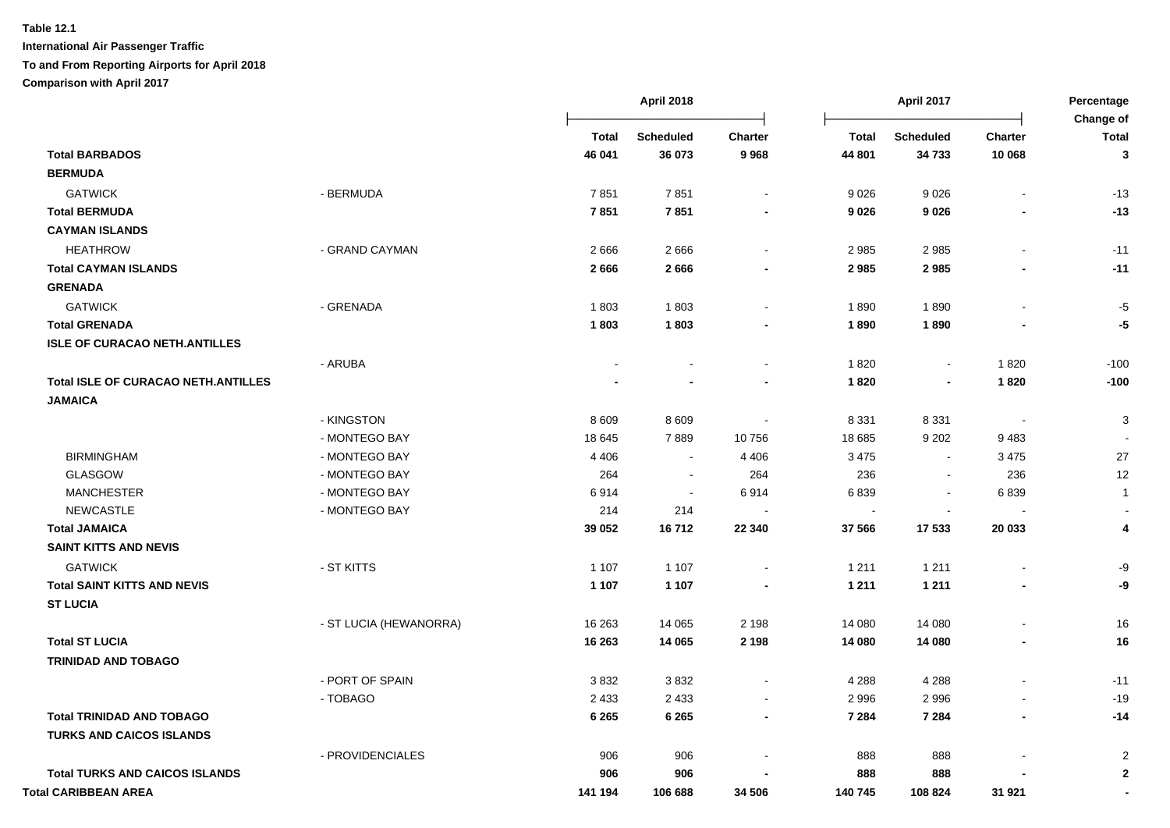|                                            |                        |              | <b>April 2018</b> |                |              | <b>April 2017</b>        |                          | Percentage         |
|--------------------------------------------|------------------------|--------------|-------------------|----------------|--------------|--------------------------|--------------------------|--------------------|
|                                            |                        | <b>Total</b> | <b>Scheduled</b>  | <b>Charter</b> | <b>Total</b> | <b>Scheduled</b>         | <b>Charter</b>           | Change of<br>Total |
| <b>Total BARBADOS</b>                      |                        | 46 041       | 36 073            | 9968           | 44 801       | 34 733                   | 10 068                   | $\mathbf{3}$       |
| <b>BERMUDA</b>                             |                        |              |                   |                |              |                          |                          |                    |
| <b>GATWICK</b>                             | - BERMUDA              | 7851         | 7851              |                | 9026         | 9026                     |                          | $-13$              |
| <b>Total BERMUDA</b>                       |                        | 7851         | 7851              |                | 9 0 26       | 9026                     |                          | $-13$              |
| <b>CAYMAN ISLANDS</b>                      |                        |              |                   |                |              |                          |                          |                    |
| <b>HEATHROW</b>                            | - GRAND CAYMAN         | 2666         | 2666              |                | 2985         | 2985                     | $\overline{a}$           | $-11$              |
| <b>Total CAYMAN ISLANDS</b>                |                        | 2666         | 2666              |                | 2985         | 2985                     |                          | $-11$              |
| <b>GRENADA</b>                             |                        |              |                   |                |              |                          |                          |                    |
| <b>GATWICK</b>                             | - GRENADA              | 1803         | 1803              |                | 1890         | 1890                     |                          | -5                 |
| <b>Total GRENADA</b>                       |                        | 1803         | 1803              |                | 1890         | 1890                     |                          | -5                 |
| <b>ISLE OF CURACAO NETH.ANTILLES</b>       |                        |              |                   |                |              |                          |                          |                    |
|                                            | - ARUBA                |              |                   |                | 1820         | $\sim$                   | 1820                     | $-100$             |
| <b>Total ISLE OF CURACAO NETH.ANTILLES</b> |                        |              |                   |                | 1820         |                          | 1820                     | $-100$             |
| <b>JAMAICA</b>                             |                        |              |                   |                |              |                          |                          |                    |
|                                            | - KINGSTON             | 8 6 0 9      | 8609              |                | 8 3 3 1      | 8 3 3 1                  | $\overline{\phantom{a}}$ | 3                  |
|                                            | - MONTEGO BAY          | 18 645       | 7889              | 10756          | 18 685       | 9 2 0 2                  | 9483                     |                    |
| <b>BIRMINGHAM</b>                          | - MONTEGO BAY          | 4 4 0 6      |                   | 4 4 0 6        | 3 4 7 5      |                          | 3 4 7 5                  | 27                 |
| <b>GLASGOW</b>                             | - MONTEGO BAY          | 264          | $\sim$            | 264            | 236          | $\overline{\phantom{a}}$ | 236                      | 12                 |
| <b>MANCHESTER</b>                          | - MONTEGO BAY          | 6914         | $\blacksquare$    | 6914           | 6839         | $\overline{\phantom{a}}$ | 6839                     | $\mathbf{1}$       |
| <b>NEWCASTLE</b>                           | - MONTEGO BAY          | 214          | 214               |                | $\sim$       | $\sim$                   |                          |                    |
| <b>Total JAMAICA</b>                       |                        | 39 052       | 16712             | 22 340         | 37 566       | 17 533                   | 20 033                   | 4                  |
| <b>SAINT KITTS AND NEVIS</b>               |                        |              |                   |                |              |                          |                          |                    |
| <b>GATWICK</b>                             | - ST KITTS             | 1 1 0 7      | 1 1 0 7           |                | 1 2 1 1      | 1 2 1 1                  | $\overline{a}$           | -9                 |
| <b>Total SAINT KITTS AND NEVIS</b>         |                        | 1 1 0 7      | 1 1 0 7           |                | 1 2 1 1      | 1 2 1 1                  | $\overline{\phantom{a}}$ | -9                 |
| <b>ST LUCIA</b>                            |                        |              |                   |                |              |                          |                          |                    |
|                                            | - ST LUCIA (HEWANORRA) | 16 263       | 14 0 65           | 2 1 9 8        | 14 080       | 14 080                   |                          | 16                 |
| <b>Total ST LUCIA</b>                      |                        | 16 263       | 14 065            | 2 1 9 8        | 14 080       | 14 080                   | $\blacksquare$           | 16                 |
| <b>TRINIDAD AND TOBAGO</b>                 |                        |              |                   |                |              |                          |                          |                    |
|                                            | - PORT OF SPAIN        | 3832         | 3832              |                | 4 2 8 8      | 4 2 8 8                  |                          | $-11$              |
|                                            | - TOBAGO               | 2 4 3 3      | 2 4 3 3           | $\blacksquare$ | 2 9 9 6      | 2996                     | $\blacksquare$           | $-19$              |
| <b>Total TRINIDAD AND TOBAGO</b>           |                        | 6 2 6 5      | 6 2 6 5           | $\blacksquare$ | 7 2 8 4      | 7 2 8 4                  | $\blacksquare$           | $-14$              |
| <b>TURKS AND CAICOS ISLANDS</b>            |                        |              |                   |                |              |                          |                          |                    |
|                                            | - PROVIDENCIALES       | 906          | 906               |                | 888          | 888                      |                          | $\overline{2}$     |
| <b>Total TURKS AND CAICOS ISLANDS</b>      |                        | 906          | 906               |                | 888          | 888                      |                          | $\mathbf 2$        |
| Total CARIBBEAN AREA                       |                        | 141 194      |                   | 34 506         | 140 745      | 108 824                  | 31 921                   |                    |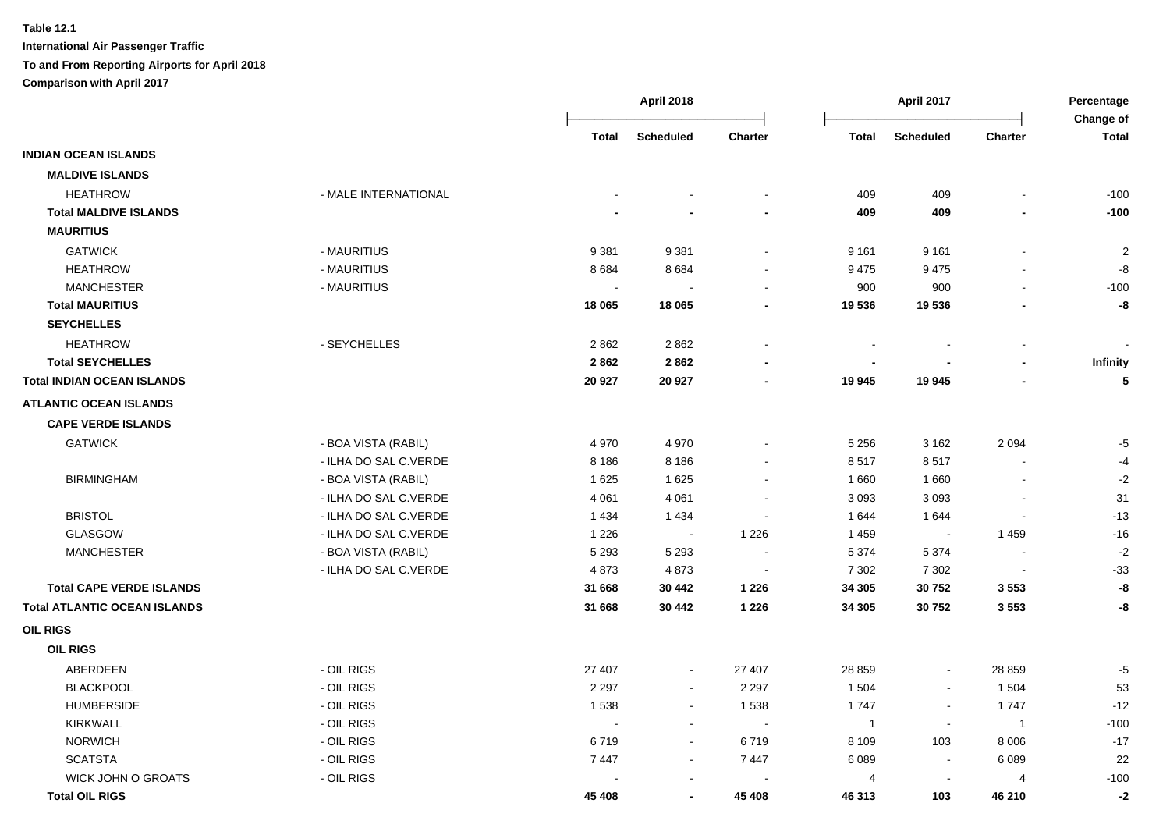|                                     |                       |                          | <b>April 2018</b> |                          |                | <b>April 2017</b>        |                          | Percentage<br>Change of |
|-------------------------------------|-----------------------|--------------------------|-------------------|--------------------------|----------------|--------------------------|--------------------------|-------------------------|
|                                     |                       | Total                    | <b>Scheduled</b>  | <b>Charter</b>           | <b>Total</b>   | <b>Scheduled</b>         | <b>Charter</b>           | <b>Total</b>            |
| <b>INDIAN OCEAN ISLANDS</b>         |                       |                          |                   |                          |                |                          |                          |                         |
| <b>MALDIVE ISLANDS</b>              |                       |                          |                   |                          |                |                          |                          |                         |
| <b>HEATHROW</b>                     | - MALE INTERNATIONAL  |                          |                   |                          | 409            | 409                      |                          | $-100$                  |
| <b>Total MALDIVE ISLANDS</b>        |                       |                          |                   |                          | 409            | 409                      |                          | $-100$                  |
| <b>MAURITIUS</b>                    |                       |                          |                   |                          |                |                          |                          |                         |
| <b>GATWICK</b>                      | - MAURITIUS           | 9 3 8 1                  | 9 3 8 1           | $\sim$                   | 9 1 6 1        | 9 1 6 1                  | $\blacksquare$           | $\overline{2}$          |
| <b>HEATHROW</b>                     | - MAURITIUS           | 8684                     | 8684              |                          | 9475           | 9475                     |                          | -8                      |
| <b>MANCHESTER</b>                   | - MAURITIUS           | $\overline{\phantom{a}}$ |                   | $\sim$                   | 900            | 900                      |                          | $-100$                  |
| <b>Total MAURITIUS</b>              |                       | 18 065                   | 18 065            | $\blacksquare$           | 19 536         | 19536                    |                          | -8                      |
| <b>SEYCHELLES</b>                   |                       |                          |                   |                          |                |                          |                          |                         |
| <b>HEATHROW</b>                     | - SEYCHELLES          | 2862                     | 2862              | $\overline{\phantom{a}}$ |                |                          |                          |                         |
| <b>Total SEYCHELLES</b>             |                       | 2862                     | 2862              | $\blacksquare$           | ÷.             |                          |                          | <b>Infinity</b>         |
| <b>Total INDIAN OCEAN ISLANDS</b>   |                       | 20 927                   | 20 927            | $\blacksquare$           | 19 945         | 19 945                   |                          | 5                       |
| <b>ATLANTIC OCEAN ISLANDS</b>       |                       |                          |                   |                          |                |                          |                          |                         |
| <b>CAPE VERDE ISLANDS</b>           |                       |                          |                   |                          |                |                          |                          |                         |
| <b>GATWICK</b>                      | - BOA VISTA (RABIL)   | 4 9 7 0                  | 4 9 7 0           |                          | 5 2 5 6        | 3 1 6 2                  | 2094                     | $-5$                    |
|                                     | - ILHA DO SAL C.VERDE | 8 1 8 6                  | 8 1 8 6           |                          | 8517           | 8517                     | $\blacksquare$           | $-4$                    |
| <b>BIRMINGHAM</b>                   | - BOA VISTA (RABIL)   | 1625                     | 1625              |                          | 1660           | 1660                     | $\sim$                   | $-2$                    |
|                                     | - ILHA DO SAL C.VERDE | 4 0 61                   | 4 0 6 1           |                          | 3 0 9 3        | 3 0 9 3                  | $\blacksquare$           | 31                      |
| <b>BRISTOL</b>                      | - ILHA DO SAL C.VERDE | 1 4 3 4                  | 1 4 3 4           |                          | 1 644          | 1644                     | $\overline{\phantom{a}}$ | $-13$                   |
| GLASGOW                             | - ILHA DO SAL C.VERDE | 1 2 2 6                  | $\sim$            | 1 2 2 6                  | 1 4 5 9        | $\sim$                   | 1 4 5 9                  | $-16$                   |
| <b>MANCHESTER</b>                   | - BOA VISTA (RABIL)   | 5 2 9 3                  | 5 2 9 3           | $\sim$                   | 5 3 7 4        | 5 3 7 4                  | $\blacksquare$           | $-2$                    |
|                                     | - ILHA DO SAL C.VERDE | 4873                     | 4873              | $\sim$                   | 7 3 0 2        | 7 3 0 2                  | $\blacksquare$           | $-33$                   |
| <b>Total CAPE VERDE ISLANDS</b>     |                       | 31 668                   | 30 442            | 1 2 2 6                  | 34 305         | 30752                    | 3553                     | -8                      |
| <b>Total ATLANTIC OCEAN ISLANDS</b> |                       | 31 668                   | 30 442            | 1 2 2 6                  | 34 305         | 30752                    | 3553                     | -8                      |
| <b>OIL RIGS</b>                     |                       |                          |                   |                          |                |                          |                          |                         |
| <b>OIL RIGS</b>                     |                       |                          |                   |                          |                |                          |                          |                         |
| ABERDEEN                            | - OIL RIGS            | 27 407                   | $\blacksquare$    | 27 407                   | 28 859         | $\blacksquare$           | 28 859                   | $-5$                    |
| <b>BLACKPOOL</b>                    | - OIL RIGS            | 2 2 9 7                  | $\blacksquare$    | 2 2 9 7                  | 1 504          | $\blacksquare$           | 1 504                    | 53                      |
| <b>HUMBERSIDE</b>                   | - OIL RIGS            | 1538                     | $\blacksquare$    | 1538                     | 1747           | $\blacksquare$           | 1747                     | $-12$                   |
| <b>KIRKWALL</b>                     | - OIL RIGS            | $\sim$                   | $\blacksquare$    | $\sim$                   | $\overline{1}$ | $\overline{\phantom{a}}$ | $\overline{1}$           | $-100$                  |
| <b>NORWICH</b>                      | - OIL RIGS            | 6719                     | $\sim$            | 6719                     | 8 1 0 9        | 103                      | 8 0 0 6                  | $-17$                   |
| <b>SCATSTA</b>                      | - OIL RIGS            | 7447                     | $\blacksquare$    | 7 4 4 7                  | 6089           | $\mathbf{r}$             | 6089                     | 22                      |
| <b>WICK JOHN O GROATS</b>           | - OIL RIGS            |                          | $\sim$            |                          | 4              | $\mathbf{r}$             | $\overline{4}$           | $-100$                  |
| <b>Total OIL RIGS</b>               |                       | 45 408                   | $\blacksquare$    | 45 408                   | 46 313         | 103                      | 46 210                   | $-2$                    |